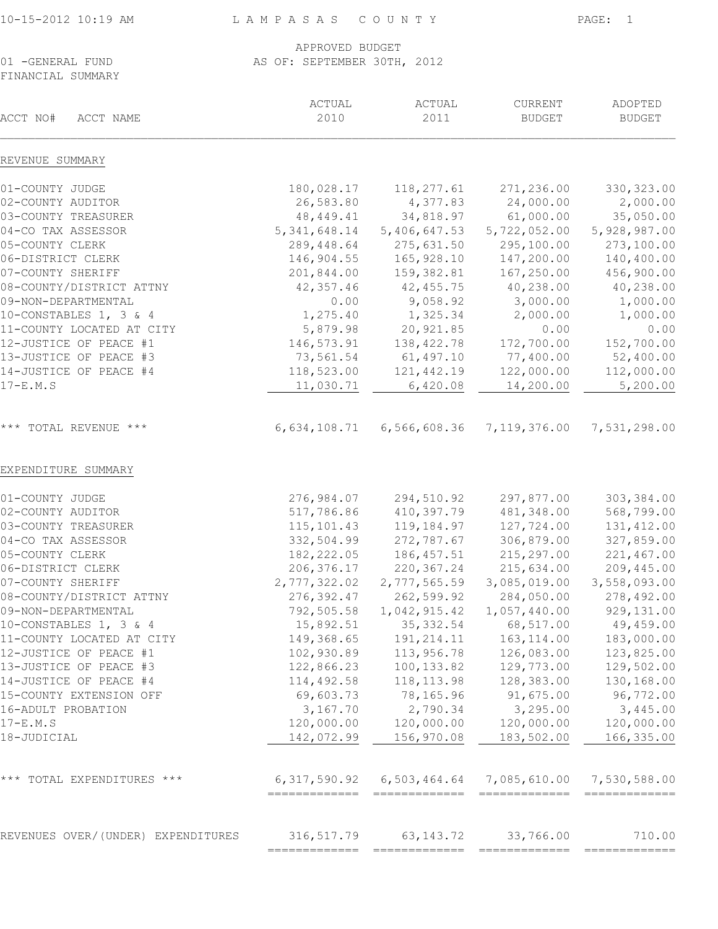| 0-15-2012 10:19 AM |  |
|--------------------|--|
|--------------------|--|

## APPROVED BUDGET<br>AS OF: SEPTEMBER 30TH, AS OF: SEPTEMBER 30TH, 2012

FINANCIAL SUMMARY

| ACCT NO#<br>ACCT NAME              | ACTUAL<br>2010 | ACTUAL<br>2011                    | CURRENT<br><b>BUDGET</b> | ADOPTED<br><b>BUDGET</b>  |
|------------------------------------|----------------|-----------------------------------|--------------------------|---------------------------|
| REVENUE SUMMARY                    |                |                                   |                          |                           |
| 01-COUNTY JUDGE                    | 180,028.17     | 118,277.61                        | 271,236.00               | 330, 323.00               |
| 02-COUNTY AUDITOR                  | 26,583.80      | 4,377.83                          | 24,000.00                | 2,000.00                  |
| 03-COUNTY TREASURER                | 48, 449. 41    | 34,818.97                         | 61,000.00                | 35,050.00                 |
| 04-CO TAX ASSESSOR                 | 5, 341, 648.14 | 5,406,647.53                      | 5,722,052.00             | 5,928,987.00              |
| 05-COUNTY CLERK                    | 289,448.64     | 275,631.50                        | 295,100.00               | 273,100.00                |
| 06-DISTRICT CLERK                  | 146,904.55     | 165,928.10                        | 147,200.00               | 140,400.00                |
| 07-COUNTY SHERIFF                  | 201,844.00     | 159,382.81                        | 167,250.00               | 456,900.00                |
| 08-COUNTY/DISTRICT ATTNY           | 42,357.46      | 42,455.75                         | 40,238.00                | 40,238.00                 |
| 09-NON-DEPARTMENTAL                | 0.00           | 9,058.92                          | 3,000.00                 | 1,000.00                  |
| 10-CONSTABLES 1, 3 & 4             | 1,275.40       | 1,325.34                          | 2,000.00                 | 1,000.00                  |
| 11-COUNTY LOCATED AT CITY          | 5,879.98       | 20,921.85                         | 0.00                     | 0.00                      |
| 12-JUSTICE OF PEACE #1             | 146,573.91     | 138, 422.78                       | 172,700.00               | 152,700.00                |
| 13-JUSTICE OF PEACE #3             | 73,561.54      | 61, 497.10                        | 77,400.00                | 52,400.00                 |
| 14-JUSTICE OF PEACE #4             | 118,523.00     | 121, 442.19                       | 122,000.00               | 112,000.00                |
| $17-E.M.S$                         | 11,030.71      | 6,420.08                          | 14,200.00                | 5,200.00                  |
| *** TOTAL REVENUE ***              | 6,634,108.71   | 6,566,608.36                      | 7, 119, 376.00           | 7,531,298.00              |
| EXPENDITURE SUMMARY                |                |                                   |                          |                           |
| 01-COUNTY JUDGE                    | 276,984.07     | 294,510.92                        | 297,877.00               | 303, 384.00               |
| 02-COUNTY AUDITOR                  | 517,786.86     | 410,397.79                        | 481,348.00               | 568,799.00                |
| 03-COUNTY TREASURER                | 115, 101.43    | 119,184.97                        | 127,724.00               | 131, 412.00               |
| 04-CO TAX ASSESSOR                 | 332,504.99     | 272,787.67                        | 306,879.00               | 327,859.00                |
| 05-COUNTY CLERK                    | 182, 222.05    | 186, 457.51                       | 215,297.00               | 221,467.00                |
| 06-DISTRICT CLERK                  | 206, 376.17    | 220, 367.24                       | 215,634.00               | 209,445.00                |
| 07-COUNTY SHERIFF                  | 2,777,322.02   | 2,777,565.59                      | 3,085,019.00             | 3,558,093.00              |
| 08-COUNTY/DISTRICT ATTNY           | 276, 392.47    | 262,599.92                        | 284,050.00               | 278,492.00                |
| 09-NON-DEPARTMENTAL                | 792,505.58     | 1,042,915.42                      | 1,057,440.00             | 929, 131.00               |
| 10-CONSTABLES 1, 3 & 4             | 15,892.51      | 35, 332.54                        | 68,517.00                | 49,459.00                 |
| 11-COUNTY LOCATED AT CITY          | 149,368.65     | 191, 214.11                       | 163, 114.00              | 183,000.00                |
| 12-JUSTICE OF PEACE #1             | 102,930.89     | 113,956.78                        | 126,083.00               | 123,825.00                |
| 13-JUSTICE OF PEACE #3             | 122,866.23     | 100, 133.82                       | 129,773.00               | 129,502.00                |
| 14-JUSTICE OF PEACE #4             | 114,492.58     | 118, 113.98                       | 128,383.00               | 130,168.00                |
| 15-COUNTY EXTENSION OFF            | 69,603.73      | 78,165.96                         | 91,675.00                | 96,772.00                 |
| 16-ADULT PROBATION                 | 3,167.70       | 2,790.34                          | 3,295.00                 | 3,445.00                  |
| $17-E.M.S$                         | 120,000.00     | 120,000.00                        | 120,000.00               | 120,000.00                |
| 18-JUDICIAL                        | 142,072.99     | 156,970.08                        | 183,502.00               | 166, 335.00               |
| $***$<br>TOTAL EXPENDITURES ***    |                | $6, 317, 590.92$ $6, 503, 464.64$ |                          | 7,085,610.00 7,530,588.00 |
|                                    |                |                                   |                          |                           |
| REVENUES OVER/(UNDER) EXPENDITURES | 316, 517.79    | 63, 143. 72                       | 33,766.00                | 710.00                    |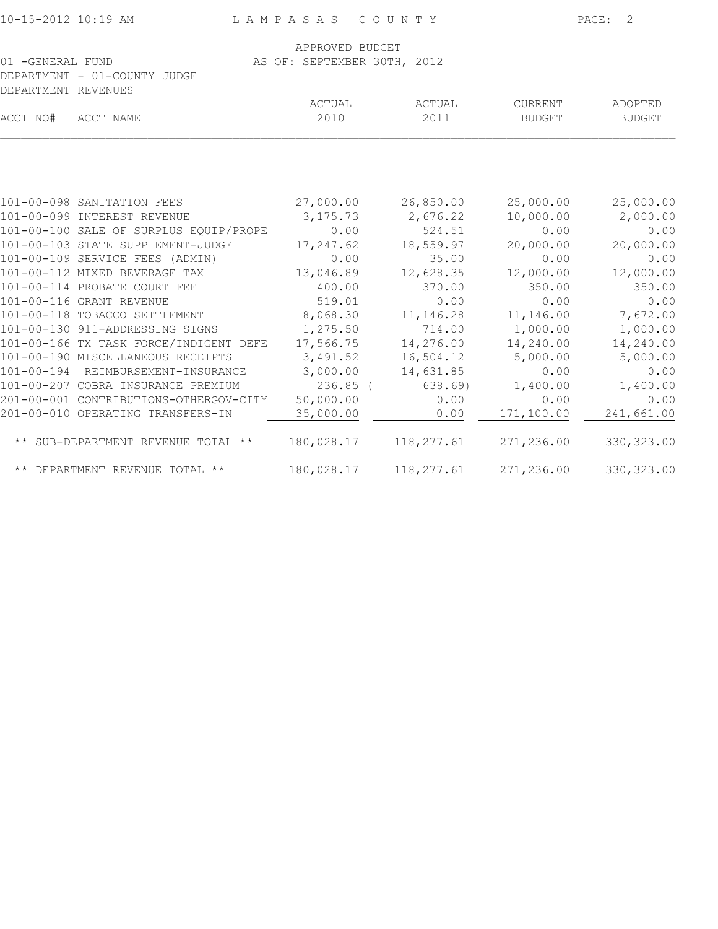| 10-15-2012 10:19 AM |                                        | LAMPASAS COUNTY             | PAGE: 2    |               |               |
|---------------------|----------------------------------------|-----------------------------|------------|---------------|---------------|
|                     |                                        | APPROVED BUDGET             |            |               |               |
| 01 -GENERAL FUND    |                                        | AS OF: SEPTEMBER 30TH, 2012 |            |               |               |
|                     | DEPARTMENT - 01-COUNTY JUDGE           |                             |            |               |               |
| DEPARTMENT REVENUES |                                        |                             |            |               |               |
|                     |                                        | ACTUAL                      | ACTUAL     | CURRENT       | ADOPTED       |
| ACCT NO#            | ACCT NAME                              | 2010                        | 2011       | <b>BUDGET</b> | <b>BUDGET</b> |
|                     |                                        |                             |            |               |               |
|                     | 101-00-098 SANITATION FEES             | 27,000.00                   | 26,850.00  | 25,000.00     | 25,000.00     |
|                     | 101-00-099 INTEREST REVENUE            | 3, 175. 73                  | 2,676.22   | 10,000.00     | 2,000.00      |
|                     | 101-00-100 SALE OF SURPLUS EQUIP/PROPE | 0.00                        | 524.51     | 0.00          | 0.00          |
|                     | 101-00-103 STATE SUPPLEMENT-JUDGE      | 17,247.62                   | 18,559.97  | 20,000.00     | 20,000.00     |
|                     | 101-00-109 SERVICE FEES (ADMIN)        | 0.00                        | 35.00      | 0.00          | 0.00          |
|                     | 101-00-112 MIXED BEVERAGE TAX          | 13,046.89                   | 12,628.35  | 12,000.00     | 12,000.00     |
|                     | 101-00-114 PROBATE COURT FEE           | 400.00                      | 370.00     | 350.00        | 350.00        |
|                     | 101-00-116 GRANT REVENUE               | 519.01                      | 0.00       | 0.00          | 0.00          |
|                     | 101-00-118 TOBACCO SETTLEMENT          | 8,068.30                    | 11, 146.28 | 11,146.00     | 7,672.00      |
|                     | 101-00-130 911-ADDRESSING SIGNS        | 1,275.50                    | 714.00     | 1,000.00      | 1,000.00      |
|                     | 101-00-166 TX TASK FORCE/INDIGENT DEFE | 17,566.75                   | 14,276.00  | 14,240.00     | 14,240.00     |
|                     | 101-00-190 MISCELLANEOUS RECEIPTS      | 3,491.52                    | 16,504.12  | 5,000.00      | 5,000.00      |
|                     | 101-00-194 REIMBURSEMENT-INSURANCE     | 3,000.00                    | 14,631.85  | 0.00          | 0.00          |
|                     | 101-00-207 COBRA INSURANCE PREMIUM     | $236.85$ (                  | 638.69)    | 1,400.00      | 1,400.00      |
|                     | 201-00-001 CONTRIBUTIONS-OTHERGOV-CITY | 50,000.00                   | 0.00       | 0.00          | 0.00          |
|                     | 201-00-010 OPERATING TRANSFERS-IN      | 35,000.00                   | 0.00       | 171,100.00    | 241,661.00    |
|                     | ** SUB-DEPARTMENT REVENUE TOTAL **     | 180,028.17                  | 118,277.61 | 271,236.00    | 330, 323.00   |
|                     | ** DEPARTMENT REVENUE TOTAL **         | 180,028.17                  | 118,277.61 | 271,236.00    | 330, 323.00   |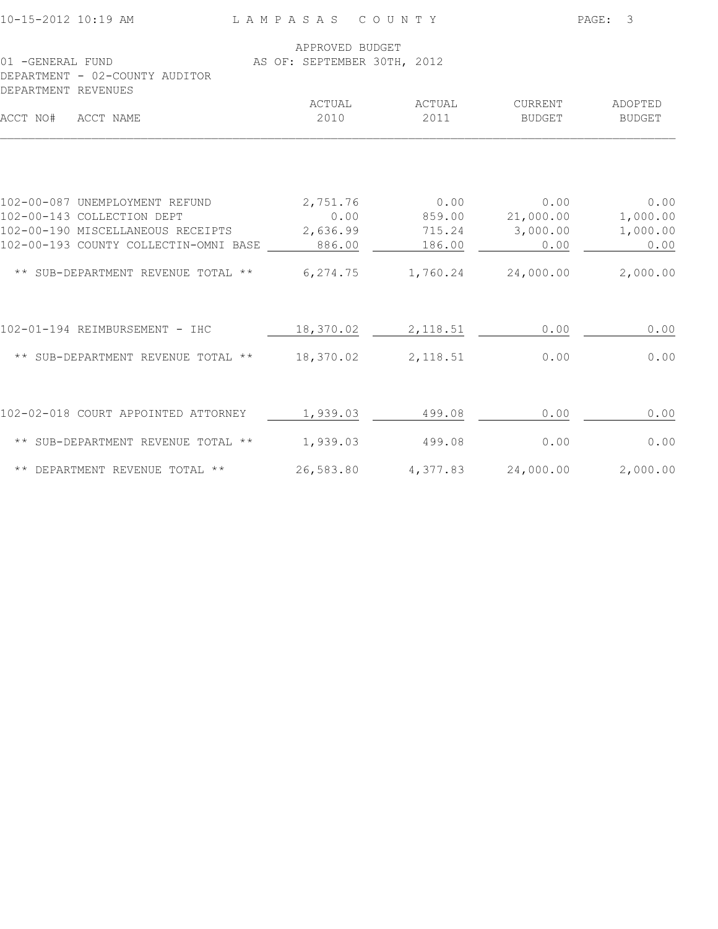| 10-15-2012 10:19 AM                                                        | LAMPASAS COUNTY             |                    | PAGE: 3          |               |  |
|----------------------------------------------------------------------------|-----------------------------|--------------------|------------------|---------------|--|
|                                                                            | APPROVED BUDGET             |                    |                  |               |  |
| 01 - GENERAL FUND<br>DEPARTMENT - 02-COUNTY AUDITOR<br>DEPARTMENT REVENUES | AS OF: SEPTEMBER 30TH, 2012 |                    |                  |               |  |
|                                                                            | ACTUAL                      | ACTUAL             | CURRENT          | ADOPTED       |  |
| ACCT NO# ACCT NAME                                                         | 2010                        | 2011               | BUDGET           | <b>BUDGET</b> |  |
|                                                                            |                             |                    |                  |               |  |
| 102-00-087 UNEMPLOYMENT REFUND                                             | 2,751.76                    | 0.00               | 0.00             | 0.00          |  |
| 102-00-143 COLLECTION DEPT                                                 | 0.00                        |                    | 859.00 21,000.00 | 1,000.00      |  |
| 102-00-190 MISCELLANEOUS RECEIPTS                                          | 2,636.99                    | 715.24             | 3,000.00         | 1,000.00      |  |
| 102-00-193 COUNTY COLLECTIN-OMNI BASE                                      | 886.00                      | 186.00             | 0.00             | 0.00          |  |
| ** SUB-DEPARTMENT REVENUE TOTAL **                                         | 6,274.75                    | 1,760.24 24,000.00 |                  | 2,000.00      |  |
| 102-01-194 REIMBURSEMENT - IHC                                             |                             | 18,370.02 2,118.51 | 0.00             | 0.00          |  |
| ** SUB-DEPARTMENT REVENUE TOTAL **                                         | 18,370.02 2,118.51          |                    | 0.00             | 0.00          |  |
| 102-02-018 COURT APPOINTED ATTORNEY                                        | 1,939.03                    | 499.08             | 0.00             | 0.00          |  |
| ** SUB-DEPARTMENT REVENUE TOTAL **                                         | 1,939.03                    | 499.08             | 0.00             | 0.00          |  |
| ** DEPARTMENT REVENUE TOTAL **                                             | 26,583.80                   | 4,377.83           | 24,000.00        | 2,000.00      |  |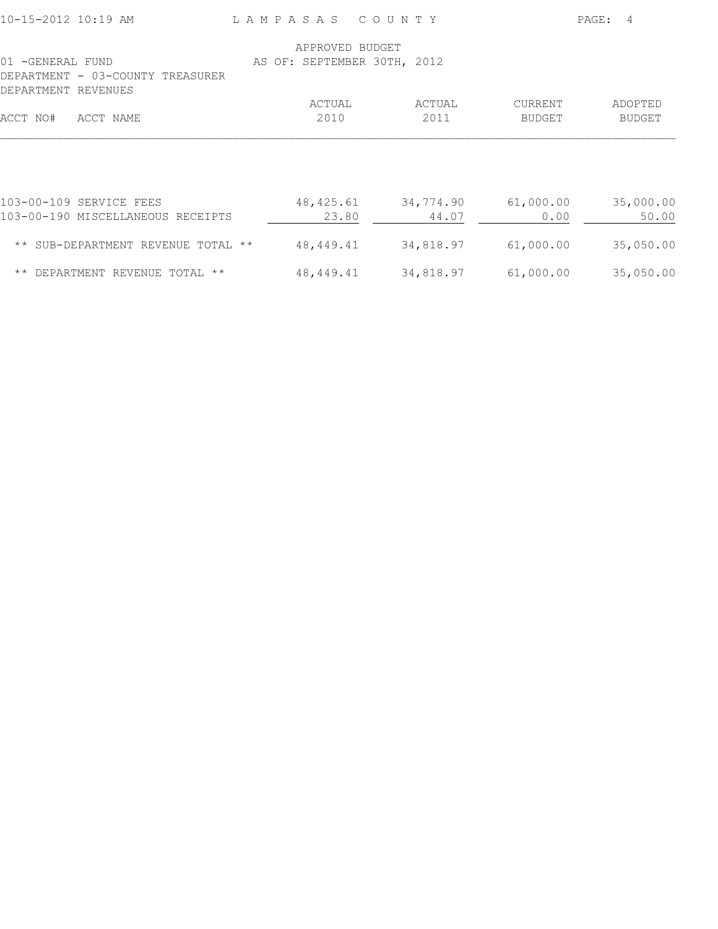| 10-15-2012 10:19 AM                                        | LAMPASAS COUNTY                                |           |           | PAGE:<br>4    |
|------------------------------------------------------------|------------------------------------------------|-----------|-----------|---------------|
| 01 -GENERAL FUND                                           | APPROVED BUDGET<br>AS OF: SEPTEMBER 30TH, 2012 |           |           |               |
| DEPARTMENT - 03-COUNTY TREASURER<br>DEPARTMENT<br>REVENUES |                                                |           |           |               |
|                                                            | ACTUAL                                         | ACTUAL    | CURRENT   | ADOPTED       |
| ACCT NO#<br>ACCT NAME                                      | 2010                                           | 2011      | BUDGET    | <b>BUDGET</b> |
|                                                            |                                                |           |           |               |
| 103-00-109 SERVICE FEES                                    | 48,425.61                                      | 34,774.90 | 61,000.00 | 35,000.00     |
| 103-00-190 MISCELLANEOUS RECEIPTS                          | 23.80                                          | 44.07     | 0.00      | 50.00         |
| ** SUB-DEPARTMENT REVENUE TOTAL **                         | 48,449.41                                      | 34,818.97 | 61,000.00 | 35,050.00     |
| ** DEPARTMENT REVENUE TOTAL **                             | 48,449.41                                      | 34,818.97 | 61,000.00 | 35,050.00     |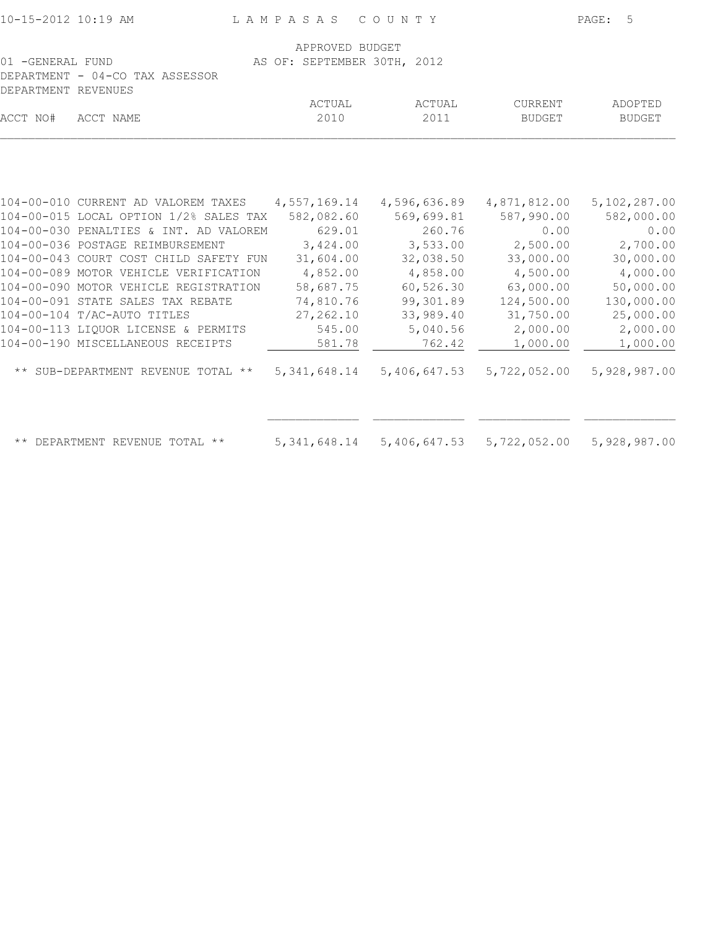| 10-15-2012 10:19 AM                      |                                        | LAMPASAS COUNTY             |              |               | PAGE: 5       |
|------------------------------------------|----------------------------------------|-----------------------------|--------------|---------------|---------------|
|                                          |                                        | APPROVED BUDGET             |              |               |               |
| 01 - GENERAL FUND<br>DEPARTMENT REVENUES | DEPARTMENT - 04-CO TAX ASSESSOR        | AS OF: SEPTEMBER 30TH, 2012 |              |               |               |
|                                          |                                        | ACTUAL                      | ACTUAL       | CURRENT       | ADOPTED       |
| ACCT NO#                                 | ACCT NAME                              | 2010                        | 2011         | <b>BUDGET</b> | <b>BUDGET</b> |
|                                          |                                        |                             |              |               |               |
|                                          | 104-00-010 CURRENT AD VALOREM TAXES    | 4,557,169.14                | 4,596,636.89 | 4,871,812.00  | 5,102,287.00  |
|                                          | 104-00-015 LOCAL OPTION 1/2% SALES TAX | 582,082.60                  | 569,699.81   | 587,990.00    | 582,000.00    |
|                                          | 104-00-030 PENALTIES & INT. AD VALOREM | 629.01                      | 260.76       | 0.00          | 0.00          |
|                                          | 104-00-036 POSTAGE REIMBURSEMENT       | 3,424.00                    | 3,533.00     | 2,500.00      | 2,700.00      |
|                                          | 104-00-043 COURT COST CHILD SAFETY FUN | 31,604.00                   | 32,038.50    | 33,000.00     | 30,000.00     |
|                                          | 104-00-089 MOTOR VEHICLE VERIFICATION  | 4,852.00                    | 4,858.00     | 4,500.00      | 4,000.00      |
|                                          | 104-00-090 MOTOR VEHICLE REGISTRATION  | 58,687.75                   | 60,526.30    | 63,000.00     | 50,000.00     |
|                                          | 104-00-091 STATE SALES TAX REBATE      | 74,810.76                   | 99,301.89    | 124,500.00    | 130,000.00    |
|                                          | 104-00-104 T/AC-AUTO TITLES            | 27, 262.10                  | 33,989.40    | 31,750.00     | 25,000.00     |
|                                          | 104-00-113 LIQUOR LICENSE & PERMITS    | 545.00                      | 5,040.56     | 2,000.00      | 2,000.00      |
|                                          | 104-00-190 MISCELLANEOUS RECEIPTS      | 581.78                      | 762.42       | 1,000.00      | 1,000.00      |
|                                          | ** SUB-DEPARTMENT REVENUE TOTAL **     | 5, 341, 648.14              | 5,406,647.53 | 5,722,052.00  | 5,928,987.00  |
|                                          | ** DEPARTMENT REVENUE TOTAL **         | 5, 341, 648.14              | 5,406,647.53 | 5,722,052.00  | 5,928,987.00  |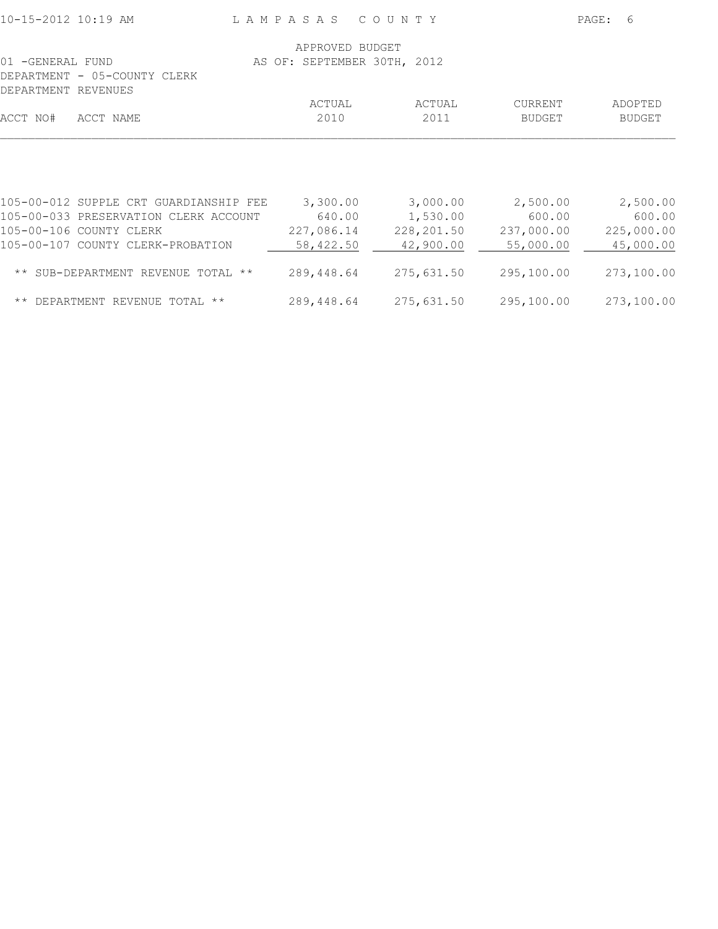| 10-15-2012 10:19 AM |                                                                  |  |                      | LAMPASAS COUNTY             |                      | PAGE: | 6                    |
|---------------------|------------------------------------------------------------------|--|----------------------|-----------------------------|----------------------|-------|----------------------|
| 01 -GENERAL FUND    | DEPARTMENT - 05-COUNTY CLERK                                     |  | APPROVED BUDGET      | AS OF: SEPTEMBER 30TH, 2012 |                      |       |                      |
| DEPARTMENT REVENUES |                                                                  |  | ACTUAL               | ACTUAL                      | CURRENT              |       | ADOPTED              |
| ACCT NO#            | ACCT NAME                                                        |  | 2010                 | 2011                        | BUDGET               |       | <b>BUDGET</b>        |
|                     |                                                                  |  |                      |                             |                      |       |                      |
|                     | 105-00-012 SUPPLE CRT GUARDIANSHIP FEE                           |  | 3,300.00             | 3,000.00                    | 2,500.00             |       | 2,500.00             |
|                     | 105-00-033 PRESERVATION CLERK ACCOUNT<br>105-00-106 COUNTY CLERK |  | 640.00<br>227,086.14 | 1,530.00<br>228,201.50      | 600.00<br>237,000.00 |       | 600.00<br>225,000.00 |
|                     | 105-00-107 COUNTY CLERK-PROBATION                                |  | 58,422.50            | 42,900.00                   | 55,000.00            |       | 45,000.00            |
|                     | ** SUB-DEPARTMENT REVENUE TOTAL **                               |  | 289,448.64           | 275,631.50                  | 295,100.00           |       | 273,100.00           |
|                     | ** DEPARTMENT REVENUE TOTAL **                                   |  | 289,448.64           | 275,631.50                  | 295,100.00           |       | 273,100.00           |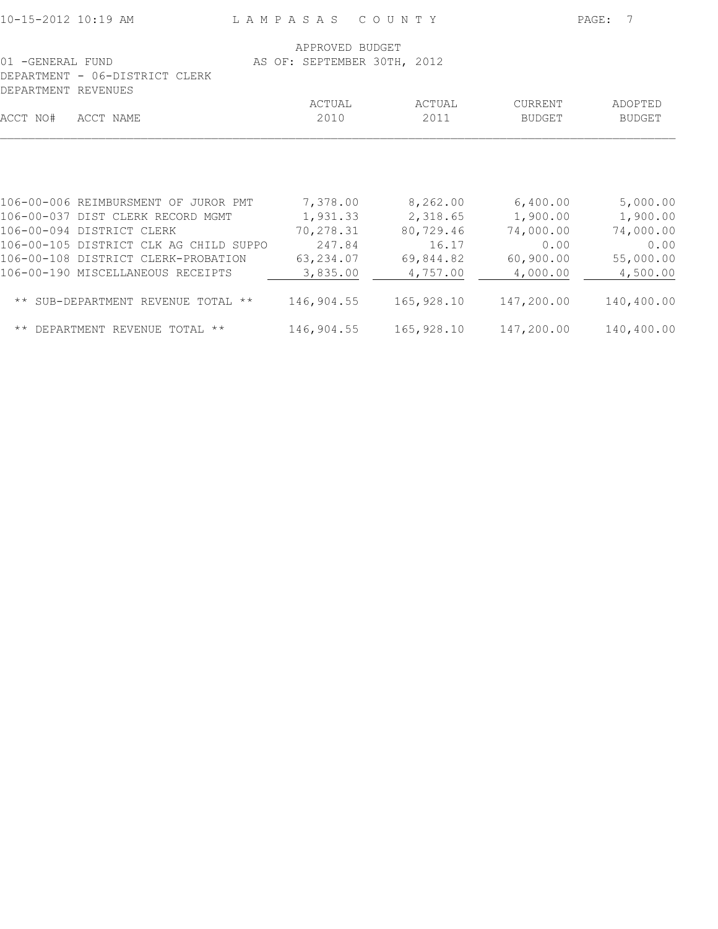| 10-15-2012 10:19 AM |                                                                                                                                                                                                                              | LAMPASAS                                                             | C O U N T Y                                                         |                                                                    | PAGE:<br>-7                                                        |
|---------------------|------------------------------------------------------------------------------------------------------------------------------------------------------------------------------------------------------------------------------|----------------------------------------------------------------------|---------------------------------------------------------------------|--------------------------------------------------------------------|--------------------------------------------------------------------|
| 01 -GENERAL FUND    | DEPARTMENT - 06-DISTRICT CLERK                                                                                                                                                                                               | APPROVED BUDGET<br>AS OF: SEPTEMBER 30TH, 2012                       |                                                                     |                                                                    |                                                                    |
| DEPARTMENT REVENUES |                                                                                                                                                                                                                              | ACTUAL                                                               | ACTUAL                                                              | CURRENT                                                            | ADOPTED                                                            |
| ACCT NO#            | ACCT NAME                                                                                                                                                                                                                    | 2010                                                                 | 2011                                                                | <b>BUDGET</b>                                                      | <b>BUDGET</b>                                                      |
|                     | 106-00-006 REIMBURSMENT OF JUROR PMT<br>106-00-037 DIST CLERK RECORD MGMT<br>106-00-094 DISTRICT CLERK<br>106-00-105 DISTRICT CLK AG CHILD SUPPO<br>106-00-108 DISTRICT CLERK-PROBATION<br>106-00-190 MISCELLANEOUS RECEIPTS | 7,378.00<br>1,931.33<br>70,278.31<br>247.84<br>63,234.07<br>3,835.00 | 8,262.00<br>2,318.65<br>80,729.46<br>16.17<br>69,844.82<br>4,757.00 | 6,400.00<br>1,900.00<br>74,000.00<br>0.00<br>60,900.00<br>4,000.00 | 5,000.00<br>1,900.00<br>74,000.00<br>0.00<br>55,000.00<br>4,500.00 |
|                     | ** SUB-DEPARTMENT REVENUE TOTAL **                                                                                                                                                                                           | 146,904.55                                                           | 165,928.10                                                          | 147,200.00                                                         | 140,400.00                                                         |
|                     | ** DEPARTMENT REVENUE TOTAL **                                                                                                                                                                                               | 146,904.55                                                           | 165,928.10                                                          | 147,200.00                                                         | 140,400.00                                                         |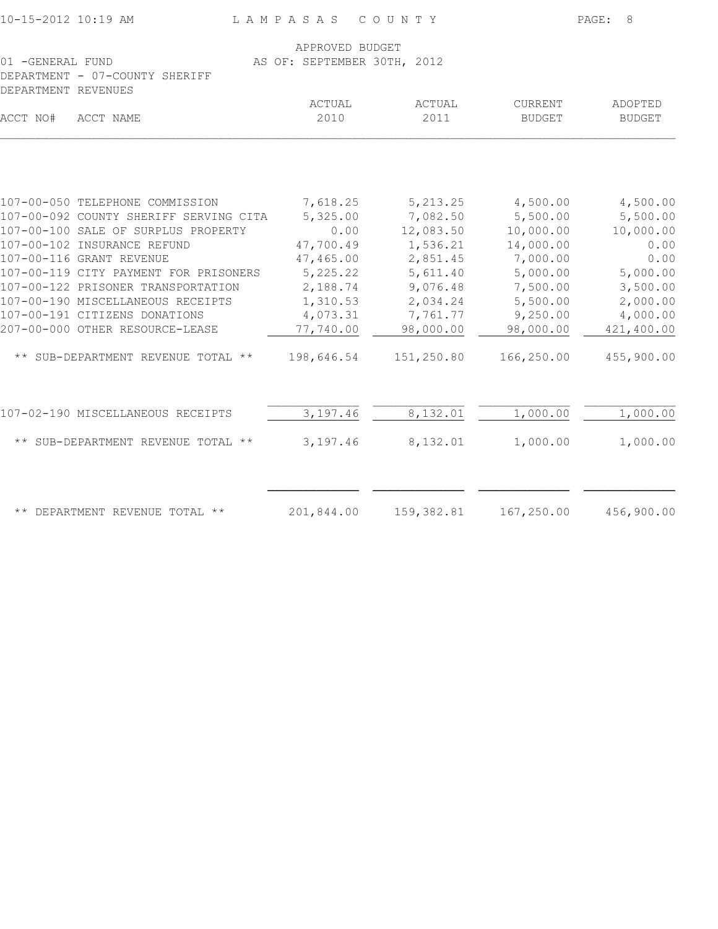| 10-15-2012 10:19 AM                                                       | LAMPASAS<br>COUNTY          | PAGE:<br>8 |               |               |
|---------------------------------------------------------------------------|-----------------------------|------------|---------------|---------------|
|                                                                           | APPROVED BUDGET             |            |               |               |
| 01 -GENERAL FUND<br>DEPARTMENT - 07-COUNTY SHERIFF<br>DEPARTMENT REVENUES | AS OF: SEPTEMBER 30TH, 2012 |            |               |               |
|                                                                           | ACTUAL                      | ACTUAL     | CURRENT       | ADOPTED       |
| ACCT NO#<br>ACCT NAME                                                     | 2010                        | 2011       | <b>BUDGET</b> | <b>BUDGET</b> |
|                                                                           |                             |            |               |               |
| 107-00-050 TELEPHONE COMMISSION                                           | 7,618.25                    | 5, 213.25  | 4,500.00      | 4,500.00      |
| 107-00-092 COUNTY SHERIFF SERVING CITA                                    | 5,325.00                    | 7,082.50   | 5,500.00      | 5,500.00      |
| 107-00-100 SALE OF SURPLUS PROPERTY                                       | 0.00                        | 12,083.50  | 10,000.00     | 10,000.00     |
| 107-00-102 INSURANCE REFUND                                               | 47,700.49                   | 1,536.21   | 14,000.00     | 0.00          |
| 107-00-116 GRANT REVENUE                                                  | 47,465.00                   | 2,851.45   | 7,000.00      | 0.00          |
| 107-00-119 CITY PAYMENT FOR PRISONERS                                     | 5,225.22                    | 5,611.40   | 5,000.00      | 5,000.00      |
| 107-00-122 PRISONER TRANSPORTATION                                        | 2,188.74                    | 9,076.48   | 7,500.00      | 3,500.00      |
| 107-00-190 MISCELLANEOUS RECEIPTS                                         | 1,310.53                    | 2,034.24   | 5,500.00      | 2,000.00      |
| 107-00-191 CITIZENS DONATIONS                                             | 4,073.31                    | 7,761.77   | 9,250.00      | 4,000.00      |
| 207-00-000 OTHER RESOURCE-LEASE                                           | 77,740.00                   | 98,000.00  | 98,000.00     | 421,400.00    |
| ** SUB-DEPARTMENT REVENUE TOTAL **                                        | 198,646.54                  | 151,250.80 | 166,250.00    | 455,900.00    |
| 107-02-190 MISCELLANEOUS RECEIPTS                                         | 3,197.46                    | 8,132.01   | 1,000.00      | 1,000.00      |
| ** SUB-DEPARTMENT REVENUE TOTAL **                                        | 3,197.46                    | 8,132.01   | 1,000.00      | 1,000.00      |
| ** DEPARTMENT REVENUE TOTAL **                                            | 201,844.00                  | 159,382.81 | 167,250.00    | 456,900.00    |
|                                                                           |                             |            |               |               |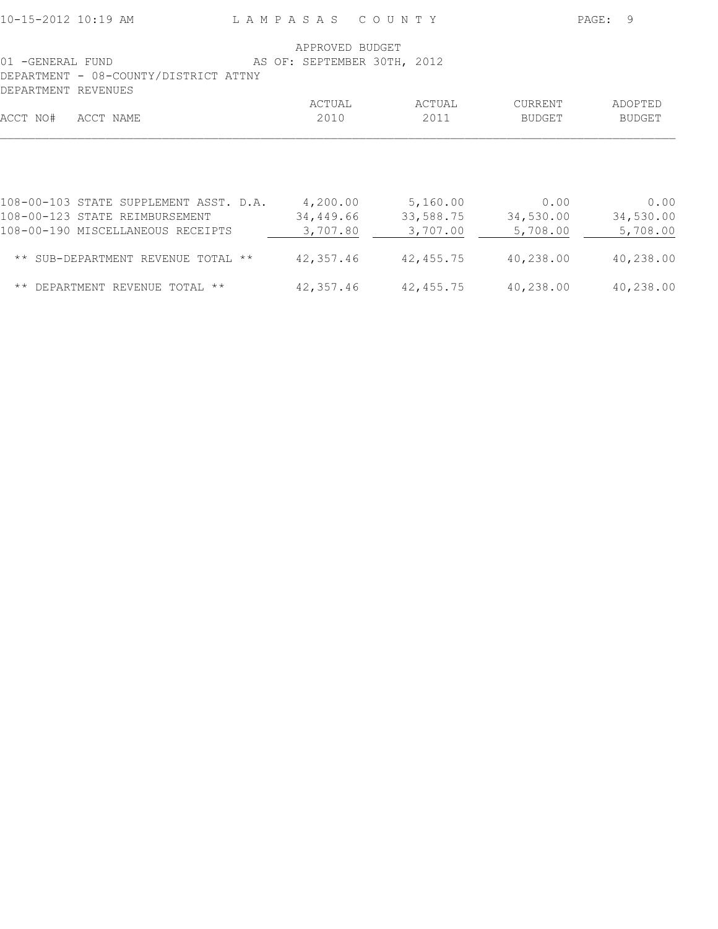|                                             | APPROVED BUDGET             |           |               |           |
|---------------------------------------------|-----------------------------|-----------|---------------|-----------|
| 01 -GENERAL FUND                            | AS OF: SEPTEMBER 30TH, 2012 |           |               |           |
| DEPARTMENT - 08-COUNTY/DISTRICT ATTNY       |                             |           |               |           |
| DEPARTMENT REVENUES                         |                             |           |               |           |
|                                             | ACTUAL                      | ACTUAL    | CURRENT       | ADOPTED   |
| ACCT NO#<br>ACCT NAME                       | 2010                        | 2011      | <b>BUDGET</b> | BUDGET    |
|                                             |                             |           |               |           |
|                                             |                             |           |               |           |
|                                             |                             |           |               |           |
|                                             |                             |           |               |           |
| 108-00-103 STATE SUPPLEMENT ASST. D.A.      | 4,200.00                    | 5,160.00  | 0.00          | 0.00      |
| 108-00-123 STATE REIMBURSEMENT              | 34,449.66                   | 33,588.75 | 34,530.00     | 34,530.00 |
| 108-00-190 MISCELLANEOUS RECEIPTS           | 3,707.80                    | 3,707.00  | 5,708.00      | 5,708.00  |
|                                             |                             |           |               |           |
| ** SUB-DEPARTMENT REVENUE TOTAL **          | 42,357.46                   | 42,455.75 | 40,238.00     | 40,238.00 |
|                                             |                             |           |               |           |
| $\star\star$<br>DEPARTMENT REVENUE TOTAL ** | 42,357.46                   | 42,455.75 | 40,238.00     | 40,238.00 |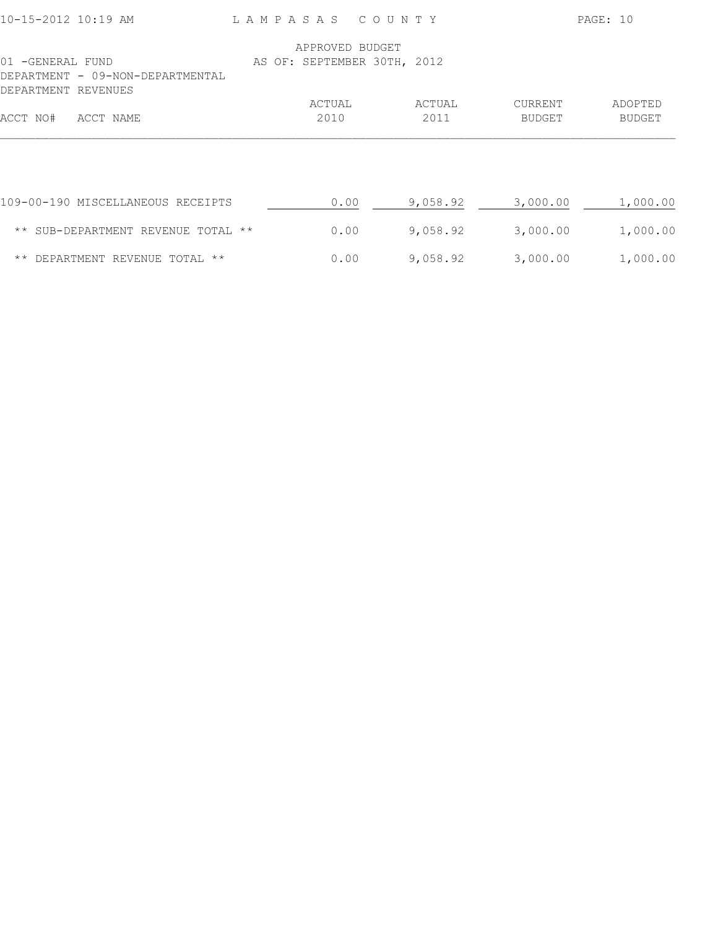| 10-15-2012 10:19 AM                                                         |                 | LAMPASAS COUNTY             |                          | PAGE: 10                 |
|-----------------------------------------------------------------------------|-----------------|-----------------------------|--------------------------|--------------------------|
|                                                                             | APPROVED BUDGET |                             |                          |                          |
| 01 -GENERAL FUND<br>DEPARTMENT - 09-NON-DEPARTMENTAL<br>DEPARTMENT REVENUES |                 | AS OF: SEPTEMBER 30TH, 2012 |                          |                          |
| ACCT NO#<br>ACCT NAME                                                       | ACTUAL<br>2010  | ACTUAL<br>2011              | CURRENT<br><b>BUDGET</b> | ADOPTED<br><b>BUDGET</b> |
|                                                                             |                 |                             |                          |                          |
| 109-00-190 MISCELLANEOUS RECEIPTS                                           | 0.00            | 9,058.92                    | 3,000.00                 | 1,000.00                 |
| ** SUB-DEPARTMENT REVENUE TOTAL **                                          | 0.00            | 9,058.92                    | 3,000.00                 | 1,000.00                 |
| ** DEPARTMENT REVENUE TOTAL **                                              | 0.00            | 9,058.92                    | 3,000.00                 | 1,000.00                 |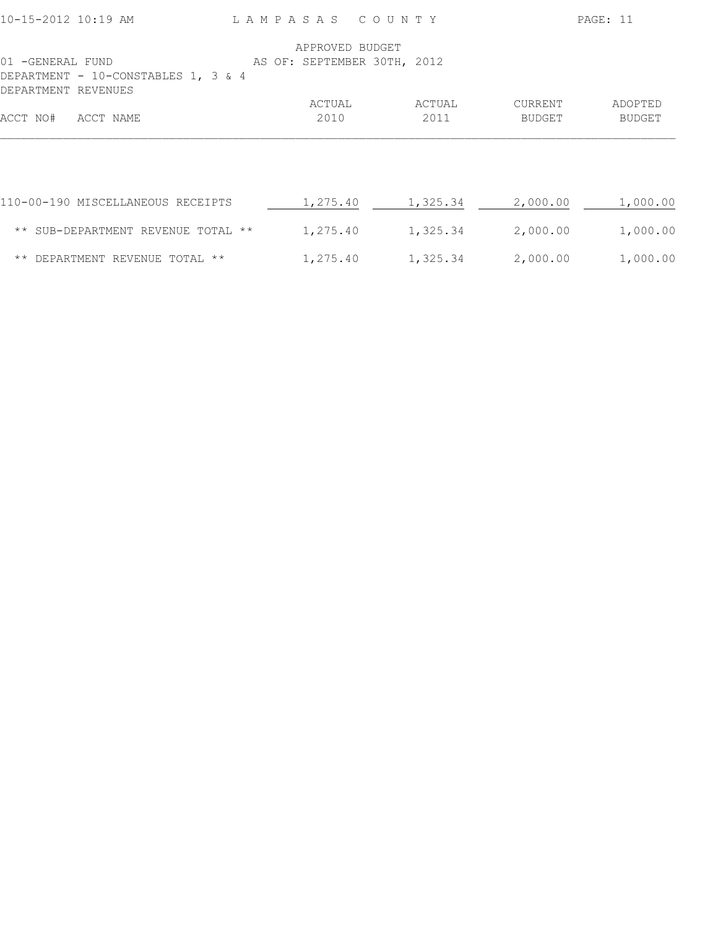| 10-15-2012 10:19 AM                     |                                     | LAMPASAS COUNTY             |          |          | PAGE: 11      |
|-----------------------------------------|-------------------------------------|-----------------------------|----------|----------|---------------|
|                                         |                                     | APPROVED BUDGET             |          |          |               |
| 01 -GENERAL FUND<br>DEPARTMENT REVENUES | DEPARTMENT - 10-CONSTABLES 1, 3 & 4 | AS OF: SEPTEMBER 30TH, 2012 |          |          |               |
|                                         |                                     | ACTUAL                      | ACTUAL   | CURRENT  | ADOPTED       |
| ACCT NO#<br>ACCT NAME                   |                                     | 2010                        | 2011     | BUDGET   | <b>BUDGET</b> |
|                                         |                                     |                             |          |          |               |
|                                         | 110-00-190 MISCELLANEOUS RECEIPTS   | 1,275.40                    | 1,325.34 | 2,000.00 | 1,000.00      |
|                                         | ** SUB-DEPARTMENT REVENUE TOTAL **  | 1,275.40                    | 1,325.34 | 2,000.00 | 1,000.00      |
|                                         | ** DEPARTMENT REVENUE TOTAL **      | 1,275.40                    | 1,325.34 | 2,000.00 | 1,000.00      |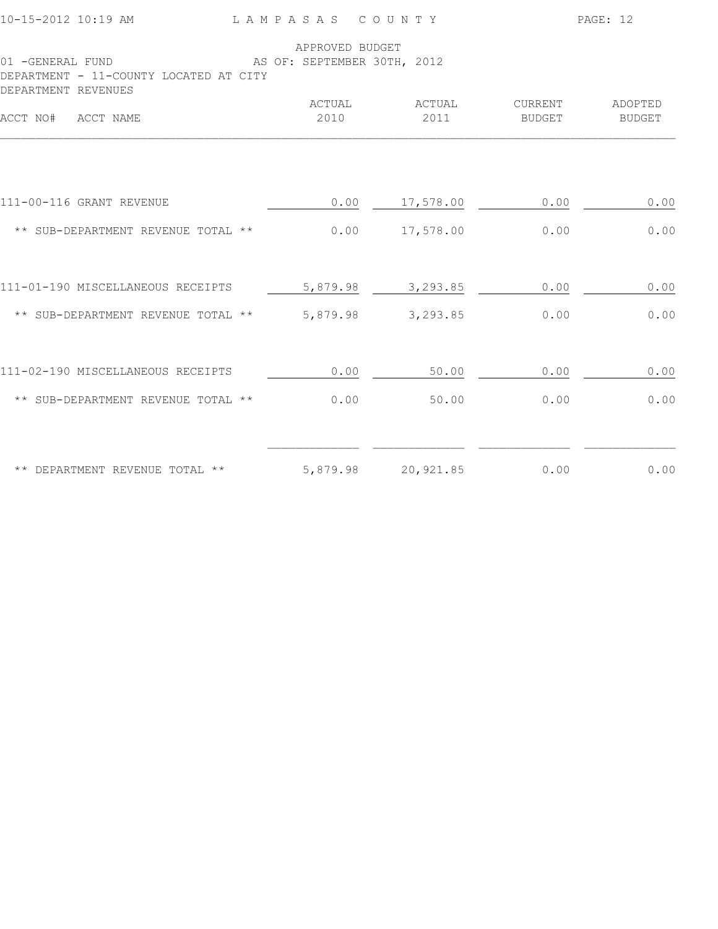| 10-15-2012 10:19 AM                                        | LAMPASAS COUNTY                                |                |                   | PAGE: 12                 |  |
|------------------------------------------------------------|------------------------------------------------|----------------|-------------------|--------------------------|--|
| 01 -GENERAL FUND<br>DEPARTMENT - 11-COUNTY LOCATED AT CITY | APPROVED BUDGET<br>AS OF: SEPTEMBER 30TH, 2012 |                |                   |                          |  |
| DEPARTMENT REVENUES<br>ACCT NO# ACCT NAME                  | ACTUAL<br>2010                                 | ACTUAL<br>2011 | CURRENT<br>BUDGET | ADOPTED<br><b>BUDGET</b> |  |
|                                                            |                                                |                |                   |                          |  |
| 111-00-116 GRANT REVENUE                                   | 0.00                                           | 17,578.00      | 0.00              | 0.00                     |  |
| ** SUB-DEPARTMENT REVENUE TOTAL **                         | 0.00                                           | 17,578.00      | 0.00              | 0.00                     |  |
| 111-01-190 MISCELLANEOUS RECEIPTS                          | 5,879.98                                       | 3,293.85       | 0.00              | 0.00                     |  |
| ** SUB-DEPARTMENT REVENUE TOTAL **                         | 5,879.98                                       | 3,293.85       | 0.00              | 0.00                     |  |
| 111-02-190 MISCELLANEOUS RECEIPTS                          | 0.00                                           | 50.00          | $0.00$            | 0.00                     |  |
| ** SUB-DEPARTMENT REVENUE TOTAL **                         | 0.00                                           | 50.00          | 0.00              | 0.00                     |  |
|                                                            |                                                |                |                   |                          |  |
| ** DEPARTMENT REVENUE TOTAL **                             | 5,879.98                                       | 20,921.85      | 0.00              | 0.00                     |  |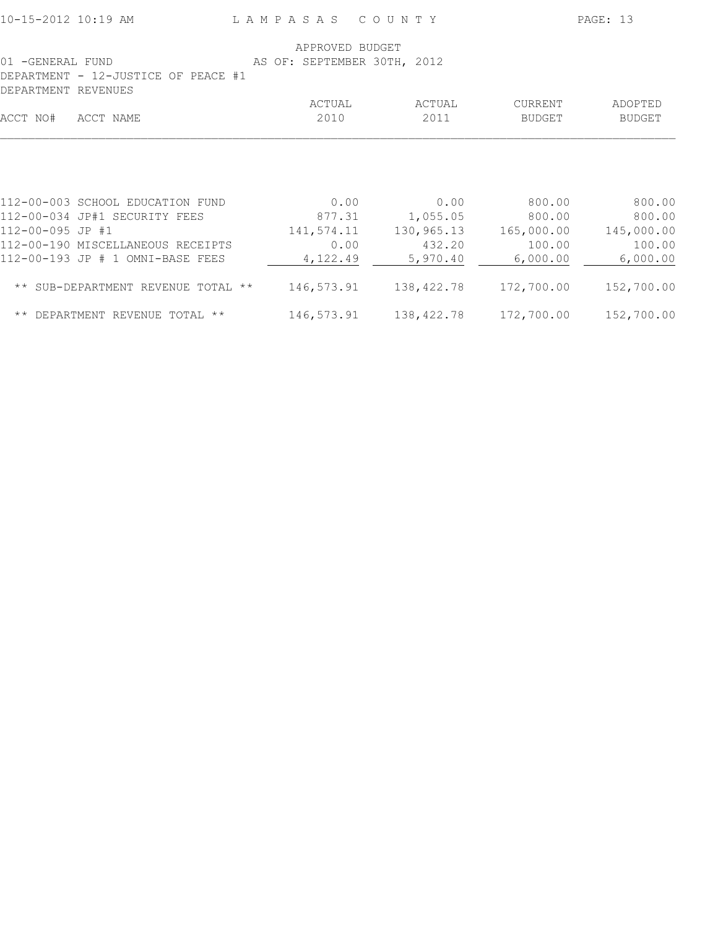| 01 -GENERAL FUND<br>DEPARTMENT - 12-JUSTICE OF PEACE #1                               | APPROVED BUDGET<br>AS OF: SEPTEMBER 30TH, 2012 |                                |                                |                                |
|---------------------------------------------------------------------------------------|------------------------------------------------|--------------------------------|--------------------------------|--------------------------------|
| <b>DEPARTMENT</b><br>REVENUES                                                         |                                                |                                |                                |                                |
|                                                                                       | ACTUAL                                         | ACTUAL                         | CURRENT                        | ADOPTED                        |
| ACCT NO#<br>ACCT NAME                                                                 | 2010                                           | 2011                           | <b>BUDGET</b>                  | BUDGET                         |
| 112-00-003 SCHOOL EDUCATION FUND<br>112-00-034 JP#1 SECURITY FEES<br>112-00-095 JP #1 | 0.00<br>877.31<br>141,574.11                   | 0.00<br>1,055.05<br>130,965.13 | 800.00<br>800.00<br>165,000.00 | 800.00<br>800.00<br>145,000.00 |
| 112-00-190 MISCELLANEOUS RECEIPTS                                                     | 0.00                                           | 432.20                         | 100.00                         | 100.00                         |
| 112-00-193 JP # 1 OMNI-BASE FEES<br>** SUB-DEPARTMENT REVENUE TOTAL **                | 4,122.49<br>146,573.91                         | 5,970.40<br>138,422.78         | 6,000.00<br>172,700.00         | 6,000.00<br>152,700.00         |
| ** DEPARTMENT REVENUE TOTAL **                                                        |                                                |                                |                                | 152,700.00                     |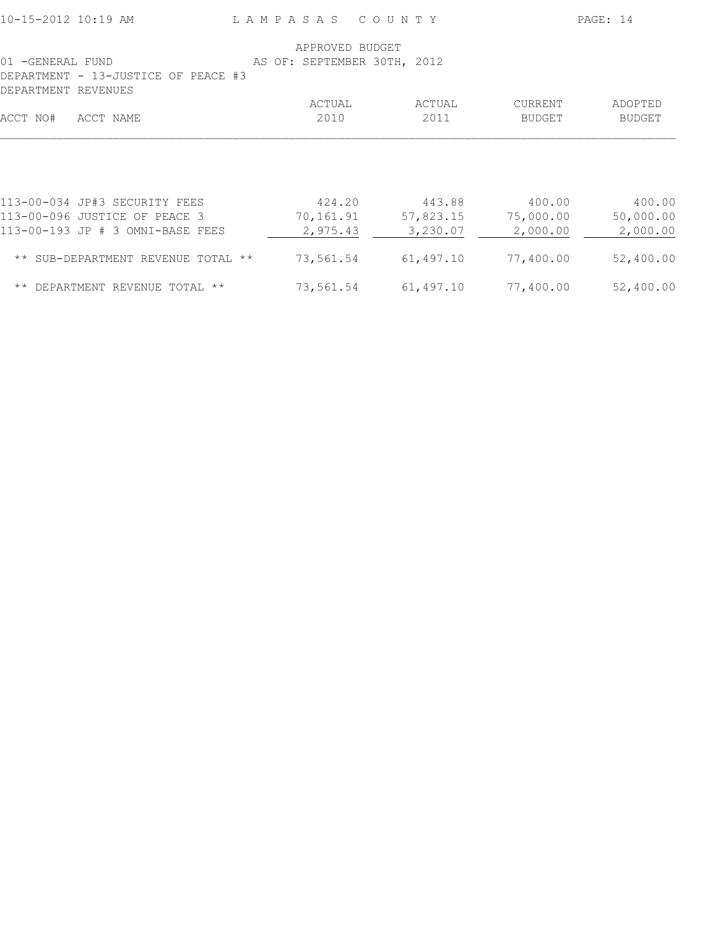| 10-15-2012 10:19 AM                                                                                | LAMPASAS COUNTY |                                                |                    |  |                                 |                                 | PAGE: 14 |                                 |
|----------------------------------------------------------------------------------------------------|-----------------|------------------------------------------------|--------------------|--|---------------------------------|---------------------------------|----------|---------------------------------|
| 01 -GENERAL FUND<br>DEPARTMENT - 13-JUSTICE OF PEACE #3                                            |                 | APPROVED BUDGET<br>AS OF: SEPTEMBER 30TH, 2012 |                    |  |                                 |                                 |          |                                 |
| DEPARTMENT REVENUES<br>ACCT NO#<br>ACCT NAME                                                       |                 |                                                | ACTUAL<br>2010     |  | ACTUAL<br>2011                  | CURRENT<br>BUDGET               |          | ADOPTED<br><b>BUDGET</b>        |
|                                                                                                    |                 |                                                |                    |  |                                 |                                 |          |                                 |
| 113-00-034 JP#3 SECURITY FEES<br>113-00-096 JUSTICE OF PEACE 3<br>113-00-193 JP # 3 OMNI-BASE FEES |                 | 70,161.91                                      | 424.20<br>2,975.43 |  | 443.88<br>57,823.15<br>3,230.07 | 400.00<br>75,000.00<br>2,000.00 |          | 400.00<br>50,000.00<br>2,000.00 |
| ** SUB-DEPARTMENT REVENUE TOTAL **                                                                 |                 | 73,561.54                                      |                    |  | 61,497.10                       | 77,400.00                       |          | 52,400.00                       |
| $\star\star$<br>DEPARTMENT REVENUE TOTAL **                                                        |                 | 73,561.54                                      |                    |  | 61,497.10                       | 77,400.00                       |          | 52,400.00                       |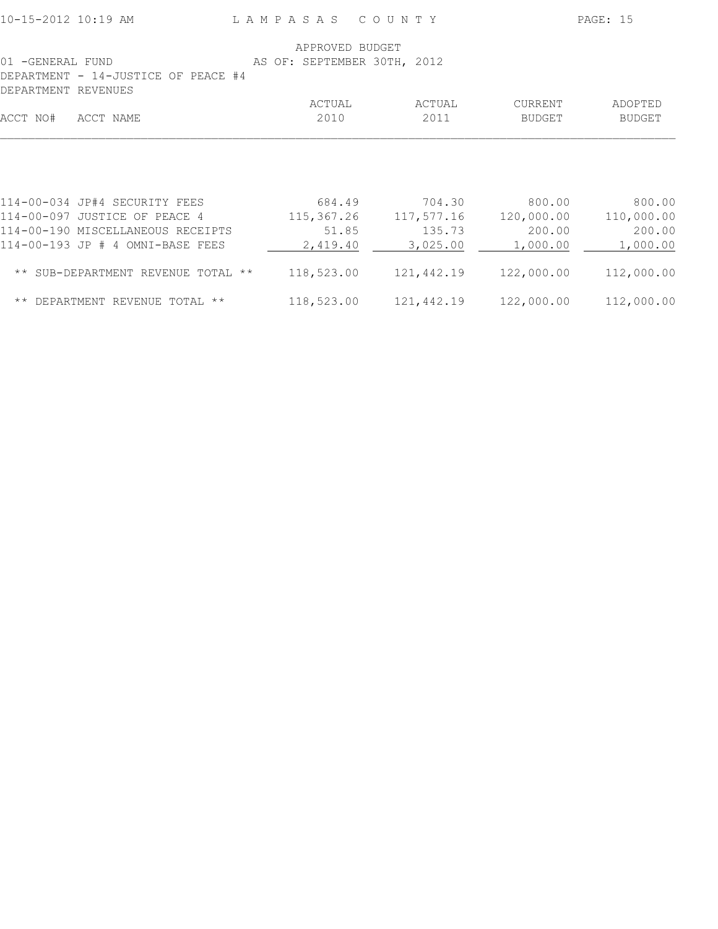|                                     | APPROVED BUDGET             |            |               |            |
|-------------------------------------|-----------------------------|------------|---------------|------------|
| 01 -GENERAL FUND                    | AS OF: SEPTEMBER 30TH, 2012 |            |               |            |
| DEPARTMENT - 14-JUSTICE OF PEACE #4 |                             |            |               |            |
| DEPARTMENT REVENUES                 |                             |            |               |            |
|                                     | ACTUAL                      | ACTUAL     | CURRENT       | ADOPTED    |
| ACCT NO#<br>ACCT NAME               | 2010                        | 2011       | <b>BUDGET</b> | BUDGET     |
|                                     |                             |            |               |            |
| 114-00-034 JP#4 SECURITY FEES       | 684.49                      | 704.30     | 800.00        | 800.00     |
| 114-00-097 JUSTICE OF PEACE 4       | 115,367.26                  | 117,577.16 | 120,000.00    | 110,000.00 |
| 114-00-190 MISCELLANEOUS RECEIPTS   | 51.85                       | 135.73     | 200.00        | 200.00     |
| 114-00-193 JP # 4 OMNI-BASE FEES    | 2,419.40                    | 3,025.00   | 1,000.00      | 1,000.00   |
| ** SUB-DEPARTMENT REVENUE TOTAL **  | 118,523.00                  | 121,442.19 | 122,000.00    | 112,000.00 |
| ** DEPARTMENT REVENUE TOTAL **      | 118,523.00                  | 121,442.19 | 122,000.00    | 112,000.00 |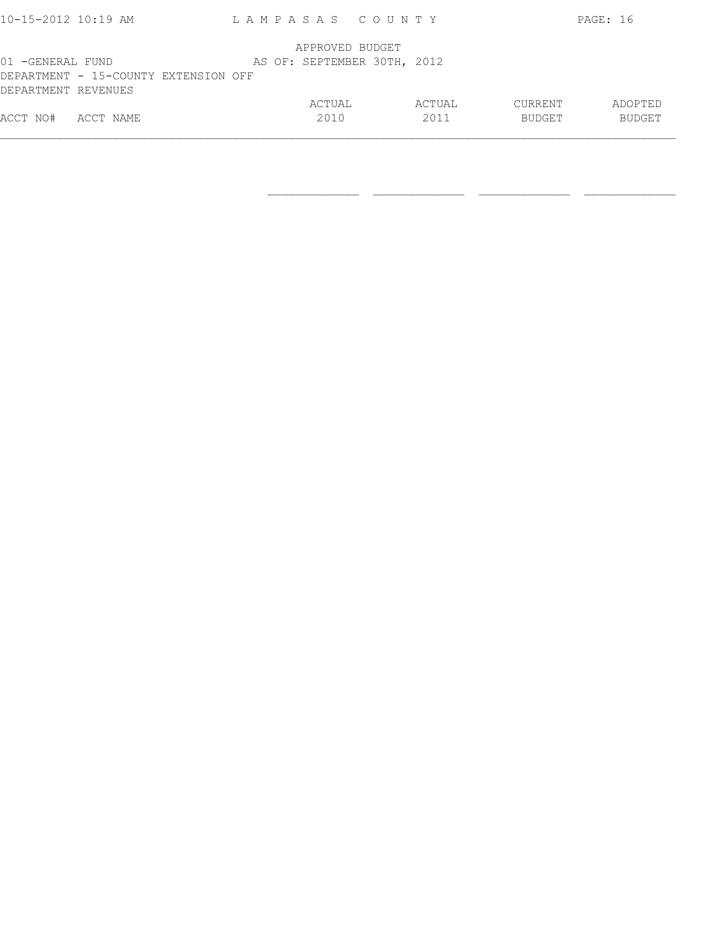| $10 - 15 - 2012$ 10:19 AM                                                       | LAMPASAS COUNTY             |                |                          | PAGE: 16                 |
|---------------------------------------------------------------------------------|-----------------------------|----------------|--------------------------|--------------------------|
|                                                                                 | APPROVED BUDGET             |                |                          |                          |
| 01 -GENERAL FUND<br>DEPARTMENT - 15-COUNTY EXTENSION OFF<br>DEPARTMENT REVENUES | AS OF: SEPTEMBER 30TH, 2012 |                |                          |                          |
| ACCT NO#<br>ACCT NAME                                                           | ACTUAL<br>2010              | ACTUAL<br>2011 | CURRENT<br><b>BUDGET</b> | ADOPTED<br><b>BUDGET</b> |

 $\frac{1}{2}$  , and the set of the set of the set of the set of the set of the set of the set of the set of the set of the set of the set of the set of the set of the set of the set of the set of the set of the set of the set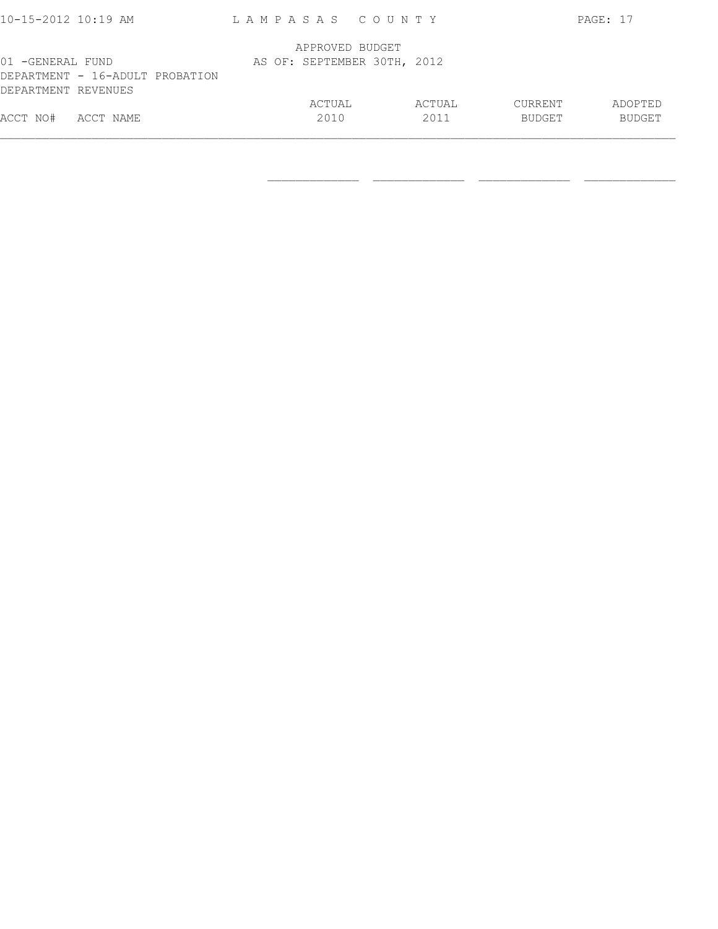| ACCT NO#<br>ACCT NAME           | 2010                        | 2011   | <b>BUDGET</b> | <b>BUDGET</b> |
|---------------------------------|-----------------------------|--------|---------------|---------------|
|                                 | ACTUAL                      | ACTUAL | CURRENT       | ADOPTED       |
| DEPARTMENT REVENUES             |                             |        |               |               |
| DEPARTMENT - 16-ADULT PROBATION |                             |        |               |               |
| 01 -GENERAL FUND                | AS OF: SEPTEMBER 30TH, 2012 |        |               |               |
|                                 | APPROVED BUDGET             |        |               |               |
|                                 |                             |        |               |               |
| 10-15-2012 10:19 AM             | LAMPASAS COUNTY             |        |               | PAGE: 17      |

 $\frac{1}{2}$  , and the set of the set of the set of the set of the set of the set of the set of the set of the set of the set of the set of the set of the set of the set of the set of the set of the set of the set of the set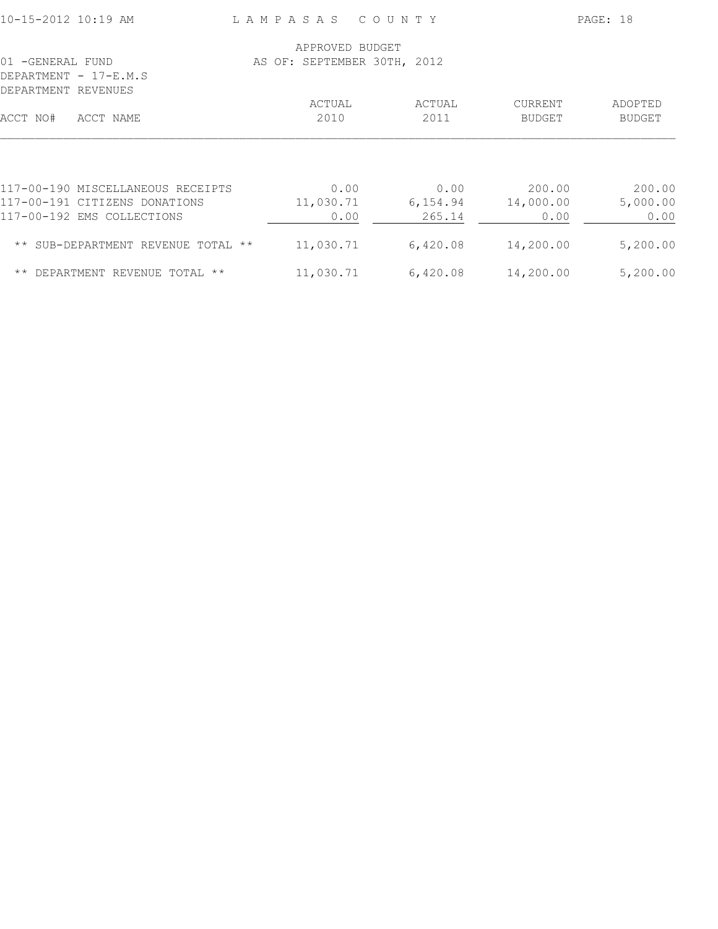| APPROVED BUDGET                                                          |               |
|--------------------------------------------------------------------------|---------------|
| AS OF: SEPTEMBER 30TH, 2012<br>01 -GENERAL FUND                          |               |
| DEPARTMENT - 17-E.M.S                                                    |               |
| DEPARTMENT REVENUES                                                      |               |
| ACTUAL<br>ACTUAL<br><b>CURRENT</b>                                       | ADOPTED       |
| 2010<br>2011<br>ACCT NO#<br>ACCT NAME<br><b>BUDGET</b>                   | <b>BUDGET</b> |
|                                                                          |               |
| 117-00-190 MISCELLANEOUS RECEIPTS<br>200.00<br>0.00<br>0.00              | 200.00        |
| 11,030.71<br>117-00-191 CITIZENS DONATIONS<br>6,154.94<br>14,000.00      | 5,000.00      |
| 117-00-192 EMS COLLECTIONS<br>265.14<br>0.00<br>0.00                     | 0.00          |
| 11,030.71<br>6,420.08<br>14,200.00<br>** SUB-DEPARTMENT REVENUE TOTAL ** | 5,200.00      |
| 11,030.71<br>14,200.00<br>6,420.08<br>** DEPARTMENT REVENUE TOTAL **     | 5,200.00      |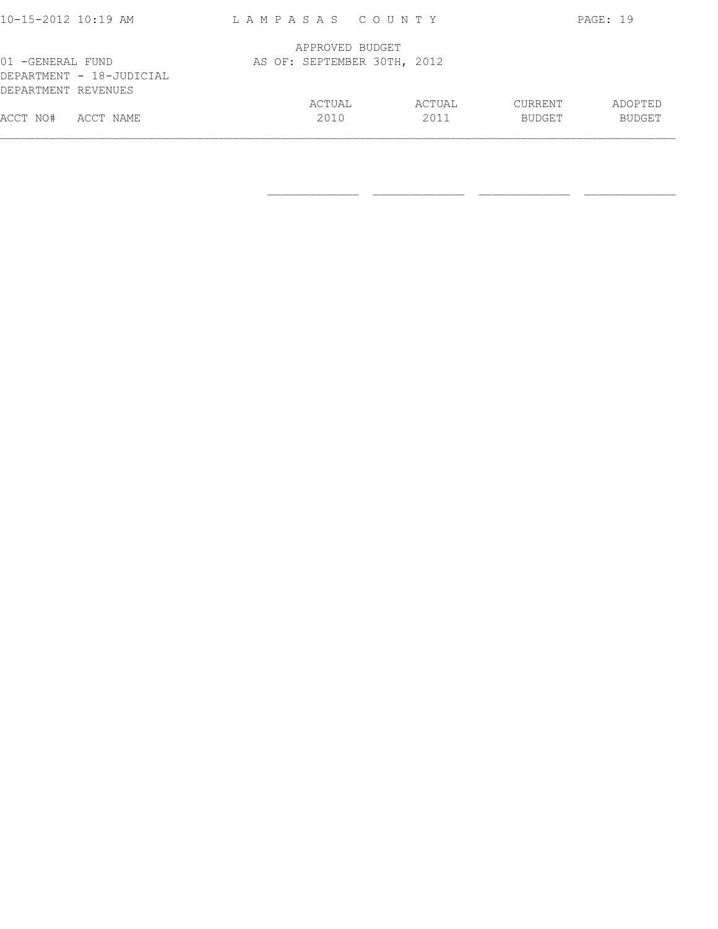| 10-15-2012 10:19 AM                                                 | LAMPASAS COUNTY             |                |                                 | PAGE: 19                 |
|---------------------------------------------------------------------|-----------------------------|----------------|---------------------------------|--------------------------|
|                                                                     | APPROVED BUDGET             |                |                                 |                          |
| 01 -GENERAL FUND<br>DEPARTMENT - 18-JUDICIAL<br>DEPARTMENT REVENUES | AS OF: SEPTEMBER 30TH, 2012 |                |                                 |                          |
| ACCT NO#<br>ACCT NAME                                               | ACTUAL<br>2010              | ACTUAL<br>2011 | <b>CURRENT</b><br><b>BUDGET</b> | ADOPTED<br><b>BUDGET</b> |

 $\frac{1}{2}$  , and the set of the set of the set of the set of the set of the set of the set of the set of the set of the set of the set of the set of the set of the set of the set of the set of the set of the set of the set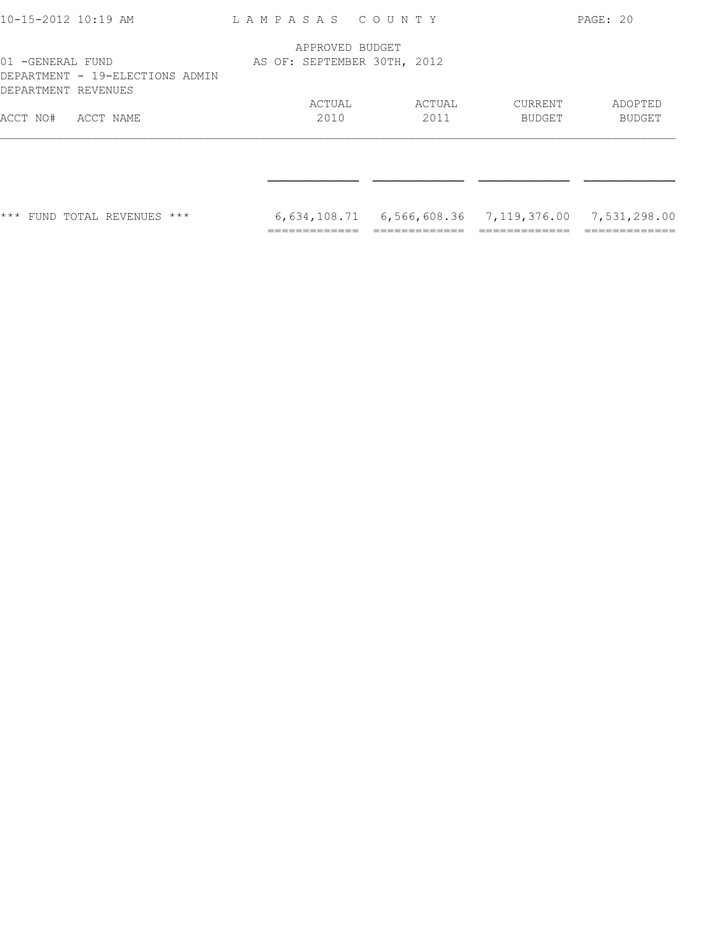| FUND TOTAL REVENUES ***<br>$***$                                           |                                                | $6,634,108.71$ $6,566,608.36$ $7,119,376.00$ $7,531,298.00$ |                          |                   |
|----------------------------------------------------------------------------|------------------------------------------------|-------------------------------------------------------------|--------------------------|-------------------|
|                                                                            |                                                |                                                             |                          |                   |
| ACCT NO#<br>ACCT NAME                                                      | ACTUAL<br>2010                                 | ACTUAL<br>2011                                              | <b>CURRENT</b><br>BUDGET | ADOPTED<br>BUDGET |
| 01 -GENERAL FUND<br>DEPARTMENT - 19-ELECTIONS ADMIN<br>DEPARTMENT REVENUES | APPROVED BUDGET<br>AS OF: SEPTEMBER 30TH, 2012 |                                                             |                          |                   |
| 10-15-2012 10:19 AM                                                        | LAMPASAS COUNTY                                |                                                             |                          | PAGE: 20          |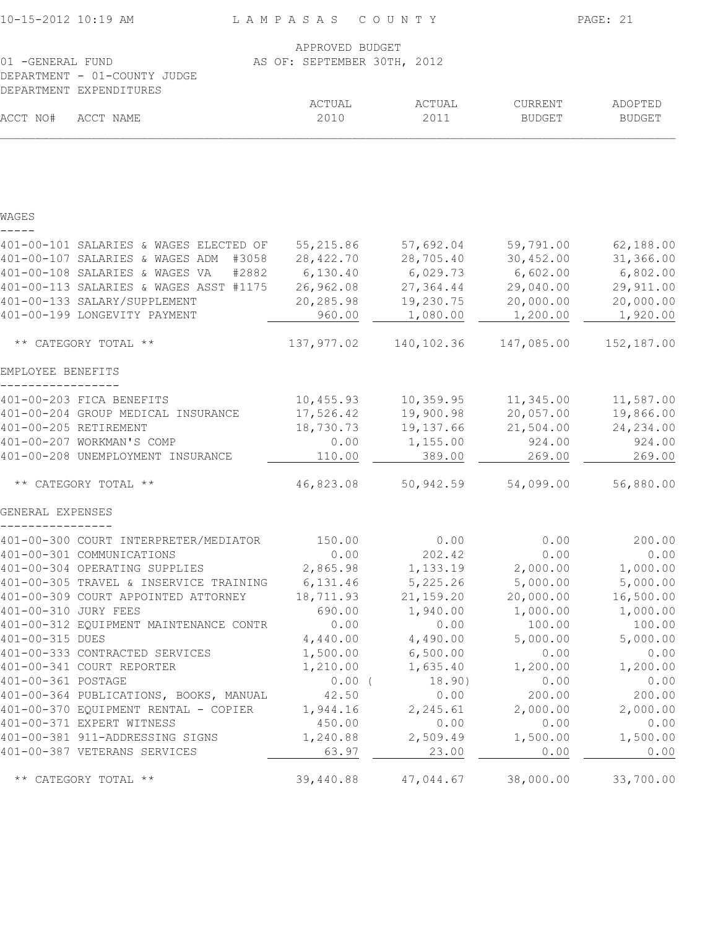| 10-15-2012 10:19 AM  |                                                             | LAMPASAS COUNTY             |                    |                          | PAGE: 21                 |
|----------------------|-------------------------------------------------------------|-----------------------------|--------------------|--------------------------|--------------------------|
|                      |                                                             | APPROVED BUDGET             |                    |                          |                          |
| 01 -GENERAL FUND     |                                                             | AS OF: SEPTEMBER 30TH, 2012 |                    |                          |                          |
|                      | DEPARTMENT - 01-COUNTY JUDGE                                |                             |                    |                          |                          |
|                      | DEPARTMENT EXPENDITURES                                     |                             |                    |                          |                          |
| ACCT NO#             | ACCT NAME                                                   | ACTUAL<br>2010              | ACTUAL<br>2011     | CURRENT<br><b>BUDGET</b> | ADOPTED<br><b>BUDGET</b> |
|                      |                                                             |                             |                    |                          |                          |
|                      |                                                             |                             |                    |                          |                          |
| WAGES                |                                                             |                             |                    |                          |                          |
|                      | 401-00-101 SALARIES & WAGES ELECTED OF                      | 55, 215.86                  | 57,692.04          | 59,791.00                | 62,188.00                |
|                      | 401-00-107 SALARIES & WAGES ADM #3058                       | 28,422.70                   | 28,705.40          | 30,452.00                | 31,366.00                |
|                      | 401-00-108 SALARIES & WAGES VA<br>#2882                     | 6,130.40                    | 6,029.73           | 6,602.00                 | 6,802.00                 |
|                      | 401-00-113 SALARIES & WAGES ASST #1175                      | 26,962.08                   | 27, 364.44         | 29,040.00                | 29,911.00                |
|                      | 401-00-133 SALARY/SUPPLEMENT                                | 20,285.98                   | 19,230.75          | 20,000.00                | 20,000.00                |
|                      | 401-00-199 LONGEVITY PAYMENT                                | 960.00                      | 1,080.00           | 1,200.00                 | 1,920.00                 |
|                      | ** CATEGORY TOTAL **                                        | 137,977.02                  | 140,102.36         | 147,085.00               | 152,187.00               |
| EMPLOYEE BENEFITS    |                                                             |                             |                    |                          |                          |
|                      | 401-00-203 FICA BENEFITS                                    | 10,455.93                   | 10, 359.95         | 11,345.00                | 11,587.00                |
|                      | 401-00-204 GROUP MEDICAL INSURANCE                          | 17,526.42                   | 19,900.98          | 20,057.00                | 19,866.00                |
|                      | 401-00-205 RETIREMENT                                       | 18,730.73                   | 19, 137.66         | 21,504.00                | 24, 234.00               |
|                      | 401-00-207 WORKMAN'S COMP                                   | 0.00                        | 1,155.00           | 924.00                   | 924.00                   |
|                      | 401-00-208 UNEMPLOYMENT INSURANCE                           | 110.00                      | 389.00             | 269.00                   | 269.00                   |
|                      | ** CATEGORY TOTAL **                                        | 46,823.08                   | 50,942.59          | 54,099.00                | 56,880.00                |
| GENERAL EXPENSES     |                                                             |                             |                    |                          |                          |
|                      | 401-00-300 COURT INTERPRETER/MEDIATOR                       | 150.00                      | 0.00               | 0.00                     | 200.00                   |
|                      | 401-00-301 COMMUNICATIONS                                   | 0.00                        | 202.42             | 0.00                     | 0.00                     |
|                      | 401-00-304 OPERATING SUPPLIES                               | 2,865.98                    | 1,133.19           | 2,000.00                 | 1,000.00                 |
|                      | 401-00-305 TRAVEL & INSERVICE TRAINING                      | 6,131.46                    | 5,225.26           | 5,000.00                 | 5,000.00                 |
|                      | 401-00-309 COURT APPOINTED ATTORNEY                         | 18,711.93                   | 21, 159.20         | 20,000.00                | 16,500.00                |
| 401-00-310 JURY FEES |                                                             | 690.00                      | 1,940.00           | 1,000.00                 | 1,000.00                 |
|                      | 401-00-312 EQUIPMENT MAINTENANCE CONTR                      | 0.00                        | 0.00               | 100.00                   | 100.00                   |
| 401-00-315 DUES      |                                                             | 4,440.00                    | 4,490.00           | 5,000.00                 | 5,000.00                 |
|                      | 401-00-333 CONTRACTED SERVICES<br>401-00-341 COURT REPORTER | 1,500.00                    | 6,500.00           | 0.00                     | 0.00<br>1,200.00         |
| 401-00-361 POSTAGE   |                                                             | 1,210.00<br>$0.00$ (        | 1,635.40<br>18.90) | 1,200.00<br>0.00         | 0.00                     |
|                      | 401-00-364 PUBLICATIONS, BOOKS, MANUAL                      | 42.50                       | 0.00               | 200.00                   | 200.00                   |
|                      | 401-00-370 EQUIPMENT RENTAL - COPIER                        | 1,944.16                    | 2,245.61           | 2,000.00                 | 2,000.00                 |
|                      | 401-00-371 EXPERT WITNESS                                   | 450.00                      | 0.00               | 0.00                     | 0.00                     |
|                      | 401-00-381 911-ADDRESSING SIGNS                             | 1,240.88                    | 2,509.49           | 1,500.00                 | 1,500.00                 |
|                      | 401-00-387 VETERANS SERVICES                                | 63.97                       | 23.00              | 0.00                     | 0.00                     |
|                      | ** CATEGORY TOTAL **                                        | 39,440.88                   | 47,044.67          | 38,000.00                | 33,700.00                |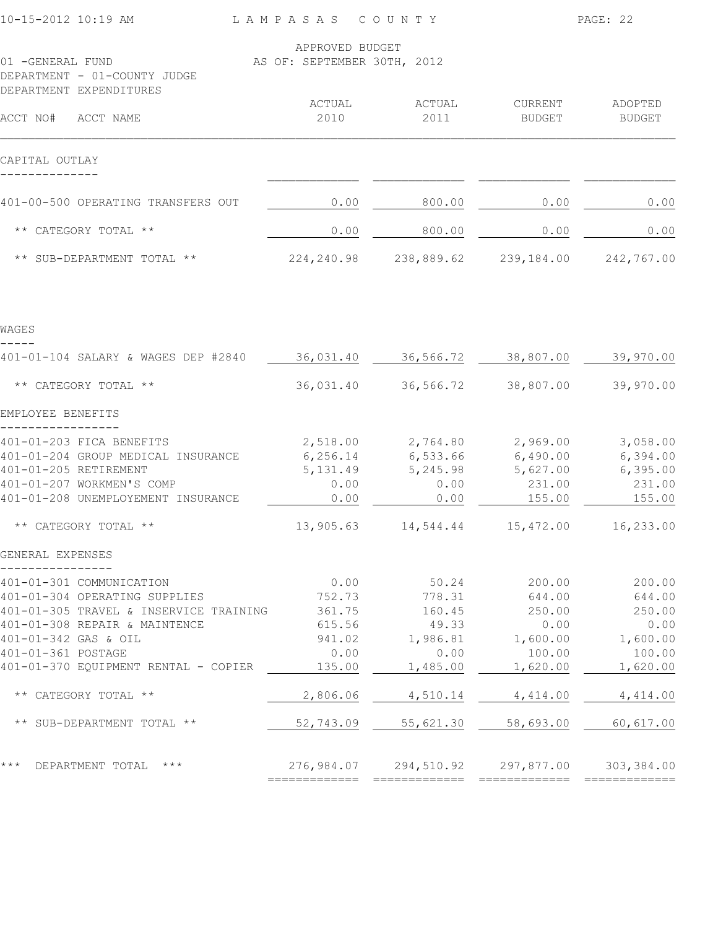| 10-15-2012 10:19 AM                                                                                                                                                                                                        | LAMPASAS                                                       | COUNTY                                                             | PAGE: 22                                                             |                                                                      |  |
|----------------------------------------------------------------------------------------------------------------------------------------------------------------------------------------------------------------------------|----------------------------------------------------------------|--------------------------------------------------------------------|----------------------------------------------------------------------|----------------------------------------------------------------------|--|
| 01 -GENERAL FUND<br>DEPARTMENT - 01-COUNTY JUDGE<br>DEPARTMENT EXPENDITURES                                                                                                                                                | APPROVED BUDGET<br>AS OF: SEPTEMBER 30TH, 2012                 |                                                                    |                                                                      |                                                                      |  |
| ACCT NO#<br>ACCT NAME                                                                                                                                                                                                      | ACTUAL<br>2010                                                 | ACTUAL<br>2011                                                     | CURRENT<br><b>BUDGET</b>                                             | ADOPTED<br><b>BUDGET</b>                                             |  |
| CAPITAL OUTLAY                                                                                                                                                                                                             |                                                                |                                                                    |                                                                      |                                                                      |  |
| 401-00-500 OPERATING TRANSFERS OUT                                                                                                                                                                                         | 0.00                                                           | 800.00                                                             | 0.00                                                                 | 0.00                                                                 |  |
| ** CATEGORY TOTAL **                                                                                                                                                                                                       | 0.00                                                           | 800.00                                                             | 0.00                                                                 | 0.00                                                                 |  |
| ** SUB-DEPARTMENT TOTAL **                                                                                                                                                                                                 | 224, 240.98                                                    | 238,889.62                                                         | 239,184.00                                                           | 242,767.00                                                           |  |
| WAGES                                                                                                                                                                                                                      |                                                                |                                                                    |                                                                      |                                                                      |  |
| 401-01-104 SALARY & WAGES DEP #2840                                                                                                                                                                                        | 36,031.40                                                      | 36,566.72                                                          | 38,807.00                                                            | 39,970.00                                                            |  |
| ** CATEGORY TOTAL **                                                                                                                                                                                                       | 36,031.40                                                      | 36,566.72                                                          | 38,807.00                                                            | 39,970.00                                                            |  |
| EMPLOYEE BENEFITS                                                                                                                                                                                                          |                                                                |                                                                    |                                                                      |                                                                      |  |
| 401-01-203 FICA BENEFITS<br>401-01-204 GROUP MEDICAL INSURANCE<br>401-01-205 RETIREMENT<br>401-01-207 WORKMEN'S COMP<br>401-01-208 UNEMPLOYEMENT INSURANCE                                                                 | 2,518.00<br>6, 256.14<br>5, 131.49<br>0.00<br>0.00             | 2,764.80<br>6,533.66<br>5,245.98<br>0.00<br>0.00                   | 2,969.00<br>6,490.00<br>5,627.00<br>231.00<br>155.00                 | 3,058.00<br>6,394.00<br>6,395.00<br>231.00<br>155.00                 |  |
| ** CATEGORY TOTAL **                                                                                                                                                                                                       | 13,905.63                                                      | 14,544.44                                                          | 15,472.00                                                            | 16,233.00                                                            |  |
| GENERAL EXPENSES                                                                                                                                                                                                           |                                                                |                                                                    |                                                                      |                                                                      |  |
| 401-01-301 COMMUNICATION<br>401-01-304 OPERATING SUPPLIES<br>401-01-305 TRAVEL & INSERVICE TRAINING<br>401-01-308 REPAIR & MAINTENCE<br>401-01-342 GAS & OIL<br>401-01-361 POSTAGE<br>401-01-370 EQUIPMENT RENTAL - COPIER | 0.00<br>752.73<br>361.75<br>615.56<br>941.02<br>0.00<br>135.00 | 50.24<br>778.31<br>160.45<br>49.33<br>1,986.81<br>0.00<br>1,485.00 | 200.00<br>644.00<br>250.00<br>0.00<br>1,600.00<br>100.00<br>1,620.00 | 200.00<br>644.00<br>250.00<br>0.00<br>1,600.00<br>100.00<br>1,620.00 |  |
| ** CATEGORY TOTAL **                                                                                                                                                                                                       | 2,806.06                                                       | 4,510.14                                                           | 4,414.00                                                             | 4,414.00                                                             |  |
| ** SUB-DEPARTMENT TOTAL **                                                                                                                                                                                                 | 52,743.09                                                      | 55,621.30                                                          | 58,693.00                                                            | 60,617.00                                                            |  |
| * * *<br>DEPARTMENT TOTAL ***                                                                                                                                                                                              | 276,984.07<br>=============                                    | 294,510.92                                                         | 297,877.00                                                           | 303,384.00                                                           |  |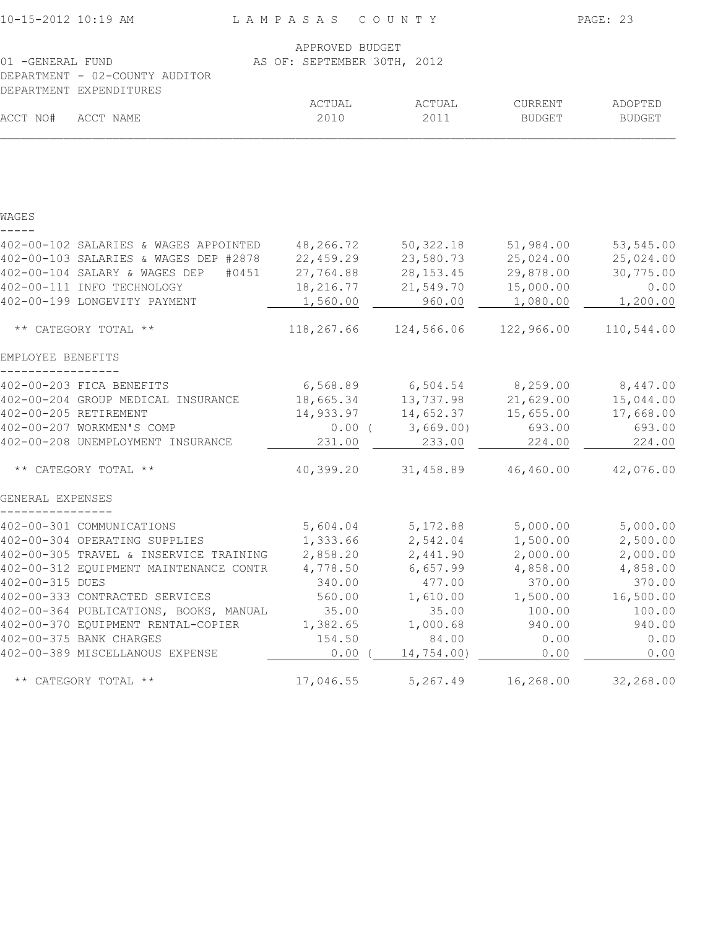| 10-15-2012 10:19 AM                                       | LAMPASAS COUNTY                                |                                             |                   | PAGE: 23                 |
|-----------------------------------------------------------|------------------------------------------------|---------------------------------------------|-------------------|--------------------------|
| 01 - GENERAL FUND                                         | APPROVED BUDGET<br>AS OF: SEPTEMBER 30TH, 2012 |                                             |                   |                          |
| DEPARTMENT - 02-COUNTY AUDITOR<br>DEPARTMENT EXPENDITURES |                                                |                                             |                   |                          |
| ACCT NO#<br>ACCT NAME                                     | ACTUAL<br>2010                                 | ACTUAL<br>2011                              | CURRENT<br>BUDGET | ADOPTED<br><b>BUDGET</b> |
|                                                           |                                                |                                             |                   |                          |
| WAGES                                                     |                                                |                                             |                   |                          |
| 402-00-102 SALARIES & WAGES APPOINTED                     | 48,266.72                                      | 50,322.18                                   | 51,984.00         | 53,545.00                |
| 402-00-103 SALARIES & WAGES DEP #2878                     | 22,459.29                                      | 23,580.73                                   | 25,024.00         | 25,024.00                |
| 402-00-104 SALARY & WAGES DEP<br>#0451                    | 27,764.88                                      | 28, 153. 45                                 | 29,878.00         | 30,775.00                |
| 402-00-111 INFO TECHNOLOGY                                | 18,216.77                                      | 21,549.70                                   | 15,000.00         | 0.00                     |
| 402-00-199 LONGEVITY PAYMENT                              | 1,560.00                                       | 960.00                                      | 1,080.00          | 1,200.00                 |
| ** CATEGORY TOTAL **                                      | 118,267.66                                     | 124,566.06                                  | 122,966.00        | 110,544.00               |
| EMPLOYEE BENEFITS                                         |                                                |                                             |                   |                          |
| 402-00-203 FICA BENEFITS                                  |                                                | $6,568.89$ $6,504.54$ $8,259.00$ $8,447.00$ |                   |                          |
| 402-00-204 GROUP MEDICAL INSURANCE                        | 18,665.34                                      | 13,737.98                                   | 21,629.00         | 15,044.00                |
| 402-00-205 RETIREMENT                                     | 14,933.97                                      | 14,652.37                                   | 15,655.00         | 17,668.00                |
| 402-00-207 WORKMEN'S COMP                                 |                                                | $0.00$ ( 3,669.00)                          | 693.00            | 693.00                   |
| 402-00-208 UNEMPLOYMENT INSURANCE                         | 231.00                                         | 233.00                                      | 224.00            | 224.00                   |
| ** CATEGORY TOTAL **                                      | 40,399.20                                      | 31,458.89                                   | 46, 460.00        | 42,076.00                |
| GENERAL EXPENSES                                          |                                                |                                             |                   |                          |
| 402-00-301 COMMUNICATIONS                                 |                                                | 5,604.04 5,172.88                           | 5,000.00          | 5,000.00                 |
| 402-00-304 OPERATING SUPPLIES                             | 1,333.66                                       | 2,542.04                                    | 1,500.00          | 2,500.00                 |
| 402-00-305 TRAVEL & INSERVICE TRAINING                    | 2,858.20                                       | 2,441.90                                    | 2,000.00          | 2,000.00                 |
| 402-00-312 EQUIPMENT MAINTENANCE CONTR                    | 4,778.50                                       | 6,657.99                                    | 4,858.00          | 4,858.00                 |
| 402-00-315 DUES                                           | 340.00                                         | 477.00                                      | 370.00            | 370.00                   |
| 402-00-333 CONTRACTED SERVICES                            | 560.00                                         | 1,610.00                                    | 1,500.00          | 16,500.00                |
| 402-00-364 PUBLICATIONS, BOOKS, MANUAL                    | 35.00                                          | 35.00                                       | 100.00            | 100.00                   |
| 402-00-370 EQUIPMENT RENTAL-COPIER                        | 1,382.65                                       | 1,000.68                                    | 940.00            | 940.00                   |
| 402-00-375 BANK CHARGES                                   | 154.50                                         | 84.00                                       | 0.00              | 0.00                     |
| 402-00-389 MISCELLANOUS EXPENSE                           | 0.00                                           | 14,754.00)                                  | 0.00              | 0.00                     |
| ** CATEGORY TOTAL **                                      | 17,046.55                                      | 5,267.49                                    | 16,268.00         | 32,268.00                |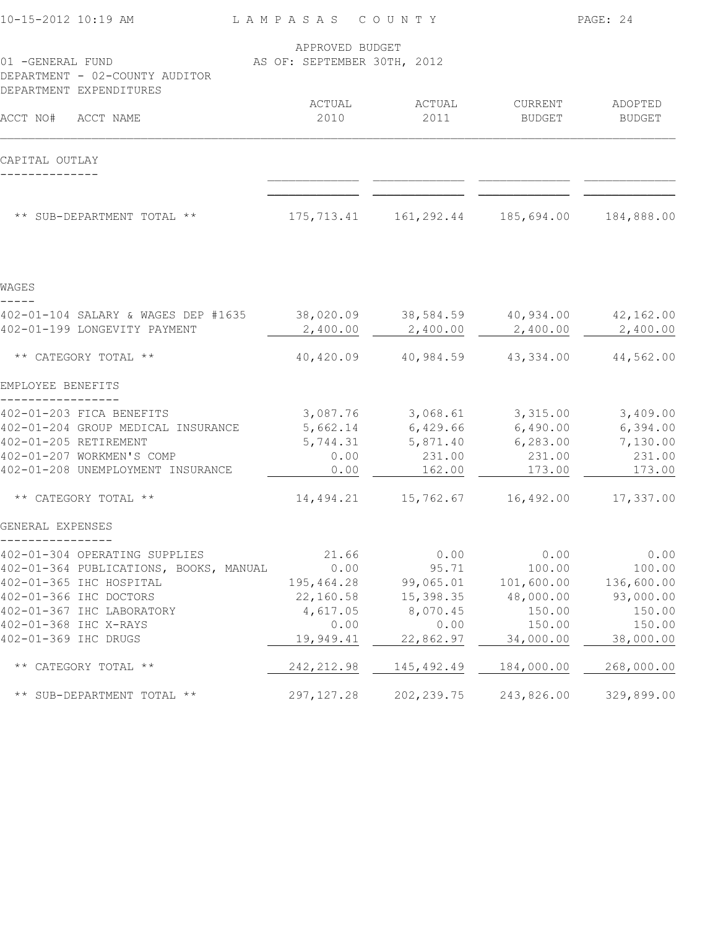| 10-15-2012 10:19 AM                                                           | LAMPASAS COUNTY                                |                                                             |                     | PAGE: 24      |
|-------------------------------------------------------------------------------|------------------------------------------------|-------------------------------------------------------------|---------------------|---------------|
| 01 -GENERAL FUND<br>DEPARTMENT - 02-COUNTY AUDITOR<br>DEPARTMENT EXPENDITURES | APPROVED BUDGET<br>AS OF: SEPTEMBER 30TH, 2012 |                                                             |                     |               |
|                                                                               | ACTUAL                                         | ACTUAL                                                      | CURRENT             | ADOPTED       |
| ACCT NO# ACCT NAME                                                            | 2010                                           | 2011                                                        | BUDGET              | <b>BUDGET</b> |
| CAPITAL OUTLAY                                                                |                                                |                                                             |                     |               |
|                                                                               |                                                |                                                             |                     |               |
| ** SUB-DEPARTMENT TOTAL **                                                    |                                                | 175,713.41  161,292.44  185,694.00  184,888.00              |                     |               |
| WAGES                                                                         |                                                |                                                             |                     |               |
|                                                                               |                                                |                                                             |                     |               |
| 402-01-104 SALARY & WAGES DEP #1635<br>402-01-199 LONGEVITY PAYMENT           | 2,400.00                                       | $38,020.09$ $38,584.59$ $40,934.00$ $42,162.00$<br>2,400.00 | 2,400.00            | 2,400.00      |
| ** CATEGORY TOTAL **                                                          | 40,420.09                                      |                                                             | 40,984.59 43,334.00 | 44,562.00     |
| EMPLOYEE BENEFITS                                                             |                                                |                                                             |                     |               |
| 402-01-203 FICA BENEFITS                                                      |                                                | $3,087.76$ $3,068.61$ $3,315.00$                            |                     | 3,409.00      |
| 402-01-204 GROUP MEDICAL INSURANCE                                            |                                                | 5,662.14 6,429.66 6,490.00                                  |                     | 6,394.00      |
| 402-01-205 RETIREMENT                                                         | 5,744.31                                       |                                                             | 5,871.40 6,283.00   | 7,130.00      |
| 402-01-207 WORKMEN'S COMP                                                     | 0.00                                           | 231.00                                                      | 231.00              | 231.00        |
| 402-01-208 UNEMPLOYMENT INSURANCE                                             | 0.00                                           | 162.00                                                      | 173.00              | 173.00        |
| ** CATEGORY TOTAL **                                                          | 14,494.21                                      | 15,762.67                                                   | 16,492.00           | 17,337.00     |
| GENERAL EXPENSES                                                              |                                                |                                                             |                     |               |
| 402-01-304 OPERATING SUPPLIES                                                 | 21.66                                          | 0.00                                                        | 0.00                | 0.00          |
| 402-01-364 PUBLICATIONS, BOOKS, MANUAL                                        | 0.00                                           | 95.71                                                       | 100.00              | 100.00        |
| 402-01-365 IHC HOSPITAL                                                       | 195,464.28                                     | 99,065.01                                                   | 101,600.00          | 136,600.00    |
| 402-01-366 IHC DOCTORS                                                        | 22,160.58                                      | 15,398.35                                                   | 48,000.00           | 93,000.00     |
| 402-01-367 IHC LABORATORY                                                     | 4,617.05                                       | 8,070.45                                                    | 150.00              | 150.00        |
| 402-01-368 IHC X-RAYS                                                         | 0.00                                           | 0.00                                                        | 150.00              | 150.00        |
| 402-01-369 IHC DRUGS                                                          | 19,949.41                                      | 22,862.97                                                   | 34,000.00           | 38,000.00     |
| ** CATEGORY TOTAL **                                                          | 242, 212.98                                    | 145, 492.49                                                 | 184,000.00          | 268,000.00    |
| ** SUB-DEPARTMENT TOTAL **                                                    | 297, 127.28                                    | 202, 239.75                                                 | 243,826.00          | 329,899.00    |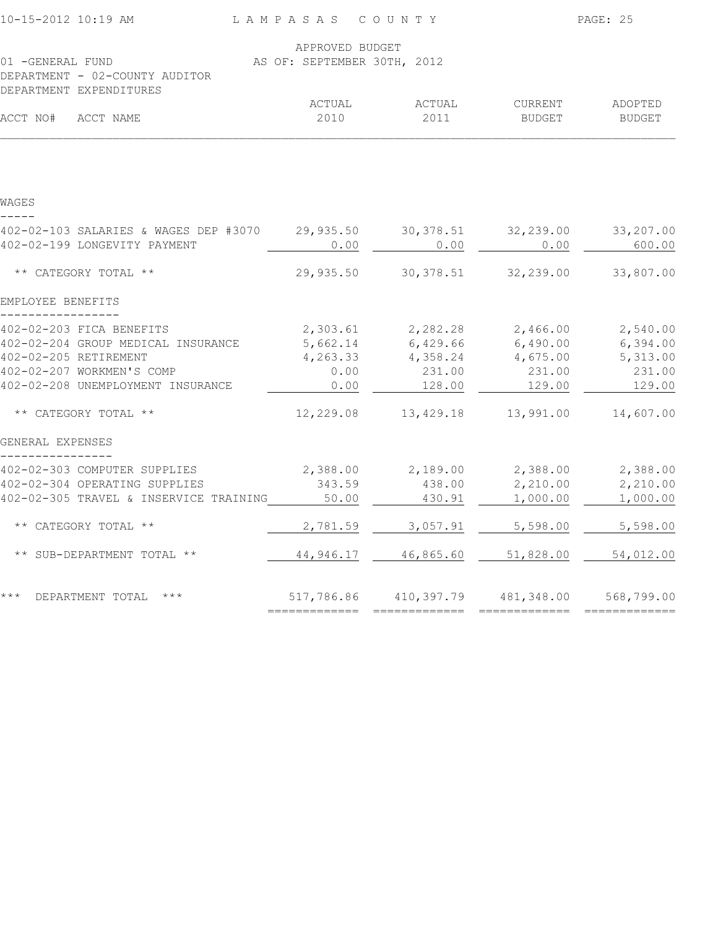| 10-15-2012 10:19 AM                                       | LAMPASAS                    | COUNTY     |               | PAGE: 25      |
|-----------------------------------------------------------|-----------------------------|------------|---------------|---------------|
|                                                           | APPROVED BUDGET             |            |               |               |
| 01 -GENERAL FUND                                          | AS OF: SEPTEMBER 30TH, 2012 |            |               |               |
| DEPARTMENT - 02-COUNTY AUDITOR<br>DEPARTMENT EXPENDITURES |                             |            |               |               |
|                                                           | ACTUAL                      | ACTUAL     | CURRENT       | ADOPTED       |
| ACCT NO#<br>ACCT NAME                                     | 2010                        | 2011       | <b>BUDGET</b> | <b>BUDGET</b> |
|                                                           |                             |            |               |               |
| WAGES                                                     |                             |            |               |               |
| 402-02-103 SALARIES & WAGES DEP #3070                     | 29,935.50                   | 30, 378.51 | 32,239.00     | 33,207.00     |
| 402-02-199 LONGEVITY PAYMENT                              | 0.00                        | 0.00       | 0.00          | 600.00        |
| ** CATEGORY TOTAL **                                      | 29,935.50                   | 30, 378.51 | 32,239.00     | 33,807.00     |
| EMPLOYEE BENEFITS                                         |                             |            |               |               |
| 402-02-203 FICA BENEFITS                                  | 2,303.61                    | 2,282.28   | 2,466.00      | 2,540.00      |
| 402-02-204 GROUP MEDICAL INSURANCE                        | 5,662.14                    | 6,429.66   | 6,490.00      | 6,394.00      |
| 402-02-205 RETIREMENT                                     | 4,263.33                    | 4,358.24   | 4,675.00      | 5,313.00      |
| 402-02-207 WORKMEN'S COMP                                 | 0.00                        | 231.00     | 231.00        | 231.00        |
| 402-02-208 UNEMPLOYMENT INSURANCE                         | 0.00                        | 128.00     | 129.00        | 129.00        |
| ** CATEGORY TOTAL **                                      | 12,229.08                   | 13,429.18  | 13,991.00     | 14,607.00     |
| GENERAL EXPENSES                                          |                             |            |               |               |
| 402-02-303 COMPUTER SUPPLIES                              | 2,388.00                    | 2,189.00   | 2,388.00      | 2,388.00      |
| 402-02-304 OPERATING SUPPLIES                             | 343.59                      | 438.00     | 2,210.00      | 2,210.00      |
| 402-02-305 TRAVEL & INSERVICE TRAINING                    | 50.00                       | 430.91     | 1,000.00      | 1,000.00      |
| ** CATEGORY TOTAL **                                      | 2,781.59                    | 3,057.91   | 5,598.00      | 5,598.00      |
| ** SUB-DEPARTMENT TOTAL **                                | 44,946.17                   | 46,865.60  | 51,828.00     | 54,012.00     |
| * * *<br>DEPARTMENT TOTAL<br>$***$                        | 517,786.86                  | 410,397.79 | 481,348.00    | 568,799.00    |
|                                                           |                             |            |               |               |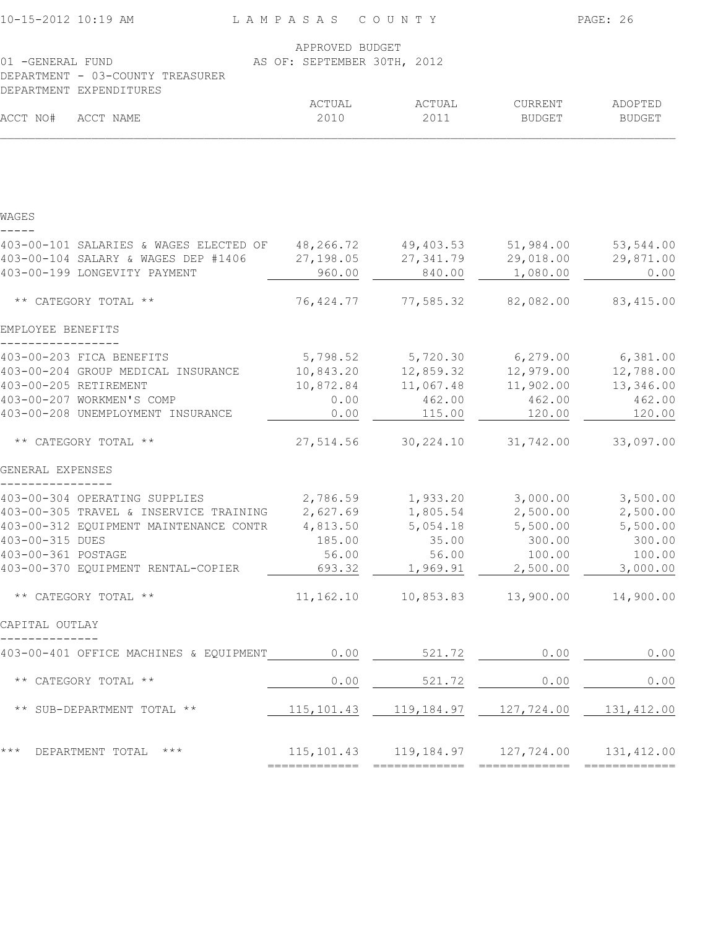| 10-15-2012 10:19 AM                                                              | LAMPASAS COUNTY             |            |                                                       | PAGE: 26      |
|----------------------------------------------------------------------------------|-----------------------------|------------|-------------------------------------------------------|---------------|
|                                                                                  | APPROVED BUDGET             |            |                                                       |               |
| 01 - GENERAL FUND<br>DEPARTMENT - 03-COUNTY TREASURER<br>DEPARTMENT EXPENDITURES | AS OF: SEPTEMBER 30TH, 2012 |            |                                                       |               |
|                                                                                  | ACTUAL                      | ACTUAL     | CURRENT                                               | ADOPTED       |
| ACCT NO#<br>ACCT NAME                                                            | 2010                        | 2011       | BUDGET                                                | <b>BUDGET</b> |
|                                                                                  |                             |            |                                                       |               |
| WAGES                                                                            |                             |            |                                                       |               |
| 403-00-101 SALARIES & WAGES ELECTED OF                                           | 48,266.72                   | 49,403.53  | 51,984.00                                             | 53,544.00     |
| 403-00-104 SALARY & WAGES DEP #1406                                              | 27,198.05                   | 27, 341.79 | 29,018.00                                             | 29,871.00     |
| 403-00-199 LONGEVITY PAYMENT                                                     | 960.00                      | 840.00     | 1,080.00                                              | 0.00          |
| ** CATEGORY TOTAL **                                                             | 76,424.77                   | 77,585.32  | 82,082.00                                             | 83,415.00     |
| EMPLOYEE BENEFITS                                                                |                             |            |                                                       |               |
| 403-00-203 FICA BENEFITS                                                         |                             |            | 5,798.52 5,720.30 6,279.00 6,381.00                   |               |
| 403-00-204 GROUP MEDICAL INSURANCE                                               | 10,843.20                   | 12,859.32  | 12,979.00                                             | 12,788.00     |
| 403-00-205 RETIREMENT                                                            | 10,872.84                   | 11,067.48  | 11,902.00                                             | 13,346.00     |
| 403-00-207 WORKMEN'S COMP                                                        | 0.00                        | 462.00     | 462.00                                                | 462.00        |
| 403-00-208 UNEMPLOYMENT INSURANCE                                                | 0.00                        | 115.00     | 120.00                                                | 120.00        |
| ** CATEGORY TOTAL **                                                             | 27,514.56                   | 30,224.10  | 31,742.00                                             | 33,097.00     |
| GENERAL EXPENSES                                                                 |                             |            |                                                       |               |
| 403-00-304 OPERATING SUPPLIES                                                    |                             |            | 2,786.59 1,933.20 3,000.00                            | 3,500.00      |
| 403-00-305 TRAVEL & INSERVICE TRAINING                                           | 2,627.69                    |            | 1,805.54 2,500.00                                     | 2,500.00      |
| 403-00-312 EQUIPMENT MAINTENANCE CONTR                                           | 4,813.50                    | 5,054.18   | 5,500.00                                              | 5,500.00      |
| 403-00-315 DUES                                                                  | 185.00                      | 35.00      | 300.00                                                | 300.00        |
| 403-00-361 POSTAGE                                                               |                             |            | 56.00 56.00 100.00 100.00                             |               |
| 403-00-370 EQUIPMENT RENTAL-COPIER                                               |                             |            | $\frac{693.32}{2}$ 1,969.91 2,500.00 3,000.00         |               |
| ** CATEGORY TOTAL **                                                             |                             |            | 11, 162.10  10, 853.83  13, 900.00  14, 900.00        |               |
| CAPITAL OUTLAY                                                                   |                             |            |                                                       |               |
| 403-00-401 OFFICE MACHINES & EQUIPMENT 0.00 521.72 0.00 0.00 0.00 0.00           |                             |            |                                                       |               |
| ** CATEGORY TOTAL **                                                             |                             |            | $0.00$ $521.72$ $0.00$ $0.00$                         |               |
| ** SUB-DEPARTMENT TOTAL **                                                       |                             |            | 115, 101.43   119, 184.97   127, 724.00   131, 412.00 |               |
|                                                                                  |                             |            |                                                       |               |
| *** DEPARTMENT TOTAL ***                                                         |                             |            | 115, 101.43   119, 184.97   127, 724.00   131, 412.00 |               |
|                                                                                  |                             |            |                                                       |               |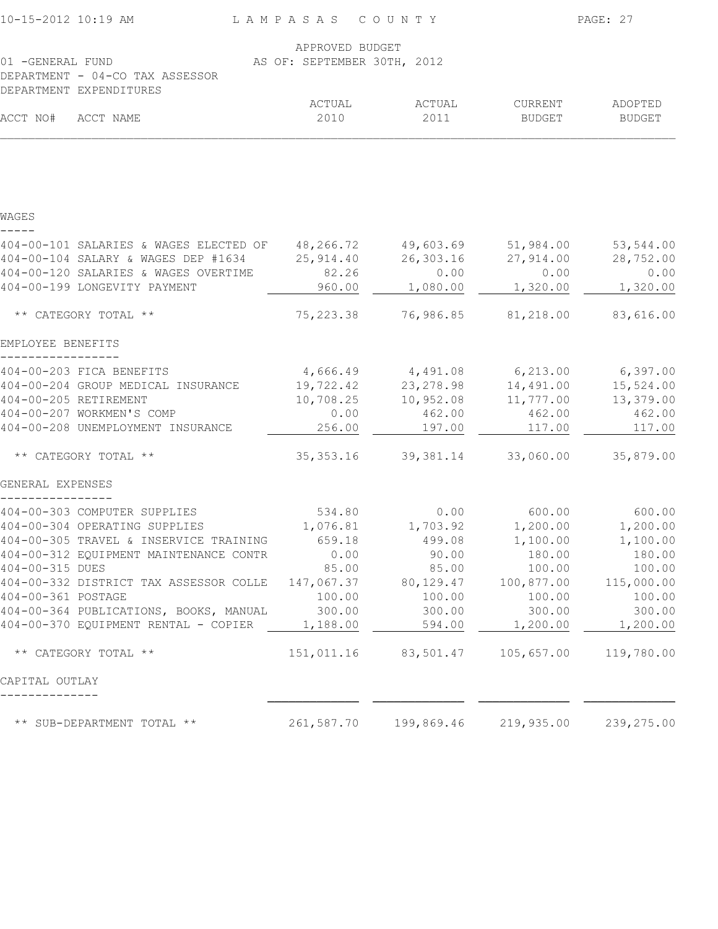| 10-15-2012 10:19 AM                              | LAMPASAS COUNTY             |                                     |                       | PAGE: 27   |
|--------------------------------------------------|-----------------------------|-------------------------------------|-----------------------|------------|
|                                                  | APPROVED BUDGET             |                                     |                       |            |
| 01 - GENERAL FUND                                | AS OF: SEPTEMBER 30TH, 2012 |                                     |                       |            |
| DEPARTMENT - 04-CO TAX ASSESSOR                  |                             |                                     |                       |            |
| DEPARTMENT EXPENDITURES                          | ACTUAL                      | ACTUAL                              | CURRENT               | ADOPTED    |
| ACCT NO#<br>ACCT NAME                            | 2010                        | 2011                                | <b>BUDGET</b>         | BUDGET     |
|                                                  |                             |                                     |                       |            |
|                                                  |                             |                                     |                       |            |
| WAGES                                            |                             |                                     |                       |            |
| 404-00-101 SALARIES & WAGES ELECTED OF 48,266.72 |                             | 49,603.69                           | 51,984.00             | 53,544.00  |
| 404-00-104 SALARY & WAGES DEP #1634              | 25,914.40                   | 26,303.16                           | 27,914.00             | 28,752.00  |
| 404-00-120 SALARIES & WAGES OVERTIME             | 82.26                       | 0.00                                | 0.00                  | 0.00       |
| 404-00-199 LONGEVITY PAYMENT                     | 960.00                      | 1,080.00                            | 1,320.00              | 1,320.00   |
| ** CATEGORY TOTAL **                             | 75, 223.38                  | 76,986.85                           | 81,218.00             | 83,616.00  |
| EMPLOYEE BENEFITS                                |                             |                                     |                       |            |
| 404-00-203 FICA BENEFITS                         |                             | 4,666.49 4,491.08 6,213.00 6,397.00 |                       |            |
| 404-00-204 GROUP MEDICAL INSURANCE               | 19,722.42                   | 23, 278.98                          | 14,491.00             | 15,524.00  |
| 404-00-205 RETIREMENT                            | 10,708.25                   | 10,952.08                           | 11,777.00             | 13,379.00  |
| 404-00-207 WORKMEN'S COMP                        | 0.00                        | 462.00                              | 462.00                | 462.00     |
| 404-00-208 UNEMPLOYMENT INSURANCE                | 256.00                      | 197.00                              | 117.00                | 117.00     |
| ** CATEGORY TOTAL **                             | 35, 353.16                  | 39,381.14                           | 33,060.00             | 35,879.00  |
| GENERAL EXPENSES                                 |                             |                                     |                       |            |
| 404-00-303 COMPUTER SUPPLIES                     | 534.80                      |                                     | $0.00$ 600.00         | 600.00     |
| 404-00-304 OPERATING SUPPLIES                    |                             |                                     |                       | 1,200.00   |
| 404-00-305 TRAVEL & INSERVICE TRAINING           |                             | 659.18 499.08                       | 1,100.00              | 1,100.00   |
| 404-00-312 EQUIPMENT MAINTENANCE CONTR           | 0.00                        | 90.00                               | 180.00                | 180.00     |
| 404-00-315 DUES                                  | 85.00                       | 85.00                               | 100.00                | 100.00     |
| 404-00-332 DISTRICT TAX ASSESSOR COLLE           | 147,067.37                  | 80,129.47                           | 100,877.00            | 115,000.00 |
| 404-00-361 POSTAGE                               | 100.00                      | 100.00                              | 100.00                | 100.00     |
| 404-00-364 PUBLICATIONS, BOOKS, MANUAL           | 300.00                      | 300.00                              | 300.00                | 300.00     |
| 404-00-370 EQUIPMENT RENTAL - COPIER             | 1,188.00                    | 594.00                              | 1,200.00              | 1,200.00   |
| ** CATEGORY TOTAL **                             |                             | 151,011.16 83,501.47                | 105,657.00 119,780.00 |            |
| CAPITAL OUTLAY                                   |                             |                                     |                       |            |
| ** SUB-DEPARTMENT TOTAL **                       | 261,587.70                  | 199,869.46                          | 219,935.00            | 239,275.00 |
|                                                  |                             |                                     |                       |            |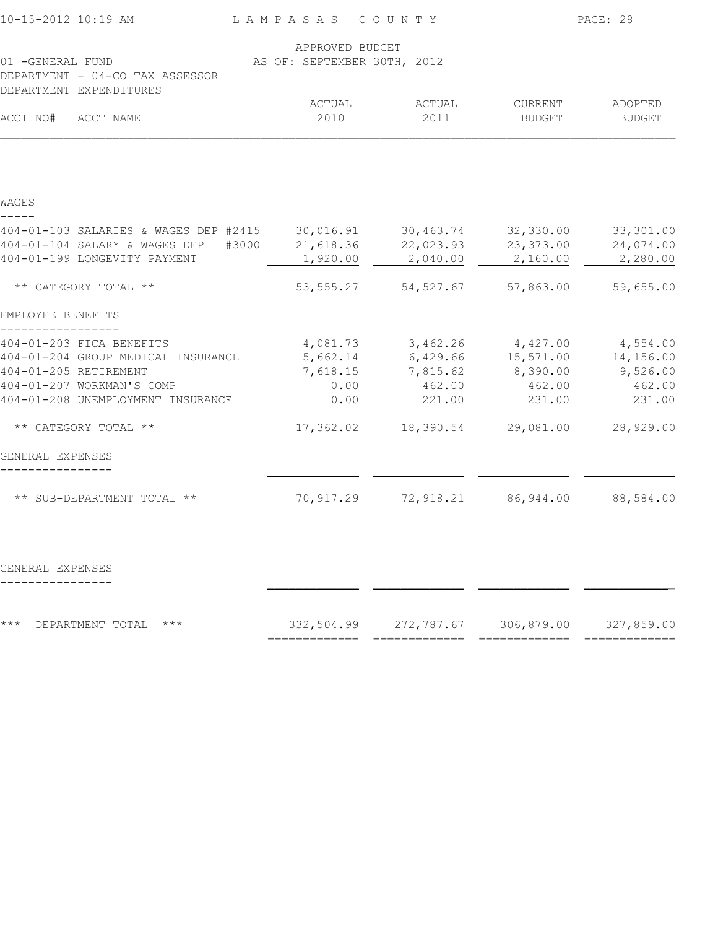| 10-15-2012 10:19 AM                                        | LAMPASAS COUNTY             |                                             |               | PAGE: 28      |
|------------------------------------------------------------|-----------------------------|---------------------------------------------|---------------|---------------|
|                                                            | APPROVED BUDGET             |                                             |               |               |
| 01 - GENERAL FUND                                          | AS OF: SEPTEMBER 30TH, 2012 |                                             |               |               |
| DEPARTMENT - 04-CO TAX ASSESSOR<br>DEPARTMENT EXPENDITURES |                             |                                             |               |               |
|                                                            | ACTUAL                      | ACTUAL                                      | CURRENT       | ADOPTED       |
| ACCT NO#<br>ACCT NAME                                      | 2010                        | 2011                                        | <b>BUDGET</b> | <b>BUDGET</b> |
|                                                            |                             |                                             |               |               |
| WAGES                                                      |                             |                                             |               |               |
| 404-01-103 SALARIES & WAGES DEP #2415                      | 30,016.91                   | 30,463.74                                   | 32,330.00     | 33, 301.00    |
| 404-01-104 SALARY & WAGES DEP<br>#3000                     | 21,618.36                   | 22,023.93                                   | 23, 373.00    | 24,074.00     |
| 404-01-199 LONGEVITY PAYMENT                               | 1,920.00                    | 2,040.00                                    | 2,160.00      | 2,280.00      |
| ** CATEGORY TOTAL **                                       | 53, 555.27                  | 54, 527.67                                  | 57,863.00     | 59,655.00     |
| EMPLOYEE BENEFITS                                          |                             |                                             |               |               |
| 404-01-203 FICA BENEFITS                                   | 4,081.73                    | 3,462.26                                    | 4,427.00      | 4,554.00      |
| 404-01-204 GROUP MEDICAL INSURANCE                         | 5,662.14                    | 6,429.66                                    | 15,571.00     | 14,156.00     |
| 404-01-205 RETIREMENT                                      | 7,618.15                    | 7,815.62                                    | 8,390.00      | 9,526.00      |
| 404-01-207 WORKMAN'S COMP                                  | 0.00                        | 462.00                                      | 462.00        | 462.00        |
| 404-01-208 UNEMPLOYMENT INSURANCE                          | 0.00                        | 221.00                                      | 231.00        | 231.00        |
| ** CATEGORY TOTAL **                                       | 17,362.02                   | 18,390.54                                   | 29,081.00     | 28,929.00     |
| GENERAL EXPENSES                                           |                             |                                             |               |               |
| ** SUB-DEPARTMENT TOTAL **                                 | 70,917.29                   | 72,918.21                                   | 86,944.00     | 88,584.00     |
|                                                            |                             |                                             |               |               |
| GENERAL EXPENSES                                           |                             |                                             |               |               |
|                                                            |                             |                                             |               |               |
| * * *<br>DEPARTMENT TOTAL ***                              | ===========                 | 332,504.99 272,787.67 306,879.00 327,859.00 |               |               |
|                                                            |                             |                                             |               |               |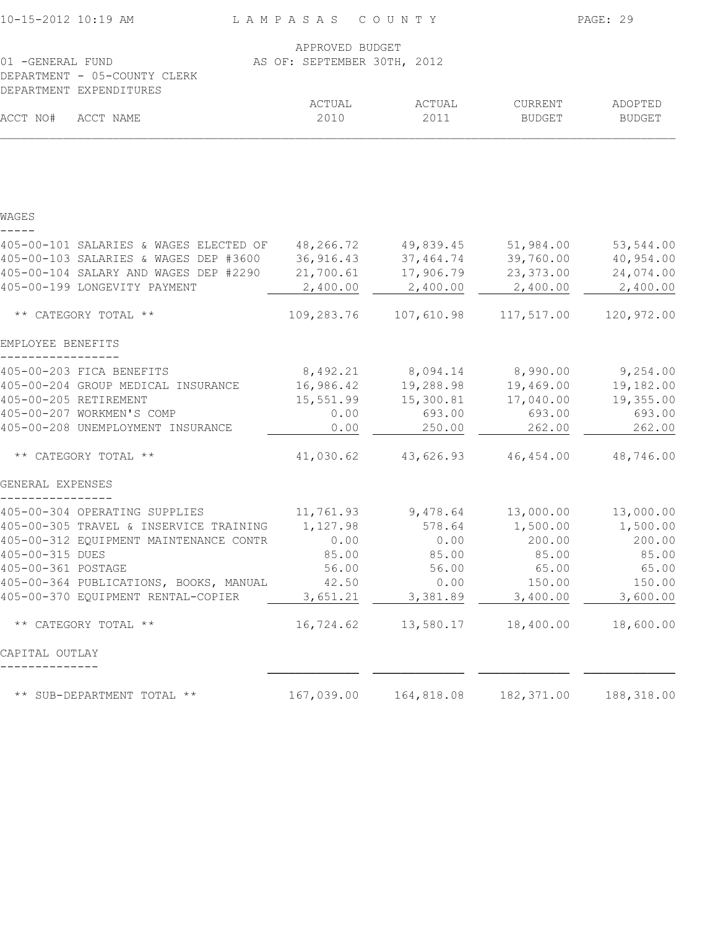| 10-15-2012 10:19 AM                         | LAMPASAS COUNTY             |                                               |                      | PAGE: 29                 |
|---------------------------------------------|-----------------------------|-----------------------------------------------|----------------------|--------------------------|
|                                             | APPROVED BUDGET             |                                               |                      |                          |
| 01 -GENERAL FUND                            | AS OF: SEPTEMBER 30TH, 2012 |                                               |                      |                          |
| DEPARTMENT - 05-COUNTY CLERK                |                             |                                               |                      |                          |
| DEPARTMENT EXPENDITURES                     |                             |                                               |                      |                          |
| ACCT NO#<br>ACCT NAME                       | ACTUAL<br>2010              | ACTUAL<br>2011                                | CURRENT<br>BUDGET    | ADOPTED<br><b>BUDGET</b> |
|                                             |                             |                                               |                      |                          |
| WAGES                                       |                             |                                               |                      |                          |
| 405-00-101 SALARIES & WAGES ELECTED OF      | 48,266.72                   | 49,839.45                                     | 51,984.00            | 53,544.00                |
| 405-00-103 SALARIES & WAGES DEP #3600       | 36,916.43                   | 37,464.74                                     | 39,760.00            | 40,954.00                |
| 405-00-104 SALARY AND WAGES DEP #2290       | 21,700.61                   | 17,906.79                                     | 23,373.00            | 24,074.00                |
| 405-00-199 LONGEVITY PAYMENT                | 2,400.00                    | 2,400.00                                      | 2,400.00             | 2,400.00                 |
| ** CATEGORY TOTAL **                        |                             | 109,283.76    107,610.98                      | 117,517.00           | 120,972.00               |
| EMPLOYEE BENEFITS                           |                             |                                               |                      |                          |
| 405-00-203 FICA BENEFITS                    |                             | 8,492.21 8,094.14 8,990.00 9,254.00           |                      |                          |
| 405-00-204 GROUP MEDICAL INSURANCE          | 16,986.42                   | 19,288.98                                     | 19,469.00            | 19,182.00                |
| 405-00-205 RETIREMENT                       | 15,551.99                   | 15,300.81                                     | 17,040.00            | 19,355.00                |
| 405-00-207 WORKMEN'S COMP                   | 0.00                        | 693.00                                        | 693.00               | 693.00                   |
| 405-00-208 UNEMPLOYMENT INSURANCE           | 0.00                        | 250.00                                        | 262.00               | 262.00                   |
| ** CATEGORY TOTAL **                        | 41,030.62                   |                                               | 43,626.93 46,454.00  | 48,746.00                |
| GENERAL EXPENSES                            |                             |                                               |                      |                          |
| 405-00-304 OPERATING SUPPLIES               |                             | $11, 761.93$ 9,478.64 13,000.00 13,000.00     |                      |                          |
| 405-00-305 TRAVEL & INSERVICE TRAINING      | 1,127.98                    |                                               | 578.64 1,500.00      | 1,500.00                 |
| 405-00-312 EQUIPMENT MAINTENANCE CONTR 0.00 |                             |                                               | $0.00$ 200.00 200.00 |                          |
| 405-00-315 DUES                             | 85.00                       | 85.00                                         | 85.00                | 85.00                    |
| 405-00-361 POSTAGE                          | 56.00                       | 56.00                                         | 65.00                | 65.00                    |
| 405-00-364 PUBLICATIONS, BOOKS, MANUAL      | 42.50                       | 0.00                                          | 150.00               | 150.00                   |
| 405-00-370 EQUIPMENT RENTAL-COPIER          | $3,651.21$ $3,381.89$       |                                               | 3,400.00             | 3,600.00                 |
| ** CATEGORY TOTAL **                        |                             | 16,724.62   13,580.17   18,400.00   18,600.00 |                      |                          |
| CAPITAL OUTLAY                              |                             |                                               |                      |                          |
| ** SUB-DEPARTMENT TOTAL **                  |                             | 167,039.00    164,818.08                      |                      | 182, 371.00 188, 318.00  |
|                                             |                             |                                               |                      |                          |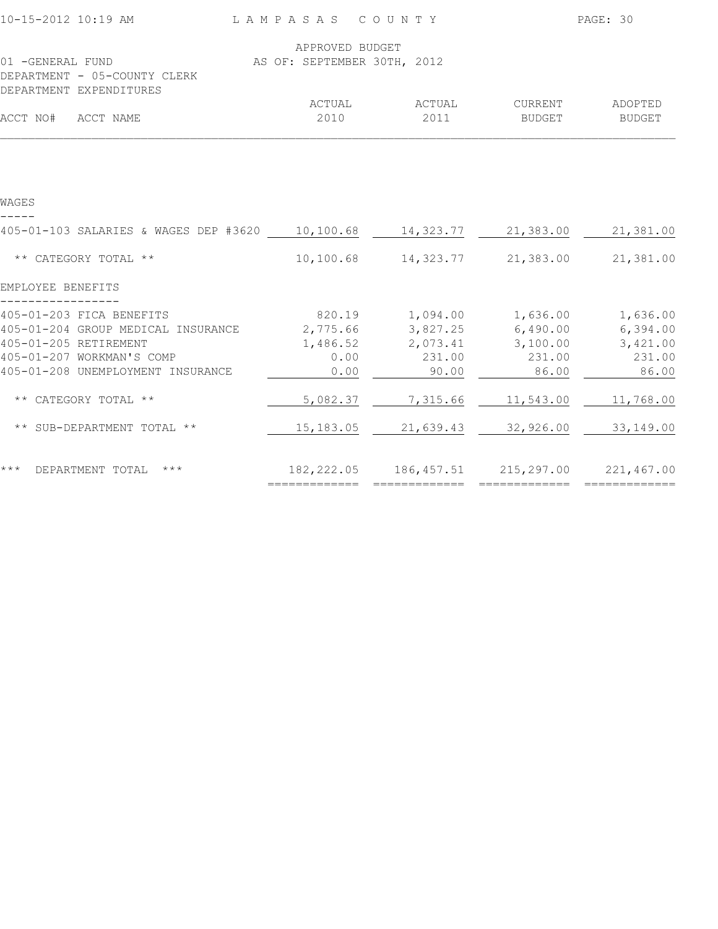| 10-15-2012 10:19 AM                                                                                                         | LAMPASAS COUNTY                                |                     |                                                                    | PAGE: 30        |
|-----------------------------------------------------------------------------------------------------------------------------|------------------------------------------------|---------------------|--------------------------------------------------------------------|-----------------|
| 01 -GENERAL FUND<br>DEPARTMENT - 05-COUNTY CLERK                                                                            | APPROVED BUDGET<br>AS OF: SEPTEMBER 30TH, 2012 |                     |                                                                    |                 |
| DEPARTMENT EXPENDITURES                                                                                                     | ACTUAL                                         | ACTUAL              | CURRENT                                                            | ADOPTED         |
| ACCT NO#<br>ACCT NAME                                                                                                       | 2010                                           | 2011                | <b>BUDGET</b>                                                      | BUDGET          |
|                                                                                                                             |                                                |                     |                                                                    |                 |
| WAGES                                                                                                                       |                                                |                     |                                                                    |                 |
| 405-01-103 SALARIES & WAGES DEP #3620 10,100.68                                                                             |                                                | 14,323.77 21,383.00 |                                                                    | 21,381.00       |
| ** CATEGORY TOTAL **                                                                                                        | 10, 100.68                                     | 14,323.77           | 21,383.00                                                          | 21,381.00       |
| EMPLOYEE BENEFITS                                                                                                           |                                                |                     |                                                                    |                 |
| 405-01-203 FICA BENEFITS<br>405-01-204 GROUP MEDICAL INSURANCE 2,775.66 3,827.25 6,490.00 6,394.00<br>405-01-205 RETIREMENT |                                                |                     | 820.19  1,094.00  1,636.00  1,636.00<br>1,486.52 2,073.41 3,100.00 | 3,421.00        |
| 405-01-207 WORKMAN'S COMP<br>405-01-208 UNEMPLOYMENT INSURANCE                                                              | 0.00<br>0.00                                   | 231.00<br>90.00     | 231.00<br>86.00                                                    | 231.00<br>86.00 |
| ** CATEGORY TOTAL **                                                                                                        | 5,082.37                                       | 7,315.66            | 11,543.00                                                          | 11,768.00       |
| ** SUB-DEPARTMENT TOTAL **                                                                                                  | 15,183.05                                      | 21,639.43           | 32,926.00                                                          | 33, 149.00      |
| $***$<br>DEPARTMENT TOTAL ***                                                                                               |                                                |                     | 182, 222.05 186, 457.51 215, 297.00 221, 467.00                    |                 |
|                                                                                                                             |                                                |                     |                                                                    |                 |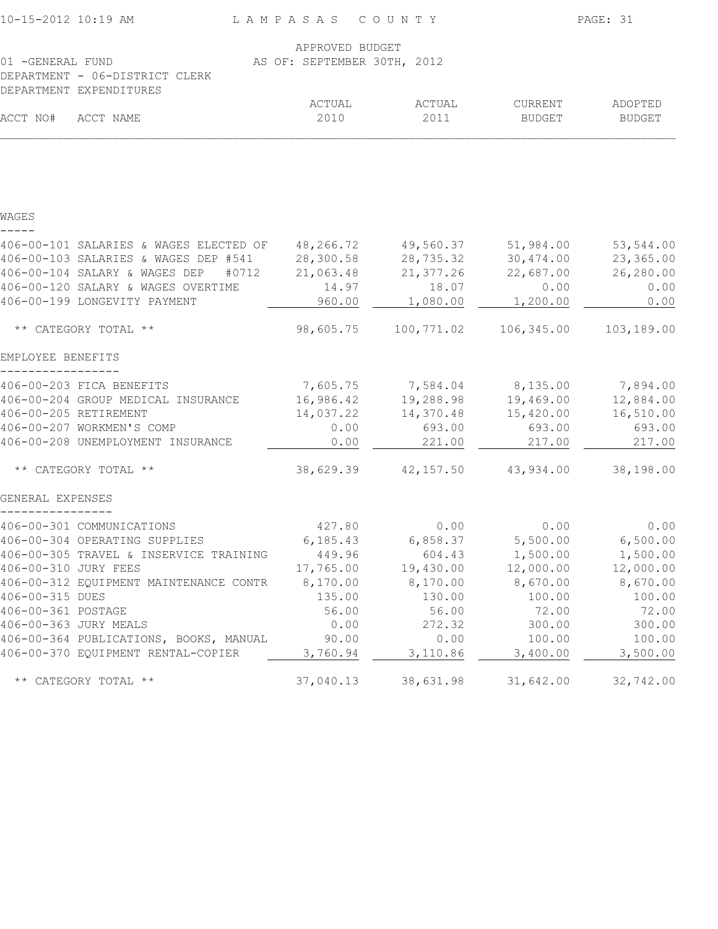| 10-15-2012 10:19 AM                              | LAMPASAS COUNTY                                |                                     |                       | PAGE: 31         |
|--------------------------------------------------|------------------------------------------------|-------------------------------------|-----------------------|------------------|
| 01 - GENERAL FUND                                | APPROVED BUDGET<br>AS OF: SEPTEMBER 30TH, 2012 |                                     |                       |                  |
| DEPARTMENT - 06-DISTRICT CLERK                   |                                                |                                     |                       |                  |
| DEPARTMENT EXPENDITURES                          |                                                |                                     |                       |                  |
|                                                  | ACTUAL                                         | ACTUAL                              | CURRENT               | ADOPTED          |
| ACCT NO#<br>ACCT NAME                            | 2010                                           | 2011                                | <b>BUDGET</b>         | <b>BUDGET</b>    |
|                                                  |                                                |                                     |                       |                  |
| WAGES                                            |                                                |                                     |                       |                  |
| 406-00-101 SALARIES & WAGES ELECTED OF 48,266.72 |                                                | 49,560.37                           | 51,984.00             | 53,544.00        |
| 406-00-103 SALARIES & WAGES DEP #541             | 28,300.58                                      | 28,735.32                           | 30,474.00             | 23,365.00        |
| 406-00-104 SALARY & WAGES DEP<br>#0712           | 21,063.48                                      | 21,377.26                           | 22,687.00             | 26,280.00        |
| 406-00-120 SALARY & WAGES OVERTIME               | 14.97                                          | 18.07                               | 0.00                  | 0.00             |
| 406-00-199 LONGEVITY PAYMENT                     | 960.00                                         | 1,080.00                            | 1,200.00              | 0.00             |
| ** CATEGORY TOTAL **                             | 98,605.75                                      |                                     | 100,771.02 106,345.00 | 103,189.00       |
| EMPLOYEE BENEFITS                                |                                                |                                     |                       |                  |
| 406-00-203 FICA BENEFITS                         |                                                | 7,605.75 7,584.04 8,135.00 7,894.00 |                       |                  |
| 406-00-204 GROUP MEDICAL INSURANCE               | 16,986.42                                      | 19,288.98                           | 19,469.00             | 12,884.00        |
| 406-00-205 RETIREMENT                            | 14,037.22                                      | 14,370.48                           | 15,420.00             | 16,510.00        |
| 406-00-207 WORKMEN'S COMP                        | 0.00                                           | 693.00                              | 693.00                | 693.00           |
| 406-00-208 UNEMPLOYMENT INSURANCE                | 0.00                                           | 221.00                              | 217.00                | 217.00           |
| ** CATEGORY TOTAL **                             | 38,629.39                                      | 42,157.50                           | 43,934.00             | 38,198.00        |
| GENERAL EXPENSES                                 |                                                |                                     |                       |                  |
| 406-00-301 COMMUNICATIONS                        | 427.80                                         | 0.00                                | 0.00                  | 0.00             |
| 406-00-304 OPERATING SUPPLIES                    | 6, 185.43                                      | 6,858.37                            | 5,500.00              | 6,500.00         |
| 406-00-305 TRAVEL & INSERVICE TRAINING           | 449.96                                         | 604.43                              | 1,500.00              | 1,500.00         |
| 406-00-310 JURY FEES                             | 17,765.00                                      | 19,430.00                           | 12,000.00             | 12,000.00        |
| 406-00-312 EQUIPMENT MAINTENANCE CONTR           | 8,170.00                                       | 8,170.00                            | 8,670.00              | 8,670.00         |
| 406-00-315 DUES                                  | 135.00                                         | 130.00                              | 100.00                | 100.00           |
| 406-00-361 POSTAGE<br>406-00-363 JURY MEALS      | 56.00<br>0.00                                  | 56.00                               | 72.00                 | 72.00            |
| 406-00-364 PUBLICATIONS, BOOKS, MANUAL           | 90.00                                          | 272.32<br>0.00                      | 300.00<br>100.00      | 300.00<br>100.00 |
| 406-00-370 EQUIPMENT RENTAL-COPIER               | 3,760.94                                       | 3,110.86                            | 3,400.00              | 3,500.00         |
| ** CATEGORY TOTAL **                             | 37,040.13                                      | 38,631.98                           | 31,642.00             | 32,742.00        |
|                                                  |                                                |                                     |                       |                  |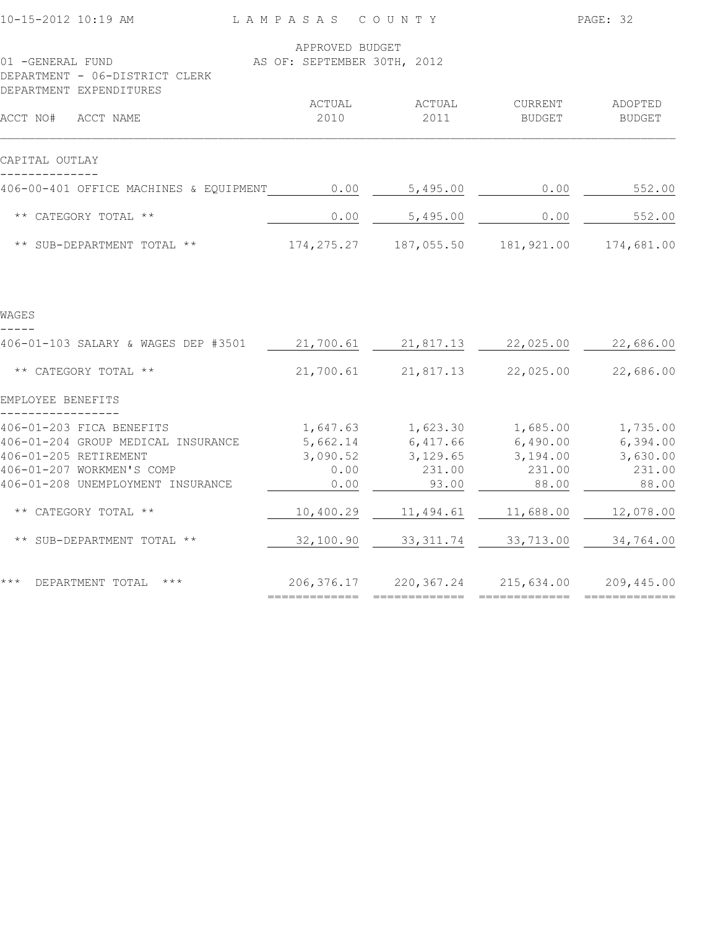| 10-15-2012 10:19 AM                                                                                                                                       | LAMPASAS COUNTY                                  |                                         |                                                              | PAGE: 32                                            |
|-----------------------------------------------------------------------------------------------------------------------------------------------------------|--------------------------------------------------|-----------------------------------------|--------------------------------------------------------------|-----------------------------------------------------|
| 01 -GENERAL FUND                                                                                                                                          | APPROVED BUDGET<br>AS OF: SEPTEMBER 30TH, 2012   |                                         |                                                              |                                                     |
| DEPARTMENT - 06-DISTRICT CLERK<br>DEPARTMENT EXPENDITURES                                                                                                 |                                                  |                                         |                                                              |                                                     |
| ACCT NO# ACCT NAME                                                                                                                                        | ACTUAL<br>2010                                   | ACTUAL<br>2011                          | CURRENT<br><b>BUDGET</b>                                     | ADOPTED<br><b>BUDGET</b>                            |
| CAPITAL OUTLAY                                                                                                                                            |                                                  |                                         |                                                              |                                                     |
| 406-00-401 OFFICE MACHINES & EQUIPMENT                                                                                                                    | 0.00                                             | 5,495.00                                | 0.00                                                         | 552.00                                              |
| ** CATEGORY TOTAL **                                                                                                                                      | 0.00                                             | 5,495.00                                | 0.00                                                         | 552.00                                              |
| ** SUB-DEPARTMENT TOTAL **                                                                                                                                | 174, 275. 27                                     |                                         | 187,055.50    181,921.00                                     | 174,681.00                                          |
|                                                                                                                                                           |                                                  |                                         |                                                              |                                                     |
| WAGES                                                                                                                                                     |                                                  |                                         |                                                              |                                                     |
| 406-01-103 SALARY & WAGES DEP #3501                                                                                                                       | 21,700.61                                        | 21,817.13                               | 22,025.00                                                    | 22,686.00                                           |
| ** CATEGORY TOTAL **                                                                                                                                      | 21,700.61                                        | 21,817.13                               | 22,025.00                                                    | 22,686.00                                           |
| EMPLOYEE BENEFITS                                                                                                                                         |                                                  |                                         |                                                              |                                                     |
| 406-01-203 FICA BENEFITS<br>406-01-204 GROUP MEDICAL INSURANCE<br>406-01-205 RETIREMENT<br>406-01-207 WORKMEN'S COMP<br>406-01-208 UNEMPLOYMENT INSURANCE | 1,647.63<br>5,662.14<br>3,090.52<br>0.00<br>0.00 | 6,417.66<br>3,129.65<br>231.00<br>93.00 | 1,623.30 1,685.00<br>6,490.00<br>3,194.00<br>231.00<br>88.00 | 1,735.00<br>6,394.00<br>3,630.00<br>231.00<br>88.00 |
| ** CATEGORY TOTAL **                                                                                                                                      | 10,400.29                                        | 11,494.61                               | 11,688.00                                                    | 12,078.00                                           |
| ** SUB-DEPARTMENT TOTAL **                                                                                                                                | 32,100.90                                        | 33, 311.74                              | 33,713.00                                                    | 34,764.00                                           |
| $***$<br>DEPARTMENT TOTAL<br>$***$                                                                                                                        | 206, 376.17                                      | 220, 367. 24<br>=============           | 215,634.00                                                   | 209,445.00                                          |
|                                                                                                                                                           |                                                  |                                         |                                                              |                                                     |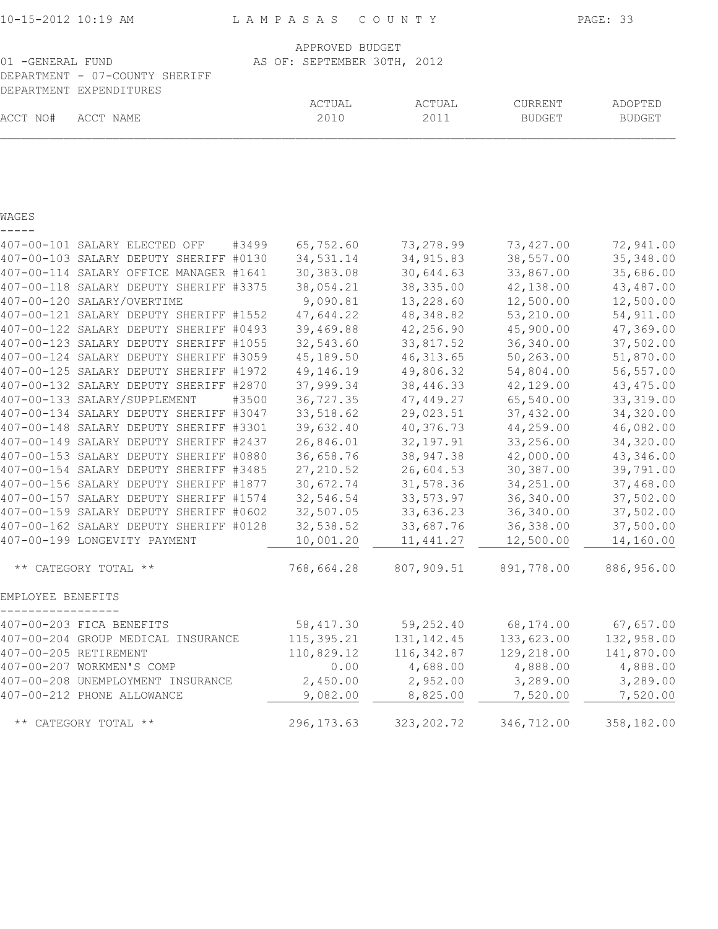| 10-15-2012 10:19 AM |                                                           |       | L A M P A S A S                                | COUNTY        |               | PAGE: 33      |
|---------------------|-----------------------------------------------------------|-------|------------------------------------------------|---------------|---------------|---------------|
| 01 - GENERAL FUND   | DEPARTMENT - 07-COUNTY SHERIFF<br>DEPARTMENT EXPENDITURES |       | APPROVED BUDGET<br>AS OF: SEPTEMBER 30TH, 2012 |               |               |               |
|                     |                                                           |       | ACTUAL                                         | <b>ACTUAL</b> | CURRENT       | ADOPTED       |
| ACCT NO#            | ACCT NAME                                                 |       | 2010                                           | 2011          | <b>BUDGET</b> | <b>BUDGET</b> |
|                     |                                                           |       |                                                |               |               |               |
| WAGES               |                                                           |       |                                                |               |               |               |
|                     | 407-00-101 SALARY ELECTED OFF                             | #3499 | 65,752.60                                      | 73,278.99     | 73,427.00     | 72,941.00     |
|                     | 407-00-103 SALARY DEPUTY SHERIFF #0130                    |       | 34,531.14                                      | 34, 915.83    | 38,557.00     | 35, 348.00    |
|                     | 407-00-114 SALARY OFFICE MANAGER #1641                    |       | 30, 383.08                                     | 30,644.63     | 33,867.00     | 35,686.00     |
|                     | 407-00-118 SALARY DEPUTY SHERIFF #3375                    |       | 38,054.21                                      | 38, 335.00    | 42,138.00     | 43,487.00     |
|                     | 407-00-120 SALARY/OVERTIME                                |       | 9,090.81                                       | 13,228.60     | 12,500.00     | 12,500.00     |
|                     | 407-00-121 SALARY DEPUTY SHERIFF #1552                    |       | 47,644.22                                      | 48,348.82     | 53,210.00     | 54,911.00     |
|                     | 407-00-122 SALARY DEPUTY SHERIFF #0493                    |       | 39,469.88                                      | 42,256.90     | 45,900.00     | 47,369.00     |
|                     | 407-00-123 SALARY DEPUTY SHERIFF #1055                    |       | 32,543.60                                      | 33,817.52     | 36,340.00     | 37,502.00     |
|                     | 407-00-124 SALARY DEPUTY SHERIFF #3059                    |       | 45,189.50                                      | 46, 313.65    | 50,263.00     | 51,870.00     |
|                     | 407-00-125 SALARY DEPUTY SHERIFF #1972                    |       | 49,146.19                                      | 49,806.32     | 54,804.00     | 56,557.00     |
|                     | 407-00-132 SALARY DEPUTY SHERIFF #2870                    |       | 37,999.34                                      | 38, 446. 33   | 42,129.00     | 43, 475.00    |
|                     | 407-00-133 SALARY/SUPPLEMENT                              | #3500 | 36,727.35                                      | 47,449.27     | 65,540.00     | 33, 319.00    |
|                     | 407-00-134 SALARY DEPUTY SHERIFF #3047                    |       | 33,518.62                                      | 29,023.51     | 37,432.00     | 34,320.00     |
|                     | 407-00-148 SALARY DEPUTY SHERIFF #3301                    |       | 39,632.40                                      | 40,376.73     | 44,259.00     | 46,082.00     |
|                     | 407-00-149 SALARY DEPUTY SHERIFF #2437                    |       | 26,846.01                                      | 32, 197.91    | 33,256.00     | 34,320.00     |
|                     | 407-00-153 SALARY DEPUTY SHERIFF #0880                    |       | 36,658.76                                      | 38, 947.38    | 42,000.00     | 43,346.00     |
|                     | 407-00-154 SALARY DEPUTY SHERIFF #3485                    |       | 27, 210.52                                     | 26,604.53     | 30,387.00     | 39,791.00     |
|                     | 407-00-156 SALARY DEPUTY SHERIFF #1877                    |       | 30,672.74                                      | 31,578.36     | 34,251.00     | 37,468.00     |
|                     | 407-00-157 SALARY DEPUTY SHERIFF #1574                    |       | 32,546.54                                      | 33,573.97     | 36,340.00     | 37,502.00     |
|                     | 407-00-159 SALARY DEPUTY SHERIFF #0602                    |       | 32,507.05                                      | 33,636.23     | 36, 340.00    | 37,502.00     |
|                     | 407-00-162 SALARY DEPUTY SHERIFF #0128                    |       | 32,538.52                                      | 33,687.76     | 36, 338.00    | 37,500.00     |
|                     | 407-00-199 LONGEVITY PAYMENT                              |       | 10,001.20                                      | 11,441.27     | 12,500.00     | 14,160.00     |
|                     | CATEGORY TOTAL **                                         |       | 768,664.28                                     | 807,909.51    | 891,778.00    | 886,956.00    |

EMPLOYEE BENEFITS

| 407-00-203 FICA BENEFITS           | 58,417.30   | 59,252.40    | 68,174.00  | 67,657.00  |
|------------------------------------|-------------|--------------|------------|------------|
| 407-00-204 GROUP MEDICAL INSURANCE | 115,395.21  | 131, 142. 45 | 133,623.00 | 132,958.00 |
| 407-00-205 RETIREMENT              | 110,829.12  | 116,342.87   | 129,218.00 | 141,870.00 |
| 407-00-207 WORKMEN'S COMP          | 0.00        | 4,688.00     | 4,888.00   | 4,888.00   |
| 407-00-208 UNEMPLOYMENT INSURANCE  | 2,450.00    | 2,952.00     | 3,289.00   | 3,289.00   |
| 407-00-212 PHONE ALLOWANCE         | 9,082.00    | 8,825.00     | 7,520.00   | 7,520.00   |
| ** CATEGORY TOTAL **               | 296, 173.63 | 323, 202. 72 | 346,712.00 | 358,182.00 |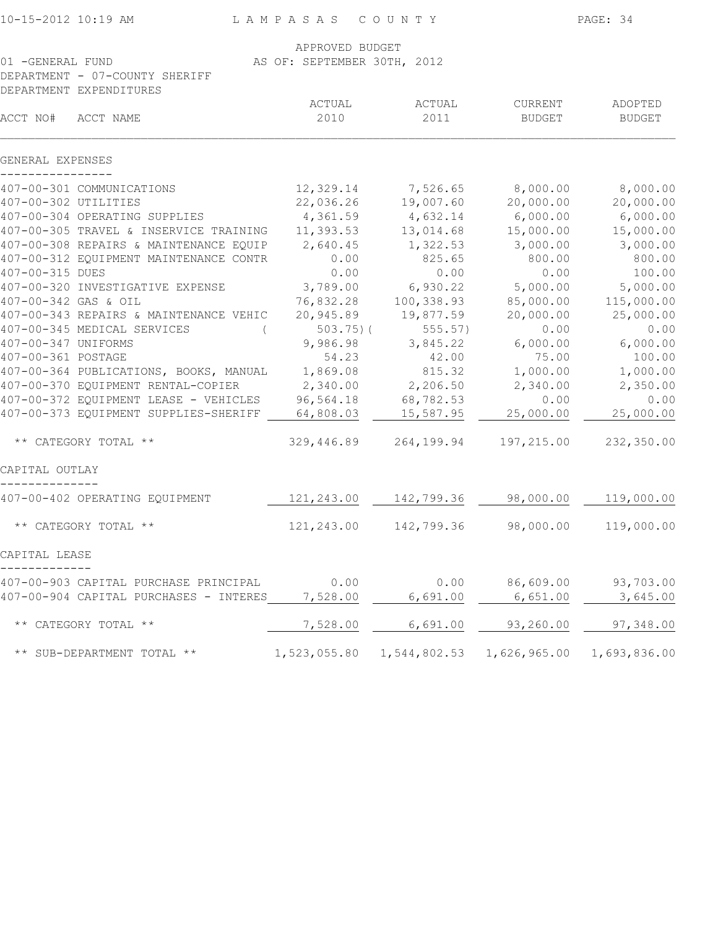| 10-15-2012 10:19 AM |
|---------------------|
|---------------------|

L A M P A S A S C O U N T Y PAGE: 34

|                                                                                 | APPROVED BUDGET             |                       |                             |                       |
|---------------------------------------------------------------------------------|-----------------------------|-----------------------|-----------------------------|-----------------------|
| 01 -GENERAL FUND                                                                | AS OF: SEPTEMBER 30TH, 2012 |                       |                             |                       |
| DEPARTMENT - 07-COUNTY SHERIFF                                                  |                             |                       |                             |                       |
| DEPARTMENT EXPENDITURES                                                         |                             |                       |                             |                       |
|                                                                                 | ACTUAL                      | ACTUAL                | CURRENT                     | ADOPTED               |
| ACCT NO#<br>ACCT NAME                                                           | 2010                        | 2011                  | BUDGET                      | <b>BUDGET</b>         |
| GENERAL EXPENSES                                                                |                             |                       |                             |                       |
| 407-00-301 COMMUNICATIONS                                                       |                             |                       | 12,329.14 7,526.65 8,000.00 | 8,000.00              |
| 407-00-302 UTILITIES                                                            | 22,036.26                   | 19,007.60             | 20,000.00                   | 20,000.00             |
| 407-00-304 OPERATING SUPPLIES                                                   | 4,361.59                    | 4,632.14              | 6,000.00                    | 6,000.00              |
| 407-00-305 TRAVEL & INSERVICE TRAINING                                          | 11,393.53                   | 13,014.68             | 15,000.00                   | 15,000.00             |
| 407-00-308 REPAIRS & MAINTENANCE EQUIP                                          | 2,640.45                    | 1,322.53              | 3,000.00                    | 3,000.00              |
| 407-00-312 EQUIPMENT MAINTENANCE CONTR                                          | 0.00                        | 825.65                | 800.00                      | 800.00                |
| 407-00-315 DUES                                                                 | 0.00                        | 0.00                  | 0.00                        | 100.00                |
| 407-00-320 INVESTIGATIVE EXPENSE                                                | 3,789.00                    | 6,930.22              | 5,000.00                    | 5,000.00              |
| 407-00-342 GAS & OIL                                                            | 76,832.28                   | 100,338.93            | 85,000.00                   | 115,000.00            |
| 407-00-343 REPAIRS & MAINTENANCE VEHIC                                          | 20,945.89                   | 19,877.59             | 20,000.00                   | 25,000.00             |
| 407-00-345 MEDICAL SERVICES<br>$\left($                                         | $503.75$ ) (                | 555.57)               | 0.00                        | 0.00                  |
| 407-00-347 UNIFORMS                                                             | 9,986.98                    | 3,845.22              | 6,000.00                    | 6,000.00              |
| 407-00-361 POSTAGE                                                              | 54.23                       | 42.00                 | 75.00                       | 100.00                |
| 407-00-364 PUBLICATIONS, BOOKS, MANUAL                                          | 1,869.08                    | 815.32                | 1,000.00                    | 1,000.00              |
| 407-00-370 EQUIPMENT RENTAL-COPIER                                              | 2,340.00                    | 2,206.50              | 2,340.00                    | 2,350.00              |
| 407-00-372 EQUIPMENT LEASE - VEHICLES                                           | 96,564.18                   | 68,782.53             | 0.00                        | 0.00                  |
| 407-00-373 EQUIPMENT SUPPLIES-SHERIFF 64,808.03                                 |                             | 15,587.95             | 25,000.00                   | 25,000.00             |
| ** CATEGORY TOTAL **                                                            | 329,446.89                  |                       | 264, 199.94 197, 215.00     | 232,350.00            |
| CAPITAL OUTLAY                                                                  |                             |                       |                             |                       |
| 407-00-402 OPERATING EQUIPMENT                                                  |                             | 121,243.00 142,799.36 | 98,000.00                   | 119,000.00            |
| ** CATEGORY TOTAL **                                                            |                             | 121,243.00 142,799.36 | 98,000.00                   | 119,000.00            |
| CAPITAL LEASE                                                                   |                             |                       |                             |                       |
|                                                                                 |                             |                       |                             |                       |
| 407-00-903 CAPITAL PURCHASE PRINCIPAL<br>407-00-904 CAPITAL PURCHASES - INTERES | 0.00<br>7,528.00            | 0.00<br>6,691.00      | 86,609.00<br>6,651.00       | 93,703.00<br>3,645.00 |
| ** CATEGORY TOTAL **                                                            | 7,528.00                    | 6,691.00              | 93,260.00                   | 97,348.00             |
|                                                                                 |                             |                       |                             |                       |
| ** SUB-DEPARTMENT TOTAL **                                                      | 1,523,055.80                | 1,544,802.53          | 1,626,965.00                | 1,693,836.00          |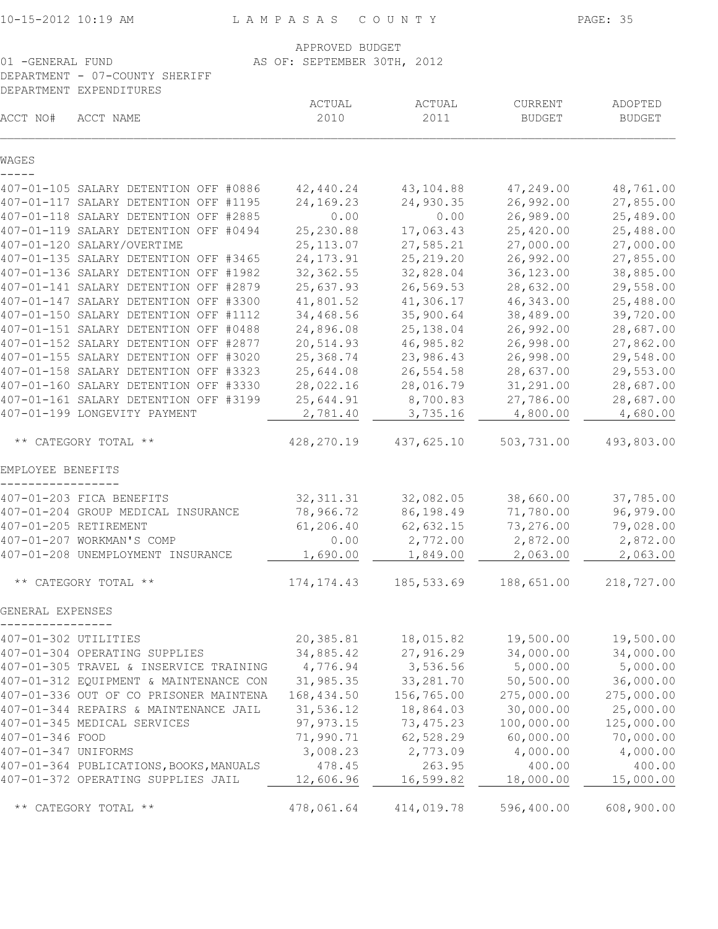| 10-15-2012 10:19 AM |  |  |
|---------------------|--|--|
|---------------------|--|--|

| 10-15-2012 10:19 AM  |                                                                                | LAMPASAS                    | COUNTY                 |                          | PAGE: 35                 |
|----------------------|--------------------------------------------------------------------------------|-----------------------------|------------------------|--------------------------|--------------------------|
|                      |                                                                                | APPROVED BUDGET             |                        |                          |                          |
| 01 -GENERAL FUND     |                                                                                | AS OF: SEPTEMBER 30TH, 2012 |                        |                          |                          |
|                      | DEPARTMENT - 07-COUNTY SHERIFF                                                 |                             |                        |                          |                          |
|                      | DEPARTMENT EXPENDITURES                                                        |                             |                        |                          |                          |
| ACCT NO#             | ACCT NAME                                                                      | ACTUAL<br>2010              | ACTUAL<br>2011         | CURRENT<br><b>BUDGET</b> | ADOPTED<br><b>BUDGET</b> |
| WAGES                |                                                                                |                             |                        |                          |                          |
|                      |                                                                                |                             |                        |                          |                          |
|                      | 407-01-105 SALARY DETENTION OFF #0886<br>407-01-117 SALARY DETENTION OFF #1195 | 42,440.24<br>24,169.23      | 43,104.88<br>24,930.35 | 47,249.00<br>26,992.00   | 48,761.00<br>27,855.00   |
|                      | 407-01-118 SALARY DETENTION OFF #2885                                          | 0.00                        | 0.00                   | 26,989.00                | 25,489.00                |
|                      | 407-01-119 SALARY DETENTION OFF #0494                                          | 25, 230.88                  | 17,063.43              | 25,420.00                | 25,488.00                |
|                      | 407-01-120 SALARY/OVERTIME                                                     | 25, 113.07                  | 27,585.21              | 27,000.00                | 27,000.00                |
|                      | 407-01-135 SALARY DETENTION OFF #3465                                          | 24, 173. 91                 | 25, 219.20             | 26,992.00                | 27,855.00                |
|                      | 407-01-136 SALARY DETENTION OFF #1982                                          | 32, 362.55                  | 32,828.04              | 36, 123.00               | 38,885.00                |
|                      | 407-01-141 SALARY DETENTION OFF #2879                                          | 25,637.93                   | 26,569.53              | 28,632.00                | 29,558.00                |
|                      | 407-01-147 SALARY DETENTION OFF #3300                                          | 41,801.52                   | 41,306.17              | 46,343.00                | 25,488.00                |
|                      | 407-01-150 SALARY DETENTION OFF #1112                                          | 34,468.56                   | 35,900.64              | 38,489.00                | 39,720.00                |
|                      | 407-01-151 SALARY DETENTION OFF #0488                                          | 24,896.08                   | 25, 138.04             | 26,992.00                | 28,687.00                |
|                      | 407-01-152 SALARY DETENTION OFF #2877                                          | 20,514.93                   | 46,985.82              | 26,998.00                | 27,862.00                |
|                      | 407-01-155 SALARY DETENTION OFF #3020                                          | 25,368.74                   | 23,986.43              | 26,998.00                | 29,548.00                |
|                      | 407-01-158 SALARY DETENTION OFF #3323                                          | 25,644.08                   | 26,554.58              | 28,637.00                | 29,553.00                |
|                      | 407-01-160 SALARY DETENTION OFF #3330                                          | 28,022.16                   | 28,016.79              | 31,291.00                | 28,687.00                |
|                      | 407-01-161 SALARY DETENTION OFF #3199                                          | 25,644.91                   | 8,700.83               | 27,786.00                | 28,687.00                |
|                      | 407-01-199 LONGEVITY PAYMENT                                                   | 2,781.40                    | 3,735.16               | 4,800.00                 | 4,680.00                 |
|                      | ** CATEGORY TOTAL **                                                           | 428,270.19                  | 437,625.10             | 503,731.00               | 493,803.00               |
|                      |                                                                                |                             |                        |                          |                          |
| EMPLOYEE BENEFITS    |                                                                                |                             |                        |                          |                          |
|                      | 407-01-203 FICA BENEFITS                                                       | 32, 311.31                  | 32,082.05              | 38,660.00                | 37,785.00                |
|                      | 407-01-204 GROUP MEDICAL INSURANCE                                             | 78,966.72                   | 86,198.49              | 71,780.00                | 96,979.00                |
|                      | 407-01-205 RETIREMENT                                                          | 61,206.40                   | 62,632.15              | 73,276.00                | 79,028.00                |
|                      | 407-01-207 WORKMAN'S COMP                                                      | 0.00                        | 2,772.00               | 2,872.00                 | 2,872.00                 |
|                      | 407-01-208 UNEMPLOYMENT INSURANCE                                              | 1,690.00                    | 1,849.00               | 2,063.00                 | 2,063.00                 |
|                      |                                                                                |                             |                        |                          |                          |
|                      | ** CATEGORY TOTAL **                                                           | 174, 174.43                 | 185, 533.69            | 188,651.00               | 218,727.00               |
| GENERAL EXPENSES     |                                                                                |                             |                        |                          |                          |
| 407-01-302 UTILITIES |                                                                                | 20,385.81                   | 18,015.82              | 19,500.00                | 19,500.00                |
|                      | 407-01-304 OPERATING SUPPLIES                                                  | 34,885.42                   | 27,916.29              | 34,000.00                | 34,000.00                |
|                      | 407-01-305 TRAVEL & INSERVICE TRAINING                                         | 4,776.94                    | 3,536.56               | 5,000.00                 | 5,000.00                 |
|                      | 407-01-312 EQUIPMENT & MAINTENANCE CON                                         | 31,985.35                   | 33, 281.70             | 50,500.00                | 36,000.00                |
|                      | 407-01-336 OUT OF CO PRISONER MAINTENA                                         | 168,434.50                  | 156,765.00             | 275,000.00               | 275,000.00               |
|                      | 407-01-344 REPAIRS & MAINTENANCE JAIL                                          | 31,536.12                   | 18,864.03              | 30,000.00                | 25,000.00                |
|                      | 407-01-345 MEDICAL SERVICES                                                    | 97, 973.15                  | 73, 475.23             | 100,000.00               | 125,000.00               |
| 407-01-346 FOOD      |                                                                                | 71,990.71                   | 62,528.29              | 60,000.00                | 70,000.00                |
| 407-01-347 UNIFORMS  |                                                                                | 3,008.23                    | 2,773.09               | 4,000.00                 | 4,000.00                 |
|                      | 407-01-364 PUBLICATIONS, BOOKS, MANUALS                                        | 478.45                      | 263.95                 | 400.00                   | 400.00                   |
|                      | 407-01-372 OPERATING SUPPLIES JAIL                                             | 12,606.96                   | 16,599.82              | 18,000.00                | 15,000.00                |
|                      |                                                                                |                             |                        |                          |                          |

\*\* CATEGORY TOTAL \*\*  $478,061.64$  414,019.78 596,400.00 608,900.00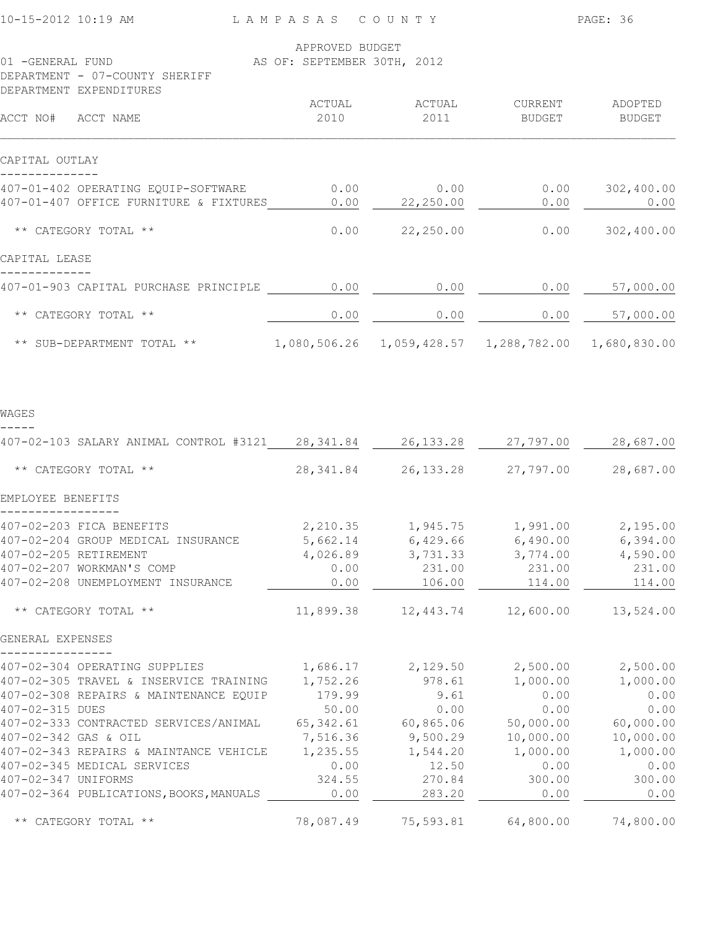| 10-15-2012 10:19 AM                                                                                                                                                                                                                                                                                                                              | LAMPASAS COUNTY                                                                                         |                                                                                                      |                                                                                                      | PAGE: 36                                                                                             |
|--------------------------------------------------------------------------------------------------------------------------------------------------------------------------------------------------------------------------------------------------------------------------------------------------------------------------------------------------|---------------------------------------------------------------------------------------------------------|------------------------------------------------------------------------------------------------------|------------------------------------------------------------------------------------------------------|------------------------------------------------------------------------------------------------------|
| 01 -GENERAL FUND<br>DEPARTMENT - 07-COUNTY SHERIFF                                                                                                                                                                                                                                                                                               | APPROVED BUDGET<br>AS OF: SEPTEMBER 30TH, 2012                                                          |                                                                                                      |                                                                                                      |                                                                                                      |
| DEPARTMENT EXPENDITURES                                                                                                                                                                                                                                                                                                                          |                                                                                                         |                                                                                                      |                                                                                                      |                                                                                                      |
| ACCT NO# ACCT NAME                                                                                                                                                                                                                                                                                                                               | ACTUAL<br>2010                                                                                          | ACTUAL<br>2011                                                                                       | CURRENT ADOPTED<br>BUDGET BUDGET                                                                     |                                                                                                      |
| CAPITAL OUTLAY                                                                                                                                                                                                                                                                                                                                   |                                                                                                         |                                                                                                      |                                                                                                      |                                                                                                      |
| 407-01-402 OPERATING EQUIP-SOFTWARE<br>407-01-407 OFFICE FURNITURE & FIXTURES                                                                                                                                                                                                                                                                    | 0.00<br>0.00                                                                                            | 0.00<br>22,250.00                                                                                    | 0.00                                                                                                 | $0.00$ 302,400.00<br>0.00                                                                            |
| ** CATEGORY TOTAL **                                                                                                                                                                                                                                                                                                                             | 0.00                                                                                                    | 22,250.00                                                                                            |                                                                                                      | $0.00$ 302,400.00                                                                                    |
| CAPITAL LEASE                                                                                                                                                                                                                                                                                                                                    |                                                                                                         |                                                                                                      |                                                                                                      |                                                                                                      |
| 407-01-903 CAPITAL PURCHASE PRINCIPLE                                                                                                                                                                                                                                                                                                            | 0.00                                                                                                    | 0.00                                                                                                 | 0.00                                                                                                 | 57,000.00                                                                                            |
| ** CATEGORY TOTAL **                                                                                                                                                                                                                                                                                                                             | 0.00                                                                                                    | 0.00                                                                                                 | 0.00                                                                                                 | 57,000.00                                                                                            |
| ** SUB-DEPARTMENT TOTAL ** 1,080,506.26 1,059,428.57 1,288,782.00 1,680,830.00                                                                                                                                                                                                                                                                   |                                                                                                         |                                                                                                      |                                                                                                      |                                                                                                      |
| WAGES                                                                                                                                                                                                                                                                                                                                            |                                                                                                         |                                                                                                      |                                                                                                      |                                                                                                      |
| 407-02-103 SALARY ANIMAL CONTROL #3121 28,341.84 26,133.28 27,797.00 28,687.00                                                                                                                                                                                                                                                                   |                                                                                                         |                                                                                                      |                                                                                                      |                                                                                                      |
| ** CATEGORY TOTAL **                                                                                                                                                                                                                                                                                                                             |                                                                                                         |                                                                                                      | 28, 341.84 26, 133.28 27, 797.00 28, 687.00                                                          |                                                                                                      |
| EMPLOYEE BENEFITS                                                                                                                                                                                                                                                                                                                                |                                                                                                         |                                                                                                      |                                                                                                      |                                                                                                      |
| 407-02-203 FICA BENEFITS<br>407-02-204 GROUP MEDICAL INSURANCE<br>407-02-205 RETIREMENT<br>407-02-207 WORKMAN'S COMP<br>407-02-208 UNEMPLOYMENT INSURANCE                                                                                                                                                                                        | 5,662.14<br>4,026.89<br>0.00<br>0.00                                                                    | 6,429.66<br>3,731.33<br>231.00<br>106.00                                                             | 2,210.35 1,945.75 1,991.00 2,195.00<br>6,490.00<br>3,774.00<br>231.00<br>114.00                      | 6,394.00<br>4,590.00<br>231.00<br>114.00                                                             |
| ** CATEGORY TOTAL **                                                                                                                                                                                                                                                                                                                             | 11,899.38                                                                                               | 12,443.74                                                                                            | 12,600.00                                                                                            | 13,524.00                                                                                            |
| GENERAL EXPENSES                                                                                                                                                                                                                                                                                                                                 |                                                                                                         |                                                                                                      |                                                                                                      |                                                                                                      |
| 407-02-304 OPERATING SUPPLIES<br>407-02-305 TRAVEL & INSERVICE TRAINING<br>407-02-308 REPAIRS & MAINTENANCE EQUIP<br>407-02-315 DUES<br>407-02-333 CONTRACTED SERVICES/ANIMAL<br>407-02-342 GAS & OIL<br>407-02-343 REPAIRS & MAINTANCE VEHICLE<br>407-02-345 MEDICAL SERVICES<br>407-02-347 UNIFORMS<br>407-02-364 PUBLICATIONS, BOOKS, MANUALS | 1,686.17<br>1,752.26<br>179.99<br>50.00<br>65, 342.61<br>7,516.36<br>1,235.55<br>0.00<br>324.55<br>0.00 | 2,129.50<br>978.61<br>9.61<br>0.00<br>60,865.06<br>9,500.29<br>1,544.20<br>12.50<br>270.84<br>283.20 | 2,500.00<br>1,000.00<br>0.00<br>0.00<br>50,000.00<br>10,000.00<br>1,000.00<br>0.00<br>300.00<br>0.00 | 2,500.00<br>1,000.00<br>0.00<br>0.00<br>60,000.00<br>10,000.00<br>1,000.00<br>0.00<br>300.00<br>0.00 |
| ** CATEGORY TOTAL **                                                                                                                                                                                                                                                                                                                             | 78,087.49                                                                                               | 75,593.81                                                                                            | 64,800.00                                                                                            | 74,800.00                                                                                            |
|                                                                                                                                                                                                                                                                                                                                                  |                                                                                                         |                                                                                                      |                                                                                                      |                                                                                                      |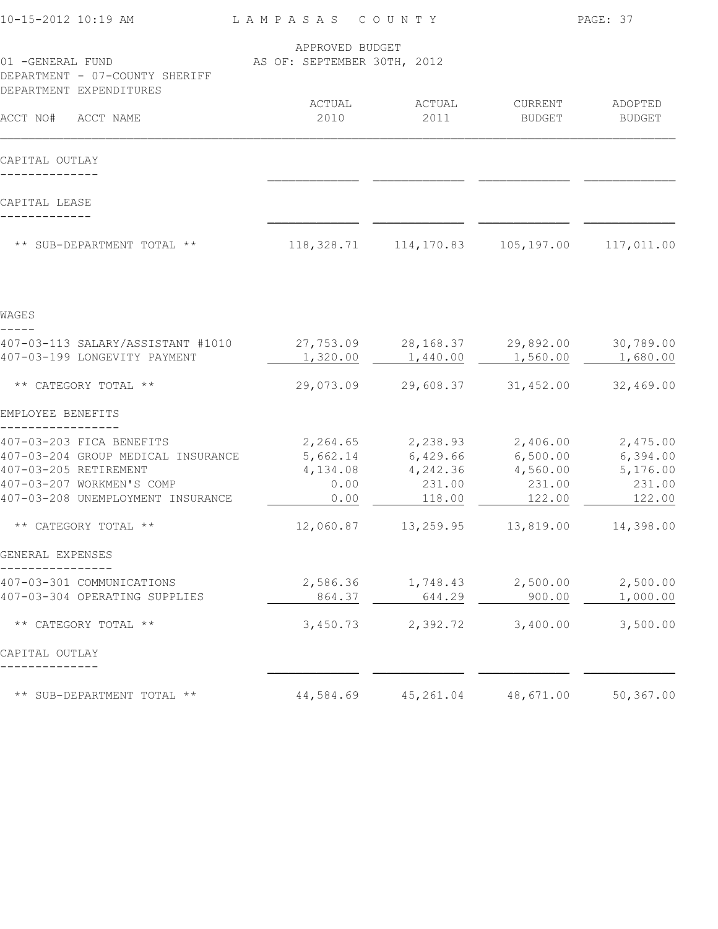| 10-15-2012 10:19 AM                                               | LAMPASAS COUNTY                                |                                                       |           | PAGE: 37              |
|-------------------------------------------------------------------|------------------------------------------------|-------------------------------------------------------|-----------|-----------------------|
| 01 -GENERAL FUND<br>DEPARTMENT - 07-COUNTY SHERIFF                | APPROVED BUDGET<br>AS OF: SEPTEMBER 30TH, 2012 |                                                       |           |                       |
| DEPARTMENT EXPENDITURES                                           | ACTUAL                                         | ACTUAL                                                | CURRENT   | ADOPTED               |
| ACCT NO# ACCT NAME                                                | 2010                                           | 2011                                                  | BUDGET    | <b>BUDGET</b>         |
| CAPITAL OUTLAY                                                    |                                                |                                                       |           |                       |
|                                                                   |                                                |                                                       |           |                       |
| CAPITAL LEASE                                                     |                                                |                                                       |           |                       |
| ** SUB-DEPARTMENT TOTAL **                                        |                                                | 118, 328.71   114, 170.83   105, 197.00   117, 011.00 |           |                       |
|                                                                   |                                                |                                                       |           |                       |
| WAGES                                                             |                                                |                                                       |           |                       |
| 407-03-113 SALARY/ASSISTANT #1010<br>407-03-199 LONGEVITY PAYMENT | 1,320.00                                       | 27,753.09 28,168.37 29,892.00<br>1,440.00             | 1,560.00  | 30,789.00<br>1,680.00 |
| ** CATEGORY TOTAL **                                              | 29,073.09                                      | 29,608.37                                             | 31,452.00 | 32,469.00             |
| EMPLOYEE BENEFITS                                                 |                                                |                                                       |           |                       |
| 407-03-203 FICA BENEFITS                                          |                                                | 2,264.65 2,238.93 2,406.00                            |           | 2,475.00              |
| 407-03-204 GROUP MEDICAL INSURANCE                                | 5,662.14                                       | $6,429.66$ $6,500.00$                                 |           | 6,394.00              |
| 407-03-205 RETIREMENT                                             | 4,134.08                                       | 4,242.36                                              | 4,560.00  | 5,176.00              |
| 407-03-207 WORKMEN'S COMP                                         | 0.00                                           | 231.00                                                | 231.00    | 231.00                |
| 407-03-208 UNEMPLOYMENT INSURANCE                                 | 0.00                                           | 118.00                                                | 122.00    | 122.00                |
| ** CATEGORY TOTAL **                                              | 12,060.87                                      | 13,259.95                                             | 13,819.00 | 14,398.00             |
| GENERAL EXPENSES                                                  |                                                |                                                       |           |                       |
| 407-03-301 COMMUNICATIONS                                         | 2,586.36                                       | 1,748.43                                              | 2,500.00  | 2,500.00              |
| 407-03-304 OPERATING SUPPLIES                                     | 864.37                                         | 644.29                                                | 900.00    | 1,000.00              |
| ** CATEGORY TOTAL **                                              | 3,450.73                                       | 2,392.72                                              | 3,400.00  | 3,500.00              |
| CAPITAL OUTLAY                                                    |                                                |                                                       |           |                       |
| ** SUB-DEPARTMENT TOTAL **                                        | 44,584.69                                      | 45,261.04                                             | 48,671.00 | 50,367.00             |
|                                                                   |                                                |                                                       |           |                       |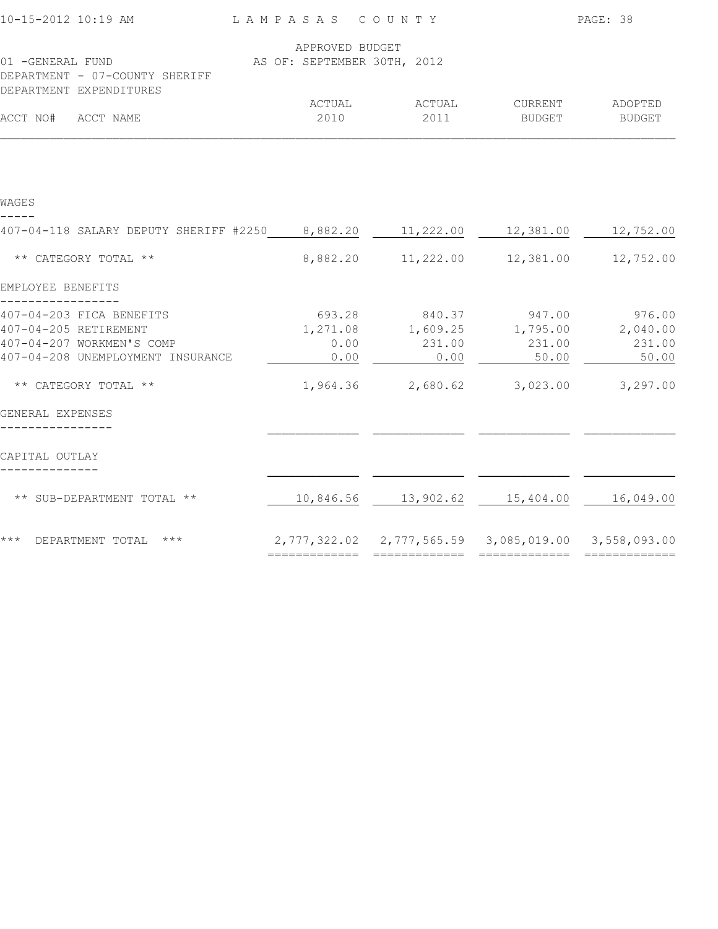| 10-15-2012 10:19 AM                                                           | LAMPASAS COUNTY                                |                                                        |                   | PAGE: 38          |
|-------------------------------------------------------------------------------|------------------------------------------------|--------------------------------------------------------|-------------------|-------------------|
| 01 -GENERAL FUND<br>DEPARTMENT - 07-COUNTY SHERIFF                            | APPROVED BUDGET<br>AS OF: SEPTEMBER 30TH, 2012 |                                                        |                   |                   |
| DEPARTMENT EXPENDITURES                                                       |                                                |                                                        |                   |                   |
| ACCT NO#<br>ACCT NAME                                                         | ACTUAL<br>2010                                 | ACTUAL<br>2011                                         | CURRENT<br>BUDGET | ADOPTED<br>BUDGET |
|                                                                               |                                                |                                                        |                   |                   |
| WAGES                                                                         |                                                |                                                        |                   |                   |
| 407-04-118 SALARY DEPUTY SHERIFF #2250 8,882.20 11,222.00 12,381.00 12,752.00 |                                                |                                                        |                   |                   |
| ** CATEGORY TOTAL **                                                          | 8,882.20                                       | 11,222.00                                              | 12,381.00         | 12,752.00         |
| EMPLOYEE BENEFITS                                                             |                                                |                                                        |                   |                   |
| 407-04-203 FICA BENEFITS                                                      | 693.28                                         | 840.37                                                 | 947.00            | 976.00            |
| 407-04-205 RETIREMENT                                                         | 1,271.08                                       | 1,609.25                                               | 1,795.00          | 2,040.00          |
| 407-04-207 WORKMEN'S COMP<br>407-04-208 UNEMPLOYMENT INSURANCE                | 0.00<br>0.00                                   | 231.00<br>0.00                                         | 231.00<br>50.00   | 231.00<br>50.00   |
| ** CATEGORY TOTAL **                                                          |                                                | 1,964.36 2,680.62                                      | 3,023.00          | 3,297.00          |
| GENERAL EXPENSES                                                              |                                                |                                                        |                   |                   |
| CAPITAL OUTLAY                                                                |                                                |                                                        |                   |                   |
| ** SUB-DEPARTMENT TOTAL **                                                    | 10,846.56                                      | 13,902.62                                              | 15,404.00         | 16,049.00         |
| *** DEPARTMENT TOTAL ***                                                      |                                                | 2,777,322.02  2,777,565.59  3,085,019.00  3,558,093.00 |                   |                   |
|                                                                               |                                                |                                                        |                   | =============     |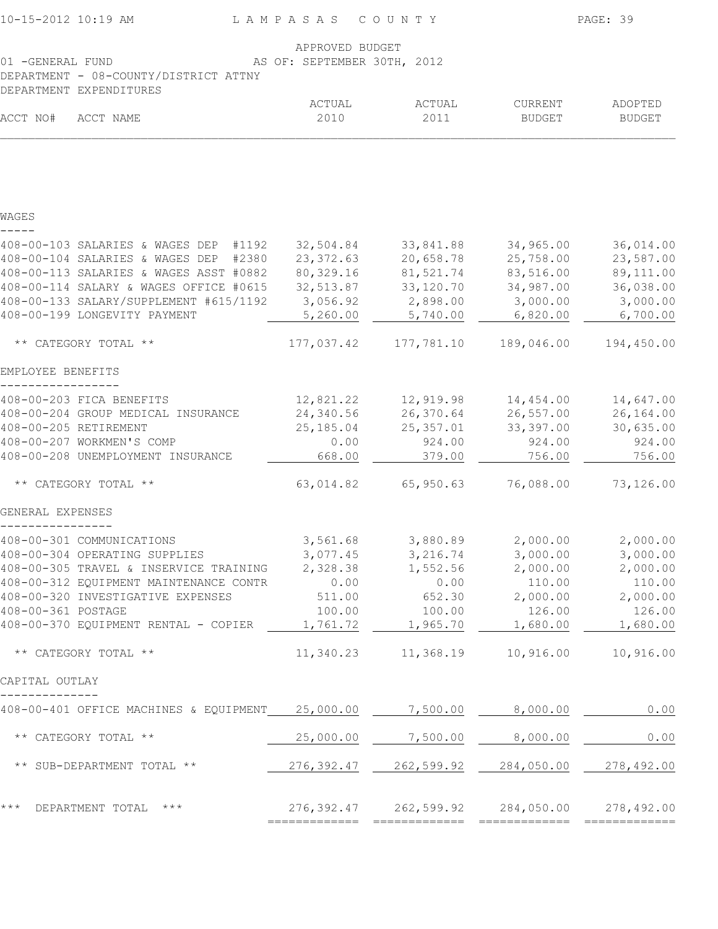| 10-15-2012 10:19 AM                                                                                                                    | LAMPASAS COUNTY        |                        |                          | PAGE: 39                 |  |  |
|----------------------------------------------------------------------------------------------------------------------------------------|------------------------|------------------------|--------------------------|--------------------------|--|--|
| APPROVED BUDGET<br>01 -GENERAL FUND<br>AS OF: SEPTEMBER 30TH, 2012<br>DEPARTMENT - 08-COUNTY/DISTRICT ATTNY<br>DEPARTMENT EXPENDITURES |                        |                        |                          |                          |  |  |
| ACCT NO#<br>ACCT NAME                                                                                                                  | ACTUAL<br>2010         | ACTUAL<br>2011         | CURRENT<br><b>BUDGET</b> | ADOPTED<br><b>BUDGET</b> |  |  |
|                                                                                                                                        |                        |                        |                          |                          |  |  |
| WAGES                                                                                                                                  |                        |                        |                          |                          |  |  |
| 408-00-103 SALARIES & WAGES DEP #1192                                                                                                  | 32,504.84              | 33,841.88              | 34,965.00                | 36,014.00                |  |  |
| 408-00-104 SALARIES & WAGES DEP #2380                                                                                                  | 23, 372.63             | 20,658.78              | 25,758.00                | 23,587.00                |  |  |
| 408-00-113 SALARIES & WAGES ASST #0882<br>408-00-114 SALARY & WAGES OFFICE #0615                                                       | 80,329.16<br>32,513.87 | 81,521.74<br>33,120.70 | 83,516.00<br>34,987.00   | 89,111.00<br>36,038.00   |  |  |
| 408-00-133 SALARY/SUPPLEMENT #615/1192                                                                                                 | 3,056.92               | 2,898.00               | 3,000.00                 | 3,000.00                 |  |  |
| 408-00-199 LONGEVITY PAYMENT                                                                                                           | 5,260.00               | 5,740.00               | 6,820.00                 | 6,700.00                 |  |  |
| ** CATEGORY TOTAL **                                                                                                                   | 177,037.42             | 177,781.10             | 189,046.00               | 194,450.00               |  |  |
| EMPLOYEE BENEFITS                                                                                                                      |                        |                        |                          |                          |  |  |
| 408-00-203 FICA BENEFITS                                                                                                               | 12,821.22              | 12,919.98              | 14,454.00                | 14,647.00                |  |  |
| 408-00-204 GROUP MEDICAL INSURANCE                                                                                                     | 24,340.56              | 26,370.64              | 26,557.00                | 26,164.00                |  |  |
| 408-00-205 RETIREMENT                                                                                                                  | 25, 185.04             | 25, 357.01             | 33, 397.00               | 30,635.00                |  |  |
| 408-00-207 WORKMEN'S COMP                                                                                                              | 0.00                   | 924.00                 | 924.00                   | 924.00                   |  |  |
| 408-00-208 UNEMPLOYMENT INSURANCE                                                                                                      | 668.00                 | 379.00                 | 756.00                   | 756.00                   |  |  |
| ** CATEGORY TOTAL **                                                                                                                   | 63,014.82              | 65,950.63              | 76,088.00                | 73,126.00                |  |  |
| GENERAL EXPENSES                                                                                                                       |                        |                        |                          |                          |  |  |
| 408-00-301 COMMUNICATIONS                                                                                                              | 3,561.68               | 3,880.89               | 2,000.00                 | 2,000.00                 |  |  |
| 408-00-304 OPERATING SUPPLIES                                                                                                          | 3,077.45               | 3,216.74               | 3,000.00                 | 3,000.00                 |  |  |
| 408-00-305 TRAVEL & INSERVICE TRAINING                                                                                                 | 2,328.38               | 1,552.56               | 2,000.00                 | 2,000.00                 |  |  |
| 408-00-312 EQUIPMENT MAINTENANCE CONTR<br>408-00-320 INVESTIGATIVE EXPENSES                                                            | 0.00<br>511.00         | 0.00<br>652.30         | 110.00<br>2,000.00       | 110.00<br>2,000.00       |  |  |
| 408-00-361 POSTAGE                                                                                                                     | 100.00                 | 100.00                 | 126.00                   | 126.00                   |  |  |
| 408-00-370 EQUIPMENT RENTAL - COPIER                                                                                                   | 1,761.72               | 1,965.70               | 1,680.00                 | 1,680.00                 |  |  |
| ** CATEGORY TOTAL **                                                                                                                   | 11,340.23              | 11,368.19              | 10,916.00                | 10,916.00                |  |  |
| CAPITAL OUTLAY                                                                                                                         |                        |                        |                          |                          |  |  |
| 408-00-401 OFFICE MACHINES & EQUIPMENT                                                                                                 | 25,000.00              | 7,500.00               | 8,000.00                 | 0.00                     |  |  |
| ** CATEGORY TOTAL **                                                                                                                   | 25,000.00              | 7,500.00               | 8,000.00                 | 0.00                     |  |  |
| ** SUB-DEPARTMENT TOTAL **                                                                                                             | 276,392.47             | 262,599.92             | 284,050.00               | 278,492.00               |  |  |
| $***$<br>$\star\star\star$<br>DEPARTMENT TOTAL                                                                                         | 276,392.47             | 262,599.92             | 284,050.00               | 278,492.00               |  |  |
|                                                                                                                                        | =============          |                        |                          |                          |  |  |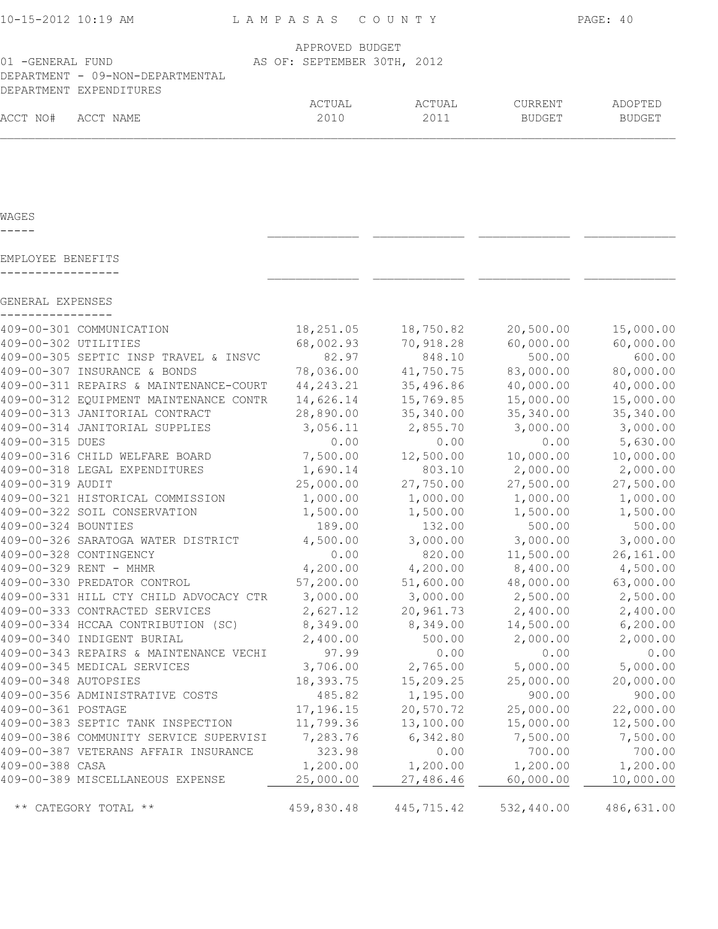| 10-15-2012 10:19 AM              | LAMPASAS COUNTY             |        |               | PAGE: 40 |
|----------------------------------|-----------------------------|--------|---------------|----------|
|                                  | APPROVED BUDGET             |        |               |          |
| 01 -GENERAL FUND                 | AS OF: SEPTEMBER 30TH, 2012 |        |               |          |
| DEPARTMENT - 09-NON-DEPARTMENTAL |                             |        |               |          |
| DEPARTMENT EXPENDITURES          |                             |        |               |          |
|                                  | ACTUAL                      | ACTUAL | CURRENT       | ADOPTED  |
| ACCT NO#<br>ACCT NAME            | 2010                        | 2011   | <b>BUDGET</b> | BUDGET   |
|                                  |                             |        |               |          |

WAGES

| EMPLOYEE BENEFITS                      |             |            |            |            |
|----------------------------------------|-------------|------------|------------|------------|
| GENERAL EXPENSES                       |             |            |            |            |
| 409-00-301 COMMUNICATION               | 18,251.05   | 18,750.82  | 20,500.00  | 15,000.00  |
| 409-00-302 UTILITIES                   | 68,002.93   | 70,918.28  | 60,000.00  | 60,000.00  |
| 409-00-305 SEPTIC INSP TRAVEL & INSVC  | 82.97       | 848.10     | 500.00     | 600.00     |
| 409-00-307 INSURANCE & BONDS           | 78,036.00   | 41,750.75  | 83,000.00  | 80,000.00  |
| 409-00-311 REPAIRS & MAINTENANCE-COURT | 44, 243. 21 | 35,496.86  | 40,000.00  | 40,000.00  |
| 409-00-312 EQUIPMENT MAINTENANCE CONTR | 14,626.14   | 15,769.85  | 15,000.00  | 15,000.00  |
| 409-00-313 JANITORIAL CONTRACT         | 28,890.00   | 35,340.00  | 35,340.00  | 35,340.00  |
| 409-00-314 JANITORIAL SUPPLIES         | 3,056.11    | 2,855.70   | 3,000.00   | 3,000.00   |
| 409-00-315 DUES                        | 0.00        | 0.00       | 0.00       | 5,630.00   |
| 409-00-316 CHILD WELFARE BOARD         | 7,500.00    | 12,500.00  | 10,000.00  | 10,000.00  |
| 409-00-318 LEGAL EXPENDITURES          | 1,690.14    | 803.10     | 2,000.00   | 2,000.00   |
| 409-00-319 AUDIT                       | 25,000.00   | 27,750.00  | 27,500.00  | 27,500.00  |
| 409-00-321 HISTORICAL COMMISSION       | 1,000.00    | 1,000.00   | 1,000.00   | 1,000.00   |
| 409-00-322 SOIL CONSERVATION           | 1,500.00    | 1,500.00   | 1,500.00   | 1,500.00   |
| 409-00-324 BOUNTIES                    | 189.00      | 132.00     | 500.00     | 500.00     |
| 409-00-326 SARATOGA WATER DISTRICT     | 4,500.00    | 3,000.00   | 3,000.00   | 3,000.00   |
| 409-00-328 CONTINGENCY                 | 0.00        | 820.00     | 11,500.00  | 26,161.00  |
| 409-00-329 RENT - MHMR                 | 4,200.00    | 4,200.00   | 8,400.00   | 4,500.00   |
| 409-00-330 PREDATOR CONTROL            | 57,200.00   | 51,600.00  | 48,000.00  | 63,000.00  |
| 409-00-331 HILL CTY CHILD ADVOCACY CTR | 3,000.00    | 3,000.00   | 2,500.00   | 2,500.00   |
| 409-00-333 CONTRACTED SERVICES         | 2,627.12    | 20,961.73  | 2,400.00   | 2,400.00   |
| 409-00-334 HCCAA CONTRIBUTION (SC)     | 8,349.00    | 8,349.00   | 14,500.00  | 6, 200.00  |
| 409-00-340 INDIGENT BURIAL             | 2,400.00    | 500.00     | 2,000.00   | 2,000.00   |
| 409-00-343 REPAIRS & MAINTENANCE VECHI | 97.99       | 0.00       | 0.00       | 0.00       |
| 409-00-345 MEDICAL SERVICES            | 3,706.00    | 2,765.00   | 5,000.00   | 5,000.00   |
| 409-00-348 AUTOPSIES                   | 18,393.75   | 15,209.25  | 25,000.00  | 20,000.00  |
| 409-00-356 ADMINISTRATIVE COSTS        | 485.82      | 1,195.00   | 900.00     | 900.00     |
| 409-00-361 POSTAGE                     | 17,196.15   | 20,570.72  | 25,000.00  | 22,000.00  |
| 409-00-383 SEPTIC TANK INSPECTION      | 11,799.36   | 13,100.00  | 15,000.00  | 12,500.00  |
| 409-00-386 COMMUNITY SERVICE SUPERVISI | 7,283.76    | 6,342.80   | 7,500.00   | 7,500.00   |
| 409-00-387 VETERANS AFFAIR INSURANCE   | 323.98      | 0.00       | 700.00     | 700.00     |
| 409-00-388 CASA                        | 1,200.00    | 1,200.00   | 1,200.00   | 1,200.00   |
| 409-00-389 MISCELLANEOUS EXPENSE       | 25,000.00   | 27,486.46  | 60,000.00  | 10,000.00  |
| ** CATEGORY TOTAL **                   | 459,830.48  | 445,715.42 | 532,440.00 | 486,631.00 |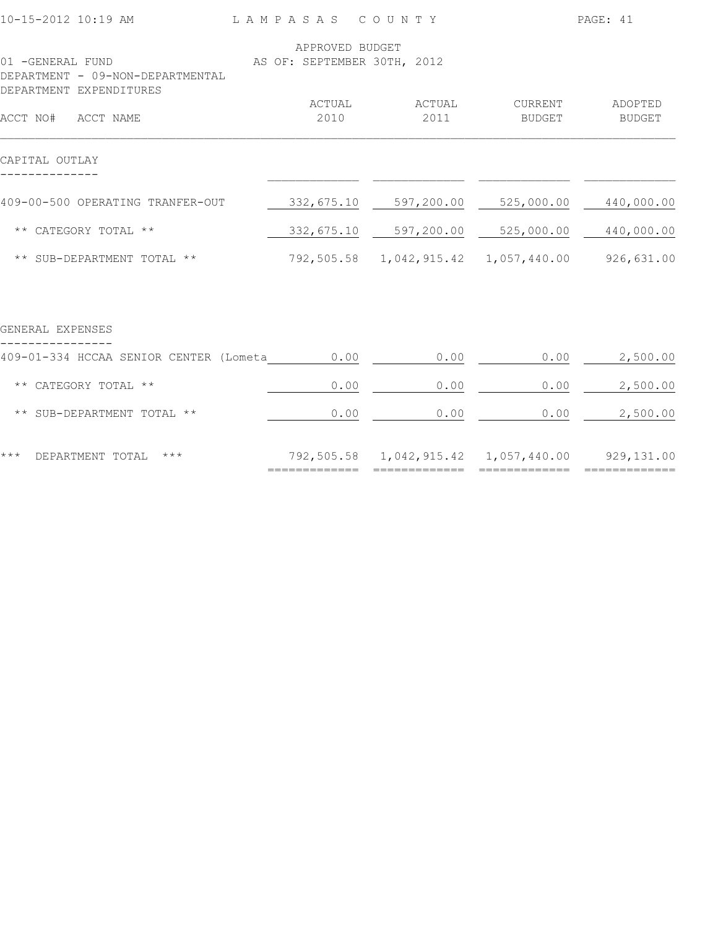| 10-15-2012 10:19 AM                                                             | LAMPASAS COUNTY             |                |                                                    | PAGE: 41          |
|---------------------------------------------------------------------------------|-----------------------------|----------------|----------------------------------------------------|-------------------|
|                                                                                 | APPROVED BUDGET             |                |                                                    |                   |
| 01 -GENERAL FUND<br>DEPARTMENT - 09-NON-DEPARTMENTAL<br>DEPARTMENT EXPENDITURES | AS OF: SEPTEMBER 30TH, 2012 |                |                                                    |                   |
| ACCT NO# ACCT NAME                                                              | ACTUAL<br>2010              | ACTUAL<br>2011 | CURRENT<br>BUDGET                                  | ADOPTED<br>BUDGET |
| CAPITAL OUTLAY                                                                  |                             |                |                                                    |                   |
| 409-00-500 OPERATING TRANFER-OUT                                                |                             |                | 332,675.10 597,200.00 525,000.00                   | 440,000.00        |
| ** CATEGORY TOTAL **                                                            |                             |                | 332,675.10 597,200.00 525,000.00                   | 440,000.00        |
| ** SUB-DEPARTMENT TOTAL **                                                      |                             |                | 792,505.58  1,042,915.42  1,057,440.00  926,631.00 |                   |
| GENERAL EXPENSES                                                                |                             |                |                                                    |                   |
| 409-01-334 HCCAA SENIOR CENTER (Lometa                                          | 0.00                        | 0.00           | 0.00                                               | 2,500.00          |
| ** CATEGORY TOTAL **                                                            | 0.00                        | 0.00           | 0.00                                               | 2,500.00          |
| ** SUB-DEPARTMENT TOTAL **                                                      | 0.00                        | 0.00           | 0.00                                               | 2,500.00          |
|                                                                                 |                             |                |                                                    |                   |

\*\*\* DEPARTMENT TOTAL \*\*\* 792,505.58 1,042,915.42 1,057,440.00 929,131.00

============= ============= ============= =============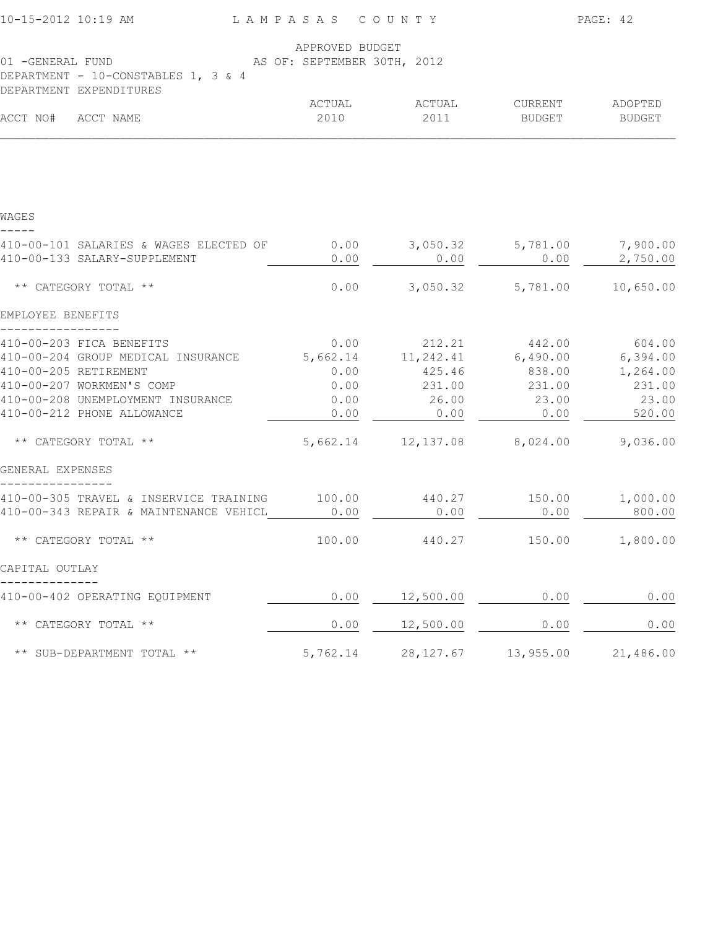| 10-15-2012 10:19 AM                    | LAMPASAS COUNTY             |                                      |                            | PAGE: 42        |
|----------------------------------------|-----------------------------|--------------------------------------|----------------------------|-----------------|
|                                        | APPROVED BUDGET             |                                      |                            |                 |
| 01 - GENERAL FUND                      | AS OF: SEPTEMBER 30TH, 2012 |                                      |                            |                 |
| DEPARTMENT - 10-CONSTABLES 1, 3 & 4    |                             |                                      |                            |                 |
| DEPARTMENT EXPENDITURES                |                             |                                      |                            |                 |
|                                        | ACTUAL                      | ACTUAL                               | CURRENT                    | ADOPTED         |
| ACCT NO# ACCT NAME                     | 2010                        | 2011                                 | BUDGET                     | BUDGET          |
|                                        |                             |                                      |                            |                 |
| WAGES                                  |                             |                                      |                            |                 |
| 410-00-101 SALARIES & WAGES ELECTED OF | 0.00                        |                                      | 3,050.32 5,781.00 7,900.00 |                 |
| 410-00-133 SALARY-SUPPLEMENT           | 0.00                        | 0.00                                 | 0.00                       | 2,750.00        |
| ** CATEGORY TOTAL **                   | 0.00                        |                                      | 3,050.32 5,781.00          | 10,650.00       |
| EMPLOYEE BENEFITS                      |                             |                                      |                            |                 |
| 410-00-203 FICA BENEFITS               |                             | $0.00$ 212.21 442.00 604.00          |                            |                 |
| 410-00-204 GROUP MEDICAL INSURANCE     |                             | 5,662.14 11,242.41 6,490.00 6,394.00 |                            |                 |
| 410-00-205 RETIREMENT                  | 0.00                        | 425.46                               | 838.00                     | 1,264.00        |
| 410-00-207 WORKMEN'S COMP              | 0.00                        | 231.00                               | 231.00                     | 231.00          |
| 410-00-208 UNEMPLOYMENT INSURANCE      | 0.00                        | 26.00                                | 23.00                      | 23.00           |
| 410-00-212 PHONE ALLOWANCE             | 0.00                        | 0.00                                 | 0.00                       | 520.00          |
| ** CATEGORY TOTAL **                   |                             | 5,662.14 12,137.08 8,024.00          |                            | 9,036.00        |
| GENERAL EXPENSES                       |                             |                                      |                            |                 |
| 410-00-305 TRAVEL & INSERVICE TRAINING | 100.00                      | 440.27                               |                            | 150.00 1,000.00 |
| 410-00-343 REPAIR & MAINTENANCE VEHICL | 0.00                        | 0.00                                 | 0.00                       | 800.00          |
| ** CATEGORY TOTAL **                   | 100.00                      | 440.27                               | 150.00                     | 1,800.00        |
| CAPITAL OUTLAY                         |                             |                                      |                            |                 |
| 410-00-402 OPERATING EQUIPMENT         |                             | $0.00$ $12,500.00$                   | 0.00                       | 0.00            |
| ** CATEGORY TOTAL **                   | 0.00                        | 12,500.00                            | 0.00                       | 0.00            |
| ** SUB-DEPARTMENT TOTAL **             | 5,762.14                    | 28, 127.67                           | 13,955.00                  | 21,486.00       |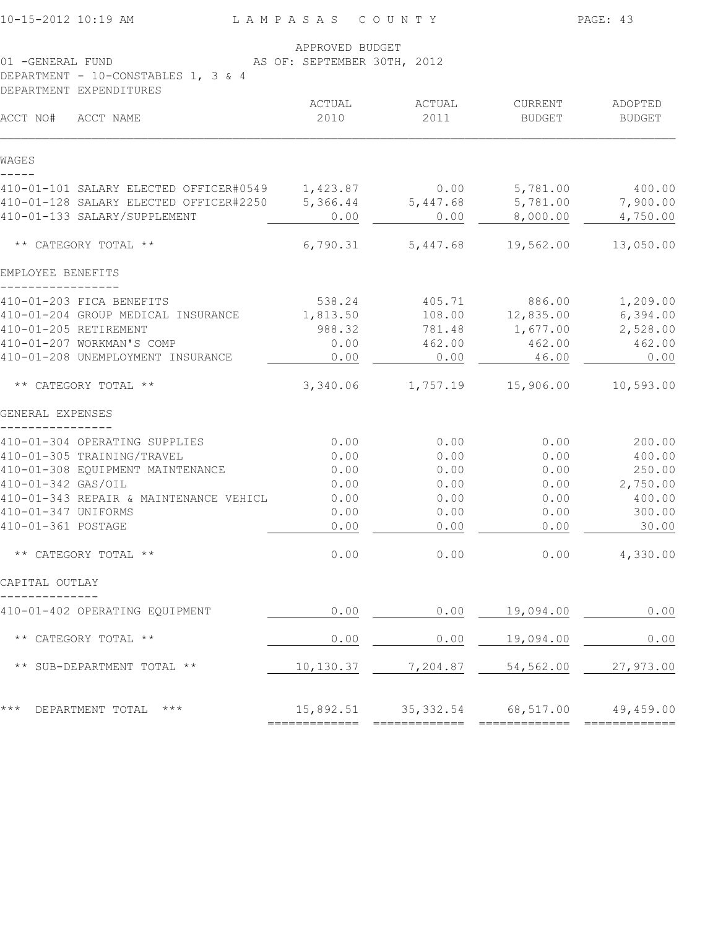|                                        | APPROVED BUDGET             |                                         |               |               |
|----------------------------------------|-----------------------------|-----------------------------------------|---------------|---------------|
| 01 -GENERAL FUND                       | AS OF: SEPTEMBER 30TH, 2012 |                                         |               |               |
| DEPARTMENT - 10-CONSTABLES 1, 3 & 4    |                             |                                         |               |               |
| DEPARTMENT EXPENDITURES                |                             |                                         |               |               |
|                                        | ACTUAL                      | ACTUAL                                  | CURRENT       | ADOPTED       |
| ACCT NO#<br>ACCT NAME                  | 2010                        | 2011                                    | <b>BUDGET</b> | <b>BUDGET</b> |
| WAGES                                  |                             |                                         |               |               |
| 410-01-101 SALARY ELECTED OFFICER#0549 | 1,423.87                    | 0.00                                    | 5,781.00      | 400.00        |
| 410-01-128 SALARY ELECTED OFFICER#2250 | 5,366.44                    | 5,447.68                                | 5,781.00      | 7,900.00      |
| 410-01-133 SALARY/SUPPLEMENT           | 0.00                        | 0.00                                    | 8,000.00      | 4,750.00      |
| ** CATEGORY TOTAL **                   | 6,790.31                    | 5,447.68                                | 19,562.00     | 13,050.00     |
| EMPLOYEE BENEFITS                      |                             |                                         |               |               |
| 410-01-203 FICA BENEFITS               | 538.24                      | 405.71                                  | 886.00        | 1,209.00      |
| 410-01-204 GROUP MEDICAL INSURANCE     | 1,813.50                    | 108.00                                  | 12,835.00     | 6,394.00      |
| 410-01-205 RETIREMENT                  | 988.32                      | 781.48                                  | 1,677.00      | 2,528.00      |
| 410-01-207 WORKMAN'S COMP              | 0.00                        | 462.00                                  | 462.00        | 462.00        |
| 410-01-208 UNEMPLOYMENT INSURANCE      | 0.00                        | 0.00                                    | 46.00         | 0.00          |
| ** CATEGORY TOTAL **                   | 3,340.06                    | 1,757.19                                | 15,906.00     | 10,593.00     |
| GENERAL EXPENSES                       |                             |                                         |               |               |
| 410-01-304 OPERATING SUPPLIES          | 0.00                        | 0.00                                    | 0.00          | 200.00        |
| 410-01-305 TRAINING/TRAVEL             | 0.00                        | 0.00                                    | 0.00          | 400.00        |
| 410-01-308 EQUIPMENT MAINTENANCE       | 0.00                        | 0.00                                    | 0.00          | 250.00        |
| 410-01-342 GAS/OIL                     | 0.00                        | 0.00                                    | 0.00          | 2,750.00      |
| 410-01-343 REPAIR & MAINTENANCE VEHICL | 0.00                        | 0.00                                    | 0.00          | 400.00        |
| 410-01-347 UNIFORMS                    | 0.00                        | 0.00                                    | 0.00          | 300.00        |
| 410-01-361 POSTAGE                     | 0.00                        | 0.00                                    | 0.00          | 30.00         |
| ** CATEGORY TOTAL **                   | 0.00                        | 0.00                                    | 0.00          | 4,330.00      |
| CAPITAL OUTLAY                         |                             |                                         |               |               |
| 410-01-402 OPERATING EQUIPMENT         | 0.00                        | 0.00                                    | 19,094.00     | 0.00          |
| ** CATEGORY TOTAL **                   | 0.00                        | 0.00                                    | 19,094.00     | 0.00          |
| ** SUB-DEPARTMENT TOTAL **             | 10,130.37                   | 7,204.87                                | 54,562.00     | 27,973.00     |
| $***$<br>DEPARTMENT TOTAL ***          |                             | 15,892.51 35,332.54 68,517.00 49,459.00 |               |               |
|                                        |                             |                                         |               |               |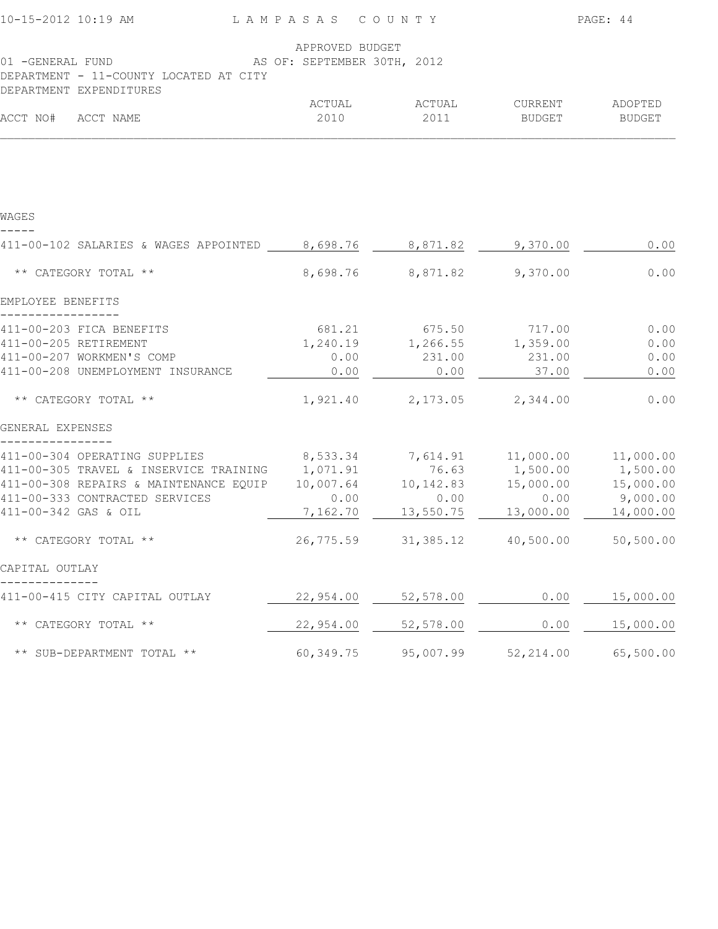| 10-15-2012 10:19 AM                             | LAMPASAS COUNTY |                |                     | PAGE: 44                 |
|-------------------------------------------------|-----------------|----------------|---------------------|--------------------------|
|                                                 | APPROVED BUDGET |                |                     |                          |
| AS OF: SEPTEMBER 30TH, 2012<br>01 -GENERAL FUND |                 |                |                     |                          |
| DEPARTMENT - 11-COUNTY LOCATED AT CITY          |                 |                |                     |                          |
| DEPARTMENT EXPENDITURES                         |                 |                |                     |                          |
| ACCT NO#<br>ACCT NAME                           | ACTUAL<br>2010  | ACTUAL<br>2011 | CURRENT<br>BUDGET   | ADOPTED<br><b>BUDGET</b> |
|                                                 |                 |                |                     |                          |
| WAGES                                           |                 |                |                     |                          |
|                                                 |                 |                |                     |                          |
| 411-00-102 SALARIES & WAGES APPOINTED 8,698.76  |                 | 8,871.82       | 9,370.00            | 0.00                     |
| ** CATEGORY TOTAL **                            | 8,698.76        | 8,871.82       | 9,370.00            | 0.00                     |
| EMPLOYEE BENEFITS                               |                 |                |                     |                          |
| 411-00-203 FICA BENEFITS                        | 681.21          | 675.50 717.00  |                     | 0.00                     |
| 411-00-205 RETIREMENT                           | 1,240.19        | 1,266.55       | 1,359.00            | 0.00                     |
| 411-00-207 WORKMEN'S COMP                       | 0.00            | 231.00         | 231.00              | 0.00                     |
| 411-00-208 UNEMPLOYMENT INSURANCE               | 0.00            | 0.00           | 37.00               | 0.00                     |
| ** CATEGORY TOTAL **                            | 1,921.40        | 2,173.05       | 2,344.00            | 0.00                     |
| GENERAL EXPENSES                                |                 |                |                     |                          |
| 411-00-304 OPERATING SUPPLIES                   | 8,533.34        | 7,614.91       | 11,000.00 11,000.00 |                          |
| 411-00-305 TRAVEL & INSERVICE TRAINING          | 1,071.91        | 76.63          | 1,500.00            | 1,500.00                 |
| 411-00-308 REPAIRS & MAINTENANCE EQUIP          | 10,007.64       | 10, 142.83     | 15,000.00           | 15,000.00                |
| 411-00-333 CONTRACTED SERVICES                  | 0.00            | 0.00           | 0.00                | 9,000.00                 |
| 411-00-342 GAS & OIL                            | 7,162.70        | 13,550.75      | 13,000.00           | 14,000.00                |
| ** CATEGORY TOTAL **                            | 26,775.59       | 31,385.12      | 40,500.00           | 50,500.00                |
| CAPITAL OUTLAY                                  |                 |                |                     |                          |
| 411-00-415 CITY CAPITAL OUTLAY                  | 22,954.00       | 52,578.00      | 0.00                | 15,000.00                |
| ** CATEGORY TOTAL **                            | 22,954.00       | 52,578.00      | 0.00                | 15,000.00                |
| ** SUB-DEPARTMENT TOTAL **                      | 60,349.75       | 95,007.99      | 52, 214.00          | 65,500.00                |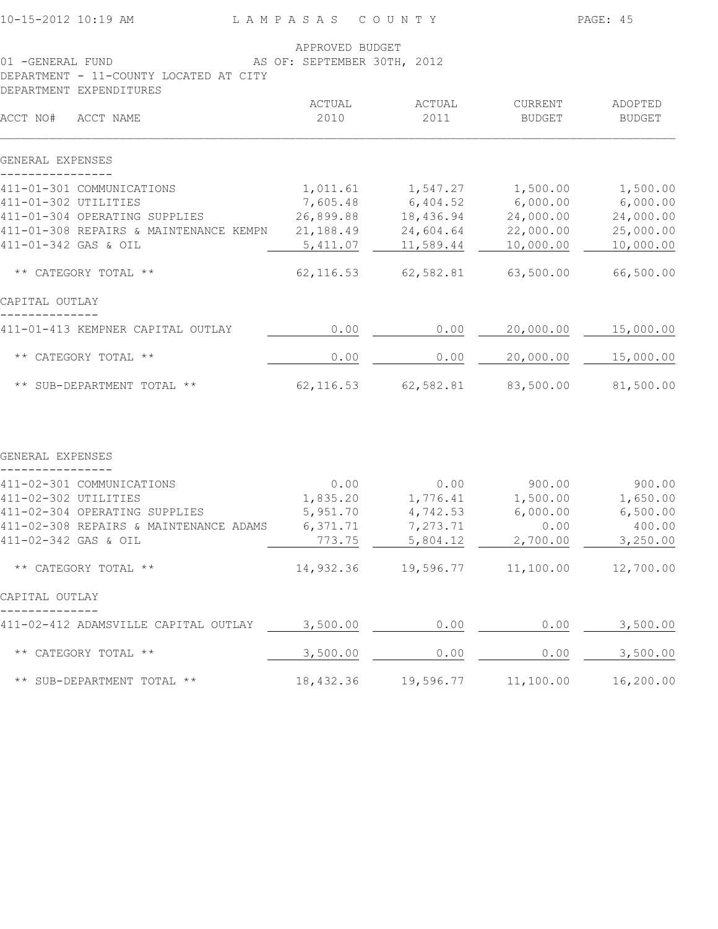| APPROVED BUDGET<br>AS OF: SEPTEMBER 30TH, 2012<br>01 -GENERAL FUND<br>DEPARTMENT - 11-COUNTY LOCATED AT CITY |            |           |               |               |  |
|--------------------------------------------------------------------------------------------------------------|------------|-----------|---------------|---------------|--|
| DEPARTMENT EXPENDITURES                                                                                      | ACTUAL     | ACTUAL    | CURRENT       | ADOPTED       |  |
| ACCT NO#<br>ACCT NAME                                                                                        | 2010       | 2011      | <b>BUDGET</b> | <b>BUDGET</b> |  |
| GENERAL EXPENSES                                                                                             |            |           |               |               |  |
| 411-01-301 COMMUNICATIONS                                                                                    | 1,011.61   | 1,547.27  | 1,500.00      | 1,500.00      |  |
| 411-01-302 UTILITIES                                                                                         | 7,605.48   | 6,404.52  | 6,000.00      | 6,000.00      |  |
| 411-01-304 OPERATING SUPPLIES                                                                                | 26,899.88  | 18,436.94 | 24,000.00     | 24,000.00     |  |
| 411-01-308 REPAIRS & MAINTENANCE KEMPN                                                                       | 21,188.49  | 24,604.64 | 22,000.00     | 25,000.00     |  |
| 411-01-342 GAS & OIL                                                                                         | 5,411.07   | 11,589.44 | 10,000.00     | 10,000.00     |  |
| ** CATEGORY TOTAL **                                                                                         | 62, 116.53 | 62,582.81 | 63,500.00     | 66,500.00     |  |
| CAPITAL OUTLAY                                                                                               |            |           |               |               |  |
| 411-01-413 KEMPNER CAPITAL OUTLAY                                                                            | 0.00       | 0.00      | 20,000.00     | 15,000.00     |  |
| ** CATEGORY TOTAL **                                                                                         | 0.00       | 0.00      | 20,000.00     | 15,000.00     |  |
| ** SUB-DEPARTMENT TOTAL **                                                                                   | 62, 116.53 | 62,582.81 | 83,500.00     | 81,500.00     |  |
| GENERAL EXPENSES                                                                                             |            |           |               |               |  |
| 411-02-301 COMMUNICATIONS                                                                                    | 0.00       | 0.00      | 900.00        | 900.00        |  |
| 411-02-302 UTILITIES                                                                                         | 1,835.20   | 1,776.41  | 1,500.00      | 1,650.00      |  |
| 411-02-304 OPERATING SUPPLIES                                                                                | 5,951.70   | 4,742.53  | 6,000.00      | 6,500.00      |  |
| 411-02-308 REPAIRS & MAINTENANCE ADAMS                                                                       | 6,371.71   | 7,273.71  | 0.00          | 400.00        |  |
| 411-02-342 GAS & OIL                                                                                         | 773.75     | 5,804.12  | 2,700.00      | 3,250.00      |  |
| ** CATEGORY TOTAL **                                                                                         | 14,932.36  | 19,596.77 | 11,100.00     | 12,700.00     |  |
| CAPITAL OUTLAY                                                                                               |            |           |               |               |  |
| 411-02-412 ADAMSVILLE CAPITAL OUTLAY                                                                         | 3,500.00   | 0.00      | 0.00          | 3,500.00      |  |
| ** CATEGORY TOTAL **                                                                                         | 3,500.00   | 0.00      | 0.00          | 3,500.00      |  |
| ** SUB-DEPARTMENT TOTAL **                                                                                   | 18,432.36  | 19,596.77 | 11,100.00     | 16,200.00     |  |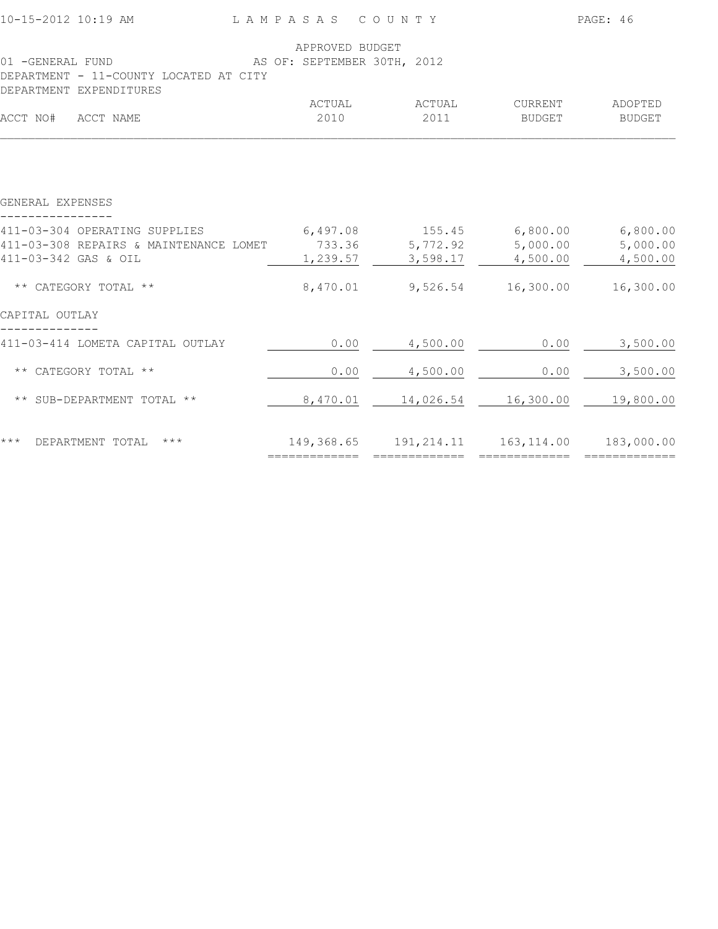| 10-15-2012 10:19 AM                                               | LAMPASAS COUNTY                                |                                             |         | PAGE: 46  |
|-------------------------------------------------------------------|------------------------------------------------|---------------------------------------------|---------|-----------|
| 01 -GENERAL FUND                                                  | APPROVED BUDGET<br>AS OF: SEPTEMBER 30TH, 2012 |                                             |         |           |
| DEPARTMENT - 11-COUNTY LOCATED AT CITY<br>DEPARTMENT EXPENDITURES |                                                |                                             |         |           |
|                                                                   | ACTUAL                                         | ACTUAL                                      | CURRENT | ADOPTED   |
| ACCT NO# ACCT NAME                                                | 2010                                           | 2011                                        | BUDGET  | BUDGET    |
|                                                                   |                                                |                                             |         |           |
| GENERAL EXPENSES                                                  |                                                |                                             |         |           |
| 411-03-304 OPERATING SUPPLIES                                     |                                                | 6,497.08 155.45 6,800.00                    |         | 6,800.00  |
| 411-03-308 REPAIRS & MAINTENANCE LOMET                            |                                                | 733.36 5,772.92 5,000.00                    |         | 5,000.00  |
| 411-03-342 GAS & OIL                                              |                                                | $1,239.57$ $3,598.17$ $4,500.00$            |         | 4,500.00  |
| ** CATEGORY TOTAL **                                              |                                                | 8,470.01 9,526.54 16,300.00                 |         | 16,300.00 |
| CAPITAL OUTLAY                                                    |                                                |                                             |         |           |
| 411-03-414 LOMETA CAPITAL OUTLAY                                  | 0.00                                           | 4,500.00                                    | 0.00    | 3,500.00  |
| ** CATEGORY TOTAL **                                              | 0.00                                           | 4,500.00                                    | 0.00    | 3,500.00  |
| ** SUB-DEPARTMENT TOTAL **                                        | 8,470.01                                       | $14,026.54$ $16,300.00$ $19,800.00$         |         |           |
| ***<br>$\star\star\star$<br>DEPARTMENT TOTAL                      |                                                | 149,368.65 191,214.11 163,114.00 183,000.00 |         |           |
|                                                                   |                                                |                                             |         |           |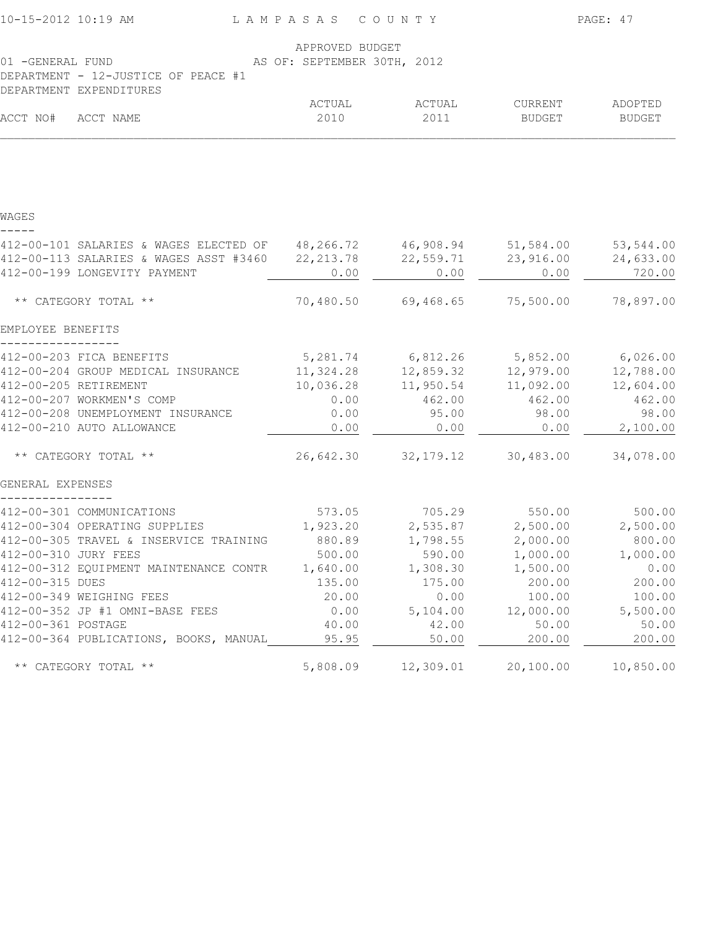| 10-15-2012 10:19 AM                                      | LAMPASAS COUNTY                                |             |                            | PAGE: 47      |
|----------------------------------------------------------|------------------------------------------------|-------------|----------------------------|---------------|
| 01 - GENERAL FUND<br>DEPARTMENT - 12-JUSTICE OF PEACE #1 | APPROVED BUDGET<br>AS OF: SEPTEMBER 30TH, 2012 |             |                            |               |
| DEPARTMENT EXPENDITURES                                  | ACTUAL                                         | ACTUAL      | CURRENT                    | ADOPTED       |
| ACCT NO#<br>ACCT NAME                                    | 2010                                           | 2011        | BUDGET                     | <b>BUDGET</b> |
|                                                          |                                                |             |                            |               |
| WAGES                                                    |                                                |             |                            |               |
| 412-00-101 SALARIES & WAGES ELECTED OF 48,266.72         |                                                | 46,908.94   | 51,584.00                  | 53,544.00     |
| 412-00-113 SALARIES & WAGES ASST #3460                   | 22, 213.78                                     | 22,559.71   | 23,916.00                  | 24,633.00     |
| 412-00-199 LONGEVITY PAYMENT                             | 0.00                                           | 0.00        | 0.00                       | 720.00        |
| ** CATEGORY TOTAL **                                     | 70,480.50                                      | 69,468.65   | 75,500.00                  | 78,897.00     |
| EMPLOYEE BENEFITS                                        |                                                |             |                            |               |
| 412-00-203 FICA BENEFITS                                 |                                                |             | 5,281.74 6,812.26 5,852.00 | 6,026.00      |
| 412-00-204 GROUP MEDICAL INSURANCE                       | 11,324.28                                      | 12,859.32   | 12,979.00                  | 12,788.00     |
| 412-00-205 RETIREMENT                                    | 10,036.28                                      | 11,950.54   | 11,092.00                  | 12,604.00     |
| 412-00-207 WORKMEN'S COMP                                | 0.00                                           | 462.00      | 462.00                     | 462.00        |
| 412-00-208 UNEMPLOYMENT INSURANCE                        | 0.00                                           | 95.00       | 98.00                      | 98.00         |
| 412-00-210 AUTO ALLOWANCE                                | 0.00                                           | 0.00        | 0.00                       | 2,100.00      |
| ** CATEGORY TOTAL **                                     | 26,642.30                                      | 32, 179. 12 | 30,483.00                  | 34,078.00     |
| GENERAL EXPENSES                                         |                                                |             |                            |               |
| 412-00-301 COMMUNICATIONS                                | 573.05                                         | 705.29      | 550.00                     | 500.00        |
| 412-00-304 OPERATING SUPPLIES                            | 1,923.20                                       | 2,535.87    | 2,500.00                   | 2,500.00      |
| 412-00-305 TRAVEL & INSERVICE TRAINING                   | 880.89                                         | 1,798.55    | 2,000.00                   | 800.00        |
| 412-00-310 JURY FEES                                     | 500.00                                         | 590.00      | 1,000.00                   | 1,000.00      |
| 412-00-312 EQUIPMENT MAINTENANCE CONTR                   | 1,640.00                                       | 1,308.30    | 1,500.00                   | 0.00          |
| 412-00-315 DUES                                          | 135.00                                         | 175.00      | 200.00                     | 200.00        |
| 412-00-349 WEIGHING FEES                                 | 20.00                                          | 0.00        | 100.00                     | 100.00        |
| 412-00-352 JP #1 OMNI-BASE FEES                          | 0.00                                           | 5,104.00    | 12,000.00                  | 5,500.00      |
| 412-00-361 POSTAGE                                       | 40.00                                          | 42.00       | 50.00                      | 50.00         |
| 412-00-364 PUBLICATIONS, BOOKS, MANUAL                   | 95.95                                          | 50.00       | 200.00                     | 200.00        |
| ** CATEGORY TOTAL **                                     | 5,808.09                                       | 12,309.01   | 20,100.00                  | 10,850.00     |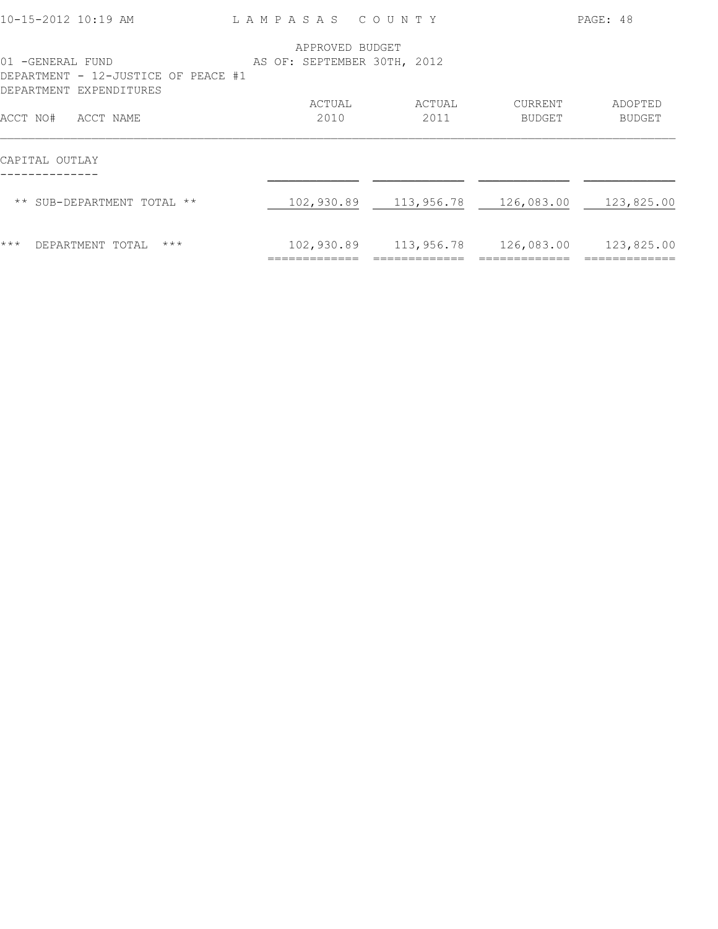| 10-15-2012 10:19 AM                                                                | LAMPASAS COUNTY             |            |            | PAGE: 48      |
|------------------------------------------------------------------------------------|-----------------------------|------------|------------|---------------|
|                                                                                    | APPROVED BUDGET             |            |            |               |
| 01 -GENERAL FUND<br>DEPARTMENT - 12-JUSTICE OF PEACE #1<br>DEPARTMENT EXPENDITURES | AS OF: SEPTEMBER 30TH, 2012 |            |            |               |
|                                                                                    | ACTUAL                      | ACTUAL     | CURRENT    | ADOPTED       |
| ACCT NO#<br>ACCT NAME                                                              | 2010                        | 2011       | BUDGET     | <b>BUDGET</b> |
| CAPITAL OUTLAY                                                                     |                             |            |            |               |
| ** SUB-DEPARTMENT TOTAL **                                                         | 102,930.89                  | 113,956.78 | 126,083.00 | 123,825.00    |
| $***$<br>$***$<br>DEPARTMENT TOTAL                                                 | 102,930.89                  | 113,956.78 | 126,083.00 | 123,825.00    |
|                                                                                    |                             |            |            |               |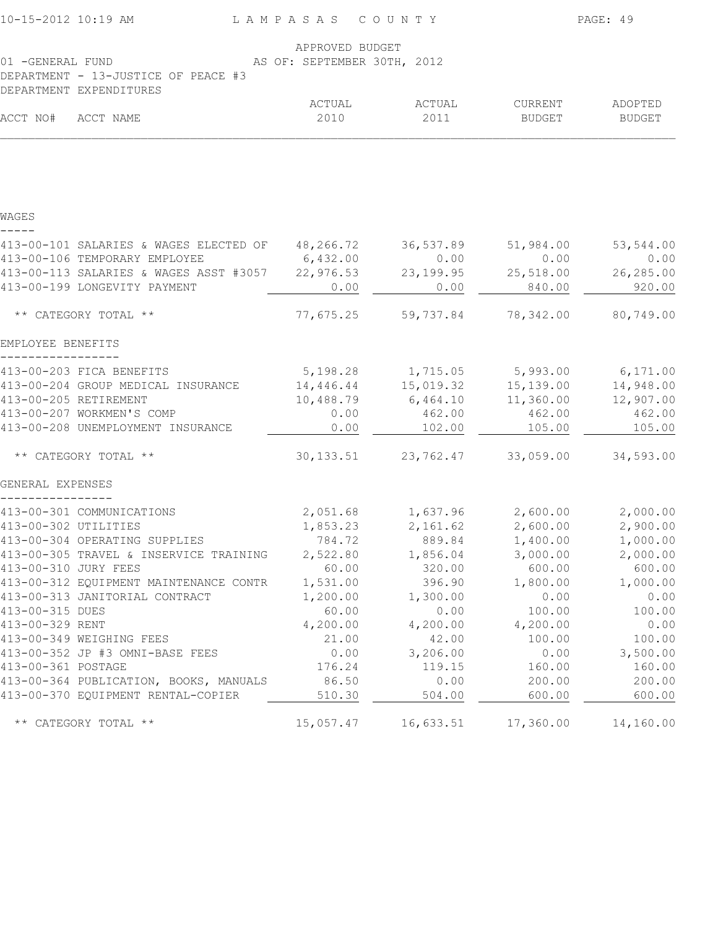| 10-15-2012 10:19 AM                                                          | LAMPASAS COUNTY             |                                     | PAGE: 49          |                          |
|------------------------------------------------------------------------------|-----------------------------|-------------------------------------|-------------------|--------------------------|
|                                                                              | APPROVED BUDGET             |                                     |                   |                          |
| 01 -GENERAL FUND                                                             | AS OF: SEPTEMBER 30TH, 2012 |                                     |                   |                          |
| DEPARTMENT - 13-JUSTICE OF PEACE #3                                          |                             |                                     |                   |                          |
| DEPARTMENT EXPENDITURES                                                      | ACTUAL                      |                                     |                   |                          |
| ACCT NO#<br>ACCT NAME                                                        | 2010                        | ACTUAL<br>2011                      | CURRENT<br>BUDGET | ADOPTED<br><b>BUDGET</b> |
|                                                                              |                             |                                     |                   |                          |
| WAGES                                                                        |                             |                                     |                   |                          |
|                                                                              |                             |                                     |                   |                          |
| 413-00-101 SALARIES & WAGES ELECTED OF                                       | 48,266.72                   | 36,537.89                           | 51,984.00         | 53,544.00                |
| 413-00-106 TEMPORARY EMPLOYEE                                                | 6,432.00                    | 0.00                                | 0.00              | 0.00                     |
| 413-00-113 SALARIES & WAGES ASST #3057                                       | 22,976.53                   | 23, 199.95                          | 25,518.00         | 26,285.00                |
| 413-00-199 LONGEVITY PAYMENT                                                 | 0.00                        | 0.00                                | 840.00            | 920.00                   |
| ** CATEGORY TOTAL **                                                         | 77,675.25                   | 59,737.84                           | 78,342.00         | 80,749.00                |
| EMPLOYEE BENEFITS                                                            |                             |                                     |                   |                          |
| 413-00-203 FICA BENEFITS                                                     |                             | 5,198.28 1,715.05 5,993.00 6,171.00 |                   |                          |
| 413-00-204 GROUP MEDICAL INSURANCE                                           | 14,446.44                   | 15,019.32                           | 15,139.00         | 14,948.00                |
| 413-00-205 RETIREMENT                                                        | 10,488.79                   | 6,464.10                            | 11,360.00         | 12,907.00                |
| 413-00-207 WORKMEN'S COMP                                                    | 0.00                        | 462.00                              | 462.00            | 462.00                   |
| 413-00-208 UNEMPLOYMENT INSURANCE                                            | 0.00                        | 102.00                              | 105.00            | 105.00                   |
| ** CATEGORY TOTAL **                                                         | 30, 133.51                  | 23,762.47                           | 33,059.00         | 34,593.00                |
| GENERAL EXPENSES                                                             |                             |                                     |                   |                          |
| 413-00-301 COMMUNICATIONS                                                    |                             | 2,051.68 1,637.96 2,600.00 2,000.00 |                   |                          |
| 413-00-302 UTILITIES                                                         | 1,853.23                    | 2,161.62                            | 2,600.00          | 2,900.00                 |
| 413-00-304 OPERATING SUPPLIES                                                | 784.72                      | 889.84                              | 1,400.00          | 1,000.00                 |
| 413-00-305 TRAVEL & INSERVICE TRAINING                                       | 2,522.80                    | 1,856.04                            | 3,000.00          | 2,000.00                 |
| 413-00-310 JURY FEES                                                         | 60.00                       | 320.00                              | 600.00            | 600.00                   |
| 413-00-312 EQUIPMENT MAINTENANCE CONTR                                       | 1,531.00                    | 396.90                              | 1,800.00          | 1,000.00                 |
| 413-00-313 JANITORIAL CONTRACT                                               | 1,200.00                    | 1,300.00                            | 0.00              | 0.00                     |
| 413-00-315 DUES                                                              | 60.00                       | 0.00                                | 100.00            | 100.00                   |
| 413-00-329 RENT                                                              | 4,200.00                    | 4,200.00                            | 4,200.00          | 0.00                     |
| 413-00-349 WEIGHING FEES                                                     | 21.00                       | 42.00                               | 100.00            | 100.00                   |
| 413-00-352 JP #3 OMNI-BASE FEES                                              | 0.00                        | 3,206.00                            | 0.00              | 3,500.00                 |
| 413-00-361 POSTAGE                                                           | 176.24                      | 119.15                              | 160.00            | 160.00                   |
| 413-00-364 PUBLICATION, BOOKS, MANUALS<br>413-00-370 EQUIPMENT RENTAL-COPIER | 86.50<br>510.30             | 0.00<br>504.00                      | 200.00<br>600.00  | 200.00<br>600.00         |
|                                                                              |                             |                                     |                   |                          |
| ** CATEGORY TOTAL **                                                         | 15,057.47                   | 16,633.51                           | 17,360.00         | 14,160.00                |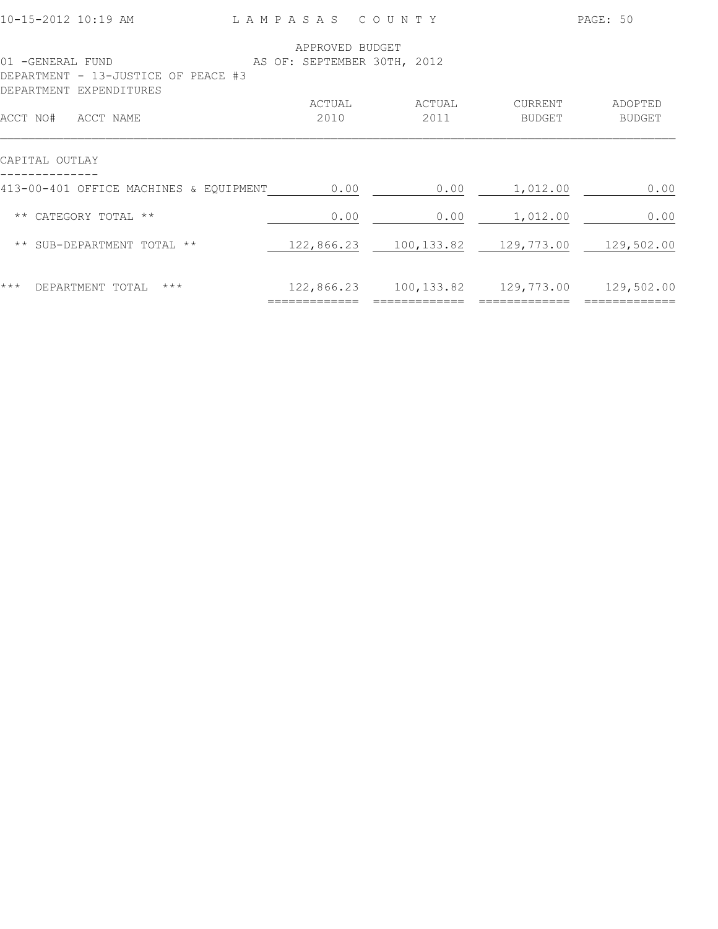| 10-15-2012 10:19 AM                                     | LAMPASAS COUNTY                                |                |                                             | PAGE: 50          |
|---------------------------------------------------------|------------------------------------------------|----------------|---------------------------------------------|-------------------|
| 01 -GENERAL FUND<br>DEPARTMENT - 13-JUSTICE OF PEACE #3 | APPROVED BUDGET<br>AS OF: SEPTEMBER 30TH, 2012 |                |                                             |                   |
| DEPARTMENT EXPENDITURES<br>ACCT NO#<br>ACCT NAME        | ACTUAL<br>2010                                 | ACTUAL<br>2011 | CURRENT<br>BUDGET                           | ADOPTED<br>BUDGET |
| CAPITAL OUTLAY                                          |                                                |                |                                             |                   |
| 413-00-401 OFFICE MACHINES & EQUIPMENT                  | 0.00                                           | 0.00           | 1,012.00                                    | 0.00              |
| ** CATEGORY TOTAL **                                    | 0.00                                           | 0.00           | 1,012.00                                    | 0.00              |
| ** SUB-DEPARTMENT TOTAL **                              |                                                |                | 122,866.23 100,133.82 129,773.00 129,502.00 |                   |
| $***$<br>$***$<br>DEPARTMENT TOTAL                      | 122,866.23<br>:============                    | 100,133.82     | 129,773.00<br>======                        | 129,502.00        |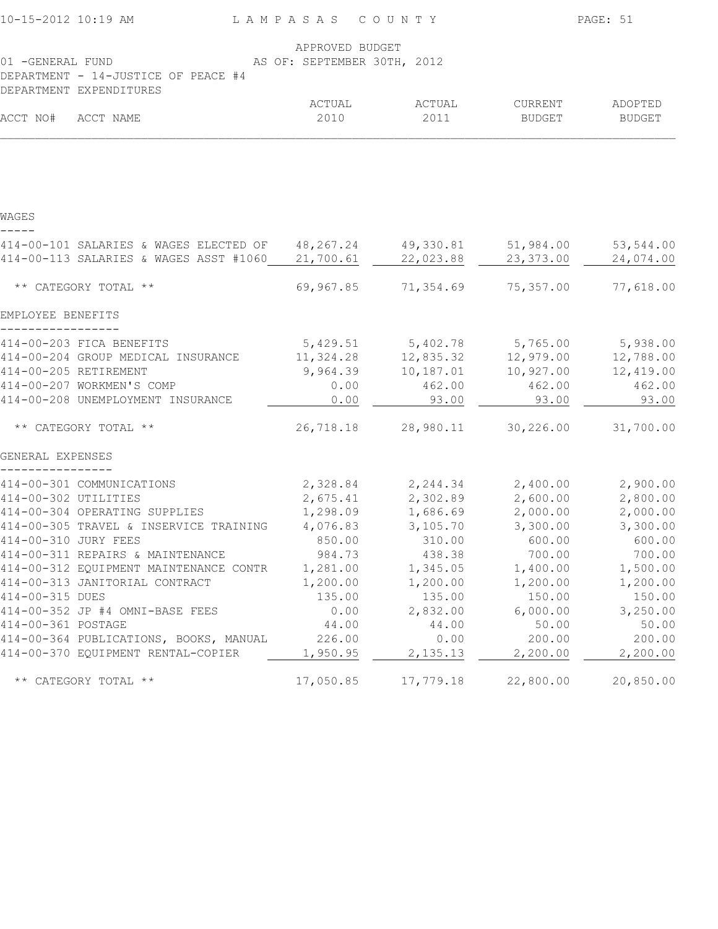| 10-15-2012 10:19 AM   |                                                            | LAMPASAS COUNTY             |                                     | PAGE: 51  |               |
|-----------------------|------------------------------------------------------------|-----------------------------|-------------------------------------|-----------|---------------|
|                       |                                                            | APPROVED BUDGET             |                                     |           |               |
| 01 -GENERAL FUND      | DEPARTMENT - 14-JUSTICE OF PEACE #4                        | AS OF: SEPTEMBER 30TH, 2012 |                                     |           |               |
|                       | DEPARTMENT EXPENDITURES                                    |                             |                                     |           |               |
|                       |                                                            | ACTUAL                      | ACTUAL                              | CURRENT   | ADOPTED       |
| ACCT NO# ACCT NAME    |                                                            | 2010                        | 2011                                | BUDGET    | <b>BUDGET</b> |
|                       |                                                            |                             |                                     |           |               |
| WAGES                 |                                                            |                             |                                     |           |               |
|                       |                                                            |                             |                                     |           |               |
|                       | 414-00-101 SALARIES & WAGES ELECTED OF 48,267.24 49,330.81 |                             |                                     | 51,984.00 | 53,544.00     |
|                       | 414-00-113 SALARIES & WAGES ASST #1060 21,700.61           |                             | 22,023.88                           | 23,373.00 | 24,074.00     |
|                       | ** CATEGORY TOTAL **                                       | 69,967.85                   | 71,354.69                           | 75,357.00 | 77,618.00     |
| EMPLOYEE BENEFITS     |                                                            |                             |                                     |           |               |
|                       | 414-00-203 FICA BENEFITS                                   |                             | 5,429.51 5,402.78 5,765.00 5,938.00 |           |               |
|                       | 414-00-204 GROUP MEDICAL INSURANCE                         | 11,324.28                   | 12,835.32                           | 12,979.00 | 12,788.00     |
| 414-00-205 RETIREMENT |                                                            | 9,964.39                    | 10,187.01                           | 10,927.00 | 12,419.00     |
|                       | 414-00-207 WORKMEN'S COMP                                  | 0.00                        | 462.00                              | 462.00    | 462.00        |
|                       | 414-00-208 UNEMPLOYMENT INSURANCE                          | 0.00                        | 93.00                               | 93.00     | 93.00         |
|                       | ** CATEGORY TOTAL **                                       | 26,718.18                   | 28,980.11                           | 30,226.00 | 31,700.00     |
| GENERAL EXPENSES      |                                                            |                             |                                     |           |               |
|                       | 414-00-301 COMMUNICATIONS                                  |                             | 2,328.84 2,244.34 2,400.00          |           | 2,900.00      |
| 414-00-302 UTILITIES  |                                                            |                             | 2,675.41 2,302.89 2,600.00          |           | 2,800.00      |
|                       | 414-00-304 OPERATING SUPPLIES                              |                             | 1,298.09 1,686.69 2,000.00          |           | 2,000.00      |
|                       | 414-00-305 TRAVEL & INSERVICE TRAINING                     | 4,076.83                    | 3,105.70                            | 3,300.00  | 3,300.00      |
| 414-00-310 JURY FEES  |                                                            | 850.00                      | 310.00                              | 600.00    | 600.00        |
|                       | 414-00-311 REPAIRS & MAINTENANCE                           | 984.73                      | 438.38                              | 700.00    | 700.00        |
|                       | 414-00-312 EQUIPMENT MAINTENANCE CONTR                     | 1,281.00                    | 1,345.05                            | 1,400.00  | 1,500.00      |
|                       | 414-00-313 JANITORIAL CONTRACT                             | 1,200.00                    | 1,200.00                            | 1,200.00  | 1,200.00      |
| 414-00-315 DUES       |                                                            | 135.00                      | 135.00                              | 150.00    | 150.00        |
|                       | 414-00-352 JP #4 OMNI-BASE FEES                            | 0.00                        | 2,832.00                            | 6,000.00  | 3,250.00      |
| 414-00-361 POSTAGE    |                                                            | 44.00                       | 44.00                               | 50.00     | 50.00         |
|                       | 414-00-364 PUBLICATIONS, BOOKS, MANUAL                     | 226.00                      | 0.00                                | 200.00    | 200.00        |
|                       | 414-00-370 EQUIPMENT RENTAL-COPIER                         | 1,950.95                    | 2,135.13                            | 2,200.00  | 2,200.00      |
|                       | ** CATEGORY TOTAL **                                       | 17,050.85                   | 17,779.18                           | 22,800.00 | 20,850.00     |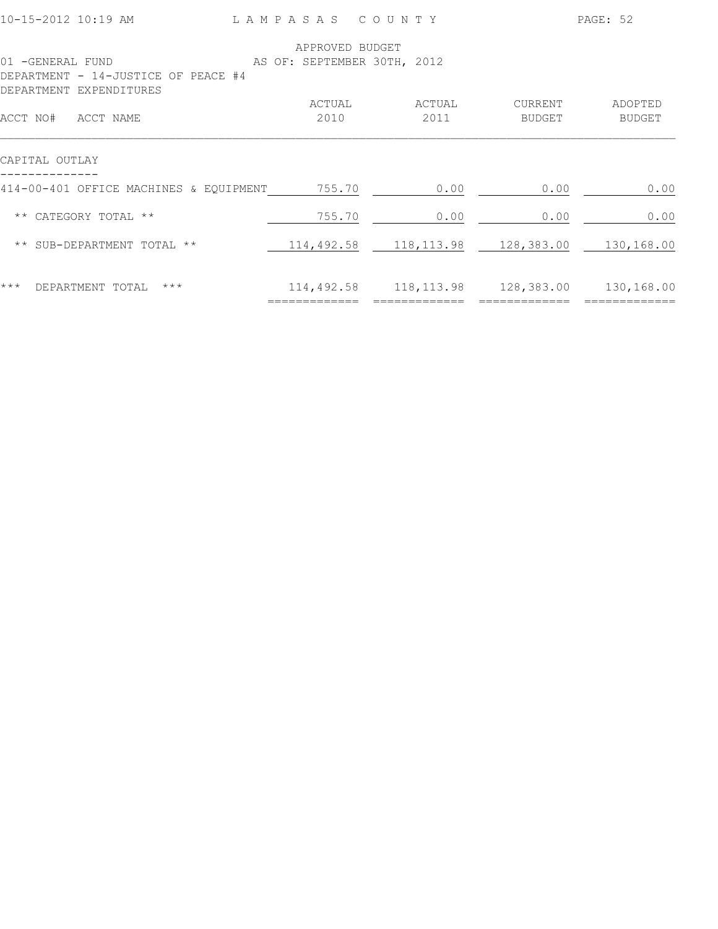| 01 -GENERAL FUND<br>DEPARTMENT - 14-JUSTICE OF PEACE #4<br>DEPARTMENT EXPENDITURES | APPROVED BUDGET<br>AS OF: SEPTEMBER 30TH, 2012 |                |                   |                          |
|------------------------------------------------------------------------------------|------------------------------------------------|----------------|-------------------|--------------------------|
| ACCT NO#<br>ACCT NAME                                                              | ACTUAL<br>2010                                 | ACTUAL<br>2011 | CURRENT<br>BUDGET | ADOPTED<br><b>BUDGET</b> |
| CAPITAL OUTLAY                                                                     |                                                |                |                   |                          |
| 414-00-401 OFFICE MACHINES & EQUIPMENT                                             | 755.70                                         | 0.00           | 0.00              | 0.00                     |
| CATEGORY TOTAL **<br>$\star\star$                                                  | 755.70                                         | 0.00           | 0.00              | 0.00                     |
| SUB-DEPARTMENT TOTAL **<br>$\star\star$                                            | 114,492.58                                     | 118,113.98     | 128,383.00        | 130,168.00               |
| $***$<br>DEPARTMENT TOTAL<br>$***$                                                 | 114,492.58                                     | 118, 113.98    | 128,383.00        | 130,168.00               |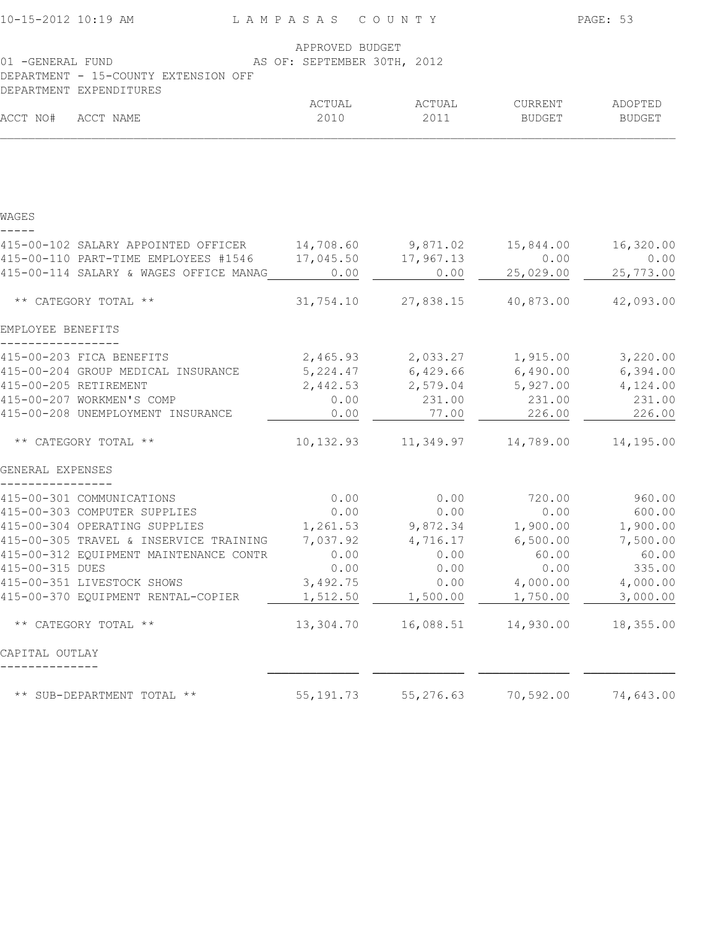| 10-15-2012 10:19 AM<br>LAMPASAS COUNTY                            |                                                                           |                                             |                 | PAGE: 53  |  |  |
|-------------------------------------------------------------------|---------------------------------------------------------------------------|---------------------------------------------|-----------------|-----------|--|--|
| 01 -GENERAL FUND<br>DEPARTMENT - 15-COUNTY EXTENSION OFF          | APPROVED BUDGET<br>AS OF: SEPTEMBER 30TH, 2012<br>DEPARTMENT EXPENDITURES |                                             |                 |           |  |  |
|                                                                   | ACTUAL                                                                    | ACTUAL                                      | <b>CURRENT</b>  | ADOPTED   |  |  |
| ACCT NO# ACCT NAME                                                | 2010                                                                      | 2011                                        | BUDGET          | BUDGET    |  |  |
|                                                                   |                                                                           |                                             |                 |           |  |  |
| WAGES                                                             |                                                                           |                                             |                 |           |  |  |
| 415-00-102 SALARY APPOINTED OFFICER 14,708.60 9,871.02 15,844.00  |                                                                           |                                             |                 | 16,320.00 |  |  |
| 415-00-110 PART-TIME EMPLOYEES #1546 17,045.50 17,967.13          |                                                                           |                                             | 0.00            | 0.00      |  |  |
| 415-00-114 SALARY & WAGES OFFICE MANAG                            | 0.00                                                                      | 0.00                                        | 25,029.00       | 25,773.00 |  |  |
| ** CATEGORY TOTAL **                                              |                                                                           | 31,754.10 27,838.15 40,873.00 42,093.00     |                 |           |  |  |
| EMPLOYEE BENEFITS                                                 |                                                                           |                                             |                 |           |  |  |
| 415-00-203 FICA BENEFITS                                          |                                                                           | 2,465.93 2,033.27 1,915.00 3,220.00         |                 |           |  |  |
| 415-00-204 GROUP MEDICAL INSURANCE                                |                                                                           | 5, 224.47 6, 429.66 6, 490.00               |                 | 6,394.00  |  |  |
| 415-00-205 RETIREMENT                                             |                                                                           | 2,442.53 2,579.04 5,927.00                  |                 | 4,124.00  |  |  |
| 415-00-207 WORKMEN'S COMP                                         | 0.00                                                                      | 231.00                                      | 231.00          | 231.00    |  |  |
| 415-00-208 UNEMPLOYMENT INSURANCE                                 | 0.00                                                                      | 77.00                                       | 226.00          | 226.00    |  |  |
| ** CATEGORY TOTAL **                                              |                                                                           | 10, 132.93   11, 349.97   14, 789.00        |                 | 14,195.00 |  |  |
| GENERAL EXPENSES                                                  |                                                                           |                                             |                 |           |  |  |
| 415-00-301 COMMUNICATIONS                                         | 0.00                                                                      |                                             | $0.00$ $720.00$ | 960.00    |  |  |
| 415-00-303 COMPUTER SUPPLIES                                      | 0.00                                                                      | 0.00                                        | 0.00            | 600.00    |  |  |
| 415-00-304 OPERATING SUPPLIES                                     |                                                                           | $1,261.53$ $9,872.34$ $1,900.00$ $1,900.00$ |                 |           |  |  |
| 415-00-305 TRAVEL & INSERVICE TRAINING 7,037.92 4,716.17 6,500.00 |                                                                           |                                             |                 | 7,500.00  |  |  |
| 415-00-312 EQUIPMENT MAINTENANCE CONTR                            | 0.00                                                                      | 0.00                                        | 60.00           | 60.00     |  |  |
| 415-00-315 DUES                                                   | 0.00                                                                      | 0.00                                        | 0.00            | 335.00    |  |  |
| 415-00-351 LIVESTOCK SHOWS                                        | 3,492.75                                                                  | 0.00                                        | 4,000.00        | 4,000.00  |  |  |
| 415-00-370 EQUIPMENT RENTAL-COPIER                                | 1,512.50                                                                  | 1,500.00                                    | 1,750.00        | 3,000.00  |  |  |
| ** CATEGORY TOTAL **                                              | 13,304.70                                                                 |                                             |                 | 18,355.00 |  |  |
| CAPITAL OUTLAY                                                    |                                                                           |                                             |                 |           |  |  |
| ** SUB-DEPARTMENT TOTAL **                                        | 55, 191. 73                                                               | 55,276.63                                   | 70,592.00       | 74,643.00 |  |  |
|                                                                   |                                                                           |                                             |                 |           |  |  |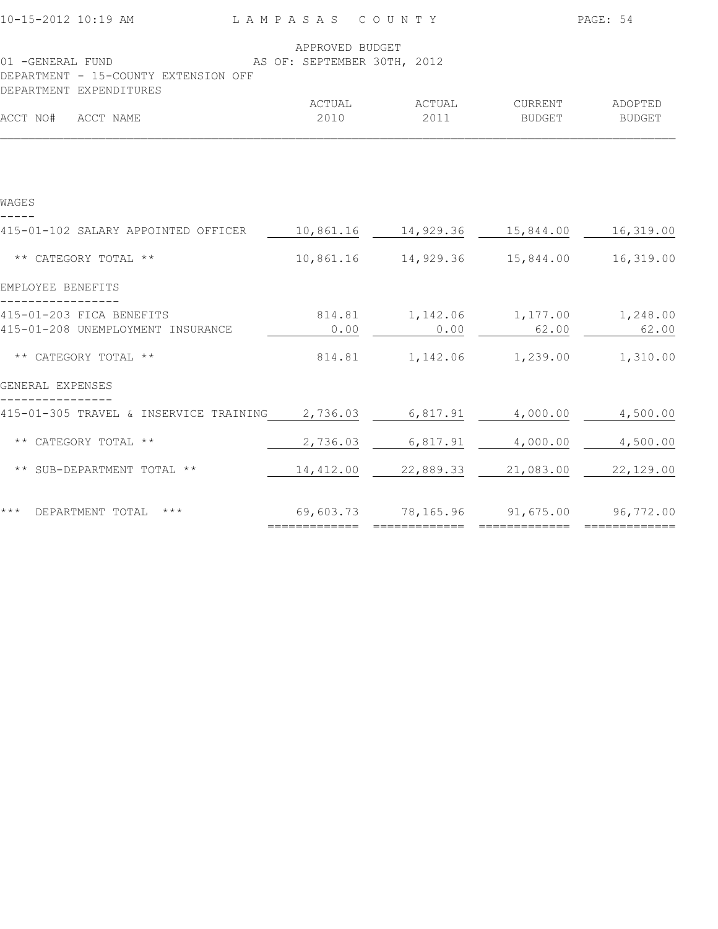|                                                                                                                    |                                                 |                                                 | PAGE: 54                         |               |
|--------------------------------------------------------------------------------------------------------------------|-------------------------------------------------|-------------------------------------------------|----------------------------------|---------------|
| AS OF: SEPTEMBER 30TH, 2012<br>01 -GENERAL FUND<br>DEPARTMENT - 15-COUNTY EXTENSION OFF<br>DEPARTMENT EXPENDITURES | APPROVED BUDGET                                 |                                                 |                                  |               |
| ACCT NO# ACCT NAME                                                                                                 | 2010                                            | ACTUAL ACTUAL<br>2011                           | CURRENT ADOPTED<br><b>BUDGET</b> | <b>BUDGET</b> |
|                                                                                                                    |                                                 |                                                 |                                  |               |
| WAGES                                                                                                              |                                                 |                                                 |                                  |               |
| 415-01-102 SALARY APPOINTED OFFICER                                                                                |                                                 |                                                 |                                  |               |
| ** CATEGORY TOTAL **                                                                                               |                                                 | 10,861.16  14,929.36  15,844.00                 |                                  | 16,319.00     |
| EMPLOYEE BENEFITS                                                                                                  |                                                 |                                                 |                                  |               |
| 415-01-203 FICA BENEFITS<br>415-01-208 UNEMPLOYMENT INSURANCE                                                      | 0.00                                            | 814.81   1,142.06   1,177.00   1,248.00<br>0.00 | 62.00                            | 62.00         |
| ** CATEGORY TOTAL **                                                                                               |                                                 | 814.81   1,142.06   1,239.00   1,310.00         |                                  |               |
| GENERAL EXPENSES                                                                                                   |                                                 |                                                 |                                  |               |
| 415-01-305 TRAVEL & INSERVICE TRAINING 2,736.03 6,817.91 4,000.00                                                  |                                                 |                                                 |                                  | 4,500.00      |
| ** CATEGORY TOTAL **                                                                                               | 2,736.03                                        | 6,817.91                                        | 4,000.00                         | 4,500.00      |
| ** SUB-DEPARTMENT TOTAL **                                                                                         | $14,412.00$ $22,889.33$ $21,083.00$ $22,129.00$ |                                                 |                                  |               |
| *** DEPARTMENT TOTAL ***                                                                                           | $69,603.73$ $78,165.96$ $91,675.00$ $96,772.00$ |                                                 | =============                    | ============= |
|                                                                                                                    |                                                 |                                                 |                                  |               |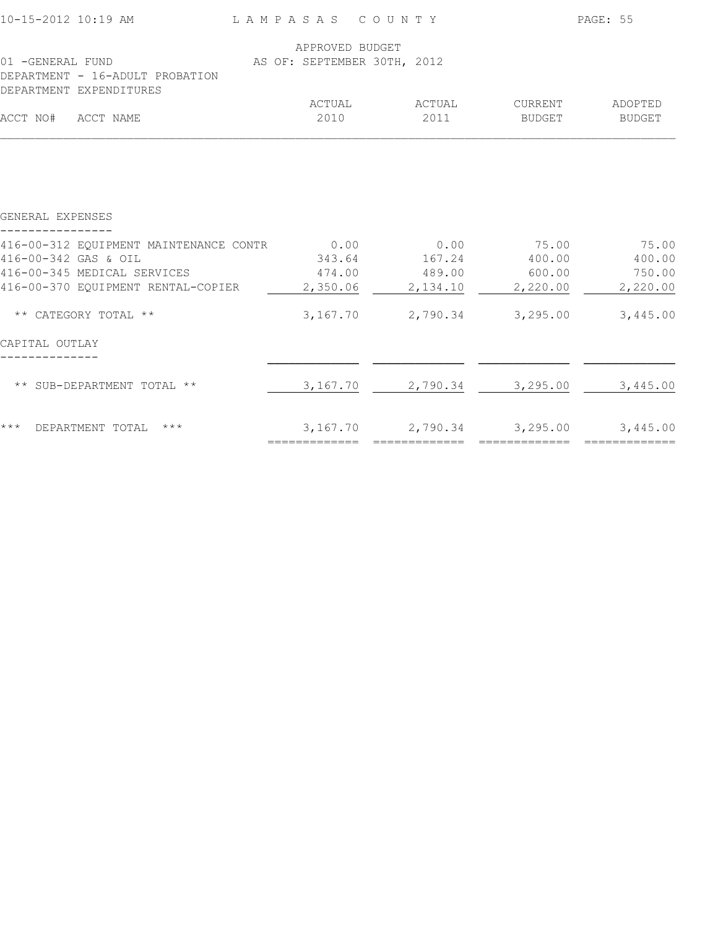|        | LAMPASAS COUNTY                                |                                                                                  |                                                                                                                                                                            |
|--------|------------------------------------------------|----------------------------------------------------------------------------------|----------------------------------------------------------------------------------------------------------------------------------------------------------------------------|
|        |                                                |                                                                                  |                                                                                                                                                                            |
|        |                                                |                                                                                  |                                                                                                                                                                            |
| ACTUAL |                                                |                                                                                  | ADOPTED                                                                                                                                                                    |
| 2010   | 2011                                           | BUDGET                                                                           | BUDGET                                                                                                                                                                     |
|        |                                                |                                                                                  |                                                                                                                                                                            |
|        |                                                |                                                                                  |                                                                                                                                                                            |
|        |                                                |                                                                                  | 75.00                                                                                                                                                                      |
| 343.64 | 167.24                                         | 400.00                                                                           | 400.00                                                                                                                                                                     |
|        |                                                |                                                                                  | 750.00                                                                                                                                                                     |
|        | 2,134.10                                       | 2,220.00                                                                         | 2,220.00                                                                                                                                                                   |
|        |                                                |                                                                                  | 3,445.00                                                                                                                                                                   |
|        |                                                |                                                                                  |                                                                                                                                                                            |
|        | 2,790.34                                       | 3,295.00                                                                         | 3,445.00                                                                                                                                                                   |
|        |                                                |                                                                                  |                                                                                                                                                                            |
|        | 416-00-370 EQUIPMENT RENTAL-COPIER<br>2,350.06 | APPROVED BUDGET<br>AS OF: SEPTEMBER 30TH, 2012<br>ACTUAL<br>3,167.70<br>3,167.70 | PAGE: 55<br>CURRENT<br>416-00-312 EQUIPMENT MAINTENANCE CONTR 0.00 0.00 0.00 75.00<br>474.00 489.00 600.00<br>2,790.34 3,295.00<br>3, 167.70 2, 790.34 3, 295.00 3, 445.00 |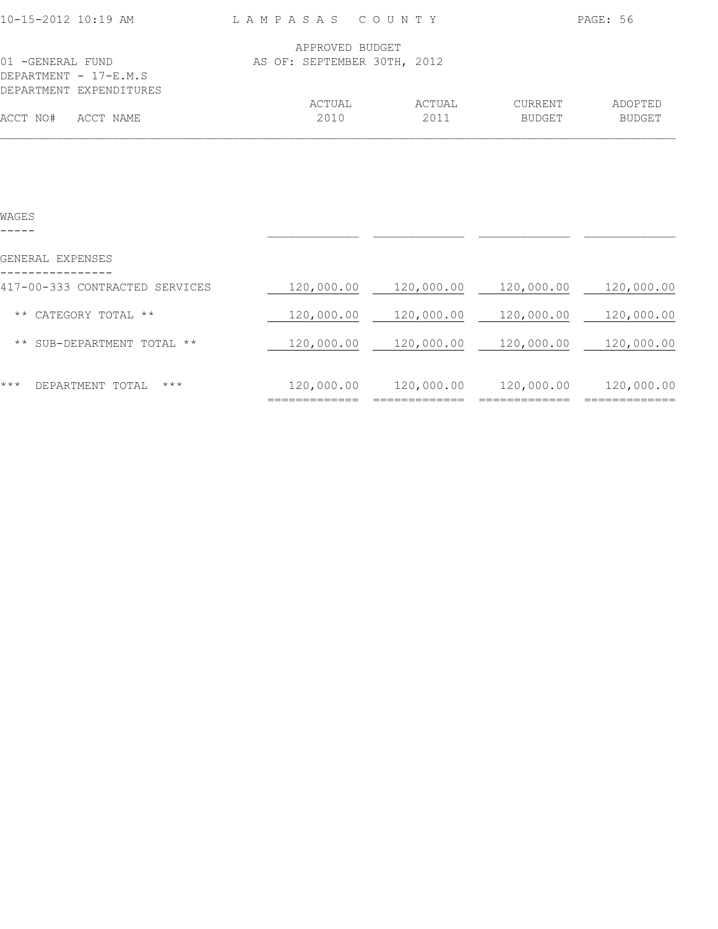| 10-15-2012 10:19 AM                                                   | LAMPASAS COUNTY             |                |                          | PAGE: 56                 |
|-----------------------------------------------------------------------|-----------------------------|----------------|--------------------------|--------------------------|
|                                                                       | APPROVED BUDGET             |                |                          |                          |
| 01 -GENERAL FUND<br>DEPARTMENT $-17-E.M.S$<br>DEPARTMENT EXPENDITURES | AS OF: SEPTEMBER 30TH, 2012 |                |                          |                          |
| ACCT NO#<br>ACCT NAME                                                 | ACTUAL<br>2010              | ACTUAL<br>2011 | CURRENT<br><b>BUDGET</b> | ADOPTED<br><b>BUDGET</b> |

| WAGES                                   |            |            |            |            |
|-----------------------------------------|------------|------------|------------|------------|
| GENERAL EXPENSES                        |            |            |            |            |
| 417-00-333 CONTRACTED SERVICES          | 120,000.00 | 120,000.00 | 120,000.00 | 120,000.00 |
| CATEGORY TOTAL<br>$\star\star$<br>$***$ | 120,000.00 | 120,000.00 | 120,000.00 | 120,000.00 |
| SUB-DEPARTMENT TOTAL **<br>$\star\star$ | 120,000.00 | 120,000.00 | 120,000.00 | 120,000.00 |
| ***<br>DEPARTMENT TOTAL<br>$***$        | 120,000.00 | 120,000.00 | 120,000.00 | 120,000.00 |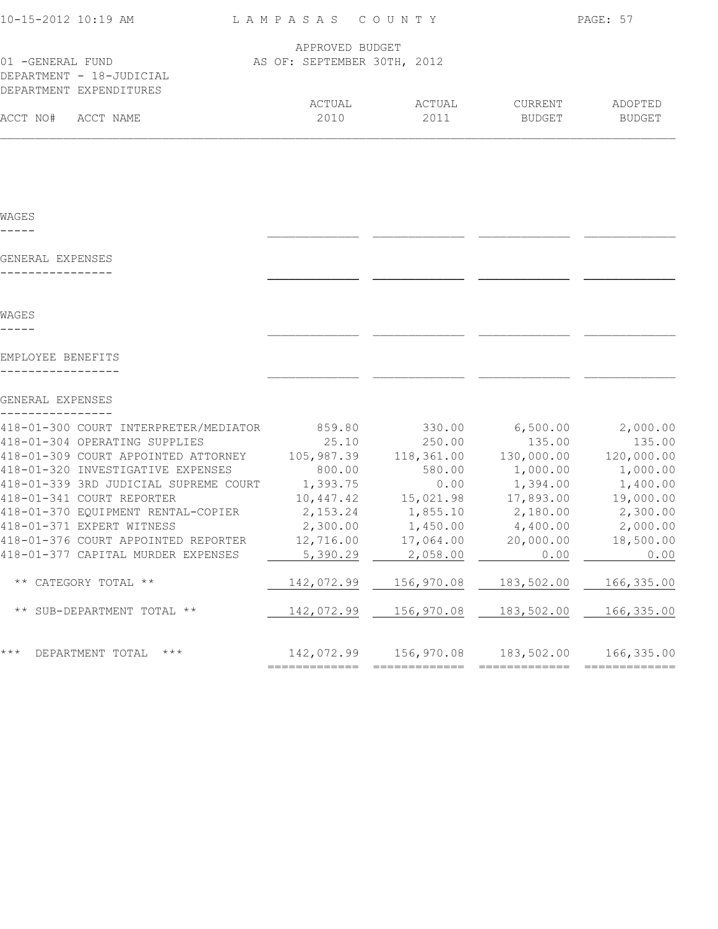| 10-15-2012 10:19 AM                                                   | LAMPASAS COUNTY |                             |                         |                                                | PAGE: 57          |
|-----------------------------------------------------------------------|-----------------|-----------------------------|-------------------------|------------------------------------------------|-------------------|
|                                                                       |                 | APPROVED BUDGET             |                         |                                                |                   |
| 01 - GENERAL FUND                                                     |                 | AS OF: SEPTEMBER 30TH, 2012 |                         |                                                |                   |
| DEPARTMENT - 18-JUDICIAL                                              |                 |                             |                         |                                                |                   |
| DEPARTMENT EXPENDITURES                                               |                 |                             |                         |                                                |                   |
| ACCT NO#<br>ACCT NAME                                                 |                 | ACTUAL<br>2010              | ACTUAL<br>2011          | CURRENT<br>BUDGET                              | ADOPTED<br>BUDGET |
|                                                                       |                 |                             |                         |                                                |                   |
|                                                                       |                 |                             |                         |                                                |                   |
| WAGES                                                                 |                 |                             |                         |                                                |                   |
|                                                                       |                 |                             |                         |                                                |                   |
| GENERAL EXPENSES                                                      |                 |                             |                         |                                                |                   |
|                                                                       |                 |                             |                         |                                                |                   |
|                                                                       |                 |                             |                         |                                                |                   |
| WAGES                                                                 |                 |                             |                         |                                                |                   |
| EMPLOYEE BENEFITS                                                     |                 |                             |                         |                                                |                   |
|                                                                       |                 |                             |                         |                                                |                   |
| GENERAL EXPENSES                                                      |                 |                             |                         |                                                |                   |
| 418-01-300 COURT INTERPRETER/MEDIATOR 659.80 330.00 6,500.00 2,000.00 |                 |                             |                         |                                                |                   |
| 418-01-304 OPERATING SUPPLIES                                         |                 | 25.10                       | 250.00                  | 135.00                                         | 135.00            |
| 418-01-309 COURT APPOINTED ATTORNEY                                   |                 |                             | 105,987.39 118,361.00   | 130,000.00 120,000.00                          |                   |
| 418-01-320 INVESTIGATIVE EXPENSES                                     |                 | 800.00                      | 580.00                  | $1,000.00$ $1,000.00$                          |                   |
| 418-01-339 3RD JUDICIAL SUPREME COURT                                 | 1,393.75        |                             | 0.00                    | 1,394.00                                       | 1,400.00          |
| 418-01-341 COURT REPORTER                                             |                 |                             | 10,447.42   15,021.98   | 17,893.00                                      | 19,000.00         |
| 418-01-370 EQUIPMENT RENTAL-COPIER                                    |                 |                             |                         | 2, 153. 24 1, 855. 10 2, 180. 00               | 2,300.00          |
| 418-01-371 EXPERT WITNESS                                             |                 | 2,300.00 1,450.00           |                         | 4,400.00                                       | 2,000.00          |
| 418-01-376 COURT APPOINTED REPORTER                                   |                 |                             | 12,716.00    17,064.00  | 20,000.00                                      | 18,500.00         |
| 418-01-377 CAPITAL MURDER EXPENSES                                    |                 | 5,390.29                    | 2,058.00                | 0.00                                           | 0.00              |
| ** CATEGORY TOTAL **                                                  |                 |                             | 142,072.99   156,970.08 | 183,502.00                                     | 166,335.00        |
| ** SUB-DEPARTMENT TOTAL **                                            |                 |                             | 142,072.99   156,970.08 | 183,502.00                                     | 166,335.00        |
| * * *<br>DEPARTMENT TOTAL ***                                         |                 |                             |                         | 142,072.99  156,970.08  183,502.00  166,335.00 |                   |
|                                                                       |                 |                             |                         |                                                |                   |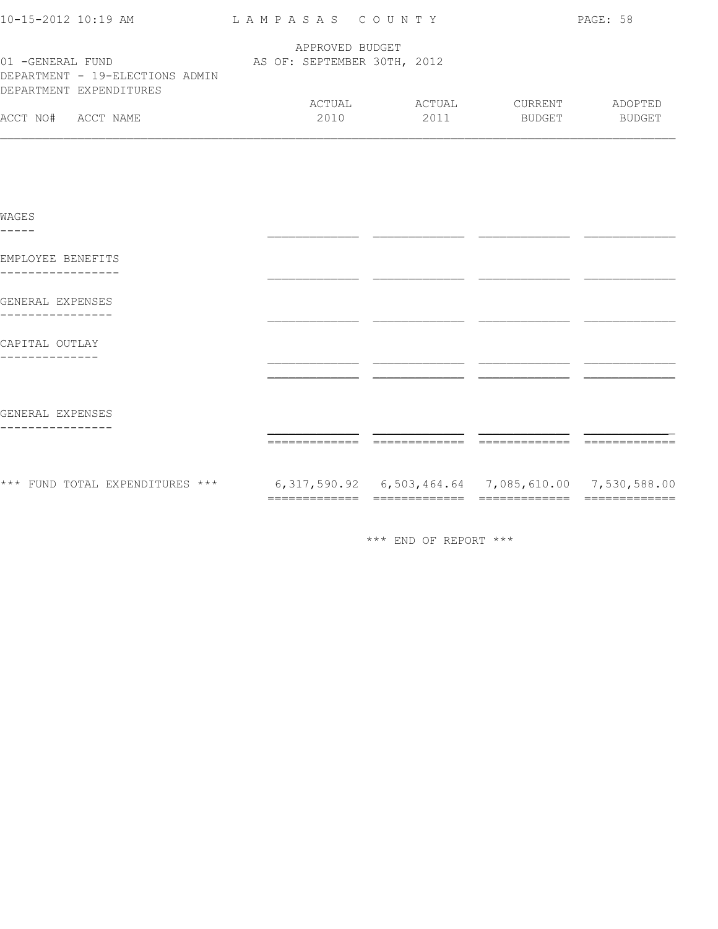| 10-15-2012 10:19 AM             | LAMPASAS COUNTY             |        |               | PAGE: 58      |
|---------------------------------|-----------------------------|--------|---------------|---------------|
|                                 | APPROVED BUDGET             |        |               |               |
| 01 -GENERAL FUND                | AS OF: SEPTEMBER 30TH, 2012 |        |               |               |
| DEPARTMENT - 19-ELECTIONS ADMIN |                             |        |               |               |
| DEPARTMENT EXPENDITURES         |                             |        |               |               |
|                                 | ACTUAL                      | ACTUAL | CURRENT       | ADOPTED       |
| ACCT NO#<br>ACCT NAME           | 2010                        | 2011   | <b>BUDGET</b> | <b>BUDGET</b> |
|                                 |                             |        |               |               |

| WAGES                           |                                                             |  |
|---------------------------------|-------------------------------------------------------------|--|
| EMPLOYEE BENEFITS               |                                                             |  |
| GENERAL EXPENSES                |                                                             |  |
| CAPITAL OUTLAY                  |                                                             |  |
|                                 |                                                             |  |
| GENERAL EXPENSES                |                                                             |  |
|                                 |                                                             |  |
| *** FUND TOTAL EXPENDITURES *** | 6, 317, 590.92 6, 503, 464.64 7, 085, 610.00 7, 530, 588.00 |  |

\*\*\* END OF REPORT \*\*\*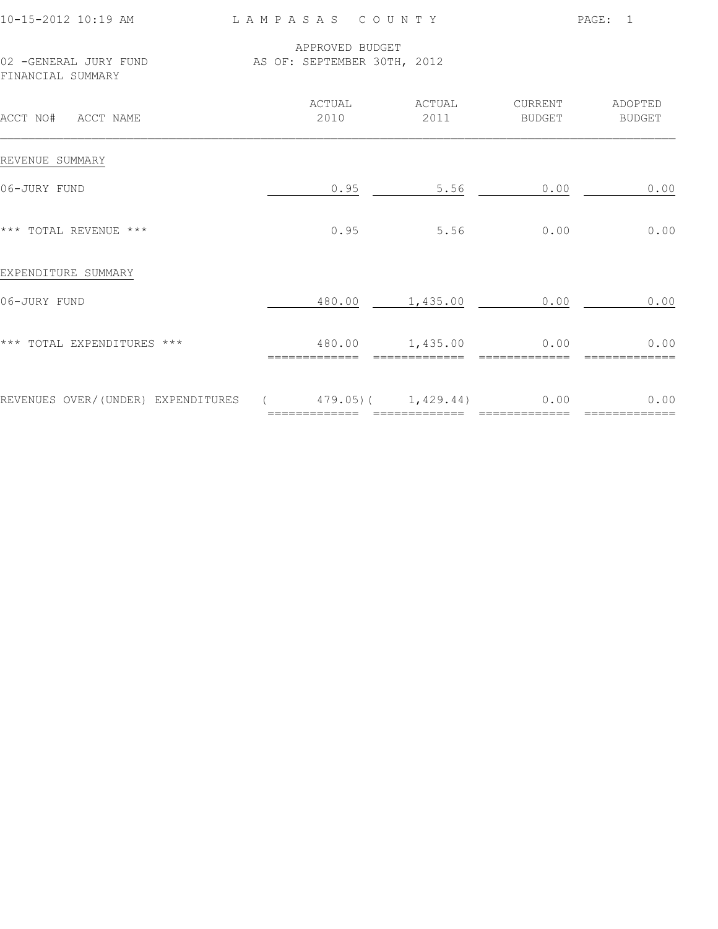| 10-15-2012 10:19 AM |
|---------------------|
|---------------------|

L A M P A S A S C O U N T Y PAGE: 1

 APPROVED BUDGET 02 -GENERAL JURY FUND AS OF: SEPTEMBER 30TH, 2012 FINANCIAL SUMMARY

| ACCT NO#<br>ACCT NAME              | ACTUAL<br>2010 | ACTUAL<br>2011                          | CURRENT<br><b>BUDGET</b> | ADOPTED<br><b>BUDGET</b> |
|------------------------------------|----------------|-----------------------------------------|--------------------------|--------------------------|
| REVENUE SUMMARY                    |                |                                         |                          |                          |
| 06-JURY FUND                       | 0.95           | 5.56                                    | 0.00                     | 0.00                     |
| *** TOTAL REVENUE ***              | 0.95           | 5.56                                    | 0.00                     | 0.00                     |
| EXPENDITURE SUMMARY                |                |                                         |                          |                          |
| 06-JURY FUND                       | 480.00         | 1,435.00                                | 0.00                     | 0.00                     |
| *** TOTAL EXPENDITURES ***         | 480.00         | 1,435.00                                | 0.00                     | 0.00                     |
| REVENUES OVER/(UNDER) EXPENDITURES |                | $479.05$ ( $1,429.44$ )<br>============ | 0.00                     | 0.00                     |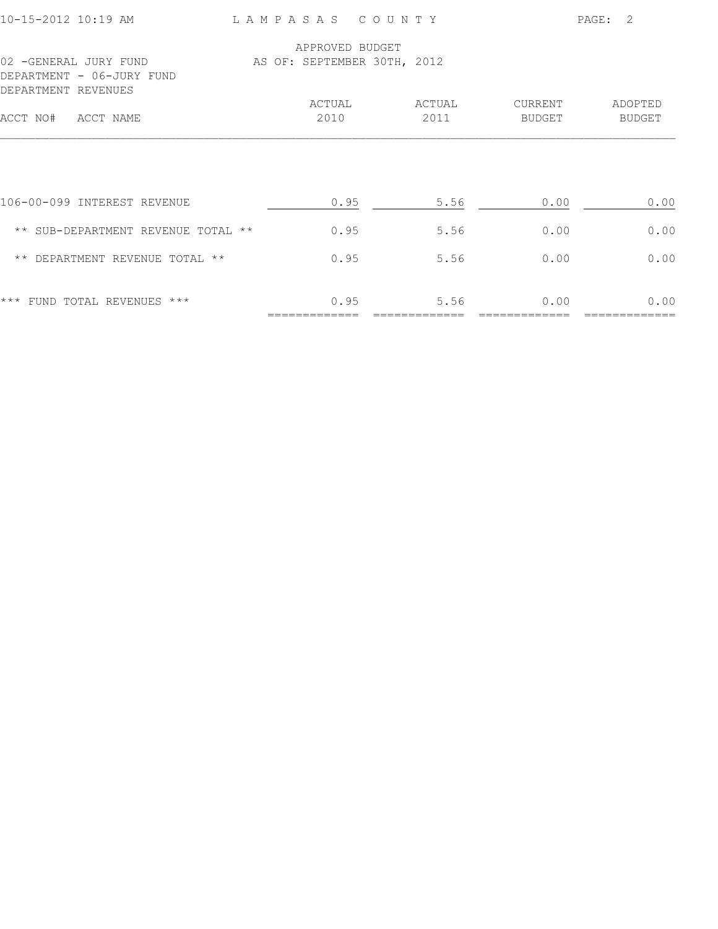|                                            |        |                                                | $\mathcal{L}$<br>PAGE: |
|--------------------------------------------|--------|------------------------------------------------|------------------------|
|                                            |        |                                                |                        |
|                                            |        |                                                |                        |
| ACTUAL                                     | ACTUAL | CURRENT                                        | ADOPTED                |
| 2010                                       | 2011   | BUDGET                                         | <b>BUDGET</b>          |
| 0.95                                       | 5.56   | 0.00                                           | 0.00                   |
| 0.95<br>** SUB-DEPARTMENT REVENUE TOTAL ** | 5.56   | 0.00                                           | 0.00                   |
| 0.95<br>** DEPARTMENT REVENUE TOTAL **     | 5.56   | 0.00                                           | 0.00                   |
| 0.95                                       | 5.56   | 0.00                                           | 0.00                   |
|                                            |        | APPROVED BUDGET<br>AS OF: SEPTEMBER 30TH, 2012 | LAMPASAS COUNTY        |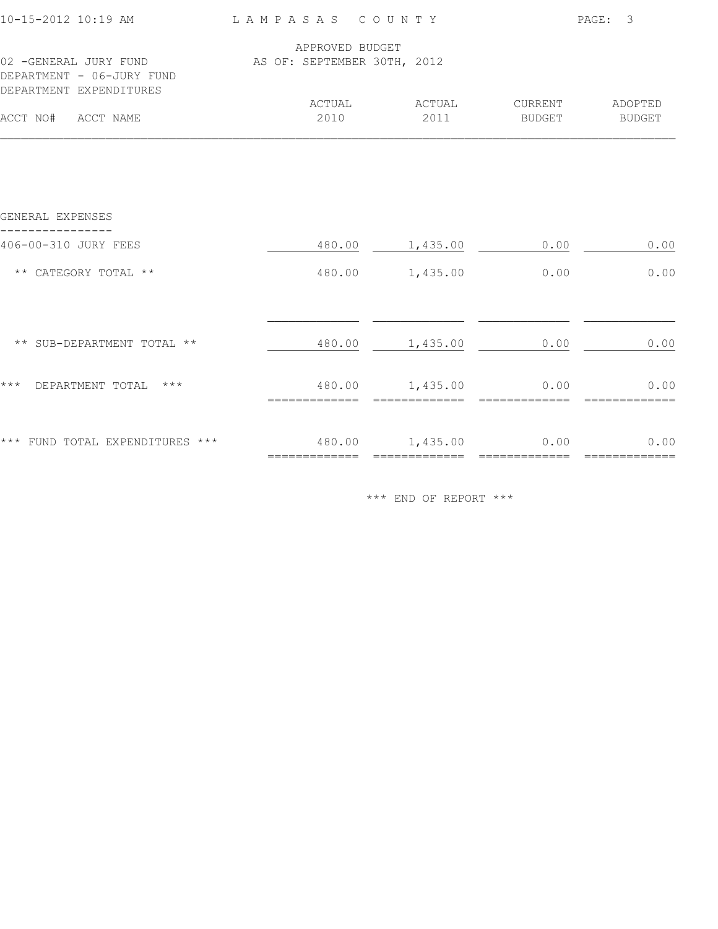| 10-15-2012 10:19 AM                                                           | LAMPASAS COUNTY             |                      |         | PAGE: 3               |
|-------------------------------------------------------------------------------|-----------------------------|----------------------|---------|-----------------------|
|                                                                               | APPROVED BUDGET             |                      |         |                       |
| 02 -GENERAL JURY FUND<br>DEPARTMENT - 06-JURY FUND<br>DEPARTMENT EXPENDITURES | AS OF: SEPTEMBER 30TH, 2012 |                      |         |                       |
|                                                                               | ACTUAL                      | ACTUAL               | CURRENT | ADOPTED               |
| ACCT NO# ACCT NAME                                                            | 2010                        | 2011                 | BUDGET  | BUDGET                |
|                                                                               |                             |                      |         |                       |
| GENERAL EXPENSES                                                              |                             |                      |         |                       |
| 406-00-310 JURY FEES                                                          |                             | 480.00 1,435.00      | 0.00    | 0.00                  |
| ** CATEGORY TOTAL **                                                          |                             | 480.00 1,435.00      | 0.00    | 0.00                  |
|                                                                               |                             |                      |         |                       |
| ** SUB-DEPARTMENT TOTAL **                                                    |                             | 480.00 1,435.00      | 0.00    | 0.00                  |
| * * *<br>DEPARTMENT TOTAL ***                                                 |                             | 480.00 1,435.00 0.00 |         | 0.00                  |
| *** FUND TOTAL EXPENDITURES ***                                               | 480.00   1,435.00   0.00    |                      |         | 0.00<br>============= |

\*\*\* END OF REPORT \*\*\*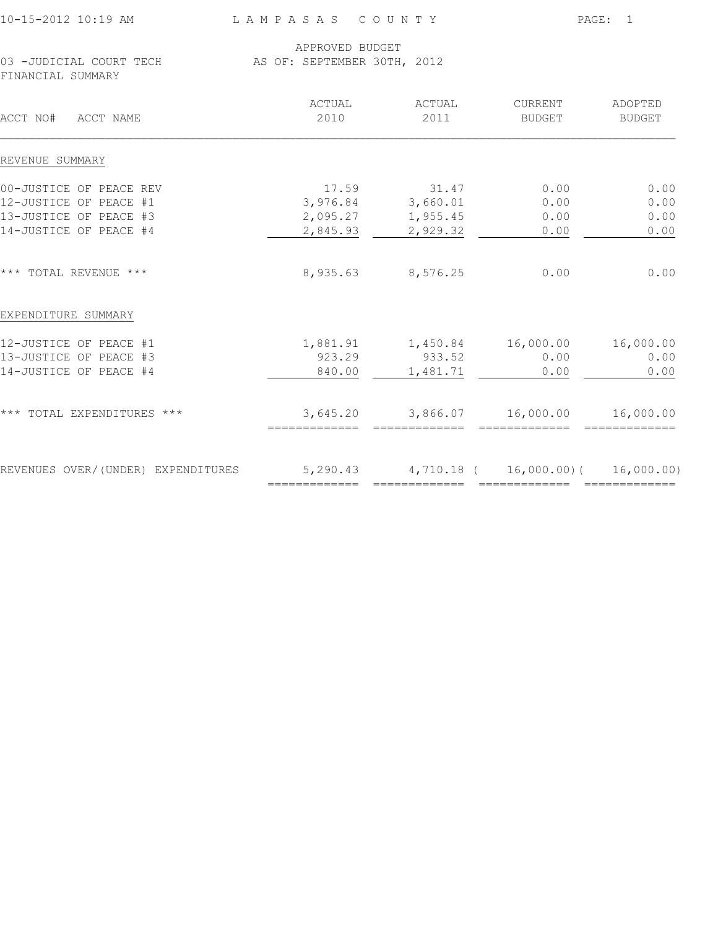| 10-15-2012 10:19 AM |  |
|---------------------|--|
|---------------------|--|

L A M P A S A S C O U N T Y PAGE: 1

## APPROVED BUDGET 03 -JUDICIAL COURT TECH AS OF: SEPTEMBER 30TH, 2012

FINANCIAL SUMMARY

| ACCT NO#<br>ACCT NAME              | ACTUAL<br>2010 | ACTUAL<br>2011                                        | <b>CURRENT</b><br>BUDGET | ADOPTED<br><b>BUDGET</b> |
|------------------------------------|----------------|-------------------------------------------------------|--------------------------|--------------------------|
| REVENUE SUMMARY                    |                |                                                       |                          |                          |
| 00-JUSTICE OF PEACE REV            | 17.59          | 31.47                                                 | 0.00                     | 0.00                     |
| 12-JUSTICE OF PEACE #1             |                | 3,976.84 3,660.01                                     | 0.00                     | 0.00                     |
| 13-JUSTICE OF PEACE #3             | 2,095.27       | 1,955.45                                              | 0.00                     | 0.00                     |
| 14-JUSTICE OF PEACE #4             | 2,845.93       | 2,929.32                                              | 0.00                     | 0.00                     |
| *** TOTAL REVENUE ***              | 8,935.63       | 8,576.25                                              | 0.00                     | 0.00                     |
| EXPENDITURE SUMMARY                |                |                                                       |                          |                          |
| 12-JUSTICE OF PEACE #1             |                |                                                       |                          | 16,000.00                |
| 13-JUSTICE OF PEACE #3             | 923.29         | 933.52                                                | 0.00                     | 0.00                     |
| 14-JUSTICE OF PEACE #4             | 840.00         | 1,481.71                                              | 0.00                     | 0.00                     |
| *** TOTAL EXPENDITURES ***         | 3,645.20       | 3,866.07                                              | 16,000.00                | 16,000.00                |
| REVENUES OVER/(UNDER) EXPENDITURES |                | $5,290.43$ $4,710.18$ ( $16,000.00$ ) ( $16,000.00$ ) |                          |                          |
|                                    |                | =========                                             |                          |                          |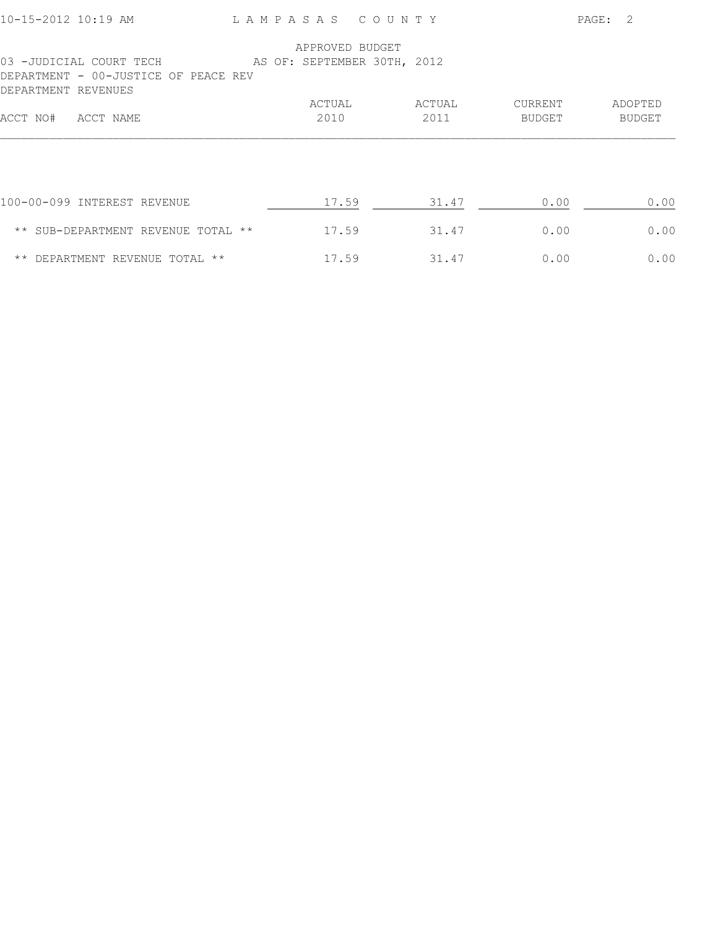| 10-15-2012 10:19 AM                                                                                                |  | LAMPASAS COUNTY |        |         | PAGE: 2 |
|--------------------------------------------------------------------------------------------------------------------|--|-----------------|--------|---------|---------|
|                                                                                                                    |  | APPROVED BUDGET |        |         |         |
| 03 -JUDICIAL COURT TECH AS OF: SEPTEMBER 30TH, 2012<br>DEPARTMENT - 00-JUSTICE OF PEACE REV<br>DEPARTMENT REVENUES |  |                 |        |         |         |
|                                                                                                                    |  | ACTUAL          | ACTUAL | CURRENT | ADOPTED |
| ACCT NO#<br>ACCT NAME                                                                                              |  | 2010            | 2011   | BUDGET  | BUDGET  |
|                                                                                                                    |  |                 |        |         |         |
| 100-00-099 INTEREST REVENUE                                                                                        |  | 17.59           | 31.47  | 0.00    | 0.00    |
| ** SUB-DEPARTMENT REVENUE TOTAL **                                                                                 |  | 17.59           | 31.47  | 0.00    | 0.00    |
| ** DEPARTMENT REVENUE TOTAL **                                                                                     |  | 17.59           | 31.47  | 0.00    | 0.00    |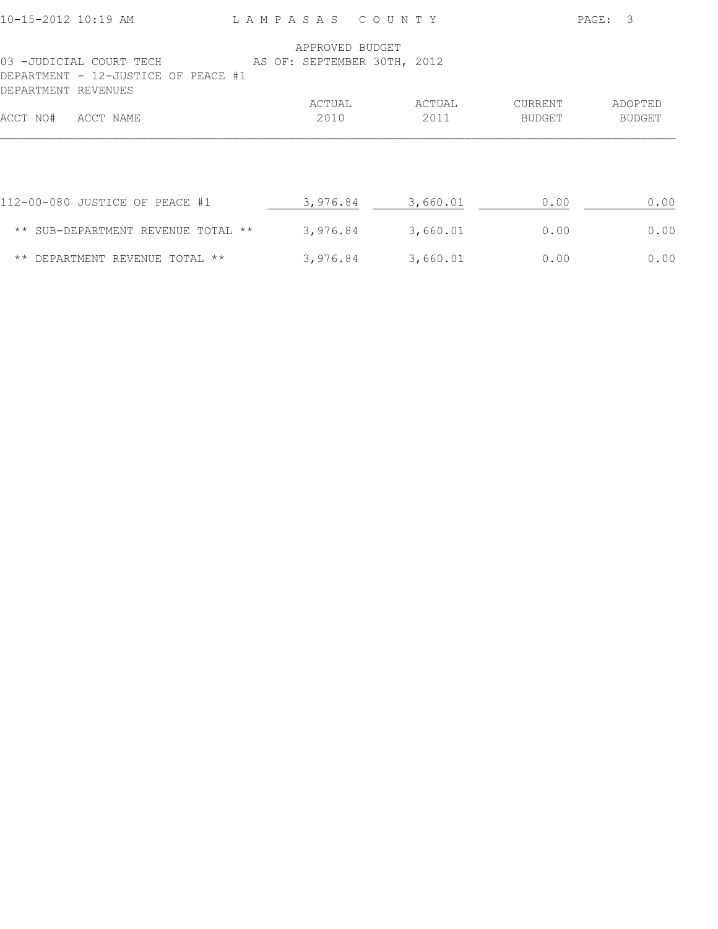| 10-15-2012 10:19 AM                                                                   | LAMPASAS |  |                 |  | COUNTY                      |  |               |      | PAGE: | 3             |      |
|---------------------------------------------------------------------------------------|----------|--|-----------------|--|-----------------------------|--|---------------|------|-------|---------------|------|
|                                                                                       |          |  | APPROVED BUDGET |  |                             |  |               |      |       |               |      |
| 03 -JUDICIAL COURT TECH<br>DEPARTMENT - 12-JUSTICE OF PEACE #1<br>DEPARTMENT REVENUES |          |  |                 |  | AS OF: SEPTEMBER 30TH, 2012 |  |               |      |       |               |      |
|                                                                                       |          |  | ACTUAL          |  | ACTUAL                      |  | CURRENT       |      |       | ADOPTED       |      |
| ACCT NO#<br>ACCT NAME                                                                 |          |  | 2010            |  | 2011                        |  | <b>BUDGET</b> |      |       | <b>BUDGET</b> |      |
|                                                                                       |          |  |                 |  |                             |  |               |      |       |               |      |
| 112-00-080 JUSTICE OF PEACE #1                                                        |          |  | 3,976.84        |  | 3,660.01                    |  |               | 0.00 |       |               | 0.00 |
| ** SUB-DEPARTMENT REVENUE TOTAL **                                                    |          |  | 3,976.84        |  | 3,660.01                    |  |               | 0.00 |       |               | 0.00 |
| ** DEPARTMENT REVENUE TOTAL **                                                        |          |  | 3,976.84        |  | 3,660.01                    |  |               | 0.00 |       |               | 0.00 |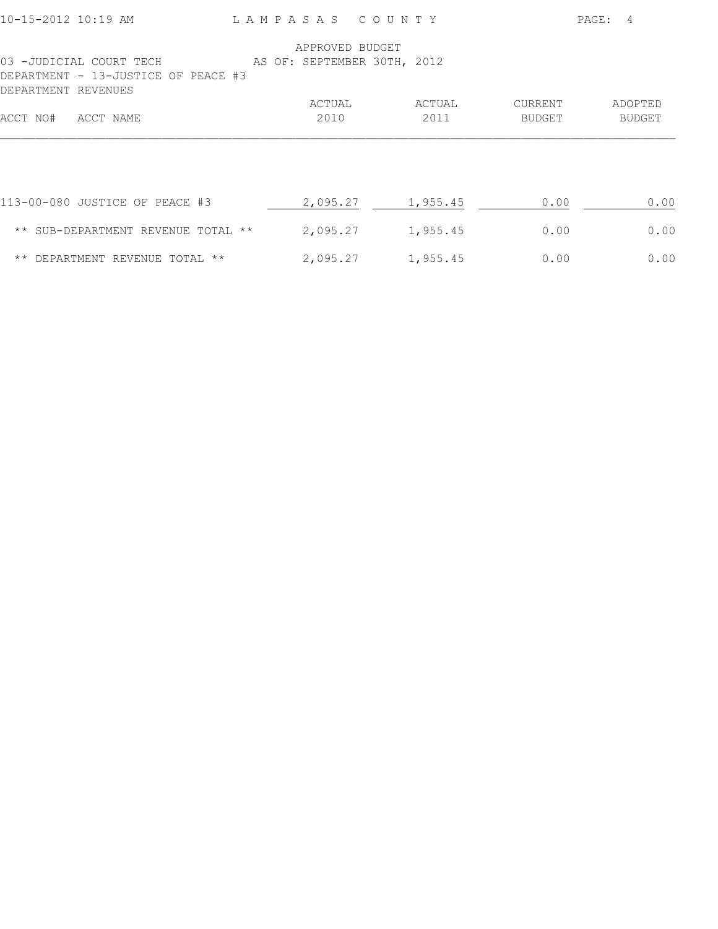| 10-15-2012 10:19 AM                                                                   |  | LAMPASAS COUNTY             |  |          |               | PAGE: | $\overline{4}$ |
|---------------------------------------------------------------------------------------|--|-----------------------------|--|----------|---------------|-------|----------------|
|                                                                                       |  | APPROVED BUDGET             |  |          |               |       |                |
| 03 -JUDICIAL COURT TECH<br>DEPARTMENT - 13-JUSTICE OF PEACE #3<br>DEPARTMENT REVENUES |  | AS OF: SEPTEMBER 30TH, 2012 |  |          |               |       |                |
|                                                                                       |  | ACTUAL                      |  | ACTUAL   | CURRENT       |       | ADOPTED        |
| ACCT NO#<br>ACCT NAME                                                                 |  | 2010                        |  | 2011     | <b>BUDGET</b> |       | <b>BUDGET</b>  |
|                                                                                       |  |                             |  |          |               |       |                |
| 113-00-080 JUSTICE OF PEACE #3                                                        |  | 2,095.27                    |  | 1,955.45 | 0.00          |       | 0.00           |
| ** SUB-DEPARTMENT REVENUE TOTAL **                                                    |  | 2,095.27                    |  | 1,955.45 | 0.00          |       | 0.00           |
| ** DEPARTMENT REVENUE TOTAL **                                                        |  | 2,095.27                    |  | 1,955.45 | 0.00          |       | 0.00           |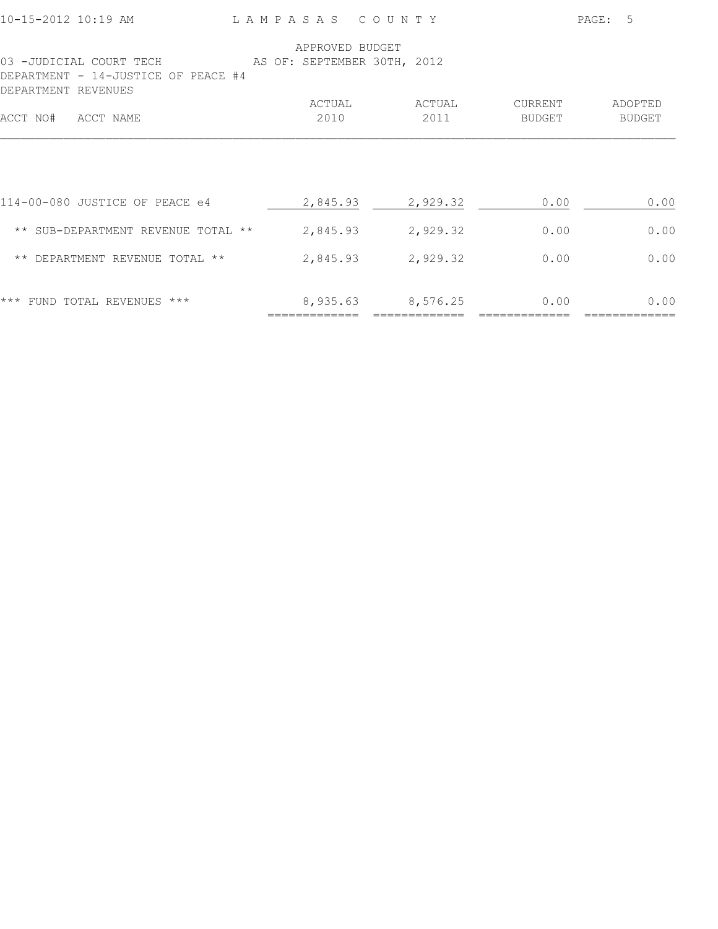| 10-15-2012 10:19 AM                                            | LAMPASAS COUNTY                                |                |                          | PAGE:<br>-5              |
|----------------------------------------------------------------|------------------------------------------------|----------------|--------------------------|--------------------------|
| 03 -JUDICIAL COURT TECH<br>DEPARTMENT - 14-JUSTICE OF PEACE #4 | APPROVED BUDGET<br>AS OF: SEPTEMBER 30TH, 2012 |                |                          |                          |
| DEPARTMENT REVENUES<br>ACCT NAME<br>ACCT NO#                   | ACTUAL<br>2010                                 | ACTUAL<br>2011 | CURRENT<br><b>BUDGET</b> | ADOPTED<br><b>BUDGET</b> |
|                                                                |                                                |                |                          |                          |
| 114-00-080 JUSTICE OF PEACE e4                                 | 2,845.93                                       | 2,929.32       | 0.00                     | 0.00                     |
| ** SUB-DEPARTMENT REVENUE TOTAL **                             | 2,845.93                                       | 2,929.32       | 0.00                     | 0.00                     |
| ** DEPARTMENT REVENUE TOTAL **                                 | 2,845.93                                       | 2,929.32       | 0.00                     | 0.00                     |
| FUND TOTAL REVENUES ***<br>$***$                               | 8,935.63                                       | 8,576.25       | 0.00                     | 0.00                     |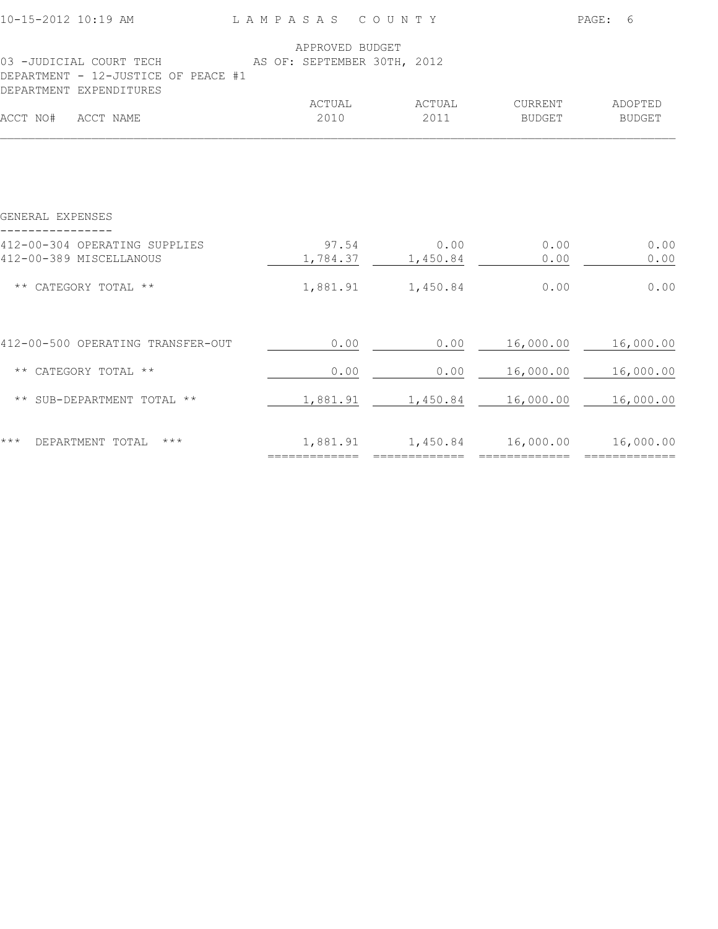| 10-15-2012 10:19 AM                                                                        | LAMPASAS COUNTY |                           |                   | PAGE: 6                  |
|--------------------------------------------------------------------------------------------|-----------------|---------------------------|-------------------|--------------------------|
| 03 -JUDICIAL COURT TECH AS OF: SEPTEMBER 30TH, 2012<br>DEPARTMENT - 12-JUSTICE OF PEACE #1 | APPROVED BUDGET |                           |                   |                          |
| DEPARTMENT EXPENDITURES<br>ACCT NO# ACCT NAME                                              | ACTUAL<br>2010  | ACTUAL<br>2011            | CURRENT<br>BUDGET | ADOPTED<br><b>BUDGET</b> |
|                                                                                            |                 |                           |                   |                          |
| GENERAL EXPENSES                                                                           |                 |                           |                   |                          |
| 412-00-304 OPERATING SUPPLIES<br>412-00-389 MISCELLANOUS                                   | 97.54           | 0.00<br>1,784.37 1,450.84 | 0.00<br>0.00      | 0.00<br>0.00             |
| ** CATEGORY TOTAL **                                                                       |                 | 1,881.91    1,450.84      | 0.00              | 0.00                     |
| 412-00-500 OPERATING TRANSFER-OUT                                                          | 0.00            | 0.00                      | 16,000.00         | 16,000.00                |
| ** CATEGORY TOTAL **                                                                       | 0.00            | 0.00                      | 16,000.00         | 16,000.00                |
| ** SUB-DEPARTMENT TOTAL **                                                                 | 1,881.91        | 1,450.84                  | 16,000.00         | 16,000.00                |
| $***$<br>$\star\star\star$<br>DEPARTMENT TOTAL                                             | 1,881.91        | 1,450.84                  | 16,000.00         | 16,000.00                |

============= ============= ============= =============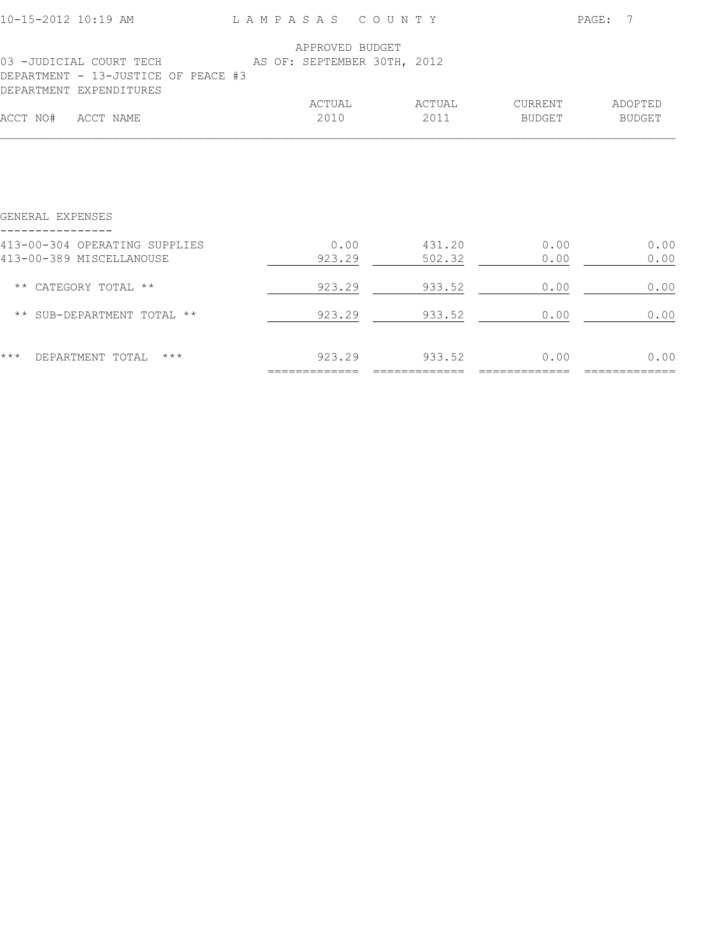| 10-15-2012 10:19 AM                                                                       | LAMPASAS COUNTY                                |                  |                   | PAGE:<br>- 7      |  |
|-------------------------------------------------------------------------------------------|------------------------------------------------|------------------|-------------------|-------------------|--|
| 03 -JUDICIAL COURT TECH<br>DEPARTMENT - 13-JUSTICE OF PEACE #3<br>DEPARTMENT EXPENDITURES | APPROVED BUDGET<br>AS OF: SEPTEMBER 30TH, 2012 |                  |                   |                   |  |
| ACCT NO#<br>ACCT NAME                                                                     | ACTUAL<br>2010                                 | ACTUAL<br>2011   | CURRENT<br>BUDGET | ADOPTED<br>BUDGET |  |
|                                                                                           |                                                |                  |                   |                   |  |
| GENERAL EXPENSES                                                                          |                                                |                  |                   |                   |  |
| 413-00-304 OPERATING SUPPLIES<br>413-00-389 MISCELLANOUSE                                 | 0.00<br>923.29                                 | 431.20<br>502.32 | 0.00<br>0.00      | 0.00<br>0.00      |  |
| ** CATEGORY TOTAL **                                                                      | 923.29                                         | 933.52           | 0.00              | 0.00              |  |
| ** SUB-DEPARTMENT TOTAL **                                                                | 923.29                                         | 933.52           | 0.00              | 0.00              |  |
| $***$<br>DEPARTMENT TOTAL<br>$***$                                                        | 923.29                                         | 933.52           | 0.00              | 0.00              |  |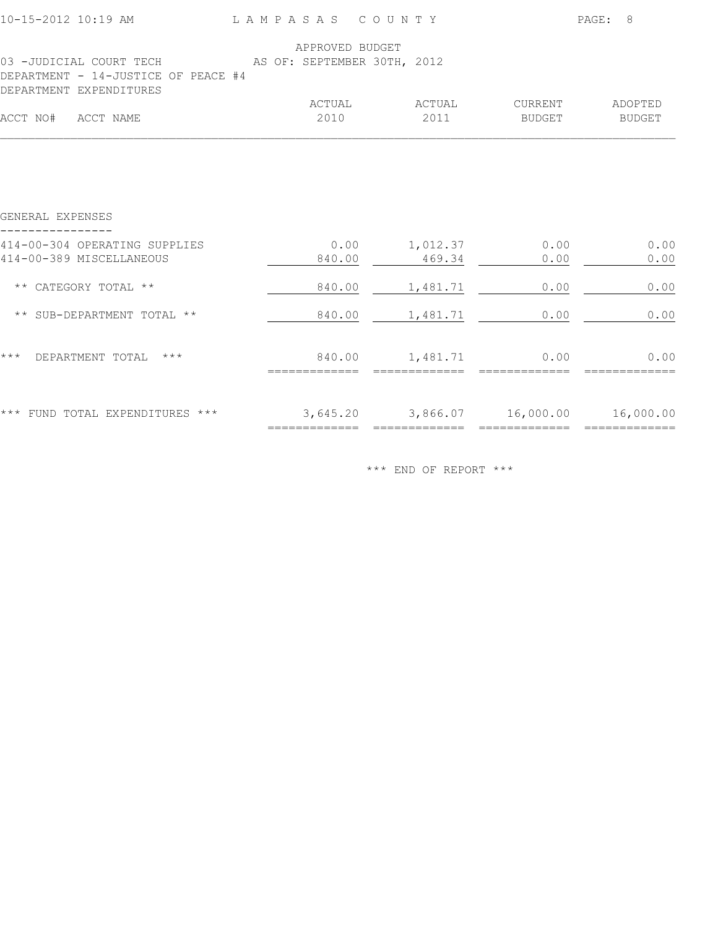| 10-15-2012 10:19 AM LAMPASAS COUNTY                                                        |                 |                                       |                                       | PAGE: 8           |  |
|--------------------------------------------------------------------------------------------|-----------------|---------------------------------------|---------------------------------------|-------------------|--|
| 03 -JUDICIAL COURT TECH AS OF: SEPTEMBER 30TH, 2012<br>DEPARTMENT - 14-JUSTICE OF PEACE #4 | APPROVED BUDGET |                                       |                                       |                   |  |
| DEPARTMENT EXPENDITURES<br>ACCT NO# ACCT NAME                                              | ACTUAL<br>2010  | ACTUAL<br>2011                        | CURRENT<br>BUDGET                     | ADOPTED<br>BUDGET |  |
|                                                                                            |                 |                                       |                                       |                   |  |
| GENERAL EXPENSES                                                                           |                 |                                       |                                       |                   |  |
| 414-00-304 OPERATING SUPPLIES<br>414-00-389 MISCELLANEOUS                                  | 840.00          | $0.00$ 1,012.37<br>469.34             | 0.00<br>0.00                          | 0.00<br>0.00      |  |
| ** CATEGORY TOTAL **                                                                       | 840.00          | 1,481.71                              | 0.00                                  | 0.00              |  |
| ** SUB-DEPARTMENT TOTAL **                                                                 | 840.00          | 1,481.71                              | 0.00                                  | 0.00              |  |
| $***$<br>DEPARTMENT TOTAL ***                                                              |                 | 840.00   1,481.71                     | 0.00                                  | 0.00              |  |
| *** FUND TOTAL EXPENDITURES ***                                                            |                 | $=$ ================================= | 3,645.20 3,866.07 16,000.00 16,000.00 | =============     |  |

\*\*\* END OF REPORT \*\*\*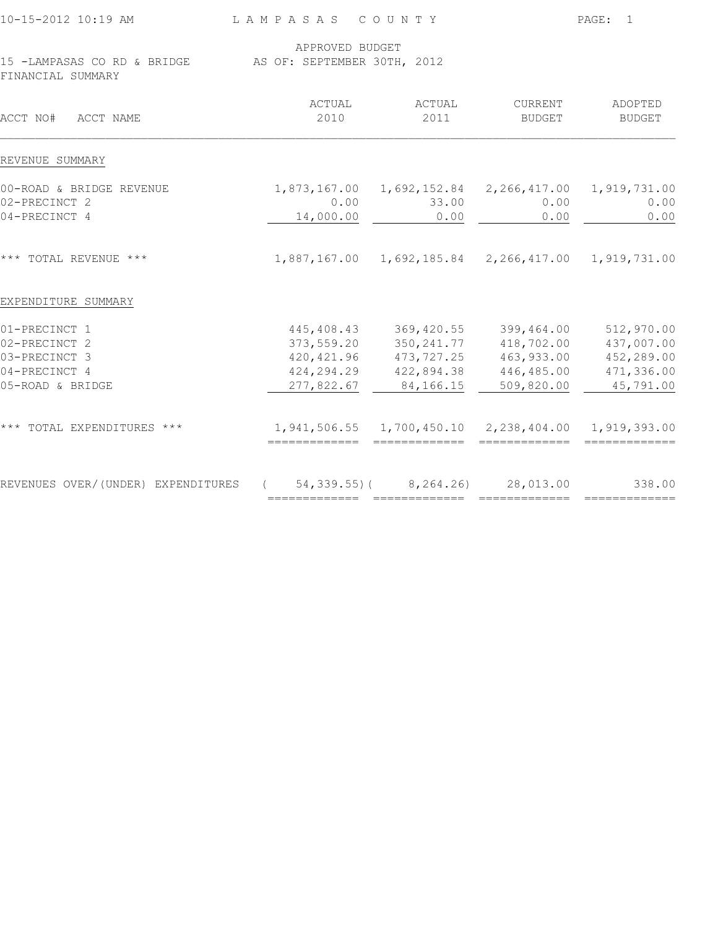|                | 15 -LAMPASAS CO RD & BRIDGE AS OF: SEPTEMBER 30TH, 2012               |                                                                                                                      |                                                                                                                                                                                                                                                                                                                                                                      |
|----------------|-----------------------------------------------------------------------|----------------------------------------------------------------------------------------------------------------------|----------------------------------------------------------------------------------------------------------------------------------------------------------------------------------------------------------------------------------------------------------------------------------------------------------------------------------------------------------------------|
| ACTUAL<br>2010 | ACTUAL<br>2011                                                        | CURRENT<br><b>BUDGET</b>                                                                                             | ADOPTED<br><b>BUDGET</b>                                                                                                                                                                                                                                                                                                                                             |
|                |                                                                       |                                                                                                                      |                                                                                                                                                                                                                                                                                                                                                                      |
|                |                                                                       |                                                                                                                      |                                                                                                                                                                                                                                                                                                                                                                      |
|                |                                                                       |                                                                                                                      | 0.00                                                                                                                                                                                                                                                                                                                                                                 |
|                |                                                                       |                                                                                                                      | 0.00                                                                                                                                                                                                                                                                                                                                                                 |
|                |                                                                       |                                                                                                                      |                                                                                                                                                                                                                                                                                                                                                                      |
|                |                                                                       |                                                                                                                      |                                                                                                                                                                                                                                                                                                                                                                      |
|                |                                                                       | 399,464.00                                                                                                           | 512,970.00                                                                                                                                                                                                                                                                                                                                                           |
|                |                                                                       |                                                                                                                      | 437,007.00                                                                                                                                                                                                                                                                                                                                                           |
|                |                                                                       |                                                                                                                      | 452,289.00                                                                                                                                                                                                                                                                                                                                                           |
|                |                                                                       |                                                                                                                      | 471,336.00                                                                                                                                                                                                                                                                                                                                                           |
|                |                                                                       |                                                                                                                      | 45,791.00                                                                                                                                                                                                                                                                                                                                                            |
|                |                                                                       |                                                                                                                      |                                                                                                                                                                                                                                                                                                                                                                      |
| $\sqrt{2}$     |                                                                       |                                                                                                                      | 338.00                                                                                                                                                                                                                                                                                                                                                               |
|                | 0.00<br>14,000.00<br>277,822.67<br>REVENUES OVER/(UNDER) EXPENDITURES | 33.00<br>0.00<br>445,408.43<br>373,559.20<br>420, 421.96<br>424,294.29<br>84,166.15<br>============================= | 1,873,167.00  1,692,152.84  2,266,417.00  1,919,731.00<br>0.00<br>0.00<br>1,887,167.00  1,692,185.84  2,266,417.00  1,919,731.00<br>369,420.55<br>350, 241.77<br>418,702.00<br>473,727.25<br>463,933.00<br>422,894.38<br>446,485.00<br>509,820.00<br>1,941,506.55  1,700,450.10  2,238,404.00  1,919,393.00<br>$54, 339.55$ ( $8, 264.26$ 28,013.00<br>============= |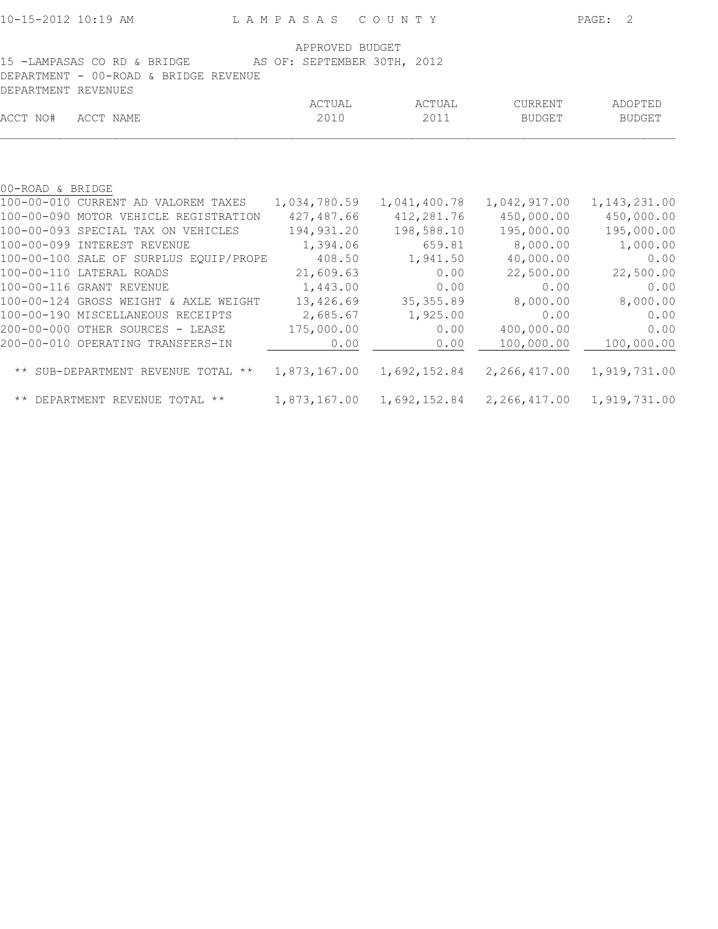| APPROVED BUDGET<br>15 -LAMPASAS CO RD & BRIDGE<br>AS OF: SEPTEMBER 30TH, 2012<br>DEPARTMENT - 00-ROAD & BRIDGE REVENUE |                                        |              |              |                           |                |
|------------------------------------------------------------------------------------------------------------------------|----------------------------------------|--------------|--------------|---------------------------|----------------|
| DEPARTMENT REVENUES                                                                                                    |                                        | ACTUAL       | ACTUAL       | CURRENT                   | ADOPTED        |
| ACCT NO#                                                                                                               | ACCT NAME                              | 2010         | 2011         | BUDGET                    | BUDGET         |
|                                                                                                                        |                                        |              |              |                           |                |
| 00-ROAD & BRIDGE                                                                                                       |                                        |              |              |                           |                |
|                                                                                                                        | 100-00-010 CURRENT AD VALOREM TAXES    | 1,034,780.59 | 1,041,400.78 | 1,042,917.00              | 1, 143, 231.00 |
|                                                                                                                        | 100-00-090 MOTOR VEHICLE REGISTRATION  | 427,487.66   | 412,281.76   | 450,000.00                | 450,000.00     |
|                                                                                                                        | 100-00-093 SPECIAL TAX ON VEHICLES     | 194,931.20   | 198,588.10   | 195,000.00                | 195,000.00     |
|                                                                                                                        | 100-00-099 INTEREST REVENUE            | 1,394.06     | 659.81       | 8,000.00                  | 1,000.00       |
|                                                                                                                        | 100-00-100 SALE OF SURPLUS EQUIP/PROPE | 408.50       | 1,941.50     | 40,000.00                 | 0.00           |
|                                                                                                                        | 100-00-110 LATERAL ROADS               | 21,609.63    | 0.00         | 22,500.00                 | 22,500.00      |
|                                                                                                                        | 100-00-116 GRANT REVENUE               | 1,443.00     | 0.00         | 0.00                      | 0.00           |
|                                                                                                                        | 100-00-124 GROSS WEIGHT & AXLE WEIGHT  | 13,426.69    | 35, 355.89   | 8,000.00                  | 8,000.00       |
|                                                                                                                        | 100-00-190 MISCELLANEOUS RECEIPTS      | 2,685.67     | 1,925.00     | 0.00                      | 0.00           |
|                                                                                                                        | 200-00-000 OTHER SOURCES - LEASE       | 175,000.00   | 0.00         | 400,000.00                | 0.00           |
|                                                                                                                        | 200-00-010 OPERATING TRANSFERS-IN      | 0.00         | 0.00         | 100,000.00                | 100,000.00     |
|                                                                                                                        | ** SUB-DEPARTMENT REVENUE TOTAL **     | 1,873,167.00 |              | 1,692,152.84 2,266,417.00 | 1,919,731.00   |
|                                                                                                                        | ** DEPARTMENT REVENUE TOTAL **         | 1,873,167.00 | 1,692,152.84 | 2,266,417.00              | 1,919,731.00   |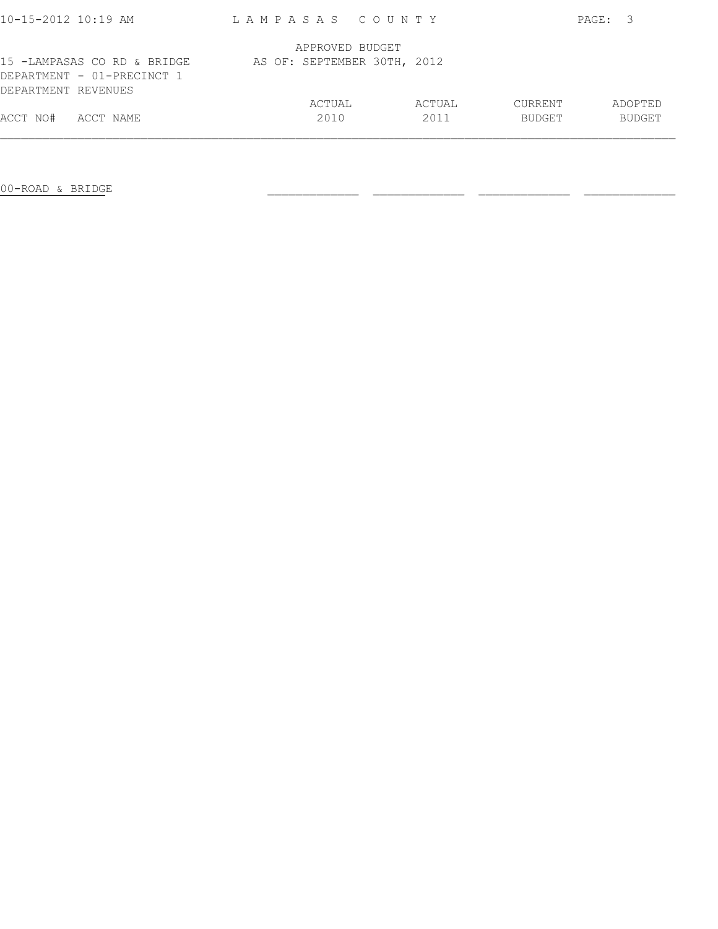| 10-15-2012 10:19 AM                                                              | LAMPASAS COUNTY             |                |                                 | PAGE: 3                  |
|----------------------------------------------------------------------------------|-----------------------------|----------------|---------------------------------|--------------------------|
|                                                                                  | APPROVED BUDGET             |                |                                 |                          |
| 15 -LAMPASAS CO RD & BRIDGE<br>DEPARTMENT - 01-PRECINCT 1<br>DEPARTMENT REVENUES | AS OF: SEPTEMBER 30TH, 2012 |                |                                 |                          |
| ACCT NO#<br>ACCT NAME                                                            | ACTUAL<br>2010              | ACTUAL<br>2011 | <b>CURRENT</b><br><b>BUDGET</b> | ADOPTED<br><b>BUDGET</b> |

00-ROAD & BRIDGE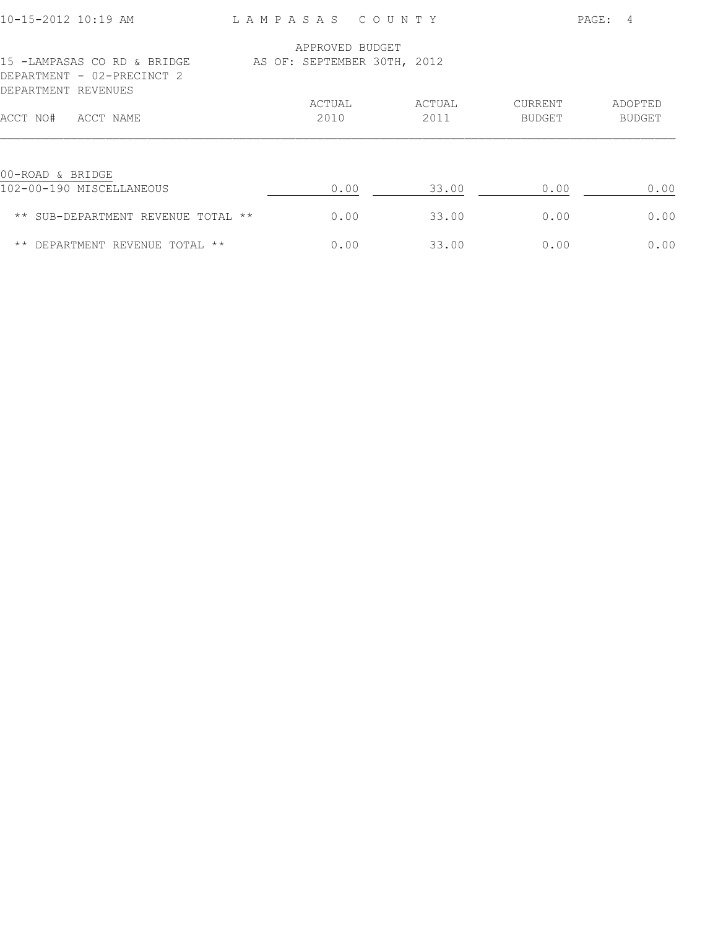| 10-15-2012 10:19 AM                                                              | LAMPASAS                    | COUNTY |        |                | PAGE:<br>$\overline{4}$ |
|----------------------------------------------------------------------------------|-----------------------------|--------|--------|----------------|-------------------------|
|                                                                                  | APPROVED BUDGET             |        |        |                |                         |
| 15 -LAMPASAS CO RD & BRIDGE<br>DEPARTMENT - 02-PRECINCT 2<br>DEPARTMENT REVENUES | AS OF: SEPTEMBER 30TH, 2012 |        |        |                |                         |
|                                                                                  | ACTUAL                      |        | ACTUAL | <b>CURRENT</b> | ADOPTED                 |
| ACCT NO#<br>ACCT NAME                                                            | 2010                        |        | 2011   | <b>BUDGET</b>  | <b>BUDGET</b>           |
| 00-ROAD & BRIDGE                                                                 |                             |        |        |                |                         |
| 102-00-190 MISCELLANEOUS                                                         | 0.00                        |        | 33.00  | 0.00           | 0.00                    |
| ** SUB-DEPARTMENT REVENUE<br>TOTAL **                                            | 0.00                        |        | 33.00  | 0.00           | 0.00                    |
| $\star\star$<br>DEPARTMENT REVENUE TOTAL **                                      | 0.00                        |        | 33.00  | 0.00           | 0.00                    |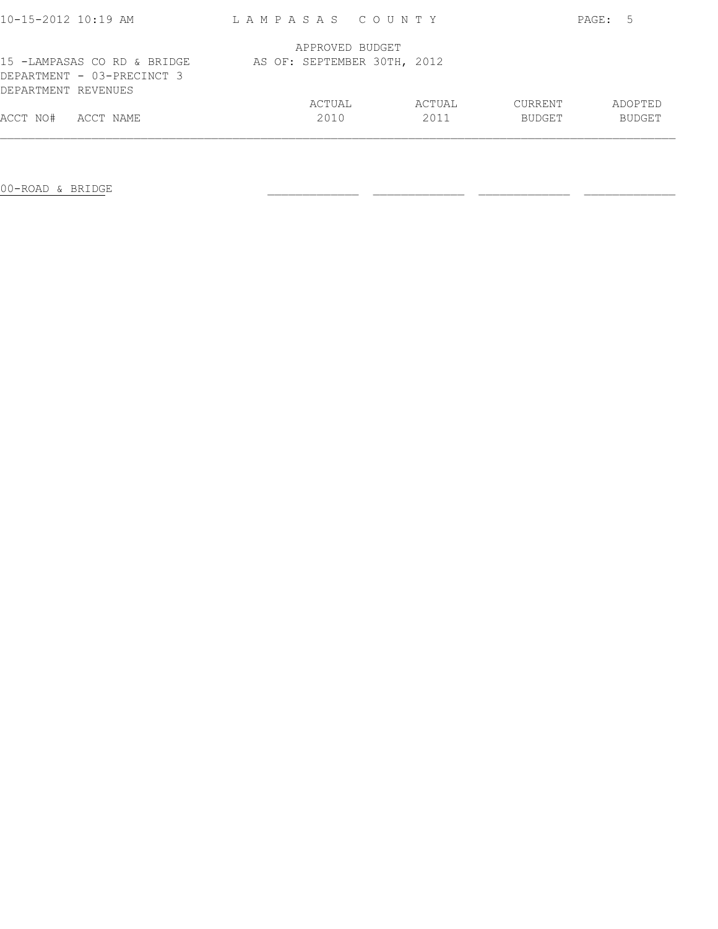| 10-15-2012 10:19 AM                                                              | LAMPASAS COUNTY             |        |               | PAGE: 5       |
|----------------------------------------------------------------------------------|-----------------------------|--------|---------------|---------------|
|                                                                                  | APPROVED BUDGET             |        |               |               |
| 15 -LAMPASAS CO RD & BRIDGE<br>DEPARTMENT - 03-PRECINCT 3<br>DEPARTMENT REVENUES | AS OF: SEPTEMBER 30TH, 2012 |        |               |               |
|                                                                                  | ACTUAL                      | ACTUAL | CURRENT       | ADOPTED       |
| ACCT NO#<br>ACCT NAME                                                            | 2010                        | 2011   | <b>BUDGET</b> | <b>BUDGET</b> |
|                                                                                  |                             |        |               |               |

00-ROAD & BRIDGE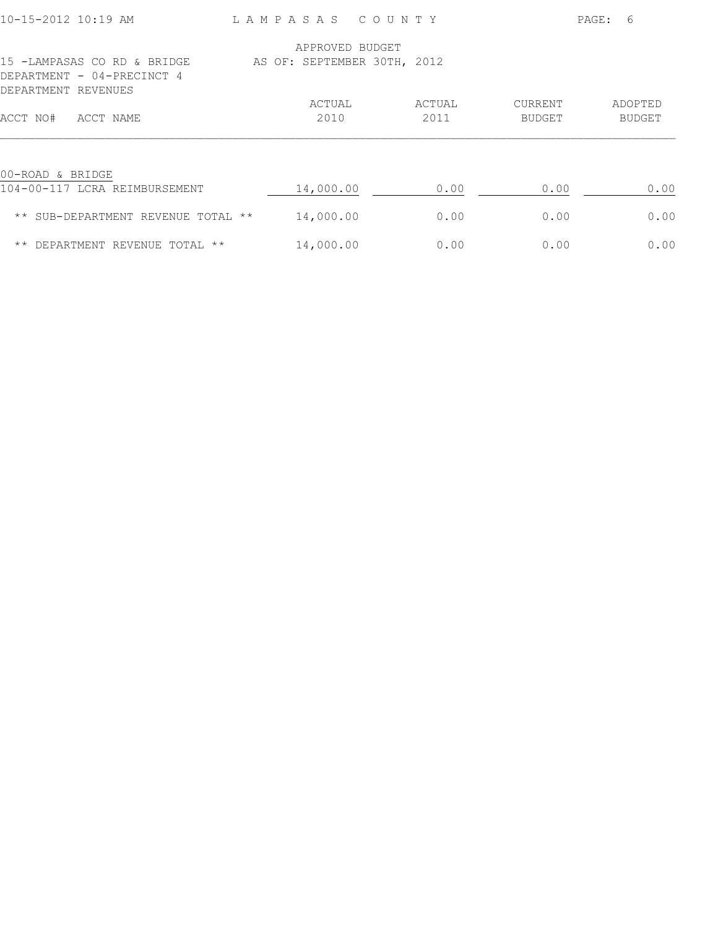| 10-15-2012 10:19 AM                                                              | LAMPASAS                    | COUNTY |        |                | PAGE:<br>6    |
|----------------------------------------------------------------------------------|-----------------------------|--------|--------|----------------|---------------|
|                                                                                  | APPROVED BUDGET             |        |        |                |               |
| 15 -LAMPASAS CO RD & BRIDGE<br>DEPARTMENT - 04-PRECINCT 4<br>DEPARTMENT REVENUES | AS OF: SEPTEMBER 30TH, 2012 |        |        |                |               |
|                                                                                  | ACTUAL                      |        | ACTUAL | <b>CURRENT</b> | ADOPTED       |
| ACCT NAME<br>ACCT NO#                                                            | 2010                        |        | 2011   | <b>BUDGET</b>  | <b>BUDGET</b> |
| 00-ROAD & BRIDGE                                                                 |                             |        |        |                |               |
| 104-00-117 LCRA REIMBURSEMENT                                                    | 14,000.00                   |        | 0.00   | 0.00           | 0.00          |
| ** SUB-DEPARTMENT REVENUE TOTAL **                                               | 14,000.00                   |        | 0.00   | 0.00           | 0.00          |
| DEPARTMENT REVENUE TOTAL **<br>$***$                                             | 14,000.00                   |        | 0.00   | 0.00           | 0.00          |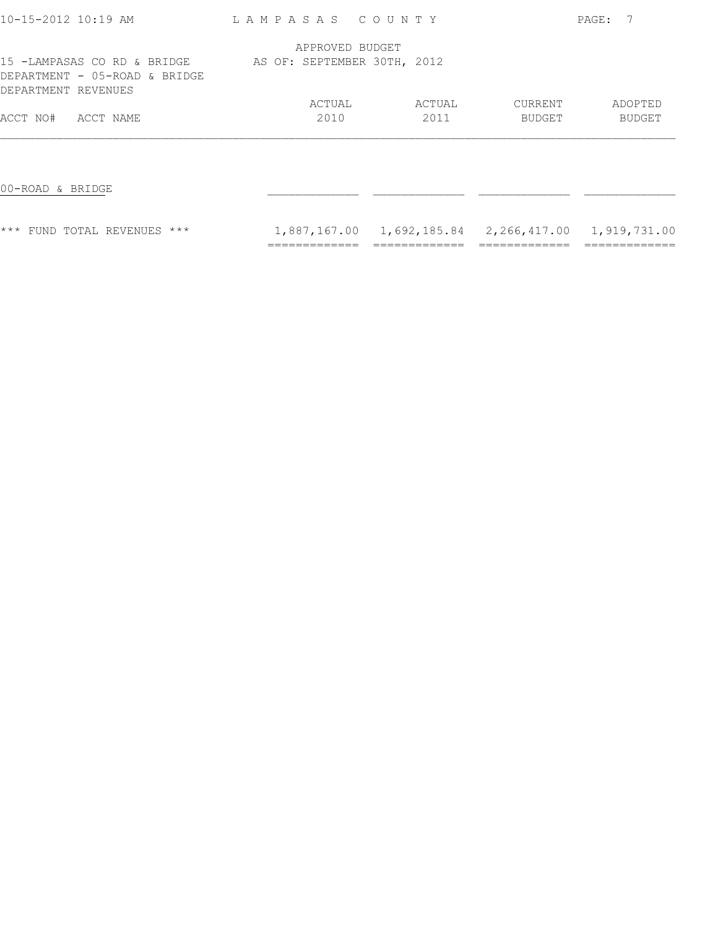| 10-15-2012 10:19 AM                                                                 | LAMPASAS COUNTY             |                                                        |         | PAGE:         |
|-------------------------------------------------------------------------------------|-----------------------------|--------------------------------------------------------|---------|---------------|
|                                                                                     | APPROVED BUDGET             |                                                        |         |               |
| 15 -LAMPASAS CO RD & BRIDGE<br>DEPARTMENT - 05-ROAD & BRIDGE<br>DEPARTMENT REVENUES | AS OF: SEPTEMBER 30TH, 2012 |                                                        |         |               |
|                                                                                     | ACTUAL                      | ACTUAL                                                 | CURRENT | ADOPTED       |
| ACCT NO#<br>ACCT NAME                                                               | 2010                        | 2011                                                   | BUDGET  | <b>BUDGET</b> |
|                                                                                     |                             |                                                        |         |               |
| 00-ROAD & BRIDGE                                                                    |                             |                                                        |         |               |
| <b>*** FUND TOTAL REVENUES ***</b>                                                  |                             | 1,887,167.00  1,692,185.84  2,266,417.00  1,919,731.00 |         |               |
|                                                                                     |                             |                                                        |         |               |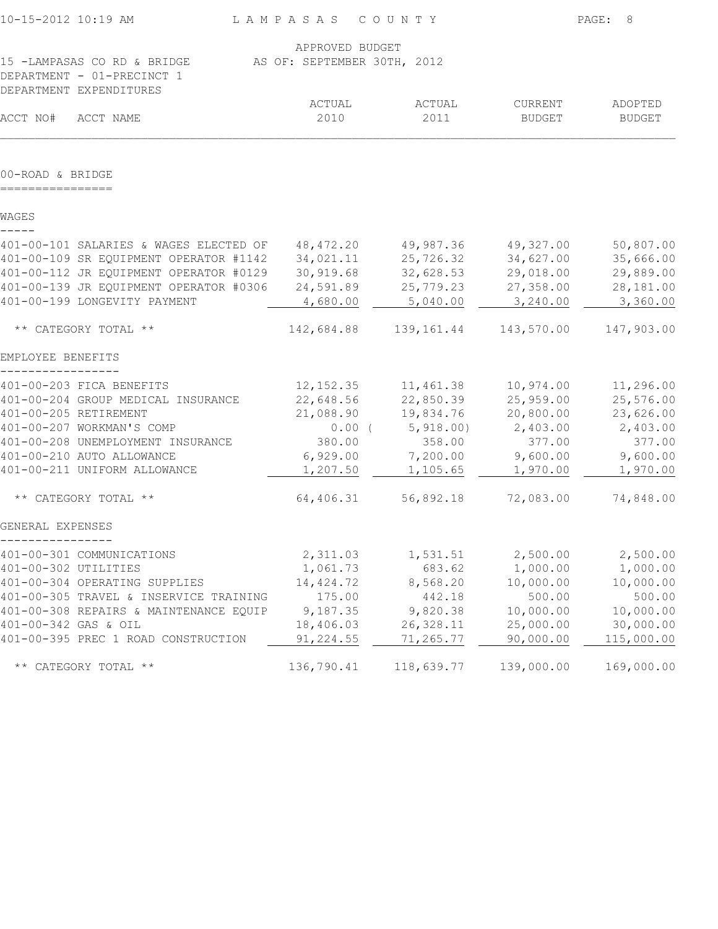| APPROVED BUDGET<br>15 -LAMPASAS CO RD & BRIDGE<br>AS OF: SEPTEMBER 30TH, 2012<br>DEPARTMENT - 01-PRECINCT 1<br>DEPARTMENT EXPENDITURES<br>ACTUAL<br>ACTUAL<br>CURRENT<br>ADOPTED<br>ACCT NO#<br>2010<br>2011<br>ACCT NAME<br><b>BUDGET</b><br><b>BUDGET</b><br>00-ROAD & BRIDGE<br>WAGES<br>401-00-101 SALARIES & WAGES ELECTED OF<br>48,472.20<br>49,987.36<br>49,327.00<br>25,726.32<br>34,627.00<br>34,021.11<br>401-00-112 JR EQUIPMENT OPERATOR #0129<br>32,628.53<br>29,018.00<br>30,919.68<br>401-00-139 JR EQUIPMENT OPERATOR #0306<br>24,591.89<br>25,779.23<br>27,358.00<br>401-00-199 LONGEVITY PAYMENT<br>4,680.00<br>5,040.00<br>3,240.00<br>** CATEGORY TOTAL **<br>143,570.00<br>142,684.88<br>139,161.44<br>EMPLOYEE BENEFITS<br>401-00-203 FICA BENEFITS<br>12, 152.35<br>11,461.38<br>10,974.00<br>401-00-204 GROUP MEDICAL INSURANCE<br>22,648.56<br>22,850.39<br>25,959.00<br>401-00-205 RETIREMENT<br>19,834.76<br>20,800.00<br>21,088.90<br>$0.00$ (<br>5,918.00)<br>401-00-207 WORKMAN'S COMP<br>2,403.00<br>358.00<br>377.00<br>401-00-208 UNEMPLOYMENT INSURANCE<br>380.00<br>401-00-210 AUTO ALLOWANCE<br>6,929.00<br>7,200.00<br>9,600.00<br>401-00-211 UNIFORM ALLOWANCE<br>1,207.50<br>1,105.65<br>1,970.00<br>64,406.31<br>56,892.18<br>** CATEGORY TOTAL **<br>72,083.00<br>GENERAL EXPENSES<br>2,500.00<br>401-00-301 COMMUNICATIONS<br>2,311.03<br>1,531.51<br>683.62<br>1,000.00<br>401-00-302 UTILITIES<br>1,061.73<br>401-00-304 OPERATING SUPPLIES<br>14,424.72<br>8,568.20<br>10,000.00<br>500.00<br>401-00-305 TRAVEL & INSERVICE TRAINING<br>175.00<br>442.18<br>401-00-308 REPAIRS & MAINTENANCE EQUIP<br>9,187.35<br>9,820.38<br>10,000.00<br>401-00-342 GAS & OIL<br>18,406.03<br>26, 328.11<br>25,000.00<br>401-00-395 PREC 1 ROAD CONSTRUCTION<br>91,224.55<br>71,265.77<br>90,000.00 | 10-15-2012 10:19 AM  | LAMPASAS COUNTY |            |            | PAGE:<br>8 |
|------------------------------------------------------------------------------------------------------------------------------------------------------------------------------------------------------------------------------------------------------------------------------------------------------------------------------------------------------------------------------------------------------------------------------------------------------------------------------------------------------------------------------------------------------------------------------------------------------------------------------------------------------------------------------------------------------------------------------------------------------------------------------------------------------------------------------------------------------------------------------------------------------------------------------------------------------------------------------------------------------------------------------------------------------------------------------------------------------------------------------------------------------------------------------------------------------------------------------------------------------------------------------------------------------------------------------------------------------------------------------------------------------------------------------------------------------------------------------------------------------------------------------------------------------------------------------------------------------------------------------------------------------------------------------------------------------------------------------------------------------------------------------------------------------------------------------------|----------------------|-----------------|------------|------------|------------|
|                                                                                                                                                                                                                                                                                                                                                                                                                                                                                                                                                                                                                                                                                                                                                                                                                                                                                                                                                                                                                                                                                                                                                                                                                                                                                                                                                                                                                                                                                                                                                                                                                                                                                                                                                                                                                                    |                      |                 |            |            |            |
|                                                                                                                                                                                                                                                                                                                                                                                                                                                                                                                                                                                                                                                                                                                                                                                                                                                                                                                                                                                                                                                                                                                                                                                                                                                                                                                                                                                                                                                                                                                                                                                                                                                                                                                                                                                                                                    |                      |                 |            |            |            |
|                                                                                                                                                                                                                                                                                                                                                                                                                                                                                                                                                                                                                                                                                                                                                                                                                                                                                                                                                                                                                                                                                                                                                                                                                                                                                                                                                                                                                                                                                                                                                                                                                                                                                                                                                                                                                                    |                      |                 |            |            |            |
|                                                                                                                                                                                                                                                                                                                                                                                                                                                                                                                                                                                                                                                                                                                                                                                                                                                                                                                                                                                                                                                                                                                                                                                                                                                                                                                                                                                                                                                                                                                                                                                                                                                                                                                                                                                                                                    |                      |                 |            |            |            |
| 401-00-109 SR EQUIPMENT OPERATOR #1142                                                                                                                                                                                                                                                                                                                                                                                                                                                                                                                                                                                                                                                                                                                                                                                                                                                                                                                                                                                                                                                                                                                                                                                                                                                                                                                                                                                                                                                                                                                                                                                                                                                                                                                                                                                             |                      |                 |            |            |            |
|                                                                                                                                                                                                                                                                                                                                                                                                                                                                                                                                                                                                                                                                                                                                                                                                                                                                                                                                                                                                                                                                                                                                                                                                                                                                                                                                                                                                                                                                                                                                                                                                                                                                                                                                                                                                                                    |                      |                 |            |            |            |
|                                                                                                                                                                                                                                                                                                                                                                                                                                                                                                                                                                                                                                                                                                                                                                                                                                                                                                                                                                                                                                                                                                                                                                                                                                                                                                                                                                                                                                                                                                                                                                                                                                                                                                                                                                                                                                    |                      |                 |            |            |            |
|                                                                                                                                                                                                                                                                                                                                                                                                                                                                                                                                                                                                                                                                                                                                                                                                                                                                                                                                                                                                                                                                                                                                                                                                                                                                                                                                                                                                                                                                                                                                                                                                                                                                                                                                                                                                                                    |                      |                 |            |            |            |
|                                                                                                                                                                                                                                                                                                                                                                                                                                                                                                                                                                                                                                                                                                                                                                                                                                                                                                                                                                                                                                                                                                                                                                                                                                                                                                                                                                                                                                                                                                                                                                                                                                                                                                                                                                                                                                    |                      |                 |            |            |            |
|                                                                                                                                                                                                                                                                                                                                                                                                                                                                                                                                                                                                                                                                                                                                                                                                                                                                                                                                                                                                                                                                                                                                                                                                                                                                                                                                                                                                                                                                                                                                                                                                                                                                                                                                                                                                                                    |                      |                 |            |            | 50,807.00  |
|                                                                                                                                                                                                                                                                                                                                                                                                                                                                                                                                                                                                                                                                                                                                                                                                                                                                                                                                                                                                                                                                                                                                                                                                                                                                                                                                                                                                                                                                                                                                                                                                                                                                                                                                                                                                                                    |                      |                 |            |            | 35,666.00  |
|                                                                                                                                                                                                                                                                                                                                                                                                                                                                                                                                                                                                                                                                                                                                                                                                                                                                                                                                                                                                                                                                                                                                                                                                                                                                                                                                                                                                                                                                                                                                                                                                                                                                                                                                                                                                                                    |                      |                 |            |            | 29,889.00  |
|                                                                                                                                                                                                                                                                                                                                                                                                                                                                                                                                                                                                                                                                                                                                                                                                                                                                                                                                                                                                                                                                                                                                                                                                                                                                                                                                                                                                                                                                                                                                                                                                                                                                                                                                                                                                                                    |                      |                 |            |            | 28,181.00  |
|                                                                                                                                                                                                                                                                                                                                                                                                                                                                                                                                                                                                                                                                                                                                                                                                                                                                                                                                                                                                                                                                                                                                                                                                                                                                                                                                                                                                                                                                                                                                                                                                                                                                                                                                                                                                                                    |                      |                 |            |            | 3,360.00   |
|                                                                                                                                                                                                                                                                                                                                                                                                                                                                                                                                                                                                                                                                                                                                                                                                                                                                                                                                                                                                                                                                                                                                                                                                                                                                                                                                                                                                                                                                                                                                                                                                                                                                                                                                                                                                                                    |                      |                 |            |            | 147,903.00 |
|                                                                                                                                                                                                                                                                                                                                                                                                                                                                                                                                                                                                                                                                                                                                                                                                                                                                                                                                                                                                                                                                                                                                                                                                                                                                                                                                                                                                                                                                                                                                                                                                                                                                                                                                                                                                                                    |                      |                 |            |            |            |
|                                                                                                                                                                                                                                                                                                                                                                                                                                                                                                                                                                                                                                                                                                                                                                                                                                                                                                                                                                                                                                                                                                                                                                                                                                                                                                                                                                                                                                                                                                                                                                                                                                                                                                                                                                                                                                    |                      |                 |            |            | 11,296.00  |
|                                                                                                                                                                                                                                                                                                                                                                                                                                                                                                                                                                                                                                                                                                                                                                                                                                                                                                                                                                                                                                                                                                                                                                                                                                                                                                                                                                                                                                                                                                                                                                                                                                                                                                                                                                                                                                    |                      |                 |            |            | 25,576.00  |
|                                                                                                                                                                                                                                                                                                                                                                                                                                                                                                                                                                                                                                                                                                                                                                                                                                                                                                                                                                                                                                                                                                                                                                                                                                                                                                                                                                                                                                                                                                                                                                                                                                                                                                                                                                                                                                    |                      |                 |            |            | 23,626.00  |
|                                                                                                                                                                                                                                                                                                                                                                                                                                                                                                                                                                                                                                                                                                                                                                                                                                                                                                                                                                                                                                                                                                                                                                                                                                                                                                                                                                                                                                                                                                                                                                                                                                                                                                                                                                                                                                    |                      |                 |            |            | 2,403.00   |
|                                                                                                                                                                                                                                                                                                                                                                                                                                                                                                                                                                                                                                                                                                                                                                                                                                                                                                                                                                                                                                                                                                                                                                                                                                                                                                                                                                                                                                                                                                                                                                                                                                                                                                                                                                                                                                    |                      |                 |            |            | 377.00     |
|                                                                                                                                                                                                                                                                                                                                                                                                                                                                                                                                                                                                                                                                                                                                                                                                                                                                                                                                                                                                                                                                                                                                                                                                                                                                                                                                                                                                                                                                                                                                                                                                                                                                                                                                                                                                                                    |                      |                 |            |            | 9,600.00   |
|                                                                                                                                                                                                                                                                                                                                                                                                                                                                                                                                                                                                                                                                                                                                                                                                                                                                                                                                                                                                                                                                                                                                                                                                                                                                                                                                                                                                                                                                                                                                                                                                                                                                                                                                                                                                                                    |                      |                 |            |            | 1,970.00   |
|                                                                                                                                                                                                                                                                                                                                                                                                                                                                                                                                                                                                                                                                                                                                                                                                                                                                                                                                                                                                                                                                                                                                                                                                                                                                                                                                                                                                                                                                                                                                                                                                                                                                                                                                                                                                                                    |                      |                 |            |            | 74,848.00  |
|                                                                                                                                                                                                                                                                                                                                                                                                                                                                                                                                                                                                                                                                                                                                                                                                                                                                                                                                                                                                                                                                                                                                                                                                                                                                                                                                                                                                                                                                                                                                                                                                                                                                                                                                                                                                                                    |                      |                 |            |            |            |
|                                                                                                                                                                                                                                                                                                                                                                                                                                                                                                                                                                                                                                                                                                                                                                                                                                                                                                                                                                                                                                                                                                                                                                                                                                                                                                                                                                                                                                                                                                                                                                                                                                                                                                                                                                                                                                    |                      |                 |            |            | 2,500.00   |
|                                                                                                                                                                                                                                                                                                                                                                                                                                                                                                                                                                                                                                                                                                                                                                                                                                                                                                                                                                                                                                                                                                                                                                                                                                                                                                                                                                                                                                                                                                                                                                                                                                                                                                                                                                                                                                    |                      |                 |            |            | 1,000.00   |
|                                                                                                                                                                                                                                                                                                                                                                                                                                                                                                                                                                                                                                                                                                                                                                                                                                                                                                                                                                                                                                                                                                                                                                                                                                                                                                                                                                                                                                                                                                                                                                                                                                                                                                                                                                                                                                    |                      |                 |            |            | 10,000.00  |
|                                                                                                                                                                                                                                                                                                                                                                                                                                                                                                                                                                                                                                                                                                                                                                                                                                                                                                                                                                                                                                                                                                                                                                                                                                                                                                                                                                                                                                                                                                                                                                                                                                                                                                                                                                                                                                    |                      |                 |            |            | 500.00     |
|                                                                                                                                                                                                                                                                                                                                                                                                                                                                                                                                                                                                                                                                                                                                                                                                                                                                                                                                                                                                                                                                                                                                                                                                                                                                                                                                                                                                                                                                                                                                                                                                                                                                                                                                                                                                                                    |                      |                 |            |            | 10,000.00  |
|                                                                                                                                                                                                                                                                                                                                                                                                                                                                                                                                                                                                                                                                                                                                                                                                                                                                                                                                                                                                                                                                                                                                                                                                                                                                                                                                                                                                                                                                                                                                                                                                                                                                                                                                                                                                                                    |                      |                 |            |            | 30,000.00  |
|                                                                                                                                                                                                                                                                                                                                                                                                                                                                                                                                                                                                                                                                                                                                                                                                                                                                                                                                                                                                                                                                                                                                                                                                                                                                                                                                                                                                                                                                                                                                                                                                                                                                                                                                                                                                                                    |                      |                 |            |            | 115,000.00 |
|                                                                                                                                                                                                                                                                                                                                                                                                                                                                                                                                                                                                                                                                                                                                                                                                                                                                                                                                                                                                                                                                                                                                                                                                                                                                                                                                                                                                                                                                                                                                                                                                                                                                                                                                                                                                                                    | ** CATEGORY TOTAL ** | 136,790.41      | 118,639.77 | 139,000.00 | 169,000.00 |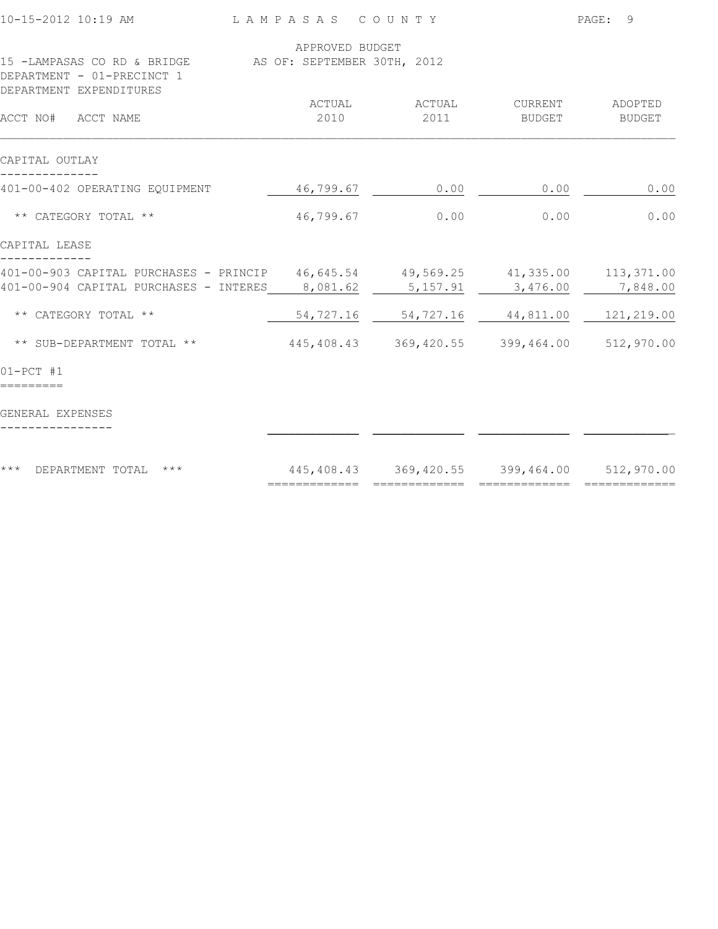|               |                                                                                  | PAGE: 9                                                                                       |                                                                                                                                                                          |  |
|---------------|----------------------------------------------------------------------------------|-----------------------------------------------------------------------------------------------|--------------------------------------------------------------------------------------------------------------------------------------------------------------------------|--|
|               |                                                                                  |                                                                                               |                                                                                                                                                                          |  |
|               |                                                                                  |                                                                                               |                                                                                                                                                                          |  |
| ACTUAL        | ACTUAL                                                                           | CURRENT                                                                                       | ADOPTED                                                                                                                                                                  |  |
| 2010          | 2011                                                                             | BUDGET                                                                                        | <b>BUDGET</b>                                                                                                                                                            |  |
|               |                                                                                  |                                                                                               |                                                                                                                                                                          |  |
| 46,799.67     | 0.00                                                                             | 0.00                                                                                          | 0.00                                                                                                                                                                     |  |
| 46,799.67     | 0.00                                                                             | 0.00                                                                                          | 0.00                                                                                                                                                                     |  |
|               |                                                                                  |                                                                                               |                                                                                                                                                                          |  |
|               |                                                                                  |                                                                                               |                                                                                                                                                                          |  |
| 8,081.62      | 5,157.91                                                                         | 3,476.00                                                                                      | 7,848.00                                                                                                                                                                 |  |
| 54,727.16     | 54,727.16                                                                        |                                                                                               | 121,219.00                                                                                                                                                               |  |
|               |                                                                                  |                                                                                               |                                                                                                                                                                          |  |
|               |                                                                                  |                                                                                               |                                                                                                                                                                          |  |
|               |                                                                                  |                                                                                               |                                                                                                                                                                          |  |
|               |                                                                                  |                                                                                               |                                                                                                                                                                          |  |
| ============= | =============                                                                    |                                                                                               | =============                                                                                                                                                            |  |
|               | 401-00-903 CAPITAL PURCHASES - PRINCIP<br>401-00-904 CAPITAL PURCHASES - INTERES | LAMPASAS COUNTY<br>APPROVED BUDGET<br>15 -LAMPASAS CO RD & BRIDGE AS OF: SEPTEMBER 30TH, 2012 | 46,645.54 49,569.25 41,335.00 113,371.00<br>44,811.00<br>445,408.43 369,420.55 399,464.00 512,970.00<br>445,408.43 369,420.55 399,464.00 512,970.00<br>$=$ ============= |  |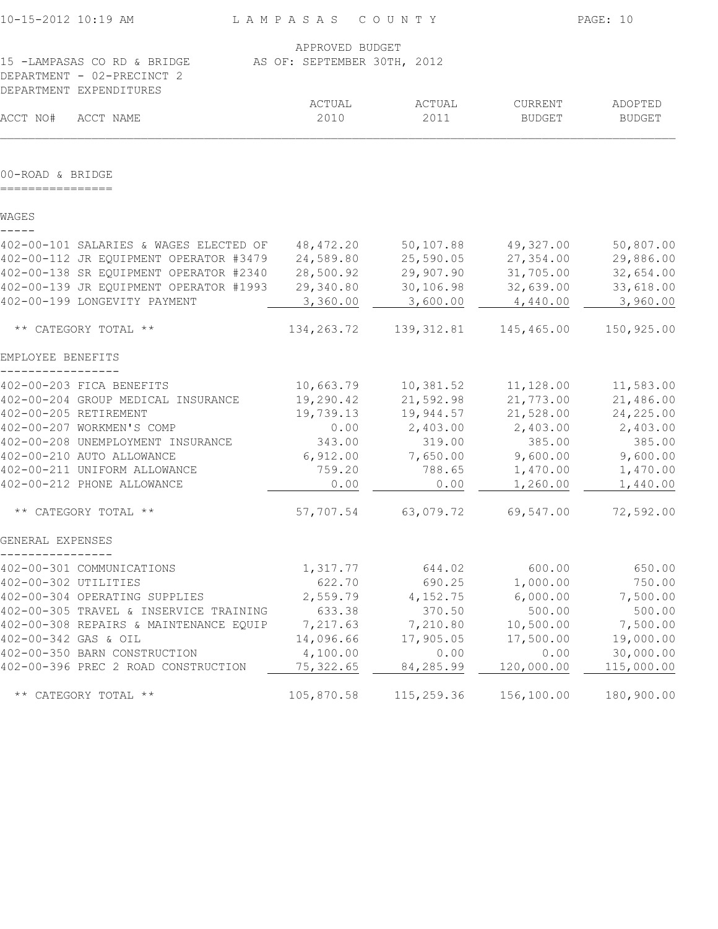| 10-15-2012 10:19 AM                    | LAMPASAS COUNTY             |             |               | PAGE: 10      |
|----------------------------------------|-----------------------------|-------------|---------------|---------------|
|                                        | APPROVED BUDGET             |             |               |               |
| 15 -LAMPASAS CO RD & BRIDGE            | AS OF: SEPTEMBER 30TH, 2012 |             |               |               |
| DEPARTMENT - 02-PRECINCT 2             |                             |             |               |               |
| DEPARTMENT EXPENDITURES                |                             |             |               |               |
|                                        | ACTUAL                      | ACTUAL      | CURRENT       | ADOPTED       |
| ACCT NO#<br>ACCT NAME                  | 2010                        | 2011        | <b>BUDGET</b> | <b>BUDGET</b> |
| 00-ROAD & BRIDGE                       |                             |             |               |               |
| WAGES                                  |                             |             |               |               |
|                                        |                             |             |               |               |
| 402-00-101 SALARIES & WAGES ELECTED OF | 48,472.20                   | 50, 107.88  | 49,327.00     | 50,807.00     |
| 402-00-112 JR EQUIPMENT OPERATOR #3479 | 24,589.80                   | 25,590.05   | 27,354.00     | 29,886.00     |
| 402-00-138 SR EQUIPMENT OPERATOR #2340 | 28,500.92                   | 29,907.90   | 31,705.00     | 32,654.00     |
| 402-00-139 JR EQUIPMENT OPERATOR #1993 | 29,340.80                   | 30,106.98   | 32,639.00     | 33,618.00     |
| 402-00-199 LONGEVITY PAYMENT           | 3,360.00                    | 3,600.00    | 4,440.00      | 3,960.00      |
| ** CATEGORY TOTAL **                   | 134,263.72                  | 139, 312.81 | 145,465.00    | 150,925.00    |
| EMPLOYEE BENEFITS                      |                             |             |               |               |
| 402-00-203 FICA BENEFITS               | 10,663.79                   | 10,381.52   | 11,128.00     | 11,583.00     |
| 402-00-204 GROUP MEDICAL INSURANCE     | 19,290.42                   | 21,592.98   | 21,773.00     | 21,486.00     |
| 402-00-205 RETIREMENT                  | 19,739.13                   | 19,944.57   | 21,528.00     | 24, 225.00    |
| 402-00-207 WORKMEN'S COMP              | 0.00                        | 2,403.00    | 2,403.00      | 2,403.00      |
| 402-00-208 UNEMPLOYMENT INSURANCE      | 343.00                      | 319.00      | 385.00        | 385.00        |
| 402-00-210 AUTO ALLOWANCE              | 6,912.00                    | 7,650.00    | 9,600.00      | 9,600.00      |
| 402-00-211 UNIFORM ALLOWANCE           | 759.20                      | 788.65      | 1,470.00      | 1,470.00      |
| 402-00-212 PHONE ALLOWANCE             | 0.00                        | 0.00        | 1,260.00      | 1,440.00      |
| ** CATEGORY TOTAL **                   | 57,707.54                   | 63,079.72   | 69,547.00     | 72,592.00     |
| GENERAL EXPENSES                       |                             |             |               |               |
| 402-00-301 COMMUNICATIONS              | 1,317.77                    | 644.02      | 600.00        | 650.00        |
| 402-00-302 UTILITIES                   | 622.70                      | 690.25      | 1,000.00      | 750.00        |
| 402-00-304 OPERATING SUPPLIES          | 2,559.79                    | 4,152.75    | 6,000.00      | 7,500.00      |
| 402-00-305 TRAVEL & INSERVICE TRAINING | 633.38                      | 370.50      | 500.00        | 500.00        |
| 402-00-308 REPAIRS & MAINTENANCE EQUIP | 7,217.63                    | 7,210.80    | 10,500.00     | 7,500.00      |
| 402-00-342 GAS & OIL                   | 14,096.66                   | 17,905.05   | 17,500.00     | 19,000.00     |
| 402-00-350 BARN CONSTRUCTION           | 4,100.00                    | 0.00        | 0.00          | 30,000.00     |
| 402-00-396 PREC 2 ROAD CONSTRUCTION    | 75, 322.65                  | 84,285.99   | 120,000.00    | 115,000.00    |
| ** CATEGORY TOTAL **                   | 105,870.58                  | 115,259.36  | 156,100.00    | 180,900.00    |
|                                        |                             |             |               |               |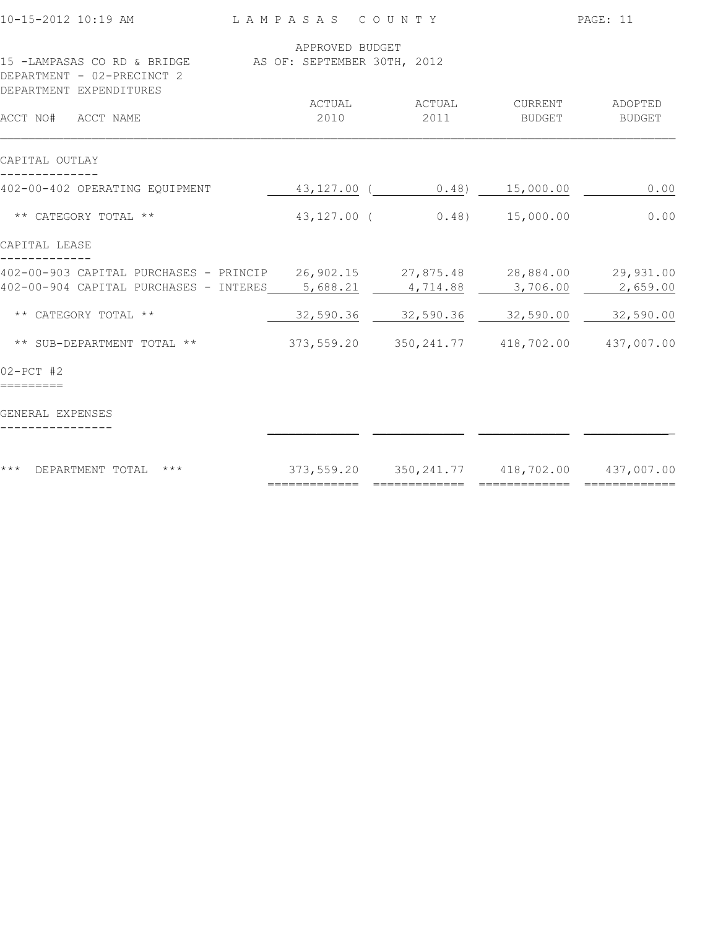| 10-15-2012 10:19 AM                                                                                                      | LAMPASAS COUNTY |                                                              |                                     | PAGE: 11          |
|--------------------------------------------------------------------------------------------------------------------------|-----------------|--------------------------------------------------------------|-------------------------------------|-------------------|
| 15 -LAMPASAS CO RD & BRIDGE AS OF: SEPTEMBER 30TH, 2012                                                                  | APPROVED BUDGET |                                                              |                                     |                   |
| DEPARTMENT - 02-PRECINCT 2<br>DEPARTMENT EXPENDITURES                                                                    |                 |                                                              |                                     |                   |
| ACCT NO# ACCT NAME                                                                                                       | ACTUAL<br>2010  | ACTUAL<br>2011                                               | CURRENT<br>BUDGET                   | ADOPTED<br>BUDGET |
| CAPITAL OUTLAY                                                                                                           |                 |                                                              |                                     |                   |
| 402-00-402 OPERATING EQUIPMENT                                                                                           |                 | 43,127.00 ( 0.48) 15,000.00                                  |                                     | 0.00              |
| ** CATEGORY TOTAL **                                                                                                     | $43,127.00$ (   | 0.48)                                                        | 15,000.00                           | 0.00              |
| CAPITAL LEASE                                                                                                            |                 |                                                              |                                     |                   |
| 402-00-903 CAPITAL PURCHASES - PRINCIP 26,902.15 27,875.48 28,884.00 29,931.00<br>402-00-904 CAPITAL PURCHASES - INTERES | 5,688.21        | 4,714.88                                                     | 3,706.00                            | 2,659.00          |
| ** CATEGORY TOTAL **                                                                                                     | 32,590.36       | 32,590.36                                                    | 32,590.00                           | 32,590.00         |
| ** SUB-DEPARTMENT TOTAL **                                                                                               | 373,559.20      |                                                              | 350, 241.77 418, 702.00 437, 007.00 |                   |
| $02 - PCT$ #2                                                                                                            |                 |                                                              |                                     |                   |
| GENERAL EXPENSES                                                                                                         |                 |                                                              |                                     |                   |
| $***$<br>$\star\star\star$<br>DEPARTMENT TOTAL                                                                           | =============   | 373,559.20 350,241.77 418,702.00 437,007.00<br>============= | =============                       | ==========        |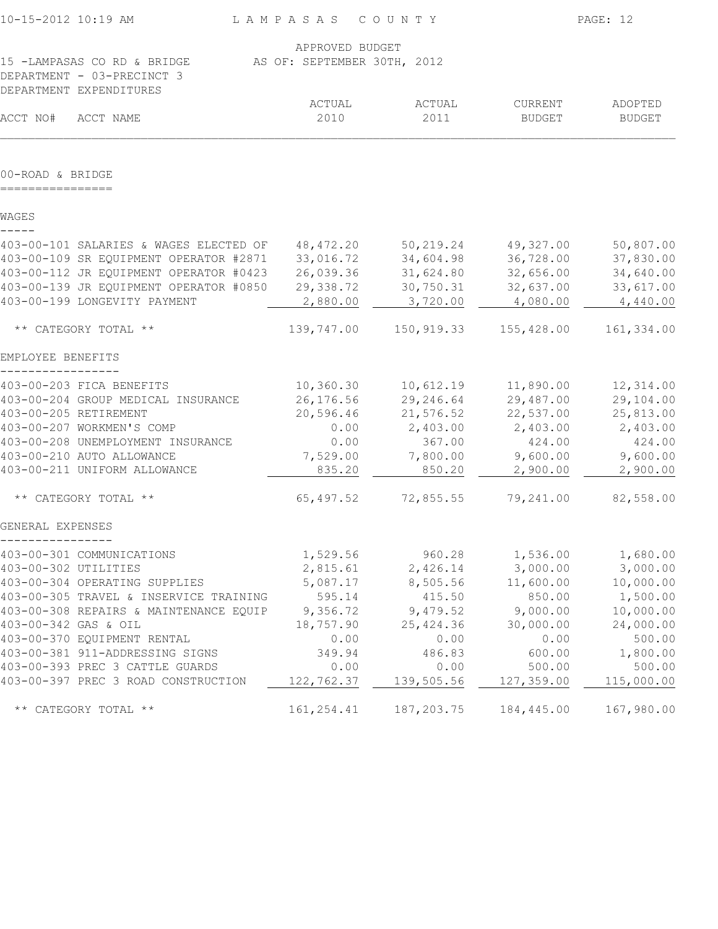| 10-15-2012 10:19 AM                                   | LAMPASAS COUNTY             |             |               | PAGE: 12      |
|-------------------------------------------------------|-----------------------------|-------------|---------------|---------------|
|                                                       | APPROVED BUDGET             |             |               |               |
| 15 -LAMPASAS CO RD & BRIDGE                           | AS OF: SEPTEMBER 30TH, 2012 |             |               |               |
| DEPARTMENT - 03-PRECINCT 3<br>DEPARTMENT EXPENDITURES |                             |             |               |               |
|                                                       | ACTUAL                      | ACTUAL      | CURRENT       | ADOPTED       |
| ACCT NO#<br>ACCT NAME                                 | 2010                        | 2011        | <b>BUDGET</b> | <b>BUDGET</b> |
| 00-ROAD & BRIDGE                                      |                             |             |               |               |
|                                                       |                             |             |               |               |
| WAGES                                                 |                             |             |               |               |
| 403-00-101 SALARIES & WAGES ELECTED OF                | 48,472.20                   | 50,219.24   | 49,327.00     | 50,807.00     |
| 403-00-109 SR EQUIPMENT OPERATOR #2871                | 33,016.72                   | 34,604.98   | 36,728.00     | 37,830.00     |
| 403-00-112 JR EQUIPMENT OPERATOR #0423                | 26,039.36                   | 31,624.80   | 32,656.00     | 34,640.00     |
| 403-00-139 JR EQUIPMENT OPERATOR #0850                | 29,338.72                   | 30,750.31   | 32,637.00     | 33,617.00     |
| 403-00-199 LONGEVITY PAYMENT                          | 2,880.00                    | 3,720.00    | 4,080.00      | 4,440.00      |
| ** CATEGORY TOTAL **                                  | 139,747.00                  | 150,919.33  | 155,428.00    | 161,334.00    |
| EMPLOYEE BENEFITS                                     |                             |             |               |               |
| 403-00-203 FICA BENEFITS                              | 10, 360.30                  | 10,612.19   | 11,890.00     | 12,314.00     |
| 403-00-204 GROUP MEDICAL INSURANCE                    | 26, 176.56                  | 29,246.64   | 29,487.00     | 29,104.00     |
| 403-00-205 RETIREMENT                                 | 20,596.46                   | 21,576.52   | 22,537.00     | 25,813.00     |
| 403-00-207 WORKMEN'S COMP                             | 0.00                        | 2,403.00    | 2,403.00      | 2,403.00      |
| 403-00-208 UNEMPLOYMENT INSURANCE                     | 0.00                        | 367.00      | 424.00        | 424.00        |
| 403-00-210 AUTO ALLOWANCE                             | 7,529.00                    | 7,800.00    | 9,600.00      | 9,600.00      |
| 403-00-211 UNIFORM ALLOWANCE                          | 835.20                      | 850.20      | 2,900.00      | 2,900.00      |
| ** CATEGORY TOTAL **                                  | 65,497.52                   | 72,855.55   | 79,241.00     | 82,558.00     |
| GENERAL EXPENSES                                      |                             |             |               |               |
| 403-00-301 COMMUNICATIONS                             | 1,529.56                    | 960.28      | 1,536.00      | 1,680.00      |
| 403-00-302 UTILITIES                                  | 2,815.61                    | 2,426.14    | 3,000.00      | 3,000.00      |
| 403-00-304 OPERATING SUPPLIES                         | 5,087.17                    | 8,505.56    | 11,600.00     | 10,000.00     |
| 403-00-305 TRAVEL & INSERVICE TRAINING                | 595.14                      | 415.50      | 850.00        | 1,500.00      |
| 403-00-308 REPAIRS & MAINTENANCE EQUIP                | 9,356.72                    | 9,479.52    | 9,000.00      | 10,000.00     |
| 403-00-342 GAS & OIL                                  | 18,757.90                   | 25, 424.36  | 30,000.00     | 24,000.00     |
| 403-00-370 EQUIPMENT RENTAL                           | 0.00                        | 0.00        | 0.00          | 500.00        |
| 403-00-381 911-ADDRESSING SIGNS                       | 349.94                      | 486.83      | 600.00        | 1,800.00      |
| 403-00-393 PREC 3 CATTLE GUARDS                       | 0.00                        | 0.00        | 500.00        | 500.00        |
| 403-00-397 PREC 3 ROAD CONSTRUCTION                   | 122,762.37                  | 139,505.56  | 127,359.00    | 115,000.00    |
| ** CATEGORY TOTAL **                                  | 161,254.41                  | 187, 203.75 | 184,445.00    | 167,980.00    |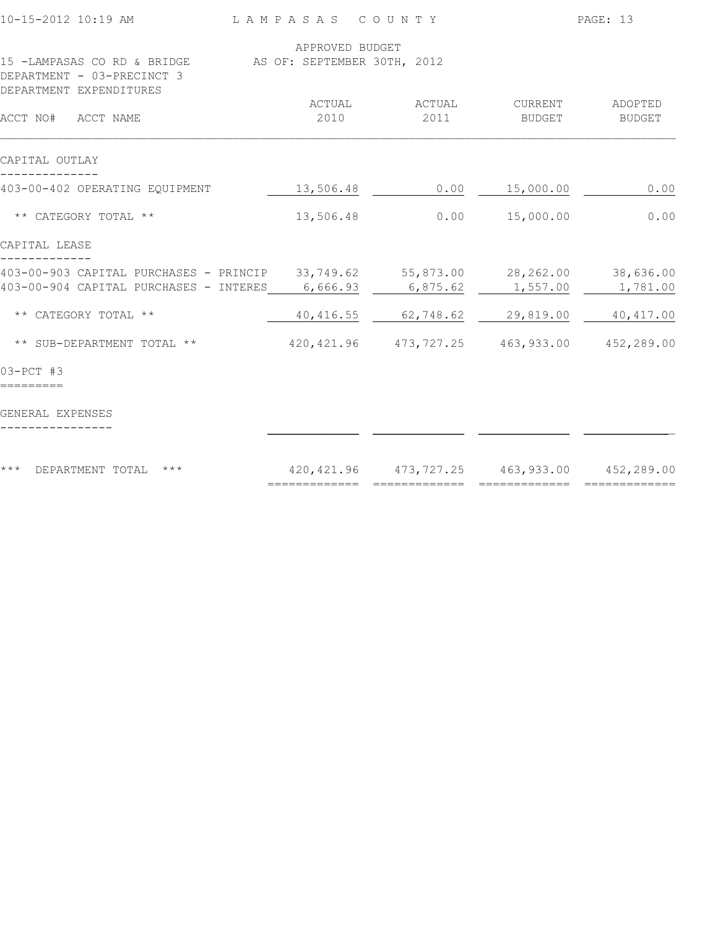| 10-15-2012 10:19 AM                                                                                              | LAMPASAS COUNTY   |                                                 |                  | PAGE: 13      |
|------------------------------------------------------------------------------------------------------------------|-------------------|-------------------------------------------------|------------------|---------------|
|                                                                                                                  | APPROVED BUDGET   |                                                 |                  |               |
| 15 -LAMPASAS CO RD & BRIDGE AS OF: SEPTEMBER 30TH, 2012<br>DEPARTMENT - 03-PRECINCT 3<br>DEPARTMENT EXPENDITURES |                   |                                                 |                  |               |
|                                                                                                                  | ACTUAL            | ACTUAL                                          | CURRENT          | ADOPTED       |
| ACCT NO# ACCT NAME                                                                                               | 2010              | 2011                                            | BUDGET           | <b>BUDGET</b> |
| CAPITAL OUTLAY                                                                                                   |                   |                                                 |                  |               |
| 403-00-402 OPERATING EQUIPMENT                                                                                   | 13,506.48         |                                                 | $0.00$ 15,000.00 | 0.00          |
| ** CATEGORY TOTAL **                                                                                             | 13,506.48         | 0.00                                            | 15,000.00        | 0.00          |
| CAPITAL LEASE                                                                                                    |                   |                                                 |                  |               |
| 403-00-903 CAPITAL PURCHASES - PRINCIP                                                                           |                   | $33,749.62$ $55,873.00$ $28,262.00$ $38,636.00$ |                  |               |
| 403-00-904 CAPITAL PURCHASES - INTERES                                                                           | 6,666.93          | 6,875.62                                        | 1,557.00         | 1,781.00      |
| ** CATEGORY TOTAL **                                                                                             | 40,416.55         | 62,748.62                                       | 29,819.00        | 40, 417.00    |
| ** SUB-DEPARTMENT TOTAL **                                                                                       |                   | 420, 421.96 473, 727.25 463, 933.00 452, 289.00 |                  |               |
| $03-PCT$ #3                                                                                                      |                   |                                                 |                  |               |
| GENERAL EXPENSES                                                                                                 |                   |                                                 |                  |               |
| $***$<br>$\star\star\star$<br>DEPARTMENT TOTAL                                                                   |                   | 420, 421.96 473, 727.25 463, 933.00 452, 289.00 |                  |               |
|                                                                                                                  | $=$ ============= | =============                                   | =============    |               |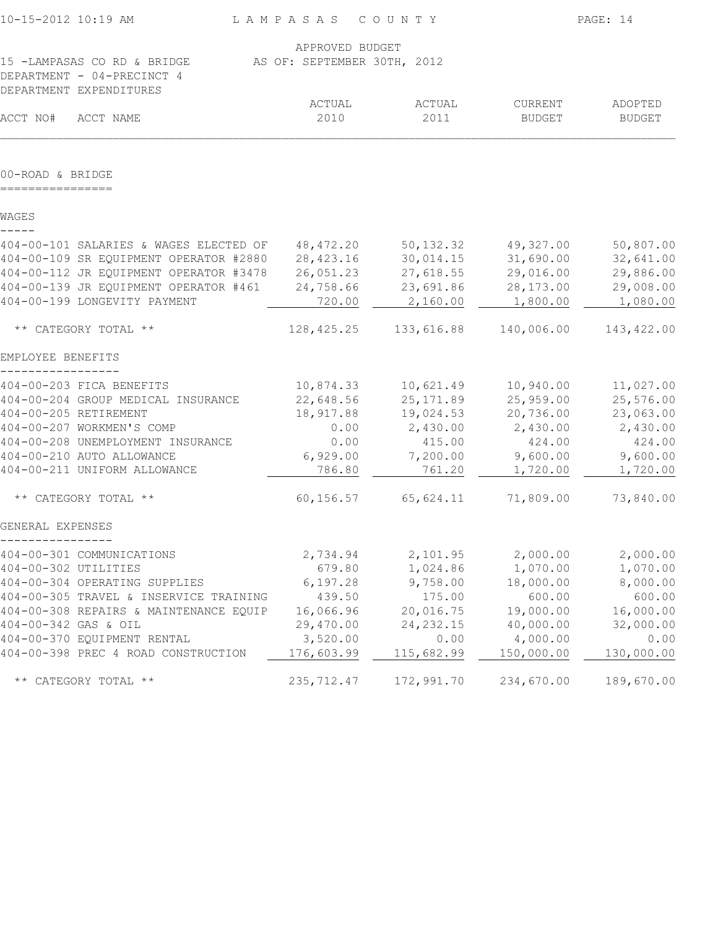| 10-15-2012 10:19 AM                    | LAMPASAS COUNTY             |            |                          | PAGE: 14                 |
|----------------------------------------|-----------------------------|------------|--------------------------|--------------------------|
|                                        | APPROVED BUDGET             |            |                          |                          |
| 15 -LAMPASAS CO RD & BRIDGE            | AS OF: SEPTEMBER 30TH, 2012 |            |                          |                          |
| DEPARTMENT - 04-PRECINCT 4             |                             |            |                          |                          |
| DEPARTMENT EXPENDITURES                | ACTUAL                      | ACTUAL     |                          |                          |
| ACCT NO#<br>ACCT NAME                  | 2010                        | 2011       | CURRENT<br><b>BUDGET</b> | ADOPTED<br><b>BUDGET</b> |
|                                        |                             |            |                          |                          |
| 00-ROAD & BRIDGE                       |                             |            |                          |                          |
| WAGES                                  |                             |            |                          |                          |
| 404-00-101 SALARIES & WAGES ELECTED OF | 48,472.20                   | 50, 132.32 | 49,327.00                | 50,807.00                |
| 404-00-109 SR EQUIPMENT OPERATOR #2880 | 28, 423.16                  | 30,014.15  | 31,690.00                | 32,641.00                |
| 404-00-112 JR EQUIPMENT OPERATOR #3478 | 26,051.23                   | 27,618.55  | 29,016.00                | 29,886.00                |
| 404-00-139 JR EQUIPMENT OPERATOR #461  | 24,758.66                   | 23,691.86  | 28,173.00                | 29,008.00                |
| 404-00-199 LONGEVITY PAYMENT           | 720.00                      | 2,160.00   | 1,800.00                 | 1,080.00                 |
| ** CATEGORY TOTAL **                   | 128,425.25                  | 133,616.88 | 140,006.00               | 143,422.00               |
| EMPLOYEE BENEFITS                      |                             |            |                          |                          |
| 404-00-203 FICA BENEFITS               | 10,874.33                   | 10,621.49  | 10,940.00                | 11,027.00                |
| 404-00-204 GROUP MEDICAL INSURANCE     | 22,648.56                   | 25, 171.89 | 25,959.00                | 25,576.00                |
| 404-00-205 RETIREMENT                  | 18,917.88                   | 19,024.53  | 20,736.00                | 23,063.00                |
| 404-00-207 WORKMEN'S COMP              | 0.00                        | 2,430.00   | 2,430.00                 | 2,430.00                 |
| 404-00-208 UNEMPLOYMENT INSURANCE      | 0.00                        | 415.00     | 424.00                   | 424.00                   |
| 404-00-210 AUTO ALLOWANCE              | 6,929.00                    | 7,200.00   | 9,600.00                 | 9,600.00                 |
| 404-00-211 UNIFORM ALLOWANCE           | 786.80                      | 761.20     | 1,720.00                 | 1,720.00                 |
| ** CATEGORY TOTAL **                   | 60, 156.57                  | 65,624.11  | 71,809.00                | 73,840.00                |
| GENERAL EXPENSES                       |                             |            |                          |                          |
| 404-00-301 COMMUNICATIONS              | 2,734.94                    | 2,101.95   | 2,000.00                 | 2,000.00                 |
| 404-00-302 UTILITIES                   | 679.80                      | 1,024.86   | 1,070.00                 | 1,070.00                 |
| 404-00-304 OPERATING SUPPLIES          | 6, 197.28                   | 9,758.00   | 18,000.00                | 8,000.00                 |
| 404-00-305 TRAVEL & INSERVICE TRAINING | 439.50                      | 175.00     | 600.00                   | 600.00                   |
| 404-00-308 REPAIRS & MAINTENANCE EQUIP | 16,066.96                   | 20,016.75  | 19,000.00                | 16,000.00                |
| 404-00-342 GAS & OIL                   | 29,470.00                   | 24, 232.15 | 40,000.00                | 32,000.00                |
| 404-00-370 EQUIPMENT RENTAL            | 3,520.00                    | 0.00       | 4,000.00                 | 0.00                     |
| 404-00-398 PREC 4 ROAD CONSTRUCTION    | 176,603.99                  | 115,682.99 | 150,000.00               | 130,000.00               |
| ** CATEGORY TOTAL **                   | 235, 712.47                 | 172,991.70 | 234,670.00               | 189,670.00               |
|                                        |                             |            |                          |                          |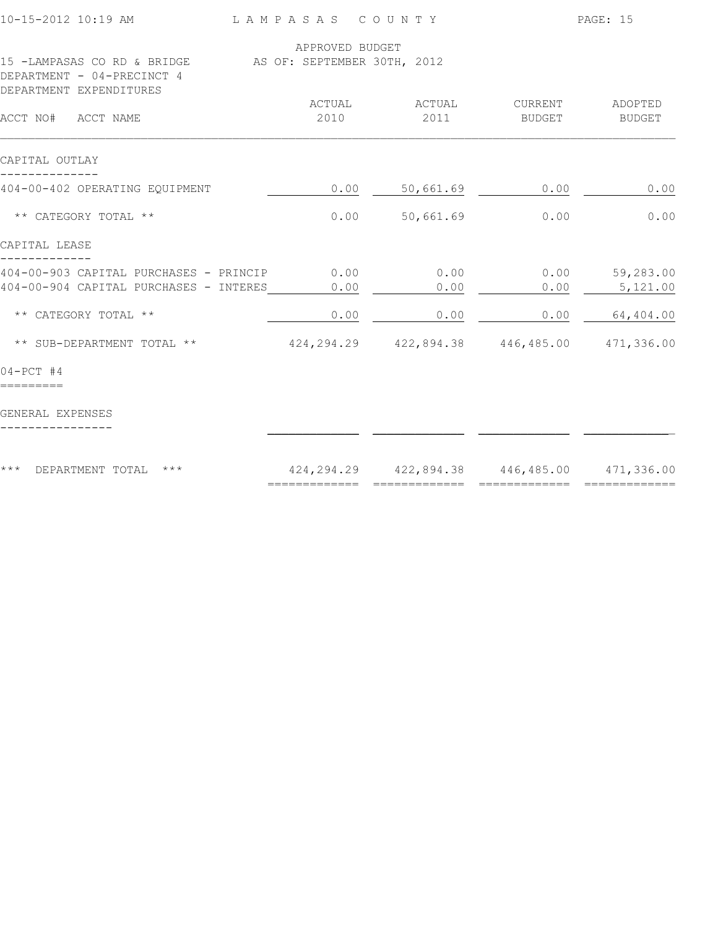| 10-15-2012 10:19 AM                                                                   | LAMPASAS COUNTY |                                                     |               | PAGE: 15  |
|---------------------------------------------------------------------------------------|-----------------|-----------------------------------------------------|---------------|-----------|
| 15 -LAMPASAS CO RD & BRIDGE AS OF: SEPTEMBER 30TH, 2012<br>DEPARTMENT - 04-PRECINCT 4 | APPROVED BUDGET |                                                     |               |           |
| DEPARTMENT EXPENDITURES                                                               | ACTUAL          | ACTUAL                                              | CURRENT       | ADOPTED   |
| ACCT NO# ACCT NAME                                                                    | 2010            | 2011                                                | <b>BUDGET</b> | BUDGET    |
| CAPITAL OUTLAY                                                                        |                 |                                                     |               |           |
| 404-00-402 OPERATING EQUIPMENT                                                        | 0.00            | 50,661.69                                           | 0.00          | 0.00      |
| ** CATEGORY TOTAL **                                                                  | 0.00            | 50,661.69                                           | 0.00          | 0.00      |
| CAPITAL LEASE                                                                         |                 |                                                     |               |           |
| 404-00-903 CAPITAL PURCHASES - PRINCIP                                                | 0.00            | 0.00                                                | 0.00          | 59,283.00 |
| 404-00-904 CAPITAL PURCHASES - INTERES                                                | 0.00            | 0.00                                                | 0.00          | 5,121.00  |
| ** CATEGORY TOTAL **                                                                  | 0.00            | 0.00                                                | 0.00          | 64,404.00 |
| ** SUB-DEPARTMENT TOTAL **                                                            |                 | 424, 294. 29 422, 894. 38 446, 485. 00 471, 336. 00 |               |           |
| $04 - PCT$ #4                                                                         |                 |                                                     |               |           |
| GENERAL EXPENSES                                                                      |                 |                                                     |               |           |
| $***$<br>DEPARTMENT TOTAL<br>$***$                                                    | =============   | 424, 294. 29 422, 894. 38 446, 485. 00 471, 336. 00 |               |           |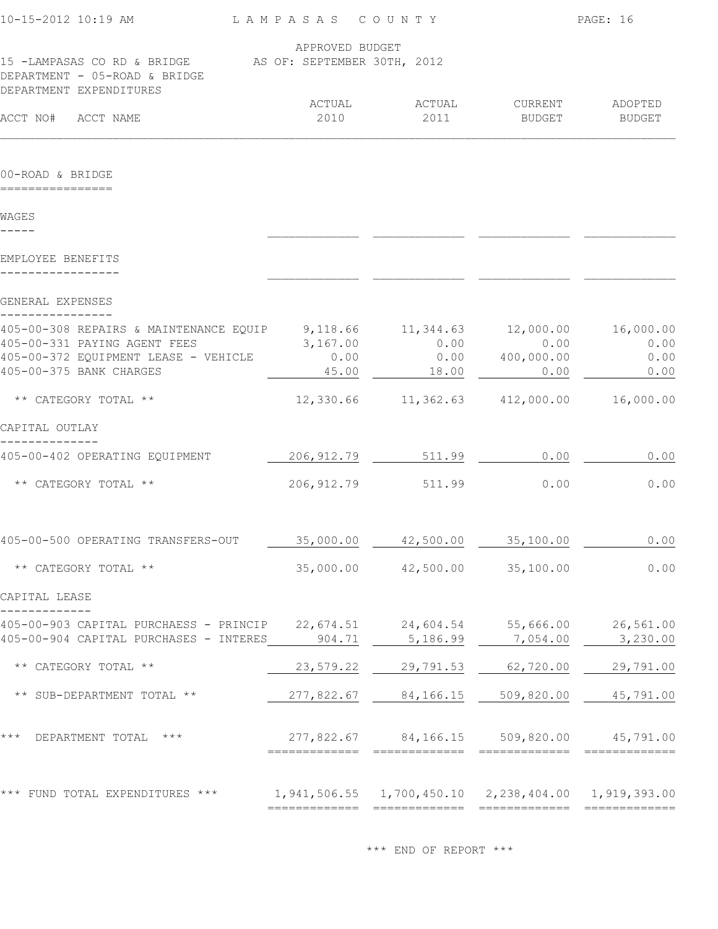| APPROVED BUDGET           |                       |                                                                                 |                                                                                                                                                  |
|---------------------------|-----------------------|---------------------------------------------------------------------------------|--------------------------------------------------------------------------------------------------------------------------------------------------|
| ACTUAL<br>2010            | ACTUAL<br>2011        | CURRENT<br>BUDGET                                                               | ADOPTED<br><b>BUDGET</b>                                                                                                                         |
|                           |                       |                                                                                 |                                                                                                                                                  |
|                           |                       |                                                                                 |                                                                                                                                                  |
|                           |                       |                                                                                 |                                                                                                                                                  |
|                           |                       |                                                                                 |                                                                                                                                                  |
| 3,167.00<br>0.00<br>45.00 | 0.00<br>0.00<br>18.00 | 0.00<br>400,000.00<br>0.00                                                      | 16,000.00<br>0.00<br>0.00<br>0.00                                                                                                                |
|                           |                       |                                                                                 | 16,000.00                                                                                                                                        |
|                           |                       |                                                                                 |                                                                                                                                                  |
| 206, 912.79               | 511.99                | 0.00                                                                            | 0.00                                                                                                                                             |
| 206, 912.79               | 511.99                | 0.00                                                                            | 0.00                                                                                                                                             |
| 35,000.00                 | 42,500.00             | 35,100.00                                                                       | 0.00                                                                                                                                             |
| 35,000.00                 | 42,500.00             | 35,100.00                                                                       | 0.00                                                                                                                                             |
|                           |                       |                                                                                 |                                                                                                                                                  |
| 22,674.51<br>904.71       | 24,604.54<br>5,186.99 | 55,666.00<br>7,054.00                                                           | 26,561.00<br>3,230.00                                                                                                                            |
| 23,579.22                 | 29,791.53             | 62,720.00                                                                       | 29,791.00                                                                                                                                        |
| 277,822.67                | 84,166.15             | 509,820.00                                                                      | 45,791.00                                                                                                                                        |
|                           |                       |                                                                                 | 45,791.00                                                                                                                                        |
|                           |                       |                                                                                 |                                                                                                                                                  |
|                           |                       | 15 -LAMPASAS CO RD & BRIDGE AS OF: SEPTEMBER 30TH, 2012<br>9, 118.66 11, 344.63 | 12,000.00<br>12,330.66 11,362.63 412,000.00<br>277,822.67 84,166.15<br>509,820.00<br>1, 941, 506.55 1, 700, 450.10 2, 238, 404.00 1, 919, 393.00 |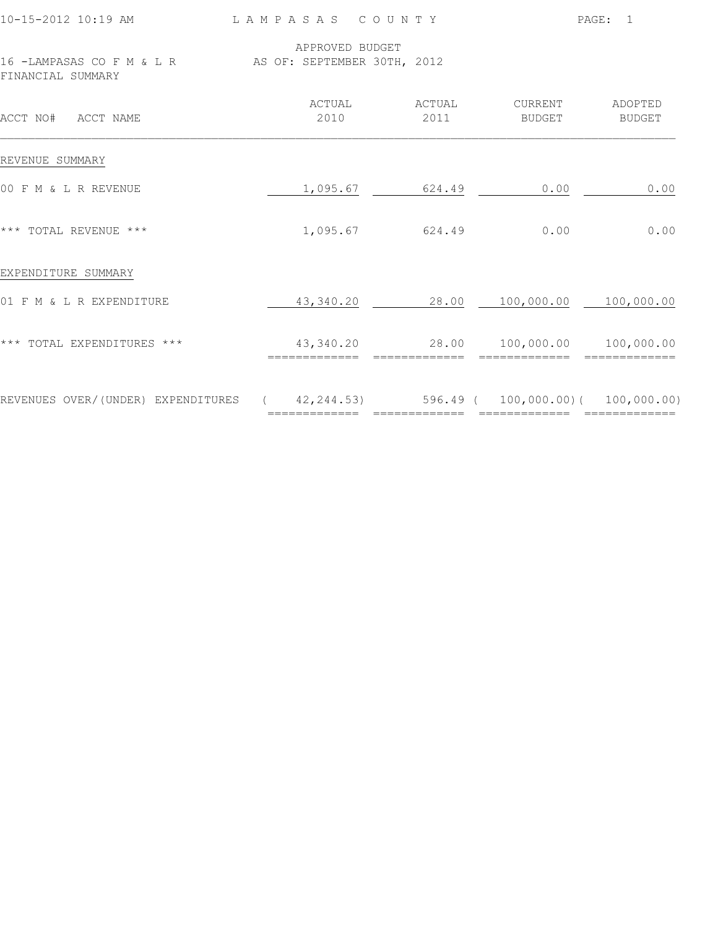| APPROVED BUDGET<br>16 -LAMPASAS CO F M & L R AS OF: SEPTEMBER 30TH, 2012<br>FINANCIAL SUMMARY                         |                   |
|-----------------------------------------------------------------------------------------------------------------------|-------------------|
|                                                                                                                       |                   |
| ACTUAL<br>ACTUAL<br>CURRENT<br>2010<br>2011<br>ACCT NO# ACCT NAME<br>BUDGET                                           | ADOPTED<br>BUDGET |
| REVENUE SUMMARY                                                                                                       |                   |
| 00 F M & L R REVENUE<br>0.00<br>1,095.67<br>624.49                                                                    | 0.00              |
| *** TOTAL REVENUE ***<br>1,095.67<br>624.49<br>0.00                                                                   | 0.00              |
| EXPENDITURE SUMMARY                                                                                                   |                   |
| 01 F M & L R EXPENDITURE<br>43,340.20 28.00 100,000.00 100,000.00                                                     |                   |
| *** TOTAL EXPENDITURES ***<br>43,340.20 28.00 100,000.00 100,000.00<br>============================<br>============== |                   |
| REVENUES OVER/(UNDER) EXPENDITURES (42,244.53) 596.49 (100,000.00) (100,000.00)                                       |                   |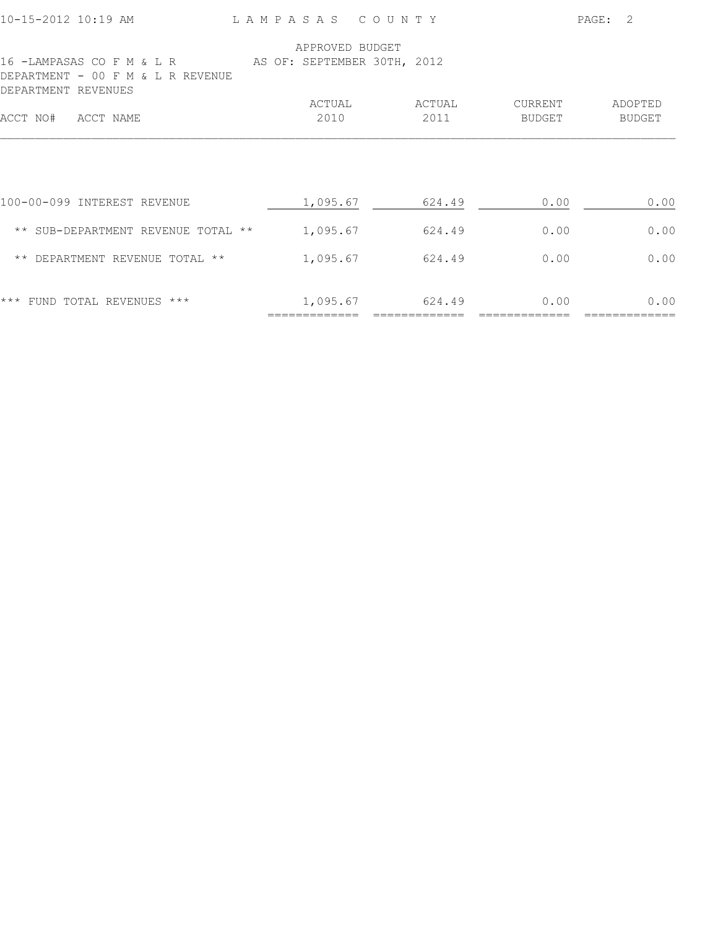| 10-15-2012 10:19 AM                                                                                                                   | LAMPASAS COUNTY |                |                          | PAGE:<br>- 2      |
|---------------------------------------------------------------------------------------------------------------------------------------|-----------------|----------------|--------------------------|-------------------|
| 16 -LAMPASAS CO F M & L R              AS OF: SEPTEMBER 30TH, 2012<br>DEPARTMENT -<br>OO.<br>F M & L R REVENUE<br>DEPARTMENT REVENUES | APPROVED BUDGET |                |                          |                   |
| ACCT NO#<br>ACCT NAME                                                                                                                 | ACTUAL<br>2010  | ACTUAL<br>2011 | <b>CURRENT</b><br>BUDGET | ADOPTED<br>BUDGET |
|                                                                                                                                       |                 |                |                          |                   |
| 100-00-099 INTEREST REVENUE                                                                                                           | 1,095.67        | 624.49         | 0.00                     | 0.00              |
| ** SUB-DEPARTMENT REVENUE TOTAL **                                                                                                    | 1,095.67        | 624.49         | 0.00                     | 0.00              |
| ** DEPARTMENT REVENUE TOTAL **                                                                                                        | 1,095.67        | 624.49         | 0.00                     | 0.00              |
| FUND TOTAL REVENUES ***<br>***                                                                                                        | 1,095.67        | 624.49         | 0.00                     | 0.00              |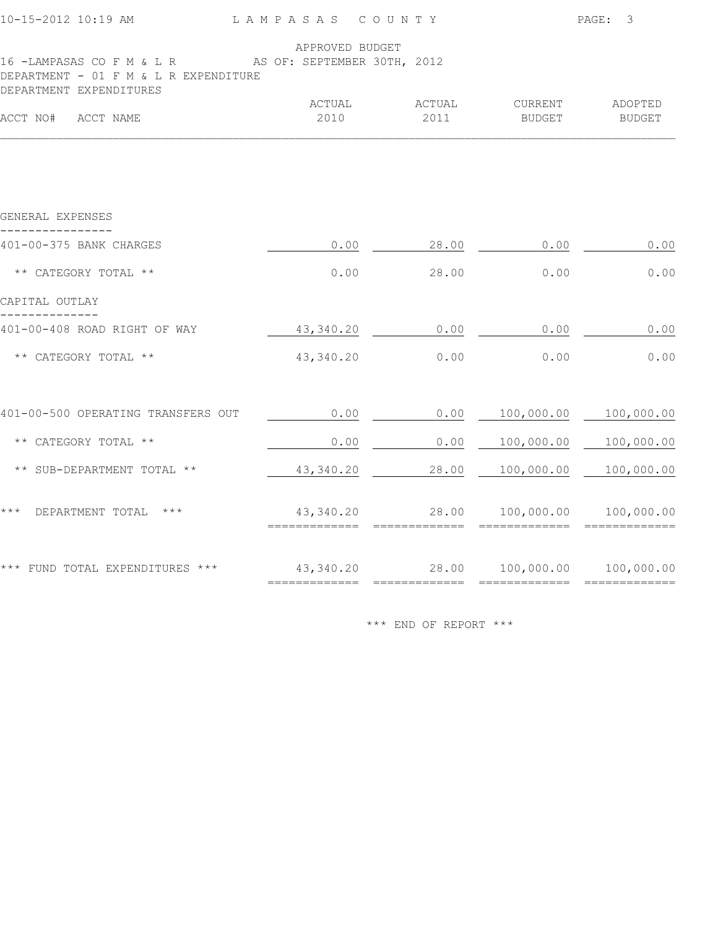|                |                                                                             |                                                                                            | PAGE: 3                                                                                                                                                               |
|----------------|-----------------------------------------------------------------------------|--------------------------------------------------------------------------------------------|-----------------------------------------------------------------------------------------------------------------------------------------------------------------------|
|                |                                                                             |                                                                                            |                                                                                                                                                                       |
| ACTUAL<br>2010 | ACTUAL<br>2011                                                              | CURRENT<br><b>BUDGET</b>                                                                   | ADOPTED<br><b>BUDGET</b>                                                                                                                                              |
|                |                                                                             |                                                                                            |                                                                                                                                                                       |
|                |                                                                             |                                                                                            |                                                                                                                                                                       |
| 0.00           | 28.00                                                                       | 0.00                                                                                       | 0.00                                                                                                                                                                  |
| 0.00           | 28.00                                                                       | 0.00                                                                                       | 0.00                                                                                                                                                                  |
|                |                                                                             |                                                                                            |                                                                                                                                                                       |
|                |                                                                             | 0.00                                                                                       | 0.00                                                                                                                                                                  |
| 43,340.20      | 0.00                                                                        | 0.00                                                                                       | 0.00                                                                                                                                                                  |
| 0.00           |                                                                             |                                                                                            |                                                                                                                                                                       |
| 0.00           | 0.00                                                                        | 100,000.00                                                                                 | 100,000.00                                                                                                                                                            |
| 43,340.20      | 28.00                                                                       | 100,000.00                                                                                 | 100,000.00                                                                                                                                                            |
|                |                                                                             |                                                                                            |                                                                                                                                                                       |
|                |                                                                             |                                                                                            |                                                                                                                                                                       |
|                | DEPARTMENT - 01 F M & L R EXPENDITURE<br>401-00-500 OPERATING TRANSFERS OUT | APPROVED BUDGET<br>16 -LAMPASAS CO F M & L R AS OF: SEPTEMBER 30TH, 2012<br>43,340.20 0.00 | LAMPASAS COUNTY<br>$0.00$ $100,000.00$ $100,000.00$<br>43,340.20 28.00 100,000.00 100,000.00<br>*** FUND TOTAL EXPENDITURES *** 43,340.20 28.00 100,000.00 100,000.00 |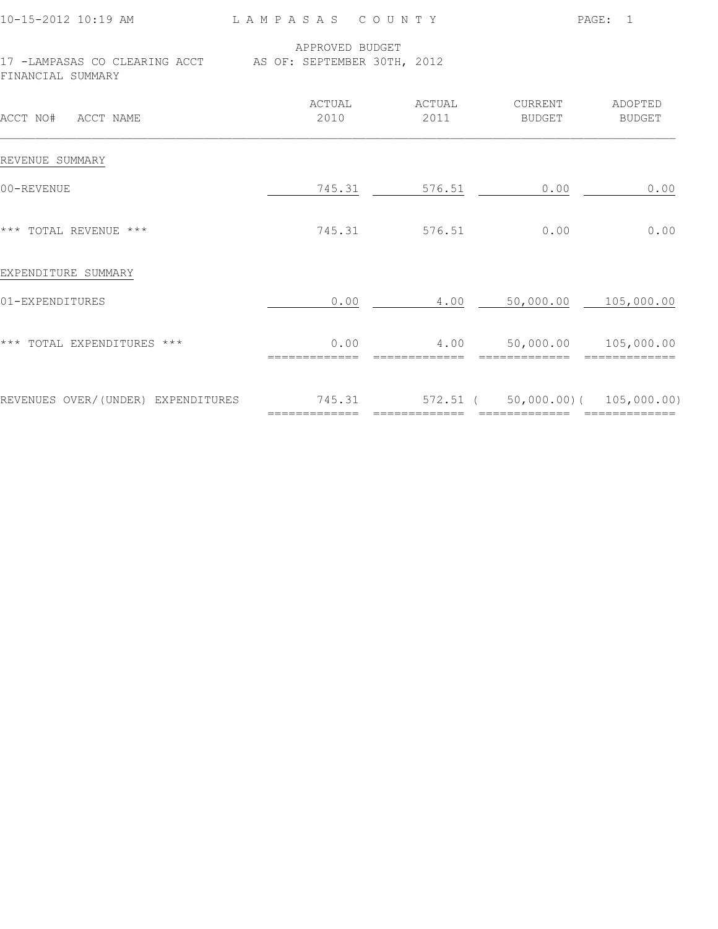|  |  |  |  | 10-15-2012 10:19 AM |  |
|--|--|--|--|---------------------|--|
|--|--|--|--|---------------------|--|

L A M P A S A S C O U N T Y PAGE: 1

 APPROVED BUDGET AS OF: SEPTEMBER 30TH, 2012

|                   |  | 17 -LAMPASAS CO CLEARING ACCT |  |
|-------------------|--|-------------------------------|--|
| FINANCIAI SUMMARY |  |                               |  |

| ACCT NO#<br>ACCT NAME              | ACTUAL<br>2010 | ACTUAL<br>2011 | CURRENT<br><b>BUDGET</b>    | ADOPTED<br><b>BUDGET</b>     |
|------------------------------------|----------------|----------------|-----------------------------|------------------------------|
| REVENUE SUMMARY                    |                |                |                             |                              |
| 00-REVENUE                         | 745.31         | 576.51         | 0.00                        | 0.00                         |
| *** TOTAL REVENUE ***              | 745.31         | 576.51         | 0.00                        | 0.00                         |
| EXPENDITURE SUMMARY                |                |                |                             |                              |
| 01-EXPENDITURES                    | 0.00           | 4.00           | 50,000.00                   | 105,000.00                   |
| *** TOTAL EXPENDITURES ***         | 0.00           | 4.00           | 50,000.00                   | 105,000.00                   |
| REVENUES OVER/(UNDER) EXPENDITURES | 745.31         | 572.51 (       | $50,000.00)$ (<br>========= | 105,000.00)<br>============= |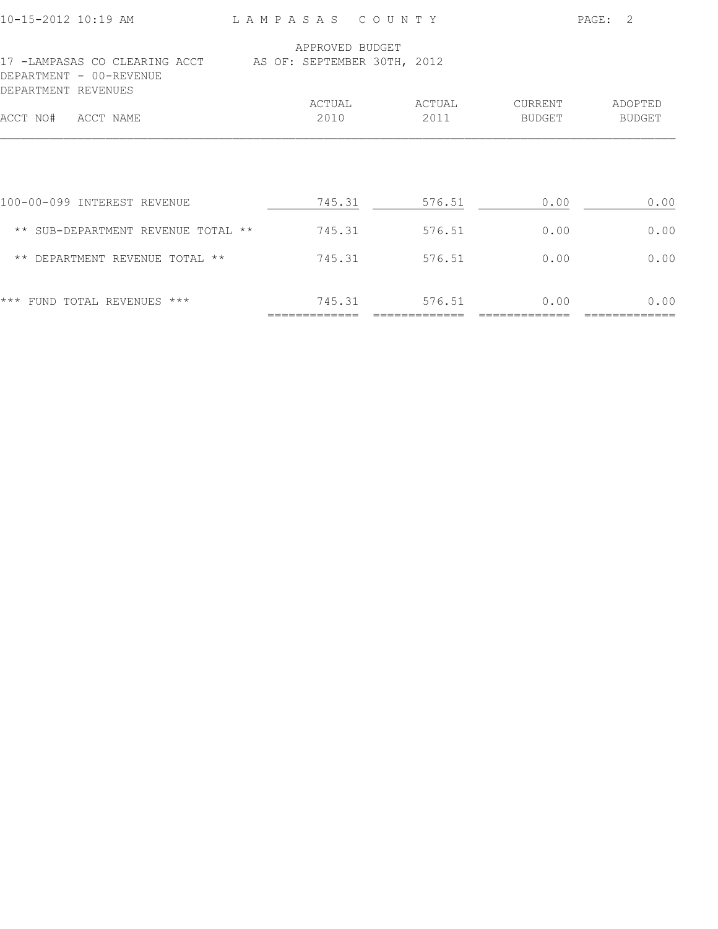| 10-15-2012 10:19 AM                                                                                         | LAMPASAS COUNTY |        |         | $\mathcal{L}$<br>PAGE: |
|-------------------------------------------------------------------------------------------------------------|-----------------|--------|---------|------------------------|
|                                                                                                             | APPROVED BUDGET |        |         |                        |
| 17 -LAMPASAS CO CLEARING ACCT AS OF: SEPTEMBER 30TH, 2012<br>DEPARTMENT - 00-REVENUE<br>DEPARTMENT REVENUES |                 |        |         |                        |
|                                                                                                             | ACTUAL          | ACTUAL | CURRENT | ADOPTED                |
| ACCT NO#<br>ACCT NAME                                                                                       | 2010            | 2011   | BUDGET  | <b>BUDGET</b>          |
| 100-00-099 INTEREST REVENUE                                                                                 | 745.31          | 576.51 | 0.00    | 0.00                   |
| ** SUB-DEPARTMENT REVENUE TOTAL **                                                                          | 745.31          | 576.51 | 0.00    | 0.00                   |
| ** DEPARTMENT REVENUE TOTAL **                                                                              | 745.31          | 576.51 | 0.00    | 0.00                   |
| *** FUND TOTAL REVENUES ***                                                                                 | 745.31          | 576.51 | 0.00    | 0.00                   |
|                                                                                                             |                 |        |         |                        |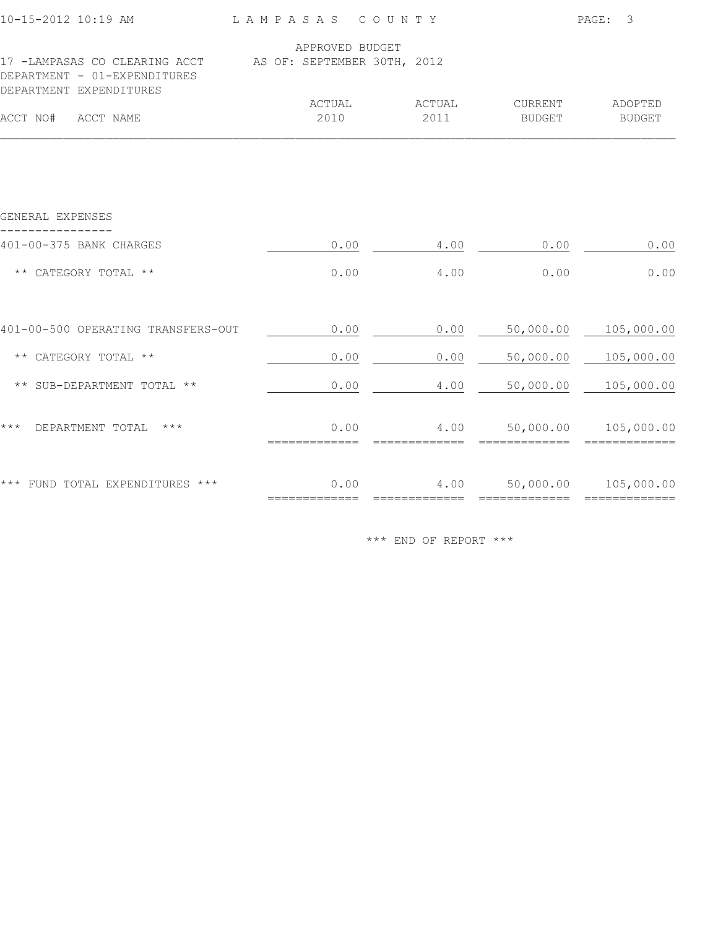| 10-15-2012 10:19 AM                                                                       | LAMPASAS COUNTY       |                |                   | PAGE:<br>3                            |
|-------------------------------------------------------------------------------------------|-----------------------|----------------|-------------------|---------------------------------------|
| 17 -LAMPASAS CO CLEARING ACCT AS OF: SEPTEMBER 30TH, 2012<br>DEPARTMENT - 01-EXPENDITURES | APPROVED BUDGET       |                |                   |                                       |
| DEPARTMENT EXPENDITURES<br>ACCT NO#<br>ACCT NAME                                          | ACTUAL<br>2010        | ACTUAL<br>2011 | CURRENT<br>BUDGET | ADOPTED<br><b>BUDGET</b>              |
|                                                                                           |                       |                |                   |                                       |
| GENERAL EXPENSES                                                                          |                       |                |                   |                                       |
| 401-00-375 BANK CHARGES                                                                   | 0.00                  | 4.00           | 0.00              | 0.00                                  |
| ** CATEGORY TOTAL **                                                                      | 0.00                  | 4.00           | 0.00              | 0.00                                  |
| 401-00-500 OPERATING TRANSFERS-OUT                                                        | 0.00                  | 0.00           | 50,000.00         | 105,000.00                            |
| ** CATEGORY TOTAL **                                                                      | 0.00                  | 0.00           | 50,000.00         | 105,000.00                            |
| ** SUB-DEPARTMENT TOTAL **                                                                | 0.00                  | 4.00           | 50,000.00         | 105,000.00                            |
| $***$<br>DEPARTMENT TOTAL<br>$\star\star\star$                                            | 0.00<br>============= | 4.00           |                   | 50,000.00 105,000.00<br>============= |
| *** FUND TOTAL EXPENDITURES ***                                                           | 0.00                  | 4.00           |                   | 50,000.00 105,000.00                  |
|                                                                                           |                       |                |                   |                                       |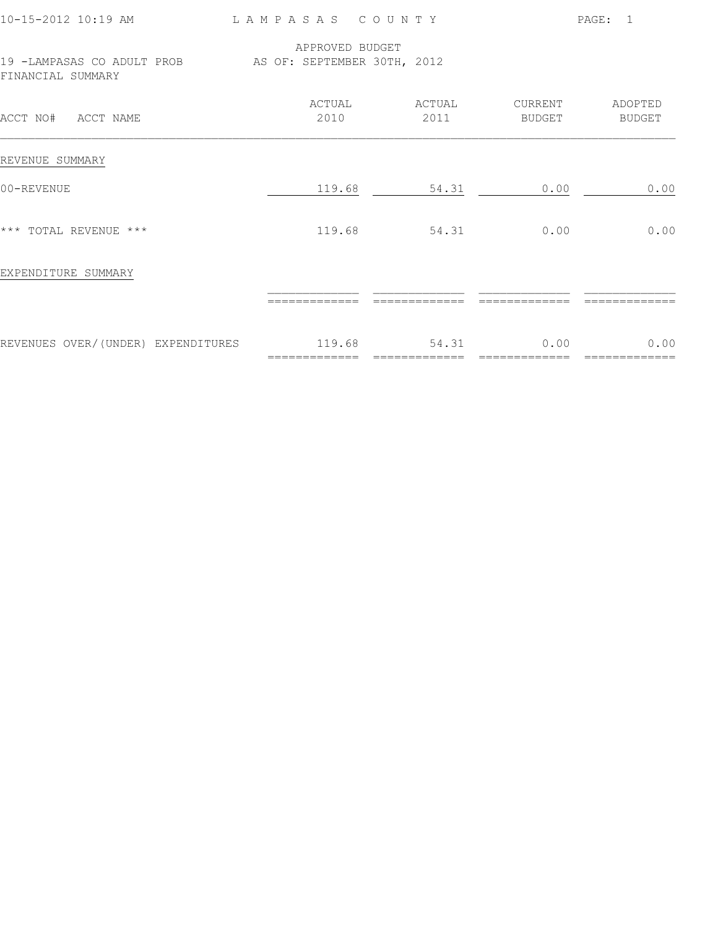|                |                |                                                                                                                           | PAGE:<br>$\overline{1}$                                  |  |  |
|----------------|----------------|---------------------------------------------------------------------------------------------------------------------------|----------------------------------------------------------|--|--|
|                |                |                                                                                                                           |                                                          |  |  |
| ACTUAL<br>2010 | ACTUAL<br>2011 | CURRENT<br>BUDGET                                                                                                         | ADOPTED<br>BUDGET                                        |  |  |
|                |                |                                                                                                                           |                                                          |  |  |
|                |                | 0.00                                                                                                                      | 0.00                                                     |  |  |
|                |                | 0.00                                                                                                                      | 0.00                                                     |  |  |
|                |                |                                                                                                                           |                                                          |  |  |
|                |                |                                                                                                                           |                                                          |  |  |
|                | ============== | 0.00                                                                                                                      | 0.00                                                     |  |  |
|                |                | LAMPASAS COUNTY<br>APPROVED BUDGET<br>19 -LAMPASAS CO ADULT PROB AS OF: SEPTEMBER 30TH, 2012<br>119.68<br>54.31<br>119.68 | 54.31<br>REVENUES OVER/(UNDER) EXPENDITURES 119.68 54.31 |  |  |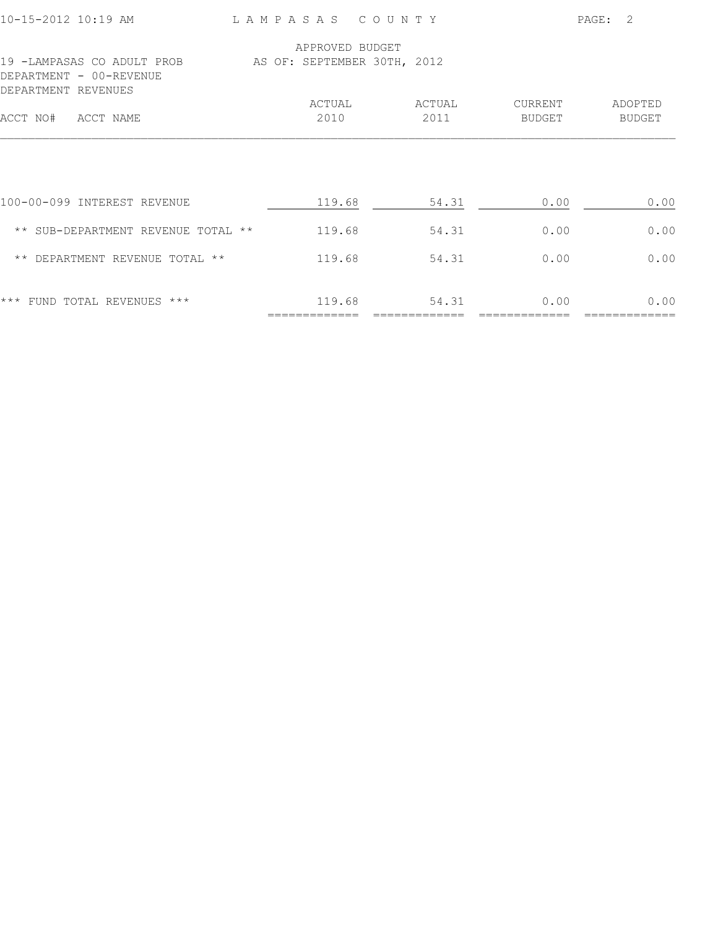| ADOPTED       |
|---------------|
| <b>BUDGET</b> |
| 0.00          |
| 0.00          |
| 0.00          |
| 0.00          |
|               |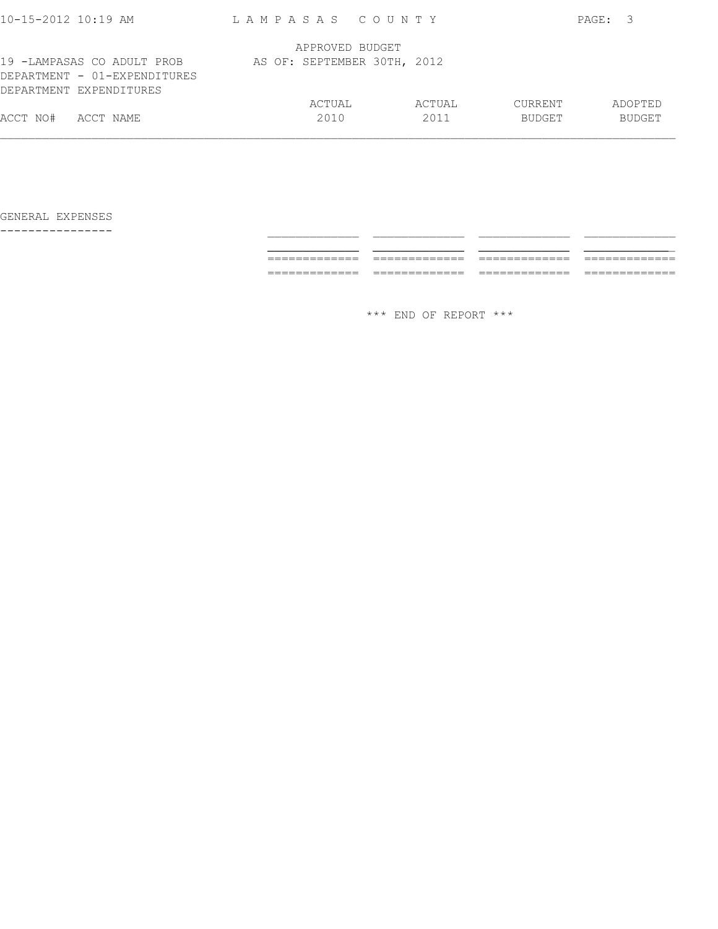| $10 - 15 - 2012$ 10:19 AM                                                             | LAMPASAS COUNTY             |        |                | PAGE: 3       |
|---------------------------------------------------------------------------------------|-----------------------------|--------|----------------|---------------|
|                                                                                       | APPROVED BUDGET             |        |                |               |
| 19 -LAMPASAS CO ADULT PROB<br>DEPARTMENT - 01-EXPENDITURES<br>DEPARTMENT EXPENDITURES | AS OF: SEPTEMBER 30TH, 2012 |        |                |               |
|                                                                                       | ACTUAL                      | ACTUAL | <b>CURRENT</b> | ADOPTED       |
| ACCT NO#<br>ACCT NAME                                                                 | 2010                        | 2011   | <b>BUDGET</b>  | <b>BUDGET</b> |
|                                                                                       |                             |        |                |               |

GENERAL EXPENSES

---------------- \_\_\_\_\_\_\_\_\_\_\_\_\_ \_\_\_\_\_\_\_\_\_\_\_\_\_ \_\_\_\_\_\_\_\_\_\_\_\_\_ \_\_\_\_\_\_\_\_\_\_\_\_\_ \_\_\_\_\_\_\_\_\_\_\_\_\_ \_\_\_\_\_\_\_\_\_\_\_\_\_ \_\_\_\_\_\_\_\_\_\_\_\_\_ \_\_\_\_\_\_\_\_\_\_\_\_\_ ============= ============= ============= ============= ============= ============= ============= =============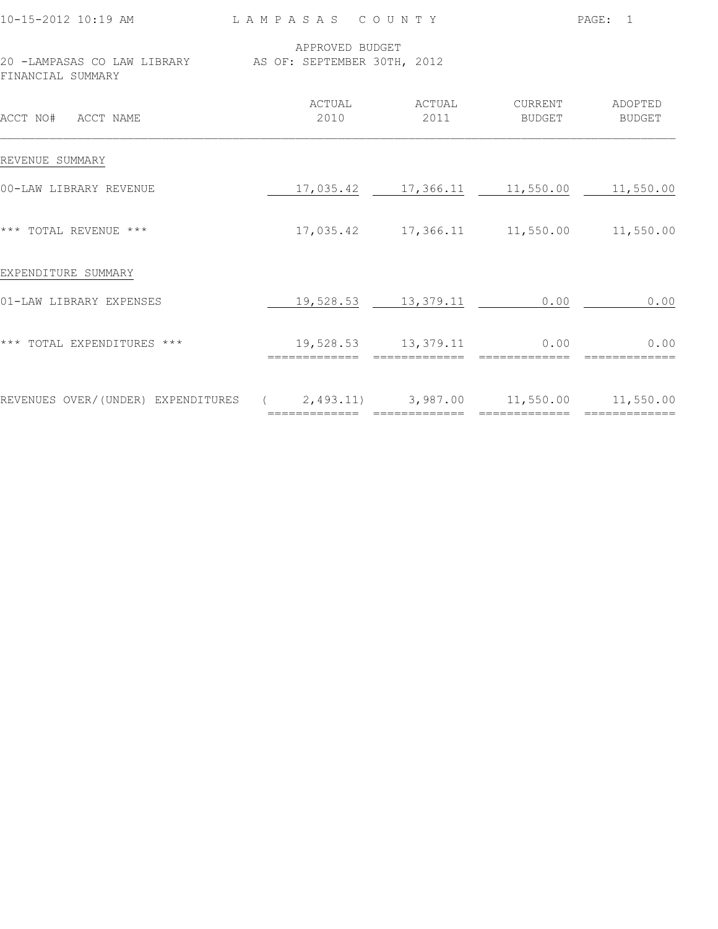| 10-15-2012 10:19 AM LAMPASAS COUNTY                                          |                 |                                               |                                  | PAGE: 1       |  |
|------------------------------------------------------------------------------|-----------------|-----------------------------------------------|----------------------------------|---------------|--|
| 20 -LAMPASAS CO LAW LIBRARY AS OF: SEPTEMBER 30TH, 2012<br>FINANCIAL SUMMARY | APPROVED BUDGET |                                               |                                  |               |  |
| ACCT NO# ACCT NAME                                                           | 2010            | ACTUAL ACTUAL<br>2011                         | CURRENT ADOPTED<br><b>BUDGET</b> | <b>BUDGET</b> |  |
| REVENUE SUMMARY                                                              |                 |                                               |                                  |               |  |
| 00-LAW LIBRARY REVENUE                                                       |                 | 17,035.42   17,366.11   11,550.00   11,550.00 |                                  |               |  |
| *** TOTAL REVENUE ***                                                        |                 | 17,035.42   17,366.11   11,550.00   11,550.00 |                                  |               |  |
| EXPENDITURE SUMMARY                                                          |                 |                                               |                                  |               |  |
| 01-LAW LIBRARY EXPENSES                                                      |                 | 19,528.53 13,379.11                           | 0.00                             | 0.00          |  |
| *** TOTAL EXPENDITURES ***                                                   | ==============  | 19,528.53 13,379.11<br>==============         | 0.00                             | 0.00          |  |
| REVENUES OVER/(UNDER) EXPENDITURES (2,493.11) 3,987.00 11,550.00 11,550.00   |                 |                                               |                                  |               |  |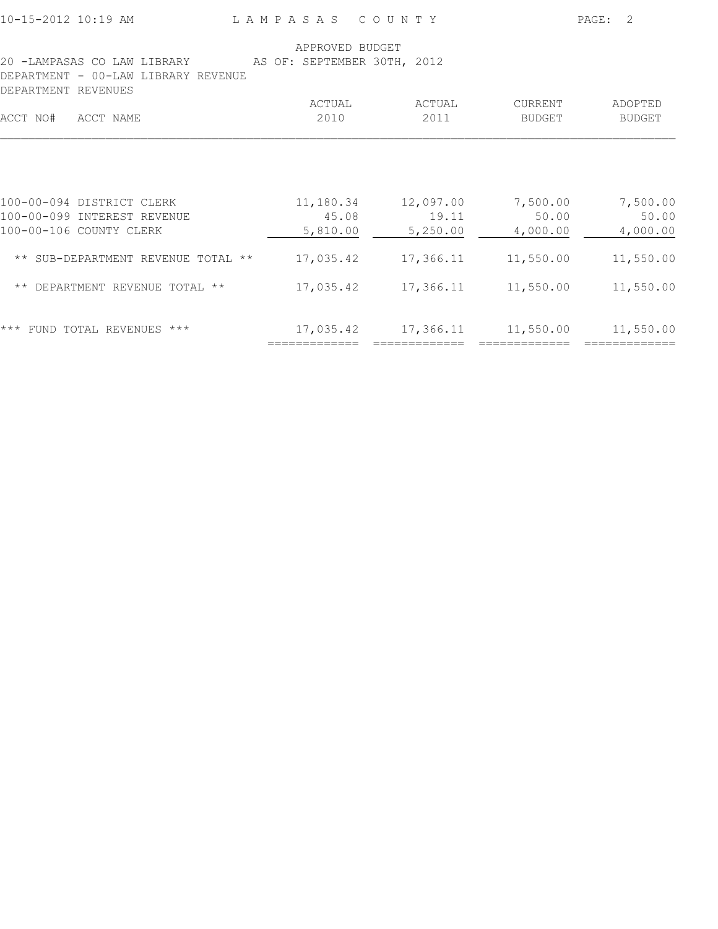10-15-2012 10:19 AM L A M P A S A S C O U N T Y PAGE: 2

|                                                                    | APPROVED BUDGET             |                   |                   |                          |
|--------------------------------------------------------------------|-----------------------------|-------------------|-------------------|--------------------------|
| 20 -LAMPASAS CO LAW LIBRARY<br>DEPARTMENT - 00-LAW LIBRARY REVENUE | AS OF: SEPTEMBER 30TH, 2012 |                   |                   |                          |
| DEPARTMENT REVENUES                                                |                             |                   |                   |                          |
| ACCT NO#<br>ACCT NAME                                              | ACTUAL<br>2010              | ACTUAL<br>2011    | CURRENT<br>BUDGET | ADOPTED<br><b>BUDGET</b> |
|                                                                    |                             |                   |                   |                          |
| 100-00-094 DISTRICT CLERK                                          | 11,180.34                   | 12,097.00         | 7,500.00          | 7,500.00                 |
| 100-00-099 INTEREST REVENUE<br>100-00-106 COUNTY CLERK             | 45.08<br>5,810.00           | 19.11<br>5,250.00 | 50.00<br>4,000.00 | 50.00<br>4,000.00        |
| ** SUB-DEPARTMENT REVENUE TOTAL **                                 | 17,035.42                   | 17,366.11         | 11,550.00         | 11,550.00                |
| ** DEPARTMENT REVENUE TOTAL **                                     | 17,035.42                   | 17,366.11         | 11,550.00         | 11,550.00                |
| $***$<br>FUND TOTAL REVENUES ***                                   | 17,035.42                   | 17,366.11         | 11,550.00         | 11,550.00                |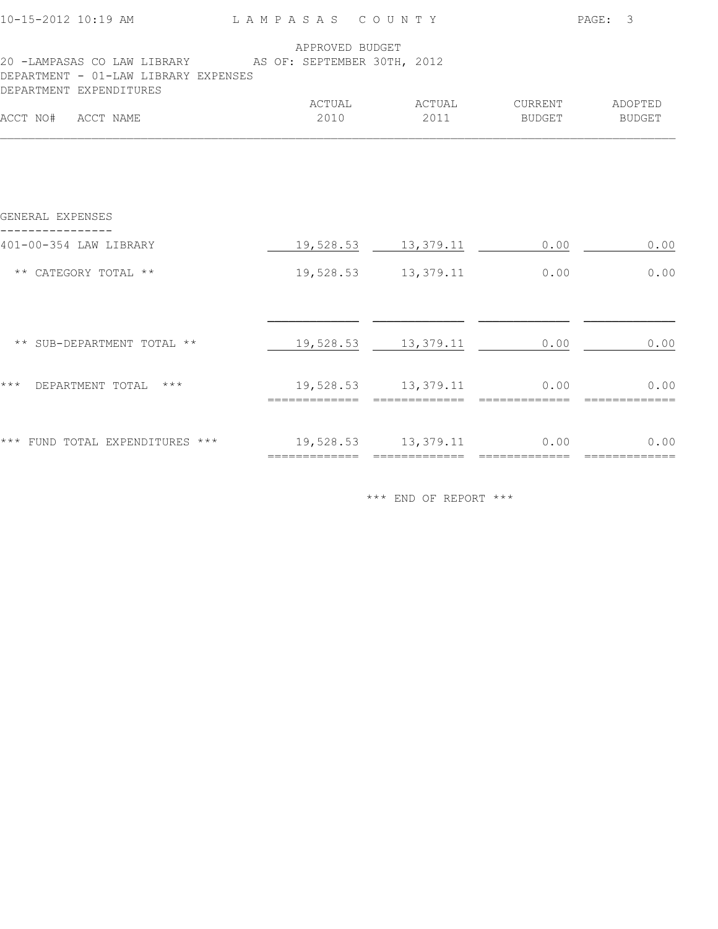| APPROVED BUDGET<br>20 -LAMPASAS CO LAW LIBRARY AS OF: SEPTEMBER 30TH, 2012  |                   |
|-----------------------------------------------------------------------------|-------------------|
| DEPARTMENT - 01-LAW LIBRARY EXPENSES                                        |                   |
| DEPARTMENT EXPENDITURES                                                     |                   |
| ACTUAL<br>ACTUAL<br>CURRENT<br>ACCT NO# ACCT NAME<br>2010<br>2011<br>BUDGET | ADOPTED<br>BUDGET |
|                                                                             |                   |
| GENERAL EXPENSES                                                            |                   |
| 401-00-354 LAW LIBRARY<br>19,528.53 13,379.11<br>0.00                       | 0.00              |
| ** CATEGORY TOTAL **<br>19,528.53 13,379.11<br>0.00                         | 0.00              |
|                                                                             |                   |
| ** SUB-DEPARTMENT TOTAL **<br>19,528.53 13,379.11<br>0.00                   | 0.00              |
| $***$<br>19,528.53 13,379.11 0.00<br>DEPARTMENT TOTAL ***                   | 0.00              |
| *** FUND TOTAL EXPENDITURES *** 19,528.53 13,379.11 0.00                    | 0.00              |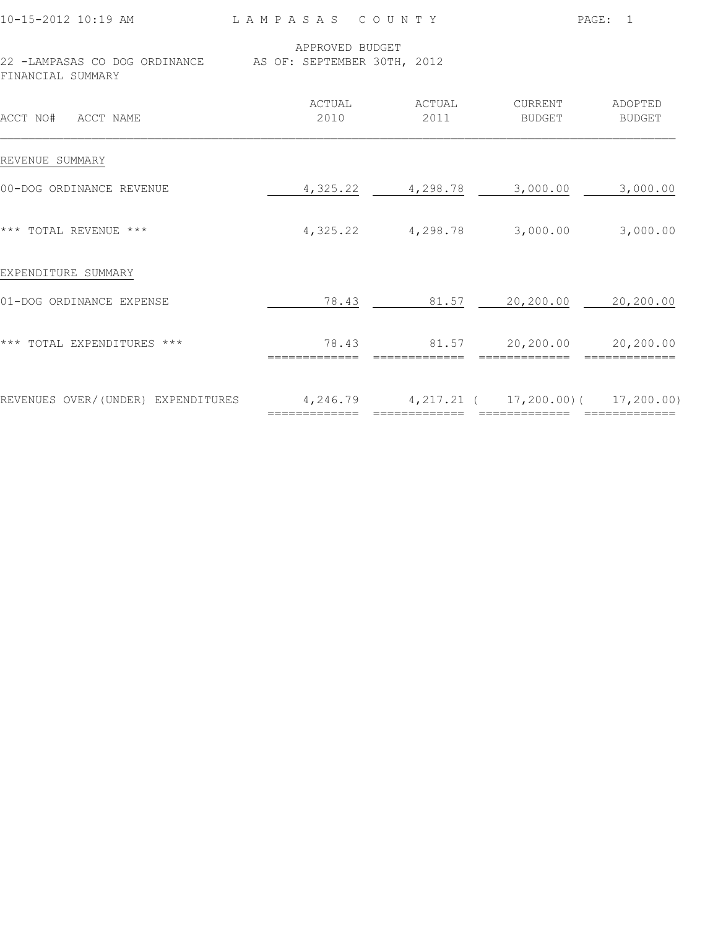|                                                                                |                 |                                                  |               | PAGE: 1       |
|--------------------------------------------------------------------------------|-----------------|--------------------------------------------------|---------------|---------------|
| 22 -LAMPASAS CO DOG ORDINANCE AS OF: SEPTEMBER 30TH, 2012<br>FINANCIAL SUMMARY | APPROVED BUDGET |                                                  |               |               |
| ACCT NO# ACCT NAME                                                             | ACTUAL<br>2010  | ACTUAL CURRENT ADOPTED<br>2011                   | <b>BUDGET</b> | <b>BUDGET</b> |
| REVENUE SUMMARY                                                                |                 |                                                  |               |               |
| 00-DOG ORDINANCE REVENUE                                                       |                 | 4, 325.22 4, 298.78 3, 000.00 3, 000.00          |               |               |
| *** TOTAL REVENUE ***                                                          |                 | $4,325.22$ $4,298.78$ $3,000.00$ $3,000.00$      |               |               |
| EXPENDITURE SUMMARY                                                            |                 |                                                  |               |               |
| 01-DOG ORDINANCE EXPENSE                                                       |                 | 78.43 81.57 20,200.00 20,200.00                  |               |               |
| *** TOTAL EXPENDITURES ***                                                     | =============   | 78.43 81.57 20,200.00 20,200.00<br>------------- | ============= |               |
| REVENUES OVER/(UNDER) EXPENDITURES 4,246.79 4,217.21 (17,200.00) (17,200.00)   |                 |                                                  |               |               |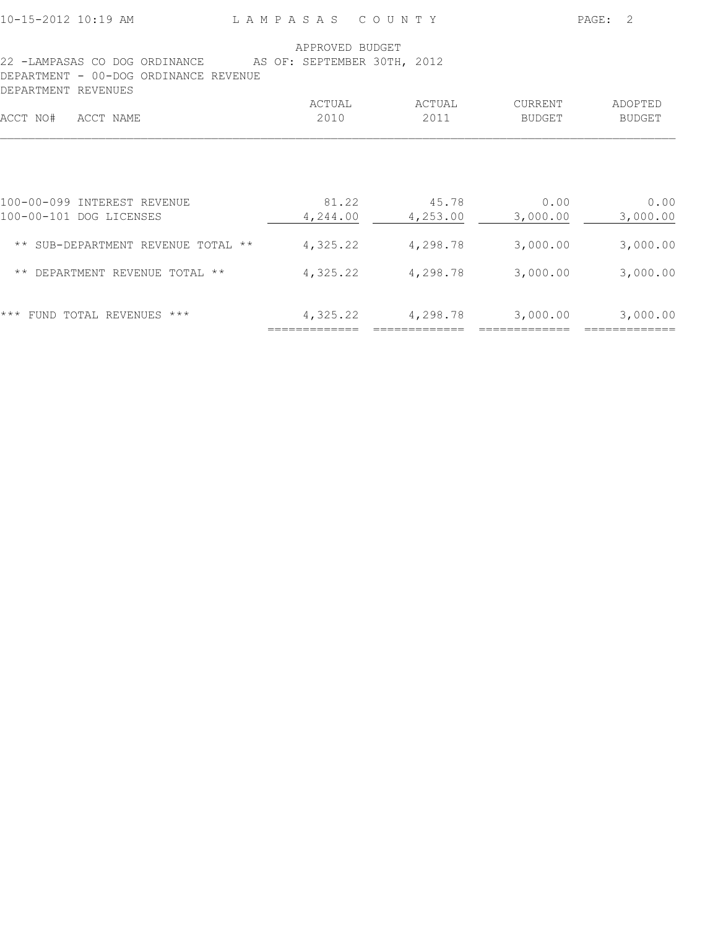|  |  |  | 10-15-2012 10:19 AM |  |  |  |
|--|--|--|---------------------|--|--|--|
|--|--|--|---------------------|--|--|--|

L A M P A S A S C O U N T Y PAGE: 2

| APPROVED BUDGET |          |                             |               |
|-----------------|----------|-----------------------------|---------------|
|                 |          |                             |               |
|                 |          |                             |               |
|                 |          |                             |               |
| ACTUAL          | ACTUAL   | CURRENT                     | ADOPTED       |
| 2010            | 2011     | <b>BUDGET</b>               | <b>BUDGET</b> |
|                 |          |                             |               |
| 81.22           | 45.78    | 0.00                        | 0.00          |
| 4,244.00        | 4,253.00 | 3,000.00                    | 3,000.00      |
| 4,325.22        | 4,298.78 | 3,000.00                    | 3,000.00      |
| 4,325.22        | 4,298.78 | 3,000.00                    | 3,000.00      |
| 4,325.22        | 4,298.78 | 3,000.00                    | 3,000.00      |
|                 |          | AS OF: SEPTEMBER 30TH, 2012 |               |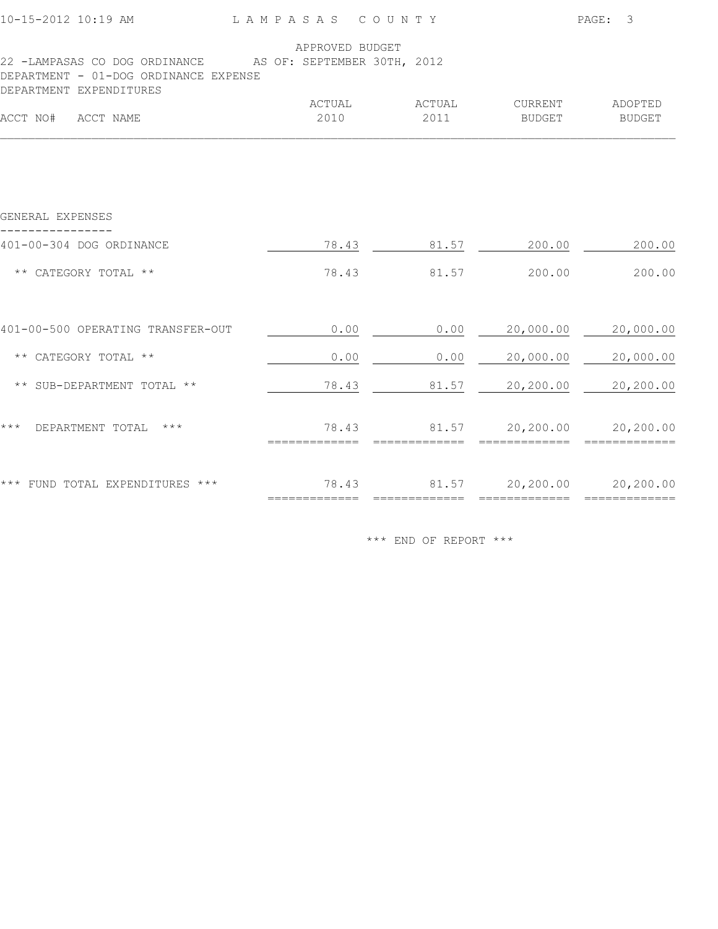|                                                                                                    |                 |        |                                 | PAGE: 3                  |
|----------------------------------------------------------------------------------------------------|-----------------|--------|---------------------------------|--------------------------|
| 22 -LAMPASAS CO DOG ORDINANCE AS OF: SEPTEMBER 30TH, 2012<br>DEPARTMENT - 01-DOG ORDINANCE EXPENSE | APPROVED BUDGET |        |                                 |                          |
| DEPARTMENT EXPENDITURES<br>ACCT NO# ACCT NAME                                                      | ACTUAL<br>2010  | ACTUAL | <b>CURRENT</b><br>2011 BUDGET   | ADOPTED<br><b>BUDGET</b> |
|                                                                                                    |                 |        |                                 |                          |
| GENERAL EXPENSES                                                                                   |                 |        |                                 |                          |
| 401-00-304 DOG ORDINANCE                                                                           |                 |        | 78.43 81.57 200.00 200.00       |                          |
| ** CATEGORY TOTAL **                                                                               | 78.43           |        | 81.57 200.00                    | 200.00                   |
| 401-00-500 OPERATING TRANSFER-OUT                                                                  | 0.00            | 0.00   |                                 | 20,000.00 20,000.00      |
| ** CATEGORY TOTAL **                                                                               | 0.00            | 0.00   | 20,000.00 20,000.00             |                          |
| ** SUB-DEPARTMENT TOTAL **                                                                         | 78.43           |        | 81.57 20,200.00 20,200.00       |                          |
| *** DEPARTMENT TOTAL ***                                                                           |                 |        | 78.43 81.57 20,200.00 20,200.00 |                          |
| *** FUND TOTAL EXPENDITURES *** $78.43$ 81.57 $20,200.00$ 20,200.00                                |                 |        |                                 |                          |
|                                                                                                    |                 |        |                                 |                          |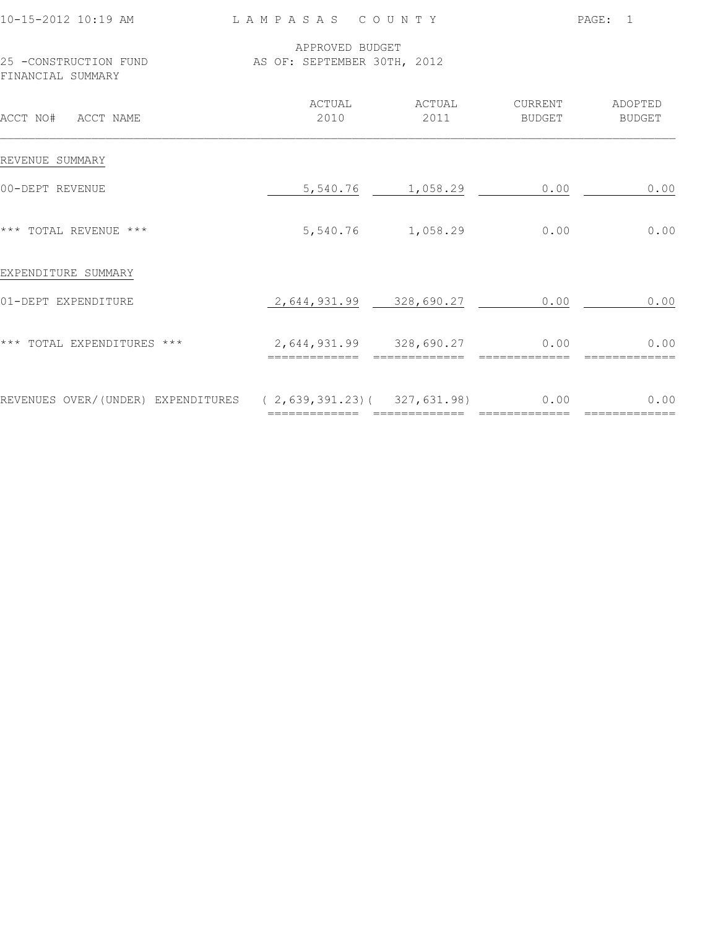| 10-15-2012 10:19 AM                                                 | LAMPASAS COUNTY                                |                   | PAGE: 1                          |               |  |
|---------------------------------------------------------------------|------------------------------------------------|-------------------|----------------------------------|---------------|--|
| 25 -CONSTRUCTION FUND<br>FINANCIAL SUMMARY                          | APPROVED BUDGET<br>AS OF: SEPTEMBER 30TH, 2012 |                   |                                  |               |  |
| ACCT NO# ACCT NAME                                                  | ACTUAL<br>2010                                 | ACTUAL<br>2011    | CURRENT ADOPTED<br><b>BUDGET</b> | <b>BUDGET</b> |  |
| REVENUE SUMMARY                                                     |                                                |                   |                                  |               |  |
| 00-DEPT REVENUE                                                     |                                                | 5,540.76 1,058.29 | 0.00                             | 0.00          |  |
| *** TOTAL REVENUE ***                                               |                                                | 5,540.76 1,058.29 | 0.00                             | 0.00          |  |
| EXPENDITURE SUMMARY                                                 |                                                |                   |                                  |               |  |
| 01-DEPT EXPENDITURE                                                 | 2,644,931.99 328,690.27                        |                   | 0.00                             | 0.00          |  |
| *** TOTAL EXPENDITURES ***                                          | 2,644,931.99 328,690.27<br>=============       |                   | 0.00                             | 0.00          |  |
| REVENUES OVER/(UNDER) EXPENDITURES (2,639,391.23)( 327,631.98) 0.00 |                                                |                   |                                  | 0.00          |  |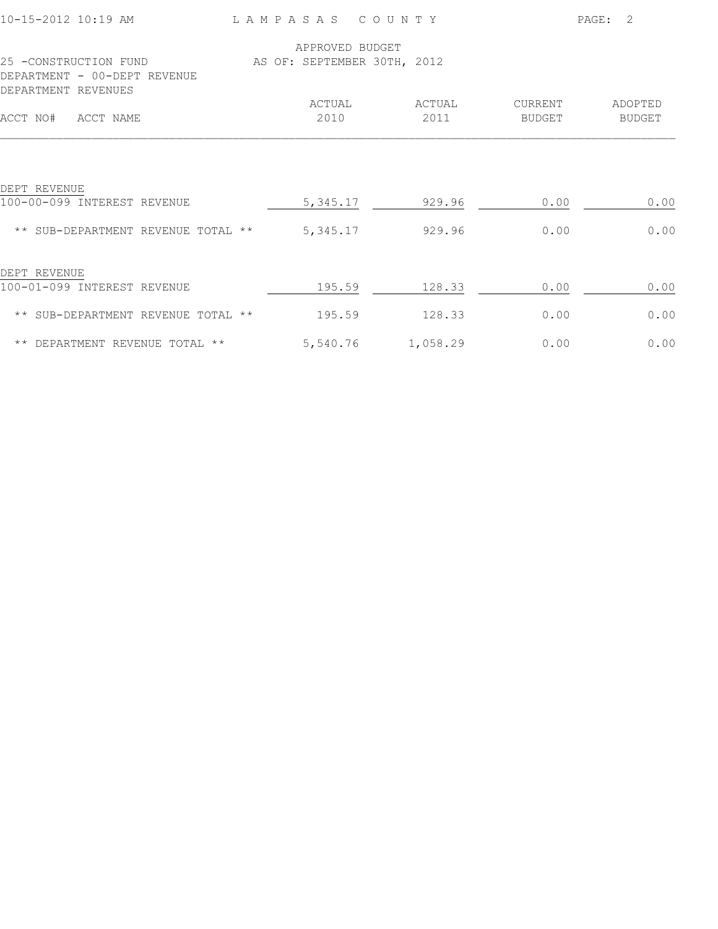| 10-15-2012 10:19 AM                                                          | LAMPASAS                    | COUNTY   |                | PAGE:<br>2    |
|------------------------------------------------------------------------------|-----------------------------|----------|----------------|---------------|
|                                                                              | APPROVED BUDGET             |          |                |               |
| 25 -CONSTRUCTION FUND<br>DEPARTMENT - 00-DEPT REVENUE<br>DEPARTMENT REVENUES | AS OF: SEPTEMBER 30TH, 2012 |          |                |               |
|                                                                              | ACTUAL                      | ACTUAL   | <b>CURRENT</b> | ADOPTED       |
| ACCT NO#<br>ACCT NAME                                                        | 2010                        | 2011     | <b>BUDGET</b>  | <b>BUDGET</b> |
| DEPT REVENUE<br>100-00-099 INTEREST REVENUE                                  | 5, 345.17                   | 929.96   | 0.00           | 0.00          |
| ** SUB-DEPARTMENT REVENUE TOTAL **                                           | 5,345.17                    | 929.96   | 0.00           | 0.00          |
| DEPT REVENUE<br>100-01-099 INTEREST REVENUE                                  | 195.59                      | 128.33   | 0.00           | 0.00          |
| ** SUB-DEPARTMENT REVENUE TOTAL **                                           | 195.59                      | 128.33   | 0.00           | 0.00          |
| ** DEPARTMENT REVENUE TOTAL **                                               | 5,540.76                    | 1,058.29 | 0.00           | 0.00          |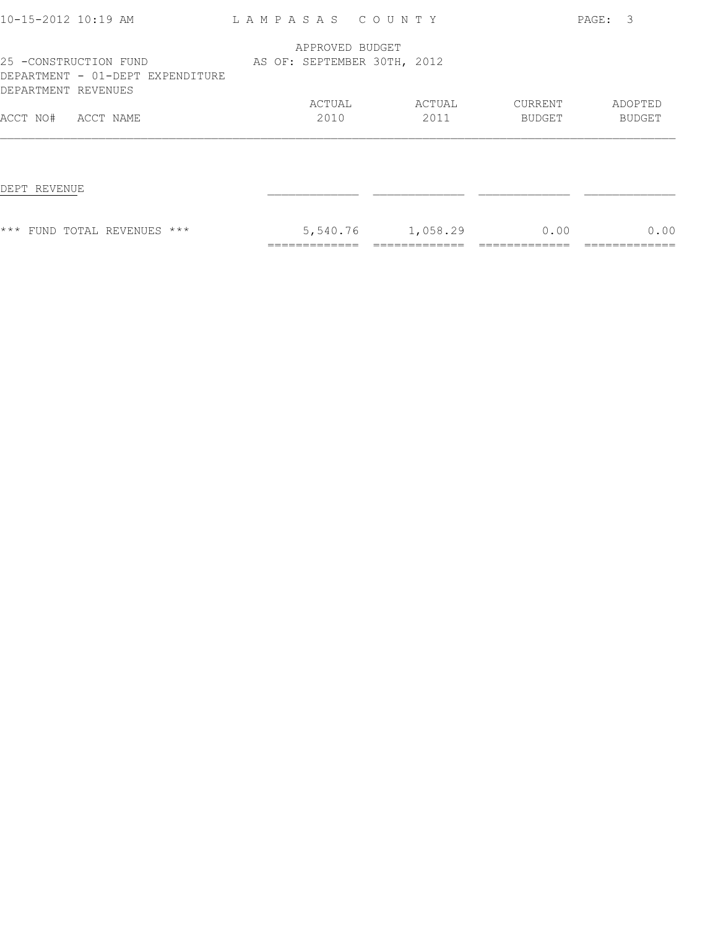| 10-15-2012 10:19 AM                                                              | LAMPASAS COUNTY             |          |         | PAGE: 3 |
|----------------------------------------------------------------------------------|-----------------------------|----------|---------|---------|
|                                                                                  | APPROVED BUDGET             |          |         |         |
| 25 -CONSTRUCTION FUND<br>DEPARTMENT - 01-DEPT EXPENDITURE<br>DEPARTMENT REVENUES | AS OF: SEPTEMBER 30TH, 2012 |          |         |         |
|                                                                                  | ACTUAL                      | ACTUAL   | CURRENT | ADOPTED |
| ACCT NO#<br>ACCT NAME                                                            | 2010                        | 2011     | BUDGET  | BUDGET  |
| DEPT REVENUE                                                                     |                             |          |         |         |
| *** FUND TOTAL REVENUES ***                                                      | 5,540.76                    | 1,058.29 | 0.00    | 0.00    |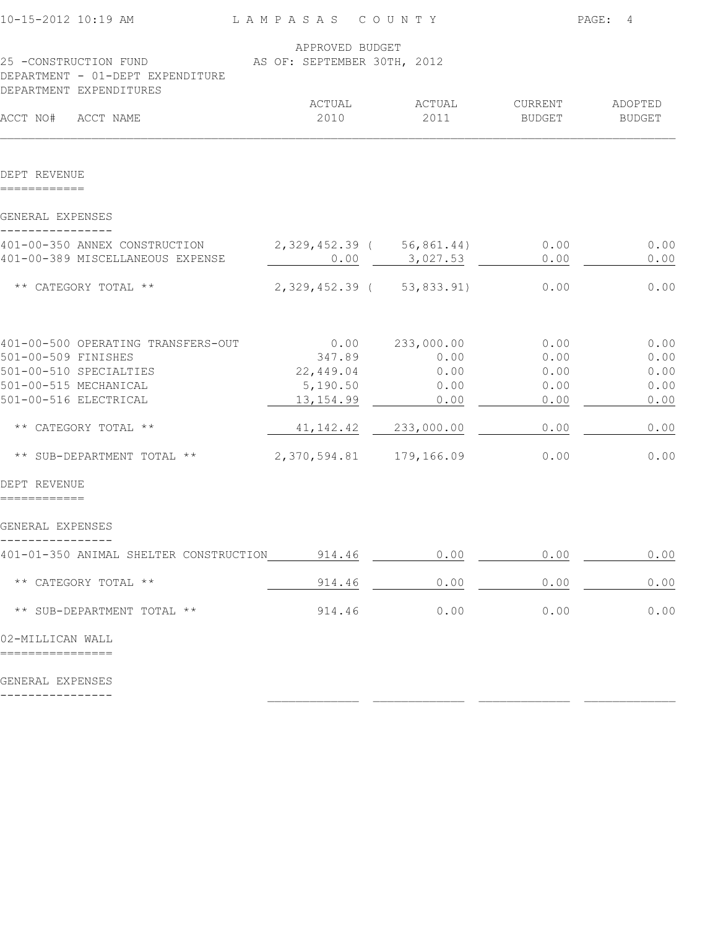| 10-15-2012 10:19 AM                                                                  | LAMPASAS COUNTY                                |              | PAGE:<br>4    |               |  |
|--------------------------------------------------------------------------------------|------------------------------------------------|--------------|---------------|---------------|--|
| 25 -CONSTRUCTION FUND<br>DEPARTMENT - 01-DEPT EXPENDITURE<br>DEPARTMENT EXPENDITURES | APPROVED BUDGET<br>AS OF: SEPTEMBER 30TH, 2012 |              |               |               |  |
|                                                                                      | ACTUAL                                         | ACTUAL       | CURRENT       | ADOPTED       |  |
| ACCT NO#<br>ACCT NAME                                                                | 2010                                           | 2011         | <b>BUDGET</b> | <b>BUDGET</b> |  |
| DEPT REVENUE                                                                         |                                                |              |               |               |  |
| GENERAL EXPENSES                                                                     |                                                |              |               |               |  |
| 401-00-350 ANNEX CONSTRUCTION                                                        | 2,329,452.39 (56,861.44)                       |              | 0.00          | 0.00          |  |
| 401-00-389 MISCELLANEOUS EXPENSE                                                     | 0.00                                           | 3,027.53     | 0.00          | 0.00          |  |
| ** CATEGORY TOTAL **                                                                 | 2, 329, 452.39 ( 53, 833.91)                   |              | 0.00          | 0.00          |  |
| 401-00-500 OPERATING TRANSFERS-OUT                                                   | 0.00                                           | 233,000.00   | 0.00          | 0.00          |  |
| 501-00-509 FINISHES                                                                  | 347.89                                         | 0.00         | 0.00          | 0.00          |  |
| 501-00-510 SPECIALTIES<br>501-00-515 MECHANICAL                                      | 22,449.04<br>5,190.50                          | 0.00<br>0.00 | 0.00<br>0.00  | 0.00<br>0.00  |  |
| 501-00-516 ELECTRICAL                                                                | 13, 154.99                                     | 0.00         | 0.00          | 0.00          |  |
| ** CATEGORY TOTAL **                                                                 | 41, 142.42                                     | 233,000.00   | 0.00          | 0.00          |  |
| ** SUB-DEPARTMENT TOTAL **                                                           | 2,370,594.81 179,166.09                        |              | 0.00          | 0.00          |  |
| DEPT REVENUE                                                                         |                                                |              |               |               |  |
| GENERAL EXPENSES                                                                     |                                                |              |               |               |  |
| 401-01-350 ANIMAL SHELTER CONSTRUCTION 914.46                                        |                                                | 0.00         | 0.00          | 0.00          |  |
| ** CATEGORY TOTAL **                                                                 | 914.46                                         | 0.00         | 0.00          | 0.00          |  |
| ** SUB-DEPARTMENT TOTAL **                                                           | 914.46                                         | 0.00         | 0.00          | 0.00          |  |
| 02-MILLICAN WALL                                                                     |                                                |              |               |               |  |
| GENERAL EXPENSES                                                                     |                                                |              |               |               |  |
|                                                                                      |                                                |              |               |               |  |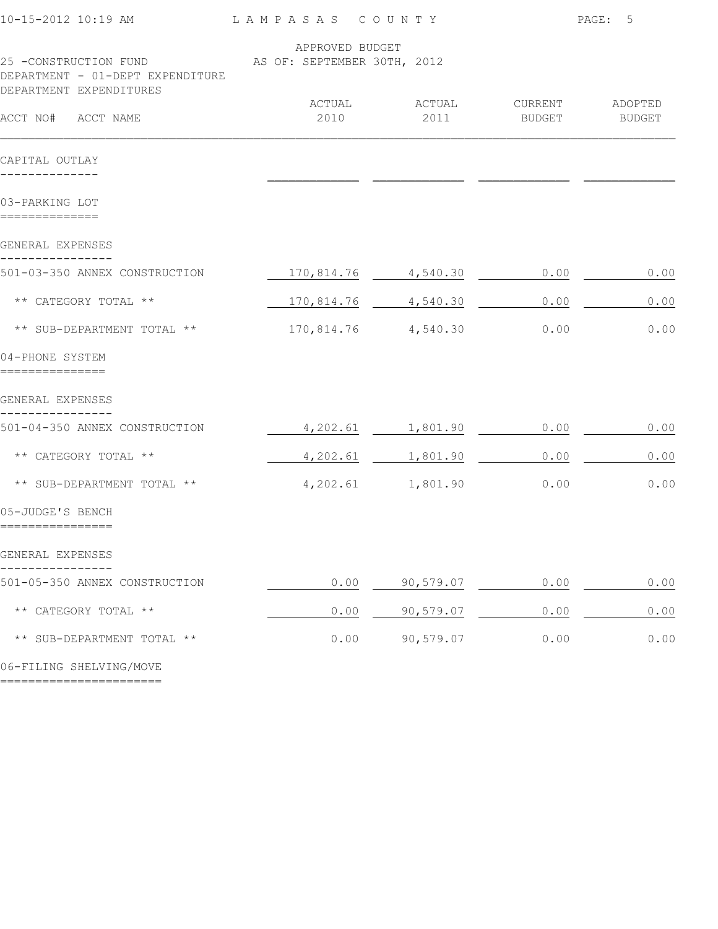| 10-15-2012 10:19 AM<br>LAMPASAS COUNTY                                                                           |                     |                       | PAGE: 5        |         |
|------------------------------------------------------------------------------------------------------------------|---------------------|-----------------------|----------------|---------|
|                                                                                                                  | APPROVED BUDGET     |                       |                |         |
| 25 -CONSTRUCTION FUND AS OF: SEPTEMBER 30TH, 2012<br>DEPARTMENT - 01-DEPT EXPENDITURE<br>DEPARTMENT EXPENDITURES |                     |                       |                |         |
|                                                                                                                  |                     | ACTUAL ACTUAL         | <b>CURRENT</b> | ADOPTED |
| ACCT NO# ACCT NAME                                                                                               | 2010                | 2011                  | BUDGET         | BUDGET  |
| CAPITAL OUTLAY                                                                                                   |                     |                       |                |         |
|                                                                                                                  |                     |                       |                |         |
| 03-PARKING LOT                                                                                                   |                     |                       |                |         |
| GENERAL EXPENSES                                                                                                 |                     |                       |                |         |
| 501-03-350 ANNEX CONSTRUCTION                                                                                    |                     | 170,814.76 4,540.30   | 0.00           | 0.00    |
| ** CATEGORY TOTAL **                                                                                             | 170,814.76 4,540.30 |                       | 0.00           | 0.00    |
| ** SUB-DEPARTMENT TOTAL **                                                                                       | 170,814.76 4,540.30 |                       | 0.00           | 0.00    |
| 04-PHONE SYSTEM                                                                                                  |                     |                       |                |         |
| GENERAL EXPENSES                                                                                                 |                     |                       |                |         |
| 501-04-350 ANNEX CONSTRUCTION                                                                                    | $4,202.61$ 1,801.90 |                       | 0.00           | 0.00    |
| ** CATEGORY TOTAL **                                                                                             |                     | $4,202.61$ $1,801.90$ | 0.00           | 0.00    |
| ** SUB-DEPARTMENT TOTAL **                                                                                       | 4,202.61 1,801.90   |                       | 0.00           | 0.00    |
| 05-JUDGE'S BENCH<br>================                                                                             |                     |                       |                |         |
| GENERAL EXPENSES                                                                                                 |                     |                       |                |         |
| 501-05-350 ANNEX CONSTRUCTION                                                                                    | 0.00                | 90,579.07             | 0.00           | 0.00    |
| ** CATEGORY TOTAL **                                                                                             | 0.00                | 90,579.07             | 0.00           | 0.00    |
| ** SUB-DEPARTMENT TOTAL **                                                                                       | 0.00                | 90,579.07             | 0.00           | 0.00    |
|                                                                                                                  |                     |                       |                |         |

06-FILING SHELVING/MOVE

=======================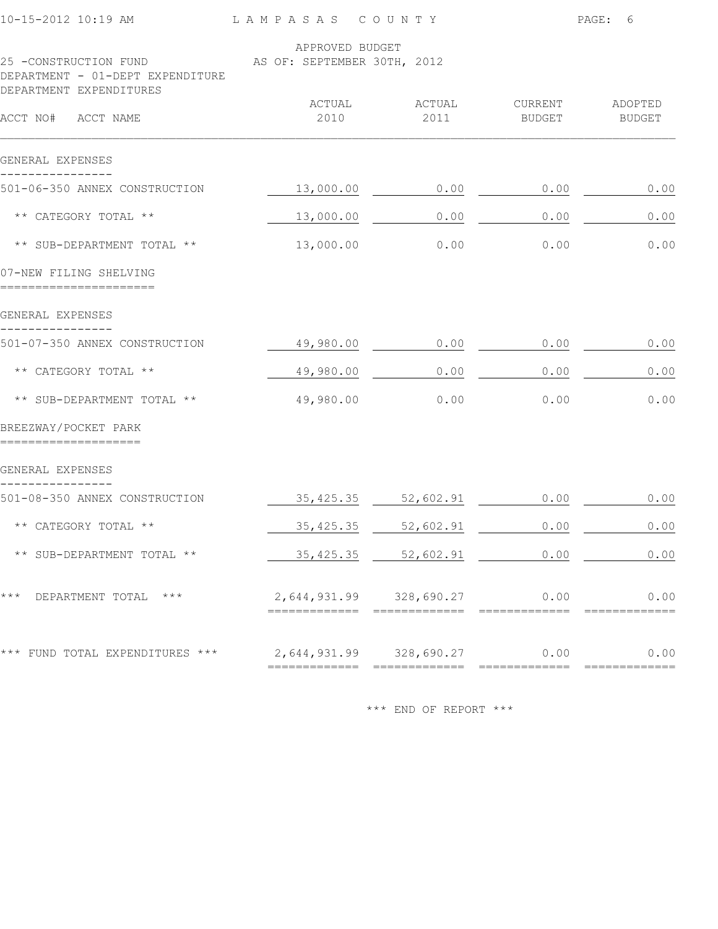| 10-15-2012 10:19 AM                                       | LAMPASAS<br>C O U N T Y                        |                         | PAGE:<br>6            |                          |
|-----------------------------------------------------------|------------------------------------------------|-------------------------|-----------------------|--------------------------|
| 25 -CONSTRUCTION FUND<br>DEPARTMENT - 01-DEPT EXPENDITURE | APPROVED BUDGET<br>AS OF: SEPTEMBER 30TH, 2012 |                         |                       |                          |
| DEPARTMENT EXPENDITURES                                   |                                                |                         |                       |                          |
| ACCT NO#<br>ACCT NAME                                     | ACTUAL<br>2010                                 | ACTUAL<br>2011          | CURRENT<br>BUDGET     | ADOPTED<br><b>BUDGET</b> |
| GENERAL EXPENSES                                          |                                                |                         |                       |                          |
| 501-06-350 ANNEX CONSTRUCTION                             | 13,000.00                                      | 0.00                    | 0.00                  | 0.00                     |
| ** CATEGORY TOTAL **                                      | 13,000.00                                      | 0.00                    | 0.00                  | 0.00                     |
| ** SUB-DEPARTMENT TOTAL **                                | 13,000.00                                      | 0.00                    | 0.00                  | 0.00                     |
| 07-NEW FILING SHELVING                                    |                                                |                         |                       |                          |
| GENERAL EXPENSES                                          |                                                |                         |                       |                          |
| 501-07-350 ANNEX CONSTRUCTION                             | 49,980.00                                      | 0.00                    | 0.00                  | 0.00                     |
| ** CATEGORY TOTAL **                                      | 49,980.00                                      | 0.00                    | 0.00                  | 0.00                     |
| ** SUB-DEPARTMENT TOTAL **                                | 49,980.00                                      | 0.00                    | 0.00                  | 0.00                     |
| BREEZWAY/POCKET PARK                                      |                                                |                         |                       |                          |
| GENERAL EXPENSES                                          |                                                |                         |                       |                          |
| 501-08-350 ANNEX CONSTRUCTION                             | 35, 425.35                                     | 52,602.91               | 0.00                  | 0.00                     |
| ** CATEGORY TOTAL **                                      | 35, 425.35                                     | 52,602.91               | 0.00                  | 0.00                     |
| ** SUB-DEPARTMENT TOTAL **                                |                                                | 35, 425.35 52, 602.91   | 0.00                  | 0.00                     |
| DEPARTMENT TOTAL ***<br>* * *                             |                                                | 2,644,931.99 328,690.27 | 0.00                  | 0.00                     |
| *** FUND TOTAL EXPENDITURES ***                           | =============                                  | 2,644,931.99 328,690.27 | 0.00<br>============= | 0.00<br>===========      |
|                                                           |                                                |                         |                       |                          |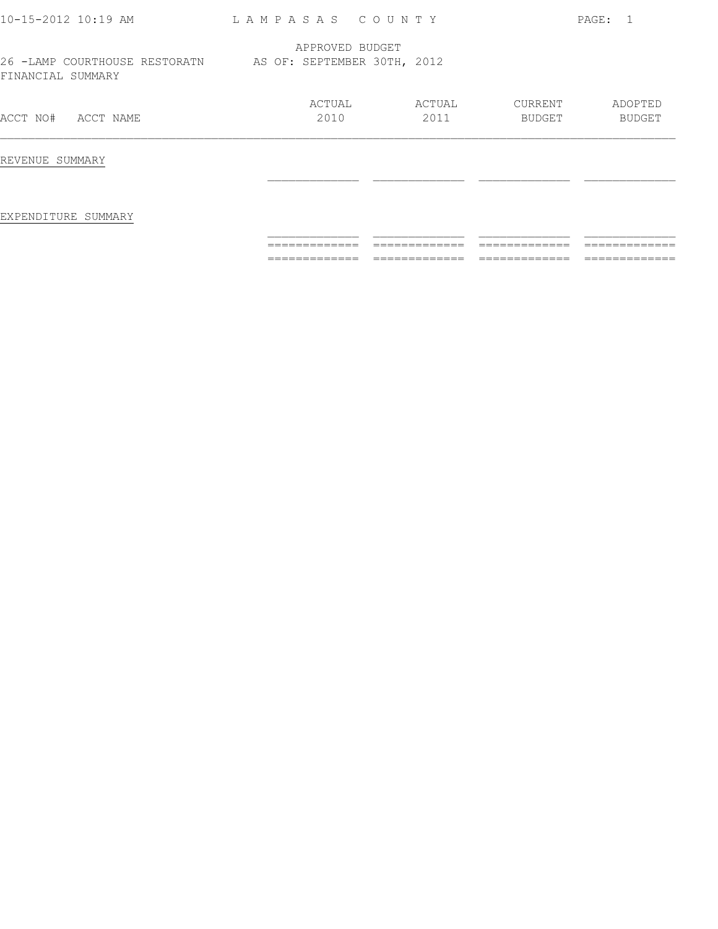| 10-15-2012 10:19 AM                                                            | LAMPASAS COUNTY |                |                   | PAGE: 1           |
|--------------------------------------------------------------------------------|-----------------|----------------|-------------------|-------------------|
| 26 -LAMP COURTHOUSE RESTORATN AS OF: SEPTEMBER 30TH, 2012<br>FINANCIAL SUMMARY | APPROVED BUDGET |                |                   |                   |
| ACCT NO#<br>ACCT NAME                                                          | ACTUAL<br>2010  | ACTUAL<br>2011 | CURRENT<br>BUDGET | ADOPTED<br>BUDGET |
| REVENUE SUMMARY                                                                |                 |                |                   |                   |
| EXPENDITURE SUMMARY                                                            |                 |                |                   |                   |
|                                                                                |                 |                |                   |                   |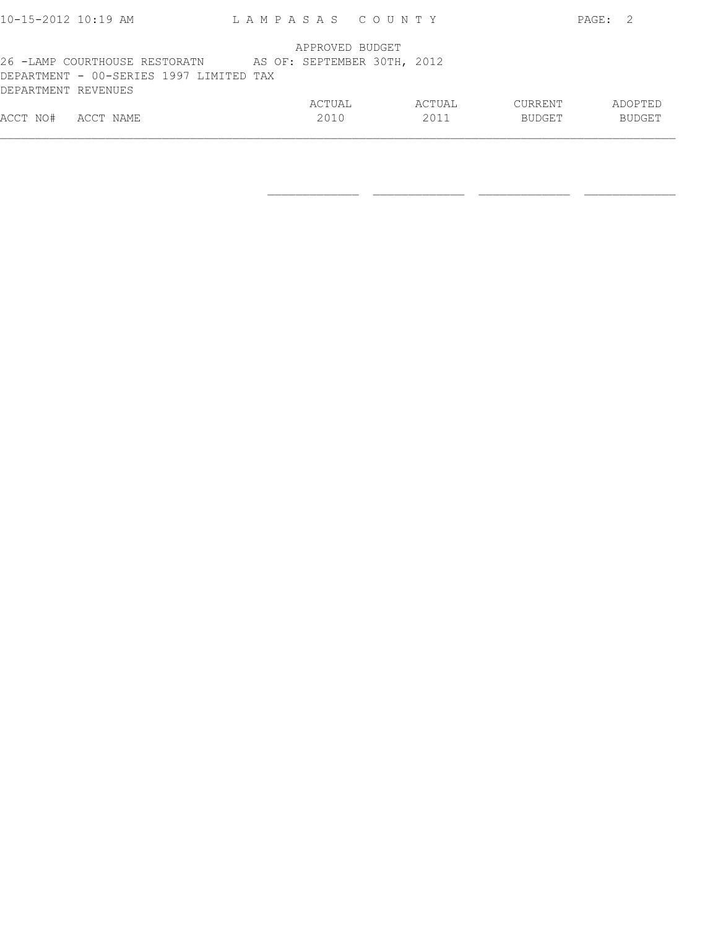| $10 - 15 - 2012$ $10:19$ AM             | LAMPASAS COUNTY             |        |               | PAGE: 2 |
|-----------------------------------------|-----------------------------|--------|---------------|---------|
|                                         | APPROVED BUDGET             |        |               |         |
| 26 -LAMP COURTHOUSE RESTORATN           | AS OF: SEPTEMBER 30TH, 2012 |        |               |         |
| DEPARTMENT - 00-SERIES 1997 LIMITED TAX |                             |        |               |         |
| DEPARTMENT REVENUES                     |                             |        |               |         |
|                                         | ACTUAL                      | ACTUAL | CURRENT       | ADOPTED |
| ACCT NO#<br>ACCT NAME                   | 2010                        | 2011   | <b>BUDGET</b> | BUDGET  |
|                                         |                             |        |               |         |

 $\frac{1}{2}$  , and the state of the state of the state of the state of the state of the state of the state of the state of the state of the state of the state of the state of the state of the state of the state of the state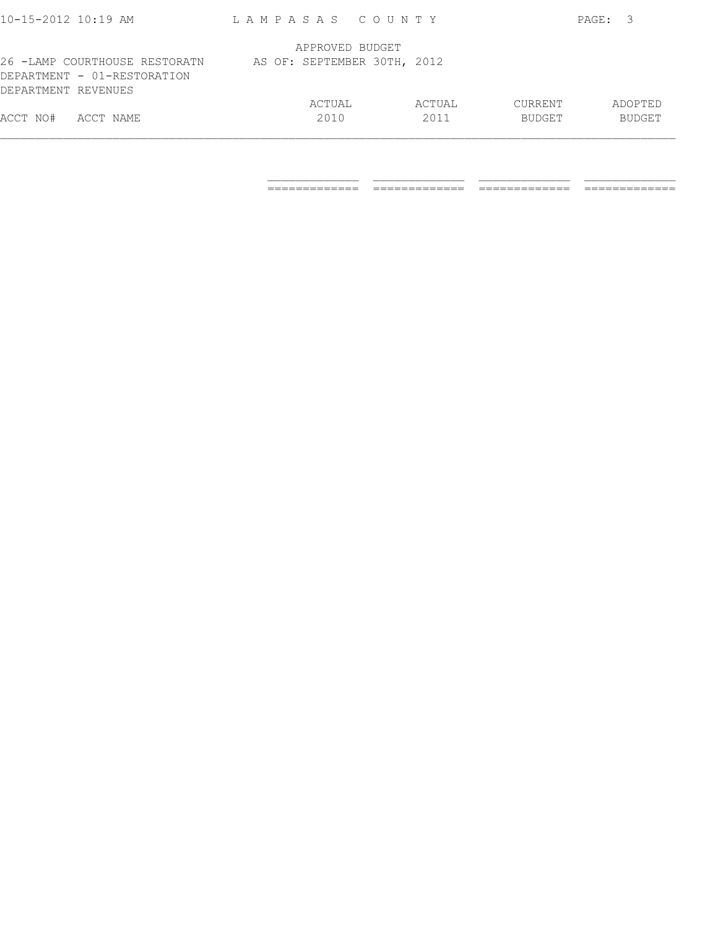| ACCT NO#<br>ACCT NAME                              | 2010                        | 2011   | BUDGET  | <b>BUDGET</b> |
|----------------------------------------------------|-----------------------------|--------|---------|---------------|
|                                                    | ACTUAL                      | ACTUAL | CURRENT | ADOPTED       |
| DEPARTMENT - 01-RESTORATION<br>DEPARTMENT REVENUES |                             |        |         |               |
|                                                    |                             |        |         |               |
| 26 -LAMP COURTHOUSE RESTORATN                      | AS OF: SEPTEMBER 30TH, 2012 |        |         |               |
|                                                    | APPROVED BUDGET             |        |         |               |
|                                                    |                             |        |         |               |
| $10 - 15 - 2012$ 10:19 AM                          | LAMPASAS COUNTY             |        |         | PAGE: 3       |

 $\frac{1}{2}$  , and the set of the set of the set of the set of the set of the set of the set of the set of the set of the set of the set of the set of the set of the set of the set of the set of the set of the set of the set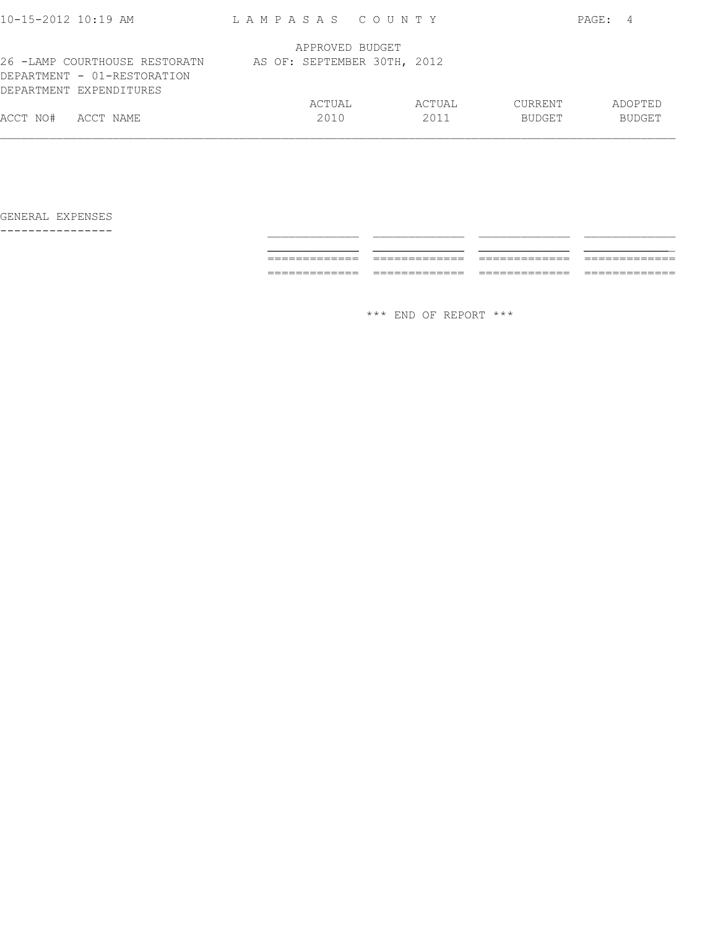| $10 - 15 - 2012$ 10:19 AM                                                               | LAMPASAS COUNTY             |        |               | PAGE: 4       |
|-----------------------------------------------------------------------------------------|-----------------------------|--------|---------------|---------------|
|                                                                                         | APPROVED BUDGET             |        |               |               |
| 26 -LAMP COURTHOUSE RESTORATN<br>DEPARTMENT - 01-RESTORATION<br>DEPARTMENT EXPENDITURES | AS OF: SEPTEMBER 30TH, 2012 |        |               |               |
|                                                                                         | ACTUAL                      | ACTUAL | CURRENT       | ADOPTED       |
| ACCT NO#<br>ACCT NAME                                                                   | 2010                        | 2011   | <b>BUDGET</b> | <b>BUDGET</b> |
|                                                                                         |                             |        |               |               |

---------------- \_\_\_\_\_\_\_\_\_\_\_\_\_ \_\_\_\_\_\_\_\_\_\_\_\_\_ \_\_\_\_\_\_\_\_\_\_\_\_\_ \_\_\_\_\_\_\_\_\_\_\_\_\_ \_\_\_\_\_\_\_\_\_\_\_\_\_ \_\_\_\_\_\_\_\_\_\_\_\_\_ \_\_\_\_\_\_\_\_\_\_\_\_\_ \_\_\_\_\_\_\_\_\_\_\_\_\_ ============= ============= ============= ============= ============= ============= ============= =============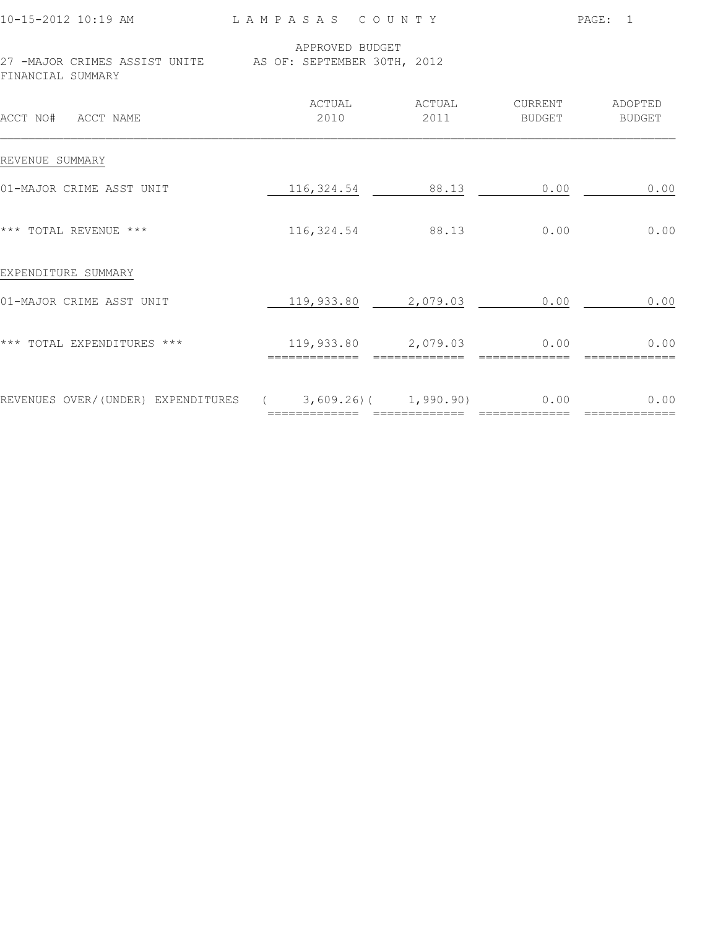| 10-15-2012 10:19 AM                                                            | LAMPASAS COUNTY |                          |                          | PAGE: 1                  |
|--------------------------------------------------------------------------------|-----------------|--------------------------|--------------------------|--------------------------|
| 27 -MAJOR CRIMES ASSIST UNITE AS OF: SEPTEMBER 30TH, 2012<br>FINANCIAL SUMMARY | APPROVED BUDGET |                          |                          |                          |
| ACCT NO# ACCT NAME                                                             | ACTUAL<br>2010  | ACTUAL<br>2011           | CURRENT<br><b>BUDGET</b> | ADOPTED<br><b>BUDGET</b> |
| REVENUE SUMMARY                                                                |                 |                          |                          |                          |
| 01-MAJOR CRIME ASST UNIT                                                       |                 | 116, 324.54 88.13        | 0.00                     | 0.00                     |
| *** TOTAL REVENUE ***                                                          |                 | 116, 324.54 88.13        | 0.00                     | 0.00                     |
| EXPENDITURE SUMMARY                                                            |                 |                          |                          |                          |
| 01-MAJOR CRIME ASST UNIT                                                       |                 | 119,933.80 2,079.03      | 0.00                     | 0.00                     |
| *** TOTAL EXPENDITURES ***                                                     |                 | 119,933.80 2,079.03 0.00 |                          | 0.00                     |
| REVENUES OVER/(UNDER) EXPENDITURES (3,609.26)( 1,990.90) 0.00                  |                 |                          |                          | 0.00                     |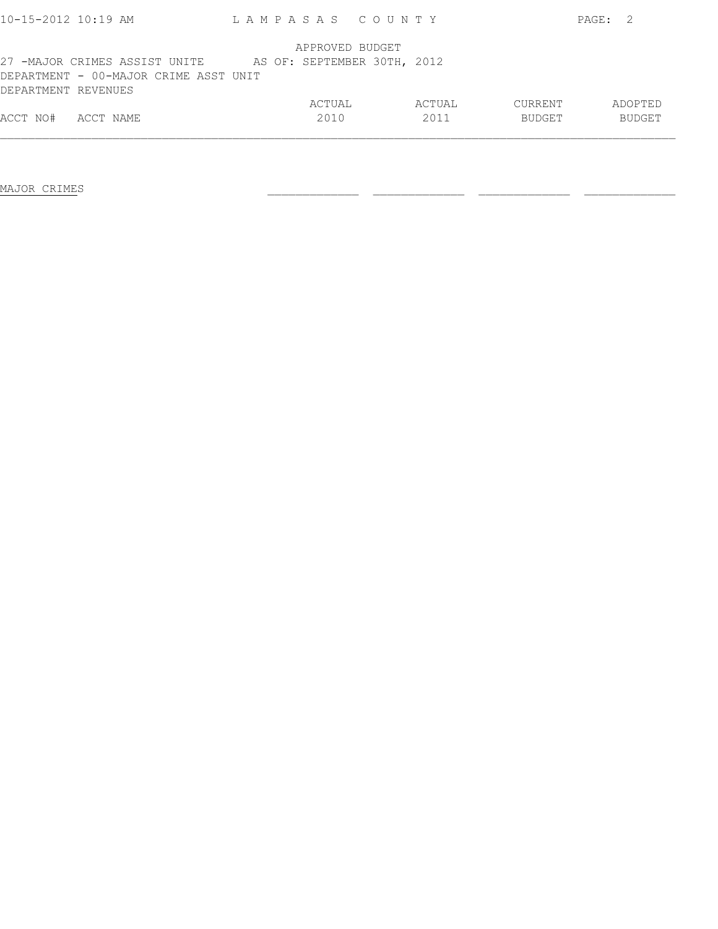| $10 - 15 - 2012$ $10:19$ AM           | LAMPASAS COUNTY |                             |        |               | PAGE:<br>- 2  |
|---------------------------------------|-----------------|-----------------------------|--------|---------------|---------------|
|                                       |                 | APPROVED BUDGET             |        |               |               |
| 27 -MAJOR CRIMES ASSIST UNITE         |                 | AS OF: SEPTEMBER 30TH, 2012 |        |               |               |
| DEPARTMENT - 00-MAJOR CRIME ASST UNIT |                 |                             |        |               |               |
| DEPARTMENT REVENUES                   |                 |                             |        |               |               |
|                                       |                 | ACTUAL                      | ACTUAL | CURRENT       | ADOPTED       |
| ACCT NO#<br>ACCT NAME                 |                 | 2010                        | 2011   | <b>BUDGET</b> | <b>BUDGET</b> |
|                                       |                 |                             |        |               |               |

MAJOR CRIMES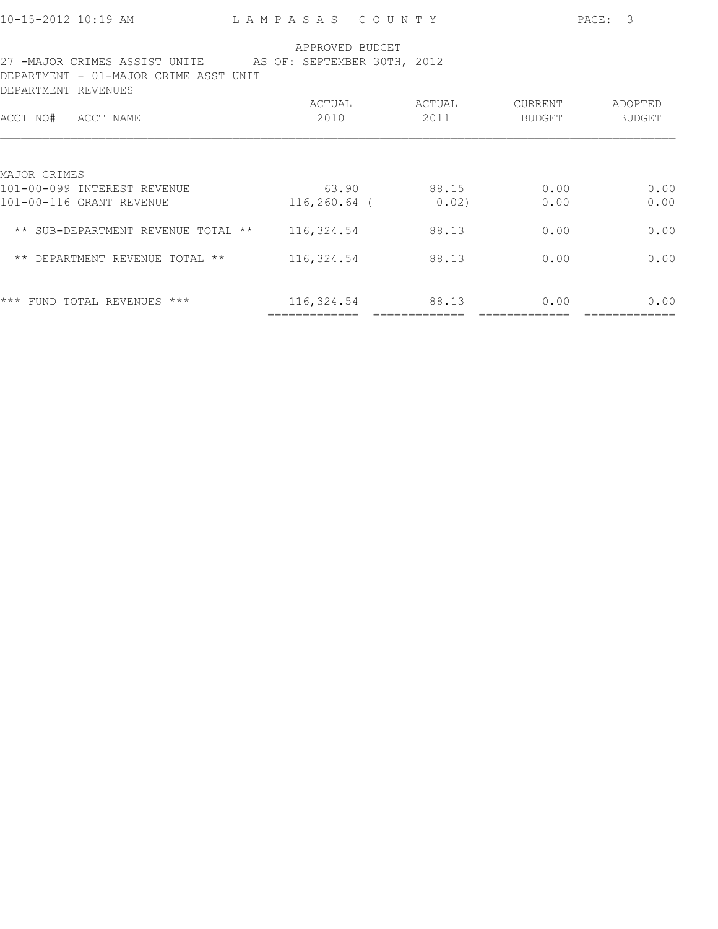|  |  |  |  |  |  | 10-15-2012 10:19 AM |
|--|--|--|--|--|--|---------------------|
|  |  |  |  |  |  |                     |

L A M P A S A S C O U N T Y PAGE: 3

| 27 -MAJOR CRIMES ASSIST UNITE<br>DEPARTMENT - 01-MAJOR CRIME ASST UNIT<br>DEPARTMENT REVENUES | APPROVED BUDGET<br>AS OF: SEPTEMBER 30TH, 2012 |                |                          |                          |
|-----------------------------------------------------------------------------------------------|------------------------------------------------|----------------|--------------------------|--------------------------|
| ACCT NAME<br>ACCT NO#                                                                         | ACTUAL<br>2010                                 | ACTUAL<br>2011 | CURRENT<br><b>BUDGET</b> | ADOPTED<br><b>BUDGET</b> |
| MAJOR CRIMES<br>101-00-099 INTEREST REVENUE                                                   | 63.90                                          | 88.15          | 0.00                     | 0.00                     |
| 101-00-116 GRANT REVENUE<br>** SUB-DEPARTMENT REVENUE TOTAL **                                | 116,260.64<br>116,324.54                       | 0.02)<br>88.13 | 0.00<br>0.00             | 0.00<br>0.00             |
| DEPARTMENT REVENUE TOTAL **<br>$\star\star$                                                   | 116,324.54                                     | 88.13          | 0.00                     | 0.00                     |
| $***$<br>FUND TOTAL REVENUES ***                                                              | 116,324.54                                     | 88.13          | 0.00                     | 0.00                     |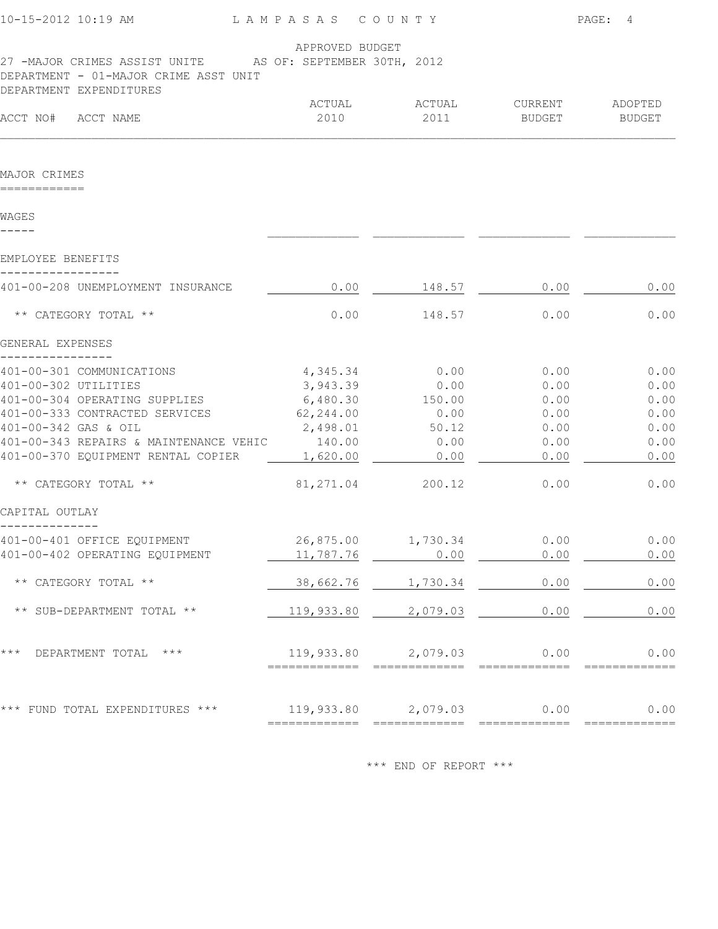| 10-15-2012 10:19 AM                                                                                                                                                                                                                 | LAMPASAS COUNTY                                                                     |                                       |                                                      | PAGE: 4                                              |
|-------------------------------------------------------------------------------------------------------------------------------------------------------------------------------------------------------------------------------------|-------------------------------------------------------------------------------------|---------------------------------------|------------------------------------------------------|------------------------------------------------------|
| 27 -MAJOR CRIMES ASSIST UNITE AS OF: SEPTEMBER 30TH, 2012<br>DEPARTMENT - 01-MAJOR CRIME ASST UNIT<br>DEPARTMENT EXPENDITURES                                                                                                       | APPROVED BUDGET                                                                     |                                       |                                                      |                                                      |
| ACCT NO#<br>ACCT NAME                                                                                                                                                                                                               | ACTUAL<br>2010                                                                      | ACTUAL<br>2011                        | CURRENT<br>BUDGET                                    | ADOPTED<br><b>BUDGET</b>                             |
|                                                                                                                                                                                                                                     |                                                                                     |                                       |                                                      |                                                      |
| MAJOR CRIMES<br>============                                                                                                                                                                                                        |                                                                                     |                                       |                                                      |                                                      |
| WAGES                                                                                                                                                                                                                               |                                                                                     |                                       |                                                      |                                                      |
| EMPLOYEE BENEFITS                                                                                                                                                                                                                   |                                                                                     |                                       |                                                      |                                                      |
| 401-00-208 UNEMPLOYMENT INSURANCE                                                                                                                                                                                                   | 0.00                                                                                | 148.57                                | 0.00                                                 | 0.00                                                 |
| ** CATEGORY TOTAL **                                                                                                                                                                                                                | 0.00                                                                                | 148.57                                | 0.00                                                 | 0.00                                                 |
| GENERAL EXPENSES                                                                                                                                                                                                                    |                                                                                     |                                       |                                                      |                                                      |
| 401-00-301 COMMUNICATIONS<br>401-00-302 UTILITIES<br>401-00-304 OPERATING SUPPLIES<br>401-00-333 CONTRACTED SERVICES<br>401-00-342 GAS & OIL<br>401-00-343 REPAIRS & MAINTENANCE VEHIC 140.00<br>401-00-370 EQUIPMENT RENTAL COPIER | $4,345.34$ 0.00<br>3,943.39<br>6,480.30 150.00<br>62,244.00<br>2,498.01<br>1,620.00 | 0.00<br>0.00<br>50.12<br>0.00<br>0.00 | 0.00<br>0.00<br>0.00<br>0.00<br>0.00<br>0.00<br>0.00 | 0.00<br>0.00<br>0.00<br>0.00<br>0.00<br>0.00<br>0.00 |
| ** CATEGORY TOTAL **                                                                                                                                                                                                                | 81,271.04                                                                           | 200.12                                | 0.00                                                 | 0.00                                                 |
| CAPITAL OUTLAY                                                                                                                                                                                                                      |                                                                                     |                                       |                                                      |                                                      |
| 401-00-401 OFFICE EQUIPMENT<br>401-00-402 OPERATING EQUIPMENT                                                                                                                                                                       | 26,875.00<br>11,787.76                                                              | 1,730.34<br>0.00                      | 0.00<br>0.00                                         | 0.00<br>$0.00$                                       |
| ** CATEGORY TOTAL **                                                                                                                                                                                                                | 38,662.76                                                                           | 1,730.34                              | 0.00                                                 | 0.00                                                 |
| ** SUB-DEPARTMENT TOTAL **                                                                                                                                                                                                          | 119,933.80                                                                          | 2,079.03                              | 0.00                                                 | 0.00                                                 |
| ***<br>DEPARTMENT TOTAL<br>$***$                                                                                                                                                                                                    |                                                                                     | 119,933.80 2,079.03                   | 0.00                                                 | 0.00                                                 |
| $\star\star\star$<br>FUND TOTAL EXPENDITURES ***                                                                                                                                                                                    |                                                                                     | 119,933.80 2,079.03                   | 0.00                                                 | 0.00                                                 |
|                                                                                                                                                                                                                                     |                                                                                     |                                       |                                                      |                                                      |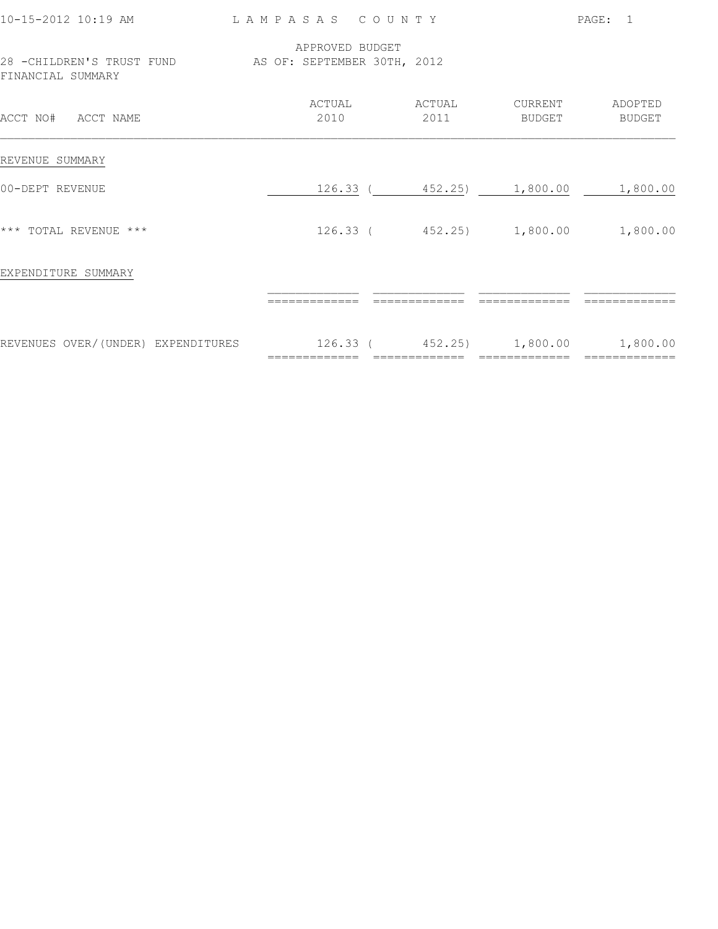| 10-15-2012 10:19 AM                                                         | LAMPASAS COUNTY |                 |                          |                                                     | PAGE: 1  |
|-----------------------------------------------------------------------------|-----------------|-----------------|--------------------------|-----------------------------------------------------|----------|
| 28 - CHILDREN'S TRUST FUND AS OF: SEPTEMBER 30TH, 2012<br>FINANCIAL SUMMARY |                 | APPROVED BUDGET |                          |                                                     |          |
| ACCT NO# ACCT NAME                                                          |                 | ACTUAL<br>2010  | ACTUAL<br>2011           | CURRENT ADOPTED<br>BUDGET                           | BUDGET   |
| REVENUE SUMMARY                                                             |                 |                 |                          |                                                     |          |
| 00-DEPT REVENUE                                                             |                 |                 |                          | 126.33 (452.25) 1,800.00 1,800.00                   |          |
| *** TOTAL REVENUE ***                                                       |                 |                 | 126.33 (452.25) 1,800.00 |                                                     | 1,800.00 |
| EXPENDITURE SUMMARY                                                         |                 |                 |                          |                                                     |          |
|                                                                             |                 |                 |                          |                                                     |          |
| REVENUES OVER/(UNDER) EXPENDITURES                                          |                 | =============   | ==============           | $126.33$ ( $452.25$ ) 1,800.00<br>$=$ ============= | 1,800.00 |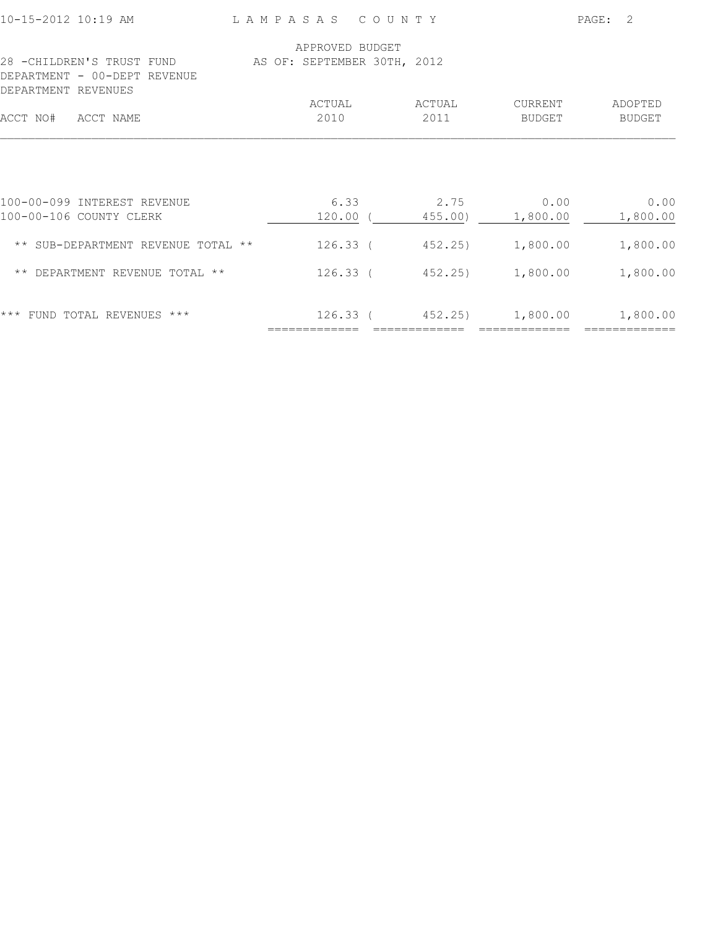| 10-15-2012 10:19 AM                                           | L A M P A S A S                                | COUNTY            |                          | $\mathcal{L}$<br>PAGE:   |
|---------------------------------------------------------------|------------------------------------------------|-------------------|--------------------------|--------------------------|
| 28 - CHILDREN'S TRUST FUND<br>DEPARTMENT - 00-DEPT REVENUE    | APPROVED BUDGET<br>AS OF: SEPTEMBER 30TH, 2012 |                   |                          |                          |
| DEPARTMENT REVENUES<br>ACCT NO#<br>ACCT NAME                  | ACTUAL<br>2010                                 | ACTUAL<br>2011    | CURRENT<br><b>BUDGET</b> | ADOPTED<br><b>BUDGET</b> |
| 100-00-099 INTEREST REVENUE                                   | 6.33                                           | 2.75              | 0.00                     | 0.00                     |
| 100-00-106 COUNTY CLERK<br>** SUB-DEPARTMENT REVENUE TOTAL ** | $120.00$ (<br>$126.33$ (                       | 455.00)<br>452.25 | 1,800.00<br>1,800.00     | 1,800.00<br>1,800.00     |
| ** DEPARTMENT REVENUE TOTAL **                                | $126.33$ (                                     | 452.25)           | 1,800.00                 | 1,800.00                 |
| $***$<br>FUND TOTAL REVENUES ***                              | 126.33 (                                       |                   | 452.25) 1,800.00         | 1,800.00                 |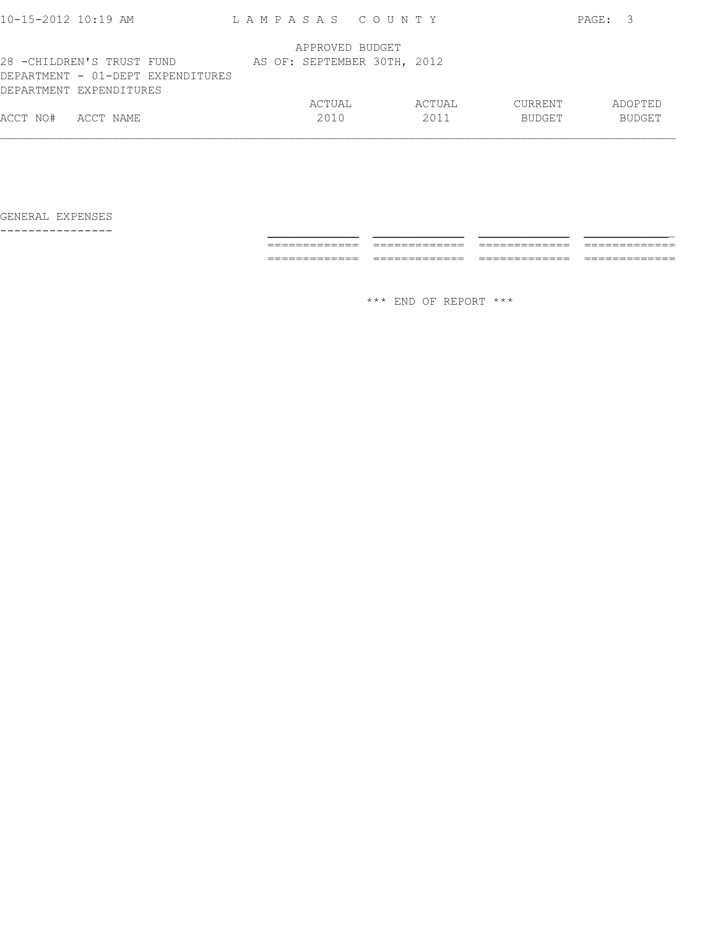| $10 - 15 - 2012$ $10:19$ AM                                                               | LAMPASAS COUNTY |                             |         | PAGE:<br>- 3  |
|-------------------------------------------------------------------------------------------|-----------------|-----------------------------|---------|---------------|
|                                                                                           |                 | APPROVED BUDGET             |         |               |
| 28 -CHILDREN'S TRUST FUND<br>DEPARTMENT - 01-DEPT EXPENDITURES<br>DEPARTMENT EXPENDITURES |                 | AS OF: SEPTEMBER 30TH, 2012 |         |               |
|                                                                                           | ACTUAL          | ACTUAL                      | CURRENT | ADOPTED       |
| ACCT NO#<br>ACCT NAME                                                                     | 2010            | 2011                        | BUDGET  | <b>BUDGET</b> |
|                                                                                           |                 |                             |         |               |

---------------- \_\_\_\_\_\_\_\_\_\_\_\_\_ \_\_\_\_\_\_\_\_\_\_\_\_\_ \_\_\_\_\_\_\_\_\_\_\_\_\_ \_\_\_\_\_\_\_\_\_\_\_\_\_ ============= ============= ============= ============= ============= ============= ============= =============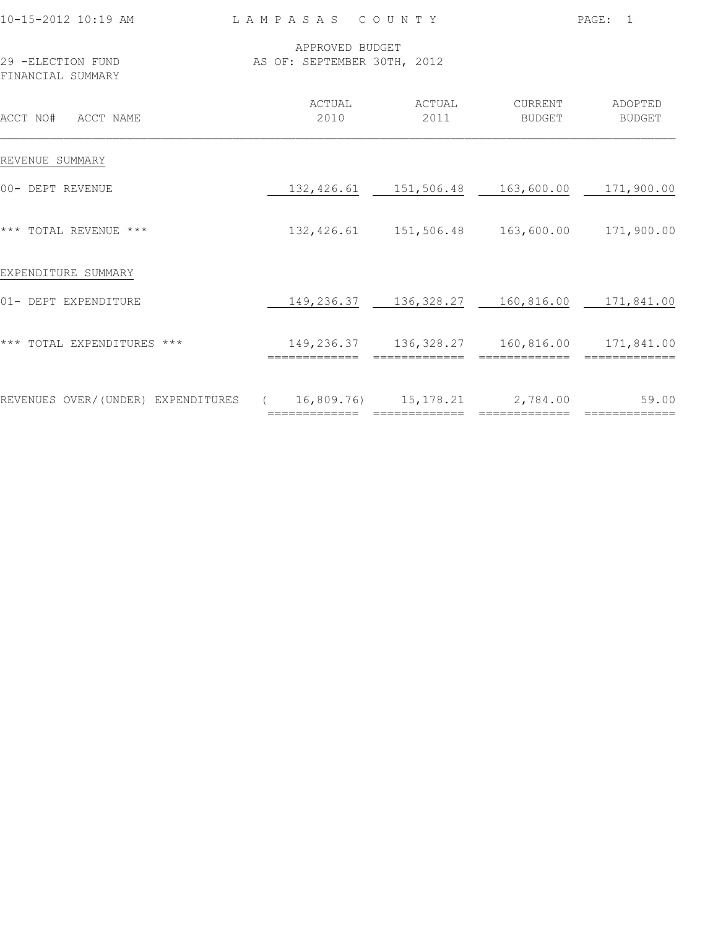| 10-15-2012 10:19 AM                                                      | LAMPASAS COUNTY |                                                                   |                          | PAGE: 1           |
|--------------------------------------------------------------------------|-----------------|-------------------------------------------------------------------|--------------------------|-------------------|
| 29 -ELECTION FUND<br>FINANCIAL SUMMARY                                   |                 | APPROVED BUDGET<br>AS OF: SEPTEMBER 30TH, 2012                    |                          |                   |
| ACCT NO# ACCT NAME                                                       | ACTUAL<br>2010  | ACTUAL<br>2011                                                    | CURRENT<br><b>BUDGET</b> | ADOPTED<br>BUDGET |
| REVENUE SUMMARY                                                          |                 |                                                                   |                          |                   |
| 00- DEPT REVENUE                                                         |                 | 132,426.61 151,506.48 163,600.00 171,900.00                       |                          |                   |
| *** TOTAL REVENUE ***                                                    |                 | 132,426.61 151,506.48 163,600.00 171,900.00                       |                          |                   |
| EXPENDITURE SUMMARY                                                      |                 |                                                                   |                          |                   |
| 01- DEPT EXPENDITURE                                                     |                 | 149, 236.37 136, 328.27 160, 816.00 171, 841.00                   |                          |                   |
| *** TOTAL EXPENDITURES ***                                               | ==============  | 149, 236.37 136, 328.27 160, 816.00 171, 841.00<br>============== | ==============           | =============     |
| REVENUES OVER/(UNDER) EXPENDITURES ( 16,809.76) 15,178.21 2,784.00 59.00 |                 |                                                                   |                          |                   |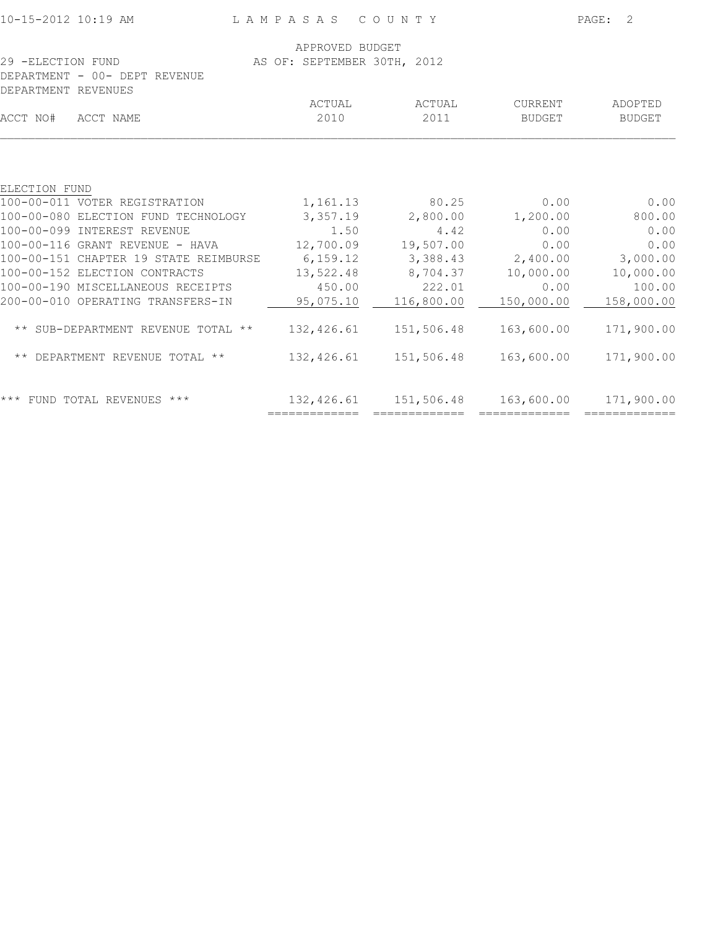| 10-15-2012 10:19 AM                                |                                                | LAMPASAS COUNTY             |                          |                          |
|----------------------------------------------------|------------------------------------------------|-----------------------------|--------------------------|--------------------------|
| 29 -ELECTION FUND<br>DEPARTMENT - 00- DEPT REVENUE | APPROVED BUDGET<br>AS OF: SEPTEMBER 30TH, 2012 |                             |                          |                          |
| DEPARTMENT REVENUES                                |                                                |                             |                          |                          |
| ACCT NO#<br>ACCT NAME                              | ACTUAL<br>2010                                 | ACTUAL<br>2011              | CURRENT<br><b>BUDGET</b> | ADOPTED<br><b>BUDGET</b> |
|                                                    |                                                |                             |                          |                          |
| ELECTION FUND                                      |                                                |                             |                          |                          |
| 100-00-011 VOTER REGISTRATION                      | 1, 161. 13                                     | 80.25                       | 0.00                     | 0.00                     |
| 100-00-080 ELECTION FUND TECHNOLOGY                | 3,357.19                                       | 2,800.00                    | 1,200.00                 | 800.00                   |
| 100-00-099 INTEREST REVENUE                        | 1.50                                           | 4.42                        | 0.00                     | 0.00                     |
| $100-00-116$ GRANT REVENUE - HAVA                  | 12,700.09                                      | 19,507.00                   | 0.00                     | 0.00                     |
| 100-00-151 CHAPTER 19 STATE REIMBURSE              | 6,159.12                                       | 3,388.43                    | 2,400.00                 | 3,000.00                 |
| 100-00-152 ELECTION CONTRACTS                      | 13,522.48                                      | 8,704.37                    | 10,000.00                | 10,000.00                |
| 100-00-190 MISCELLANEOUS RECEIPTS                  | 450.00                                         | 222.01                      | 0.00                     | 100.00                   |
| 200-00-010 OPERATING TRANSFERS-IN                  | 95,075.10                                      | 116,800.00                  | 150,000.00               | 158,000.00               |
| ** SUB-DEPARTMENT REVENUE TOTAL **                 | 132,426.61                                     | 151,506.48                  | 163,600.00               | 171,900.00               |
| ** DEPARTMENT REVENUE TOTAL **                     | 132,426.61                                     | 151,506.48                  | 163,600.00               | 171,900.00               |
| *** FUND TOTAL REVENUES ***                        | 132,426.61<br>=============                    | 151,506.48<br>============= | 163,600.00               | 171,900.00               |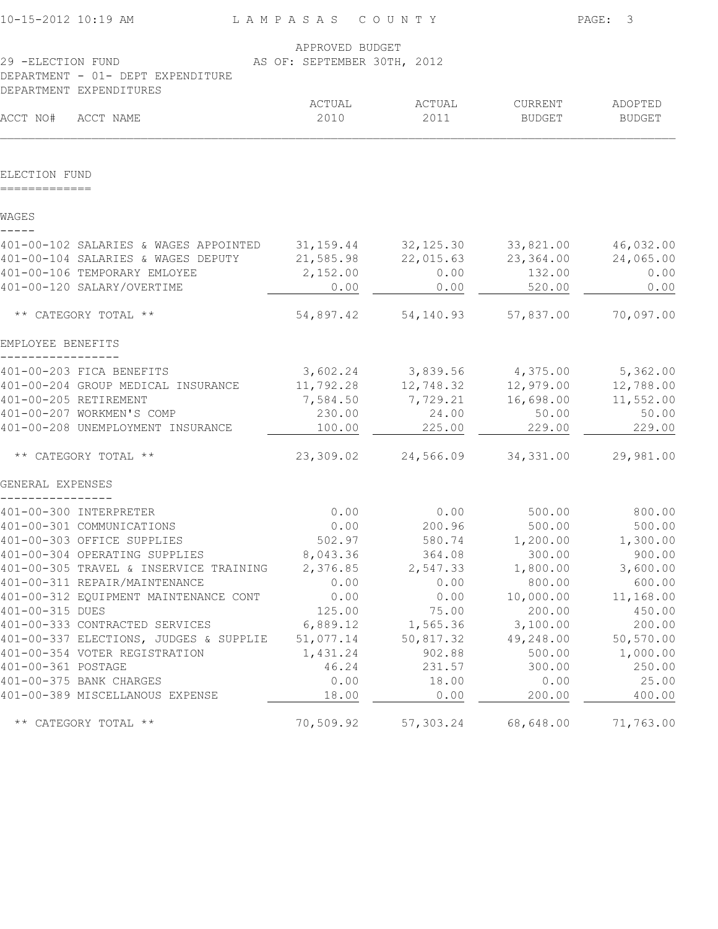| 10-15-2012 10:19 AM                                                      | LAMPASAS COUNTY             |                            |                       | PAGE:<br>3               |
|--------------------------------------------------------------------------|-----------------------------|----------------------------|-----------------------|--------------------------|
|                                                                          | APPROVED BUDGET             |                            |                       |                          |
| 29 -ELECTION FUND                                                        | AS OF: SEPTEMBER 30TH, 2012 |                            |                       |                          |
| DEPARTMENT - 01- DEPT EXPENDITURE                                        |                             |                            |                       |                          |
| DEPARTMENT EXPENDITURES                                                  |                             |                            |                       |                          |
| ACCT NO#<br>ACCT NAME                                                    | ACTUAL<br>2010              | ACTUAL<br>2011             | CURRENT<br>BUDGET     | ADOPTED<br><b>BUDGET</b> |
|                                                                          |                             |                            |                       |                          |
| ELECTION FUND                                                            |                             |                            |                       |                          |
| WAGES                                                                    |                             |                            |                       |                          |
| 401-00-102 SALARIES & WAGES APPOINTED                                    | 31,159.44                   | 32, 125.30                 | 33,821.00             | 46,032.00                |
| 401-00-104 SALARIES & WAGES DEPUTY                                       | 21,585.98                   | 22,015.63                  | 23,364.00             | 24,065.00                |
| 401-00-106 TEMPORARY EMLOYEE                                             | 2,152.00                    | 0.00                       | 132.00                | 0.00                     |
| 401-00-120 SALARY/OVERTIME                                               | 0.00                        | 0.00                       | 520.00                | 0.00                     |
| ** CATEGORY TOTAL **                                                     | 54,897.42                   | 54,140.93                  | 57,837.00             | 70,097.00                |
| EMPLOYEE BENEFITS                                                        |                             |                            |                       |                          |
| 401-00-203 FICA BENEFITS                                                 |                             | 3,602.24 3,839.56 4,375.00 |                       | 5,362.00                 |
| 401-00-204 GROUP MEDICAL INSURANCE                                       | 11,792.28                   | 12,748.32                  | 12,979.00             | 12,788.00                |
| 401-00-205 RETIREMENT                                                    | 7,584.50                    | 7,729.21                   | 16,698.00             | 11,552.00                |
| 401-00-207 WORKMEN'S COMP                                                | 230.00                      | 24.00                      | 50.00                 | 50.00                    |
| 401-00-208 UNEMPLOYMENT INSURANCE                                        | 100.00                      | 225.00                     | 229.00                | 229.00                   |
| ** CATEGORY TOTAL **                                                     | 23,309.02                   | 24,566.09                  | 34, 331.00            | 29,981.00                |
| GENERAL EXPENSES                                                         |                             |                            |                       |                          |
| 401-00-300 INTERPRETER                                                   | 0.00                        | 0.00                       | 500.00                | 800.00                   |
| 401-00-301 COMMUNICATIONS                                                | 0.00                        | 200.96                     | 500.00                | 500.00                   |
| 401-00-303 OFFICE SUPPLIES                                               | 502.97                      | 580.74                     | 1,200.00              | 1,300.00                 |
| 401-00-304 OPERATING SUPPLIES                                            | 8,043.36                    | 364.08                     | 300.00                | 900.00                   |
| 401-00-305 TRAVEL & INSERVICE TRAINING                                   | 2,376.85                    | 2,547.33                   | 1,800.00              | 3,600.00                 |
| 401-00-311 REPAIR/MAINTENANCE                                            | 0.00                        | 0.00                       | 800.00                | 600.00                   |
| 401-00-312 EQUIPMENT MAINTENANCE CONT                                    | 0.00                        | 0.00                       | 10,000.00             | 11,168.00                |
| 401-00-315 DUES                                                          | 125.00                      | 75.00                      | 200.00                | 450.00                   |
| 401-00-333 CONTRACTED SERVICES<br>401-00-337 ELECTIONS, JUDGES & SUPPLIE | 6,889.12<br>51,077.14       | 1,565.36<br>50,817.32      | 3,100.00<br>49,248.00 | 200.00<br>50,570.00      |
| 401-00-354 VOTER REGISTRATION                                            | 1,431.24                    | 902.88                     | 500.00                | 1,000.00                 |
| 401-00-361 POSTAGE                                                       | 46.24                       | 231.57                     | 300.00                | 250.00                   |
| 401-00-375 BANK CHARGES                                                  | 0.00                        | 18.00                      | 0.00                  | 25.00                    |
| 401-00-389 MISCELLANOUS EXPENSE                                          | 18.00                       | 0.00                       | 200.00                | 400.00                   |
| ** CATEGORY TOTAL **                                                     | 70,509.92                   | 57,303.24                  | 68,648.00             | 71,763.00                |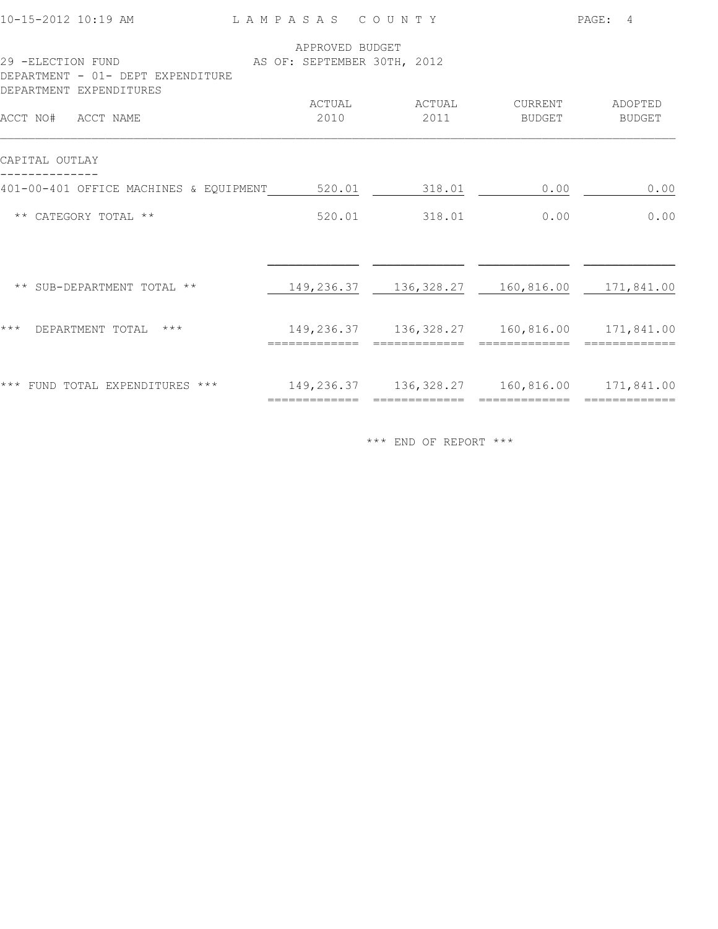| 10-15-2012 10:19 AM                                    | LAMPASAS COUNTY             |                |                                                 | PAGE: 4           |
|--------------------------------------------------------|-----------------------------|----------------|-------------------------------------------------|-------------------|
|                                                        | APPROVED BUDGET             |                |                                                 |                   |
| 29 -ELECTION FUND<br>DEPARTMENT - 01- DEPT EXPENDITURE | AS OF: SEPTEMBER 30TH, 2012 |                |                                                 |                   |
| DEPARTMENT EXPENDITURES<br>ACCT NO# ACCT NAME          | ACTUAL<br>2010              | ACTUAL<br>2011 | CURRENT<br>BUDGET                               | ADOPTED<br>BUDGET |
| CAPITAL OUTLAY                                         |                             |                |                                                 |                   |
| 401-00-401 OFFICE MACHINES & EQUIPMENT 520.01 318.01   |                             |                | 0.00                                            | 0.00              |
| ** CATEGORY TOTAL **                                   | 520.01                      | 318.01         | 0.00                                            | 0.00              |
| ** SUB-DEPARTMENT TOTAL **                             |                             |                | 149,236.37 136,328.27 160,816.00 171,841.00     |                   |
| $***$<br>$***$<br>DEPARTMENT TOTAL                     |                             |                | 149, 236.37 136, 328.27 160, 816.00 171, 841.00 |                   |
| *** FUND TOTAL EXPENDITURES ***                        | =============               | =============  | 149, 236.37 136, 328.27 160, 816.00 171, 841.00 | =============     |
|                                                        |                             |                |                                                 |                   |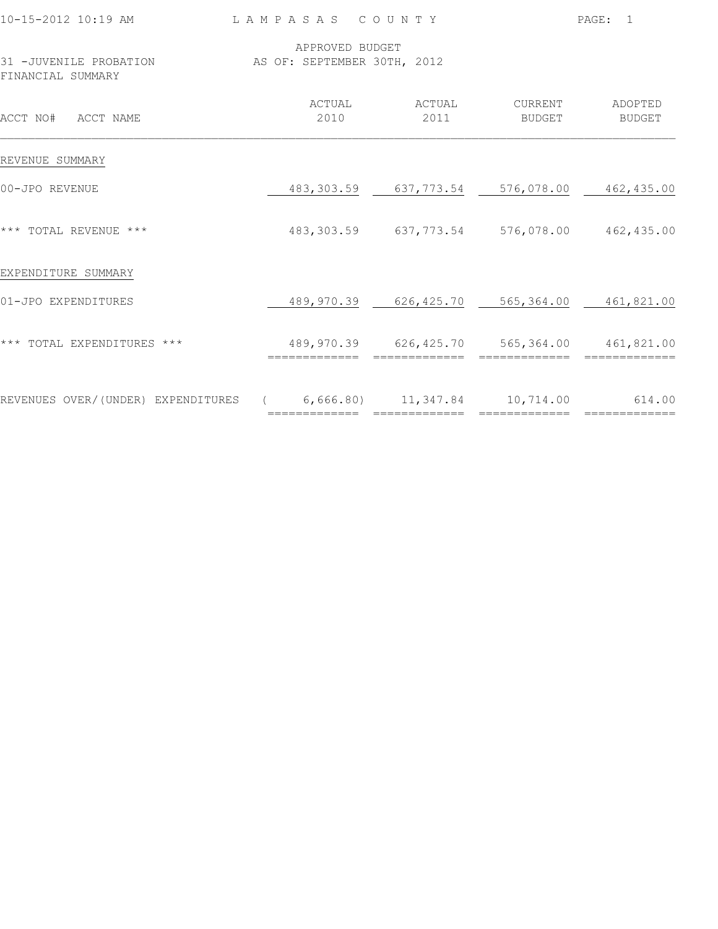| 10-15-2012 10:19 AM                                                      | LAMPASAS COUNTY |                                                               |                                  | PAGE: 1       |
|--------------------------------------------------------------------------|-----------------|---------------------------------------------------------------|----------------------------------|---------------|
| 31 -JUVENILE PROBATION AS OF: SEPTEMBER 30TH, 2012<br>FINANCIAL SUMMARY  | APPROVED BUDGET |                                                               |                                  |               |
| ACCT NO# ACCT NAME                                                       | 2010            | ACTUAL ACTUAL<br>2011                                         | CURRENT ADOPTED<br><b>BUDGET</b> | <b>BUDGET</b> |
| REVENUE SUMMARY                                                          |                 |                                                               |                                  |               |
| 00-JPO REVENUE                                                           |                 | 483, 303.59 637, 773.54 576, 078.00 462, 435.00               |                                  |               |
| *** TOTAL REVENUE ***                                                    |                 | 483, 303.59 637, 773.54 576, 078.00 462, 435.00               |                                  |               |
| EXPENDITURE SUMMARY                                                      |                 |                                                               |                                  |               |
| 01-JPO EXPENDITURES                                                      |                 | 489,970.39 626,425.70 565,364.00 461,821.00                   |                                  |               |
| *** TOTAL EXPENDITURES ***                                               | ==============  | 489,970.39 626,425.70 565,364.00 461,821.00<br>============== | ==============                   |               |
| REVENUES OVER/(UNDER) EXPENDITURES (6,666.80) 11,347.84 10,714.00 614.00 |                 |                                                               |                                  |               |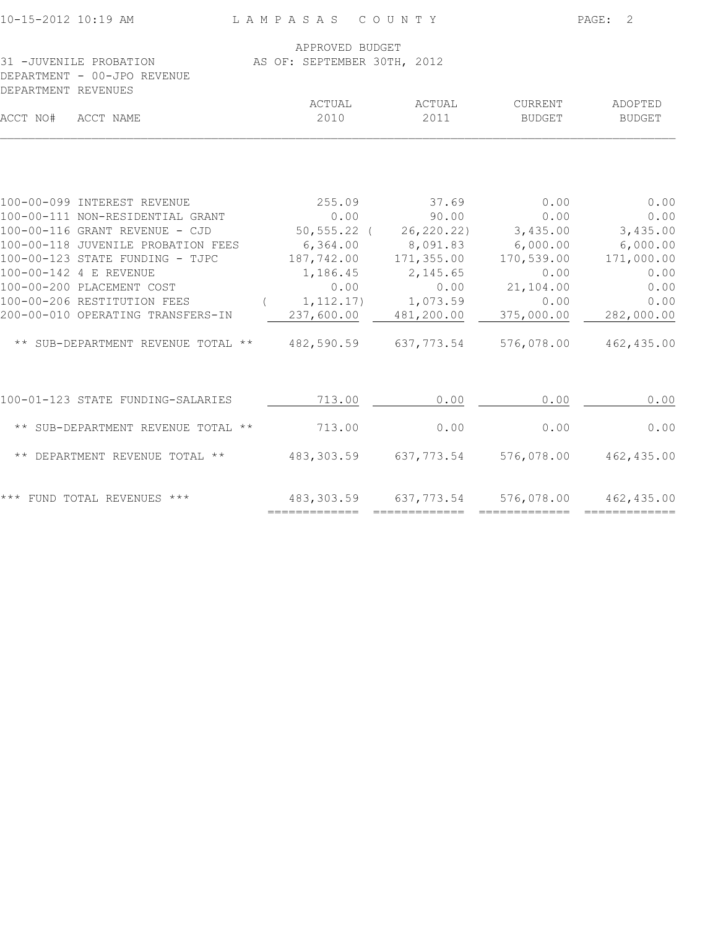| 10-15-2012 10:19 AM                                                               | LAMPASAS COUNTY                                              |                        |                       | PAGE: 2            |
|-----------------------------------------------------------------------------------|--------------------------------------------------------------|------------------------|-----------------------|--------------------|
| 31 -JUVENILE PROBATION AS OF: SEPTEMBER 30TH, 2012<br>DEPARTMENT - 00-JPO REVENUE | APPROVED BUDGET                                              |                        |                       |                    |
| DEPARTMENT REVENUES<br>ACCT NO# ACCT NAME                                         | ACTUAL<br>2010                                               | ACTUAL<br>2011         | CURRENT<br>BUDGET     | ADOPTED<br>BUDGET  |
| 100-00-099 INTEREST REVENUE                                                       | 255.09                                                       | 37.69                  | 0.00                  | 0.00               |
| 100-00-111 NON-RESIDENTIAL GRANT                                                  | 0.00                                                         | 90.00                  | 0.00                  | 0.00               |
| 100-00-116 GRANT REVENUE - CJD                                                    |                                                              | 50,555.22 ( 26,220.22) | 3,435.00              | 3,435.00           |
| 100-00-118 JUVENILE PROBATION FEES                                                | 6,364.00                                                     | 8,091.83               | 6,000.00              | 6,000.00           |
| 100-00-123 STATE FUNDING - TJPC                                                   | 187,742.00                                                   | 171,355.00             | 170,539.00            | 171,000.00         |
| 100-00-142 4 E REVENUE                                                            | 1,186.45                                                     | 2,145.65               | 0.00                  | 0.00               |
| 100-00-200 PLACEMENT COST<br>100-00-206 RESTITUTION FEES                          | 0.00                                                         | 0.00                   | 21,104.00             | 0.00               |
| 200-00-010 OPERATING TRANSFERS-IN                                                 | $(1, 112.17)$ $1, 073.59$                                    | 237,600.00 481,200.00  | 0.00<br>375,000.00    | 0.00<br>282,000.00 |
| ** SUB-DEPARTMENT REVENUE TOTAL ** 482,590.59 637,773.54                          |                                                              |                        | 576,078.00 462,435.00 |                    |
| 100-01-123 STATE FUNDING-SALARIES                                                 | 713.00                                                       | 0.00                   | 0.00                  | 0.00               |
| ** SUB-DEPARTMENT REVENUE TOTAL ** 713.00                                         |                                                              | 0.00                   | 0.00                  | 0.00               |
| ** DEPARTMENT REVENUE TOTAL ** 483,303.59 637,773.54 576,078.00 462,435.00        |                                                              |                        |                       |                    |
| *** FUND TOTAL REVENUES ***                                                       | 483,303.59 637,773.54 576,078.00 462,435.00<br>============= |                        |                       |                    |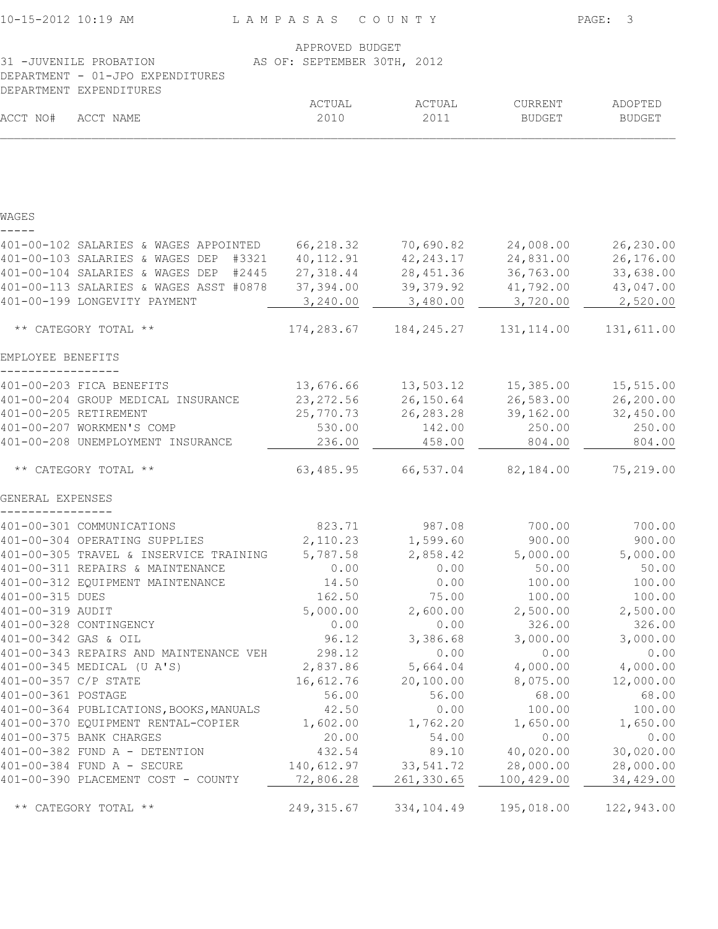| 10-15-2012 10:19 AM                                                                                                  |                                          | LAMPASAS COUNTY |                      |                    | PAGE:<br>3         |  |  |
|----------------------------------------------------------------------------------------------------------------------|------------------------------------------|-----------------|----------------------|--------------------|--------------------|--|--|
|                                                                                                                      |                                          | APPROVED BUDGET |                      |                    |                    |  |  |
| 31 -JUVENILE PROBATION<br>AS OF: SEPTEMBER 30TH, 2012<br>DEPARTMENT - 01-JPO EXPENDITURES<br>DEPARTMENT EXPENDITURES |                                          |                 |                      |                    |                    |  |  |
|                                                                                                                      |                                          | ACTUAL          | ACTUAL               | CURRENT            | ADOPTED            |  |  |
| ACCT NO#                                                                                                             | ACCT NAME                                | 2010            | 2011                 | <b>BUDGET</b>      | <b>BUDGET</b>      |  |  |
|                                                                                                                      |                                          |                 |                      |                    |                    |  |  |
| WAGES                                                                                                                |                                          |                 |                      |                    |                    |  |  |
|                                                                                                                      | 401-00-102 SALARIES & WAGES APPOINTED    | 66,218.32       | 70,690.82            | 24,008.00          | 26,230.00          |  |  |
|                                                                                                                      | 401-00-103 SALARIES & WAGES DEP<br>#3321 | 40, 112.91      | 42, 243.17           | 24,831.00          | 26,176.00          |  |  |
|                                                                                                                      | 401-00-104 SALARIES & WAGES DEP<br>#2445 | 27, 318.44      | 28, 451.36           | 36,763.00          | 33,638.00          |  |  |
|                                                                                                                      | 401-00-113 SALARIES & WAGES ASST #0878   | 37,394.00       | 39, 379.92           | 41,792.00          | 43,047.00          |  |  |
|                                                                                                                      | 401-00-199 LONGEVITY PAYMENT             | 3,240.00        | 3,480.00             | 3,720.00           | 2,520.00           |  |  |
|                                                                                                                      | ** CATEGORY TOTAL **                     | 174,283.67      | 184,245.27           | 131, 114.00        | 131,611.00         |  |  |
| EMPLOYEE BENEFITS                                                                                                    |                                          |                 |                      |                    |                    |  |  |
|                                                                                                                      | 401-00-203 FICA BENEFITS                 | 13,676.66       | 13,503.12            | 15,385.00          | 15,515.00          |  |  |
|                                                                                                                      | 401-00-204 GROUP MEDICAL INSURANCE       | 23, 272.56      | 26,150.64            | 26,583.00          | 26,200.00          |  |  |
|                                                                                                                      | 401-00-205 RETIREMENT                    | 25,770.73       | 26, 283. 28          | 39,162.00          | 32,450.00          |  |  |
|                                                                                                                      | 401-00-207 WORKMEN'S COMP                | 530.00          | 142.00               | 250.00             | 250.00             |  |  |
|                                                                                                                      | 401-00-208 UNEMPLOYMENT INSURANCE        | 236.00          | 458.00               | 804.00             | 804.00             |  |  |
|                                                                                                                      | ** CATEGORY TOTAL **                     | 63,485.95       | 66,537.04            | 82,184.00          | 75,219.00          |  |  |
| GENERAL EXPENSES                                                                                                     |                                          |                 |                      |                    |                    |  |  |
|                                                                                                                      | 401-00-301 COMMUNICATIONS                | 823.71          | 987.08               | 700.00             | 700.00             |  |  |
|                                                                                                                      | 401-00-304 OPERATING SUPPLIES            | 2,110.23        | 1,599.60             | 900.00             | 900.00             |  |  |
|                                                                                                                      | 401-00-305 TRAVEL & INSERVICE TRAINING   | 5,787.58        | 2,858.42             | 5,000.00           | 5,000.00           |  |  |
|                                                                                                                      | 401-00-311 REPAIRS & MAINTENANCE         | 0.00            | 0.00                 | 50.00              | 50.00              |  |  |
|                                                                                                                      | 401-00-312 EQUIPMENT MAINTENANCE         | 14.50           | 0.00                 | 100.00             | 100.00             |  |  |
| 401-00-315 DUES                                                                                                      |                                          | 162.50          | 75.00                | 100.00             | 100.00             |  |  |
| 401-00-319 AUDIT                                                                                                     |                                          | 5,000.00        | 2,600.00             | 2,500.00           | 2,500.00           |  |  |
| 401-00-342 GAS & OIL                                                                                                 | 401-00-328 CONTINGENCY                   | 0.00<br>96.12   | 0.00<br>3,386.68     | 326.00<br>3,000.00 | 326.00<br>3,000.00 |  |  |
|                                                                                                                      | 401-00-343 REPAIRS AND MAINTENANCE VEH   | 298.12          | 0.00                 | 0.00               | 0.00               |  |  |
|                                                                                                                      | 401-00-345 MEDICAL (U A'S)               | 2,837.86        | 5,664.04             | 4,000.00           | 4,000.00           |  |  |
| 401-00-357 C/P STATE                                                                                                 |                                          | 16,612.76       | 20,100.00            | 8,075.00           | 12,000.00          |  |  |
| 401-00-361 POSTAGE                                                                                                   |                                          | 56.00           | 56.00                | 68.00              | 68.00              |  |  |
|                                                                                                                      | 401-00-364 PUBLICATIONS, BOOKS, MANUALS  | 42.50           | 0.00                 | 100.00             | 100.00             |  |  |
|                                                                                                                      | 401-00-370 EQUIPMENT RENTAL-COPIER       | 1,602.00        | 1,762.20             | 1,650.00           | 1,650.00           |  |  |
|                                                                                                                      | 401-00-375 BANK CHARGES                  | 20.00           | 54.00                | 0.00               | 0.00               |  |  |
|                                                                                                                      | 401-00-382 FUND A - DETENTION            | 432.54          | 89.10                | 40,020.00          | 30,020.00          |  |  |
|                                                                                                                      | 401-00-384 FUND A - SECURE               |                 | 140,612.97 33,541.72 | 28,000.00          | 28,000.00          |  |  |
|                                                                                                                      | 401-00-390 PLACEMENT COST - COUNTY       | 72,806.28       | 261,330.65           | 100,429.00         | 34,429.00          |  |  |
|                                                                                                                      | ** CATEGORY TOTAL **                     | 249, 315.67     | 334,104.49           | 195,018.00         | 122,943.00         |  |  |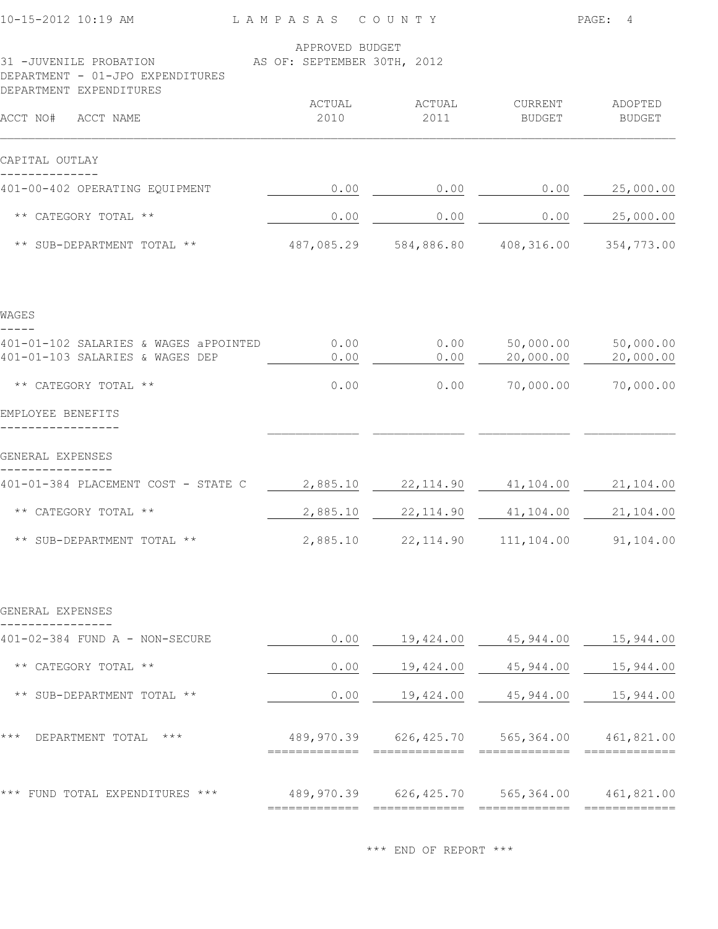| $10 - 15 - 2012$ 10:19 AM                                                             | L A M P A S A S                                | COUNTY                                      |                                       | PAGE:<br>$\overline{4}$  |
|---------------------------------------------------------------------------------------|------------------------------------------------|---------------------------------------------|---------------------------------------|--------------------------|
| 31 -JUVENILE PROBATION<br>DEPARTMENT - 01-JPO EXPENDITURES<br>DEPARTMENT EXPENDITURES | APPROVED BUDGET<br>AS OF: SEPTEMBER 30TH, 2012 |                                             |                                       |                          |
| ACCT NO#<br>ACCT NAME                                                                 | ACTUAL<br>2010                                 | ACTUAL<br>2011                              | CURRENT<br><b>BUDGET</b>              | ADOPTED<br><b>BUDGET</b> |
| CAPITAL OUTLAY                                                                        |                                                |                                             |                                       |                          |
| 401-00-402 OPERATING EQUIPMENT                                                        | 0.00                                           | 0.00                                        | 0.00                                  | 25,000.00                |
| ** CATEGORY TOTAL **                                                                  | 0.00                                           | 0.00                                        | 0.00                                  | 25,000.00                |
| ** SUB-DEPARTMENT TOTAL **                                                            | 487,085.29                                     | 584,886.80                                  | 408,316.00                            | 354,773.00               |
| WAGES                                                                                 |                                                |                                             |                                       |                          |
| 401-01-102 SALARIES & WAGES aPPOINTED<br>401-01-103 SALARIES & WAGES DEP              | 0.00<br>0.00                                   | 0.00<br>0.00                                | 50,000.00<br>20,000.00                | 50,000.00<br>20,000.00   |
| ** CATEGORY TOTAL **                                                                  | 0.00                                           | 0.00                                        | 70,000.00                             | 70,000.00                |
| EMPLOYEE BENEFITS                                                                     |                                                |                                             |                                       |                          |
| GENERAL EXPENSES                                                                      |                                                |                                             |                                       |                          |
| 401-01-384 PLACEMENT COST - STATE C                                                   | 2,885.10                                       | 22, 114.90                                  | 41,104.00                             | 21,104.00                |
| ** CATEGORY TOTAL **                                                                  | 2,885.10                                       | 22, 114.90                                  | 41,104.00                             | 21,104.00                |
| ** SUB-DEPARTMENT TOTAL **                                                            | 2,885.10                                       |                                             | 22, 114.90   111, 104.00   91, 104.00 |                          |
| GENERAL EXPENSES                                                                      |                                                |                                             |                                       |                          |
| 401-02-384 FUND A - NON-SECURE                                                        | 0.00                                           | 19,424.00                                   | 45,944.00                             | 15,944.00                |
| ** CATEGORY TOTAL **                                                                  | 0.00                                           | 19,424.00                                   | 45,944.00                             | 15,944.00                |
| ** SUB-DEPARTMENT TOTAL **                                                            | 0.00                                           | 19,424.00                                   | 45,944.00                             | 15,944.00                |
| $***$<br>DEPARTMENT TOTAL ***                                                         |                                                | 489,970.39 626,425.70 565,364.00 461,821.00 |                                       |                          |
| *** FUND TOTAL EXPENDITURES ***                                                       |                                                | 489,970.39 626,425.70 565,364.00 461,821.00 |                                       |                          |
|                                                                                       |                                                |                                             |                                       |                          |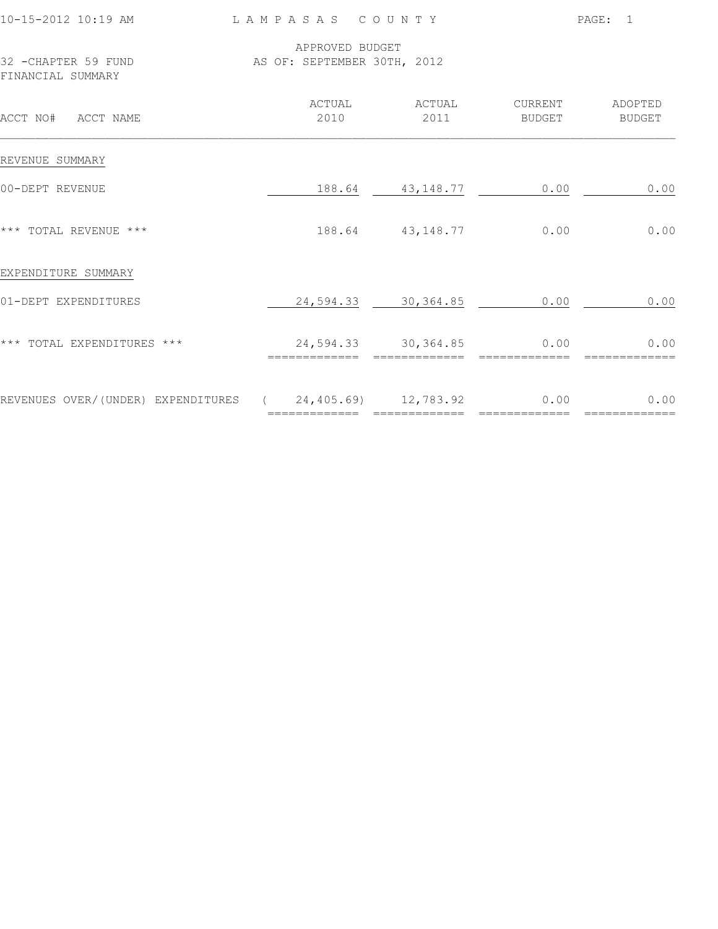| 10-15-2012 10:19 AM<br>LAMPASAS COUNTY                                   |                |                 |                                      |                                  | PAGE: 1       |  |  |
|--------------------------------------------------------------------------|----------------|-----------------|--------------------------------------|----------------------------------|---------------|--|--|
| 32 - CHAPTER 59 FUND<br>AS OF: SEPTEMBER 30TH, 2012<br>FINANCIAL SUMMARY |                | APPROVED BUDGET |                                      |                                  |               |  |  |
| ACCT NO# ACCT NAME                                                       |                | 2010            | ACTUAL ACTUAL<br>2011                | CURRENT ADOPTED<br><b>BUDGET</b> | <b>BUDGET</b> |  |  |
| REVENUE SUMMARY                                                          |                |                 |                                      |                                  |               |  |  |
| 00-DEPT REVENUE                                                          |                |                 | 188.64 43,148.77                     | 0.00                             | 0.00          |  |  |
| *** TOTAL REVENUE ***                                                    |                |                 | 188.64 43,148.77                     | 0.00                             | 0.00          |  |  |
| EXPENDITURE SUMMARY                                                      |                |                 |                                      |                                  |               |  |  |
| 01-DEPT EXPENDITURES                                                     |                |                 | 24,594.33 30,364.85                  | 0.00                             | 0.00          |  |  |
| *** TOTAL EXPENDITURES ***                                               | ============== |                 | 24,594.33 30,364.85<br>------------- | 0.00                             | 0.00          |  |  |
| REVENUES OVER/(UNDER) EXPENDITURES (24,405.69) 12,783.92 0.00            |                |                 |                                      |                                  | 0.00          |  |  |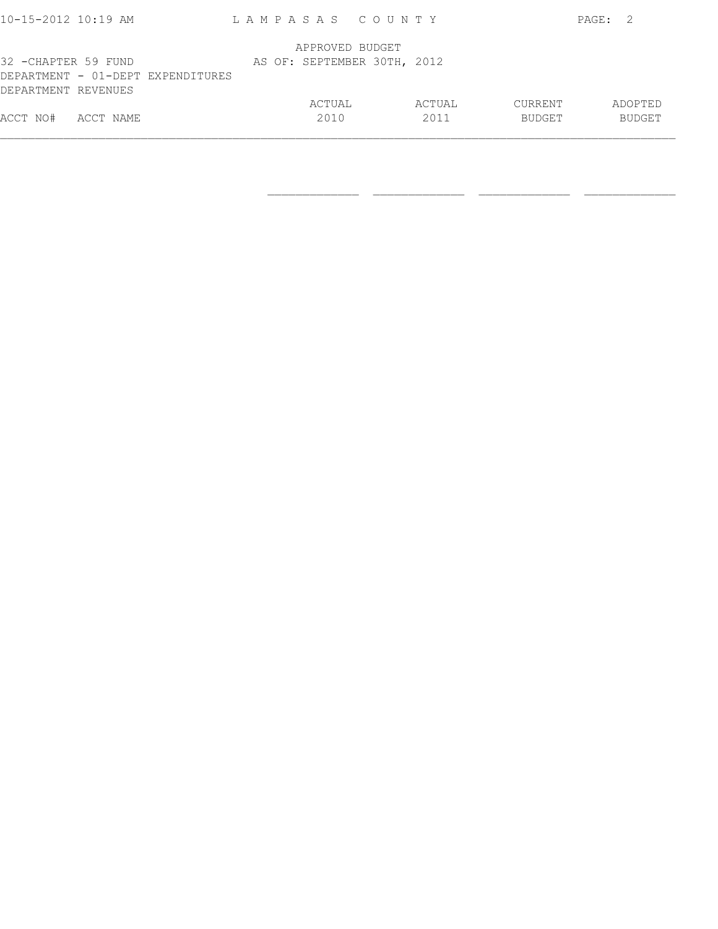| ACCT NO# ACCT NAME   |                                   |  | ACTUAL<br>2010  |  | ACTUAL<br>2011              | CURRENT<br>BUDGET |       | ADOPTED<br><b>BUDGET</b> |
|----------------------|-----------------------------------|--|-----------------|--|-----------------------------|-------------------|-------|--------------------------|
| DEPARTMENT REVENUES  | DEPARTMENT - 01-DEPT EXPENDITURES |  |                 |  |                             |                   |       |                          |
| 32 - CHAPTER 59 FUND |                                   |  | APPROVED BUDGET |  | AS OF: SEPTEMBER 30TH, 2012 |                   |       |                          |
| 10-15-2012 10:19 AM  |                                   |  |                 |  | LAMPASAS COUNTY             |                   | PAGE: | - 2                      |

 $\frac{1}{2}$  , and the set of the set of the set of the set of the set of the set of the set of the set of the set of the set of the set of the set of the set of the set of the set of the set of the set of the set of the set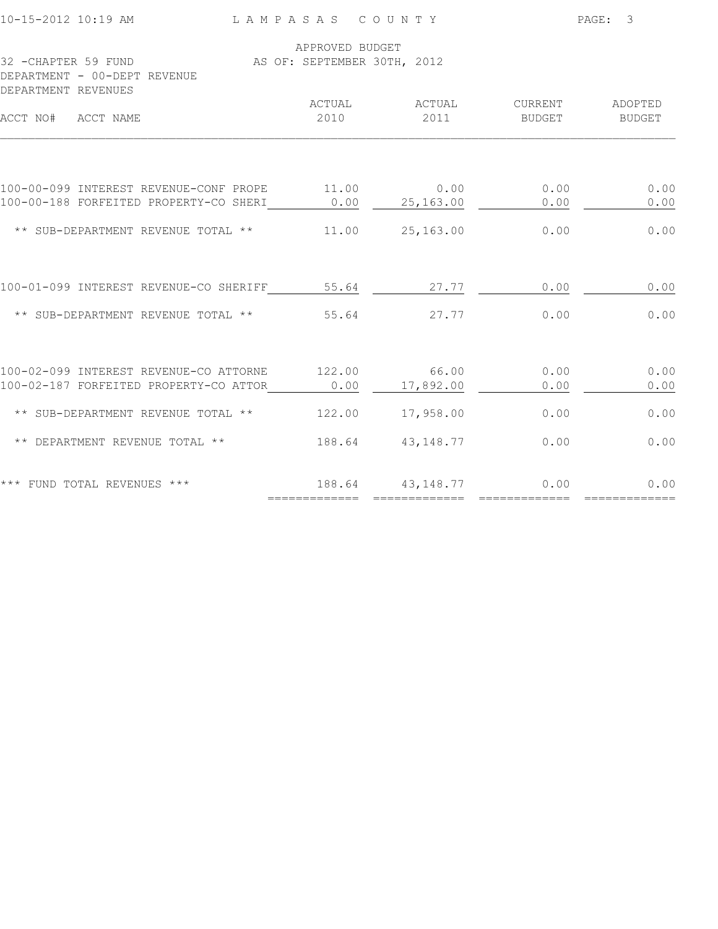| 10-15-2012 10:19 AM                                                        | LAMPASAS COUNTY             |                  |                   | PAGE:<br>3        |
|----------------------------------------------------------------------------|-----------------------------|------------------|-------------------|-------------------|
|                                                                            | APPROVED BUDGET             |                  |                   |                   |
| 32 -CHAPTER 59 FUND<br>DEPARTMENT - 00-DEPT REVENUE<br>DEPARTMENT REVENUES | AS OF: SEPTEMBER 30TH, 2012 |                  |                   |                   |
| ACCT NO# ACCT NAME                                                         | ACTUAL<br>2010              | ACTUAL<br>2011   | CURRENT<br>BUDGET | ADOPTED<br>BUDGET |
| 100-00-099 INTEREST REVENUE-CONF PROPE                                     | 11.00                       | 0.00             | 0.00              | 0.00              |
| 100-00-188 FORFEITED PROPERTY-CO SHERI                                     |                             | $0.00$ 25,163.00 | 0.00              | 0.00              |
| ** SUB-DEPARTMENT REVENUE TOTAL **                                         | 11.00                       | 25,163.00        | 0.00              | 0.00              |
| 100-01-099 INTEREST REVENUE-CO SHERIFF                                     | 55.64                       | 27.77            | 0.00              | 0.00              |
| ** SUB-DEPARTMENT REVENUE TOTAL **                                         | 55.64                       | 27.77            | 0.00              | 0.00              |
| 100-02-099 INTEREST REVENUE-CO ATTORNE                                     | 122.00                      | 66.00            | 0.00              | 0.00              |
| 100-02-187 FORFEITED PROPERTY-CO ATTOR                                     | 0.00                        | 17,892.00        | 0.00              | 0.00              |
| ** SUB-DEPARTMENT REVENUE TOTAL **                                         | 122.00                      | 17,958.00        | 0.00              | 0.00              |
| ** DEPARTMENT REVENUE TOTAL **                                             | 188.64                      | 43, 148.77       | 0.00              | 0.00              |
| *** FUND TOTAL REVENUES ***                                                |                             | 188.64 43,148.77 | 0.00              | 0.00              |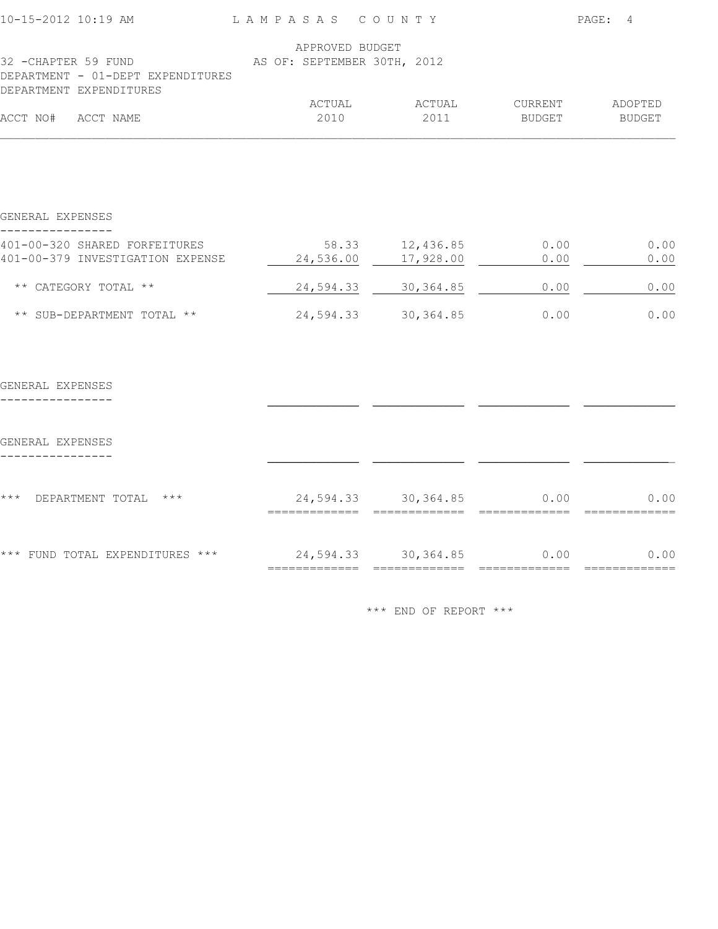| 10-15-2012 10:19 AM                                                                 | LAMPASAS COUNTY                                |                     | PAGE: 4         |        |  |
|-------------------------------------------------------------------------------------|------------------------------------------------|---------------------|-----------------|--------|--|
| 32 -CHAPTER 59 FUND<br>DEPARTMENT - 01-DEPT EXPENDITURES<br>DEPARTMENT EXPENDITURES | APPROVED BUDGET<br>AS OF: SEPTEMBER 30TH, 2012 |                     |                 |        |  |
|                                                                                     | ACTUAL                                         | ACTUAL              | CURRENT ADOPTED |        |  |
| ACCT NO# ACCT NAME                                                                  | 2010                                           | 2011                | <b>BUDGET</b>   | BUDGET |  |
| GENERAL EXPENSES                                                                    |                                                |                     |                 |        |  |
| 401-00-320 SHARED FORFEITURES                                                       |                                                | 58.33 12,436.85     | 0.00            | 0.00   |  |
| 401-00-379 INVESTIGATION EXPENSE                                                    |                                                | 24,536.00 17,928.00 | 0.00            | 0.00   |  |
| ** CATEGORY TOTAL **                                                                |                                                | 24,594.33 30,364.85 | 0.00            | 0.00   |  |
| ** SUB-DEPARTMENT TOTAL **                                                          |                                                | 24,594.33 30,364.85 | 0.00            | 0.00   |  |
| GENERAL EXPENSES                                                                    |                                                |                     |                 |        |  |
| GENERAL EXPENSES                                                                    |                                                |                     |                 |        |  |
| *** DEPARTMENT TOTAL ***                                                            | ======================                         | 24,594.33 30,364.85 | 0.00            | 0.00   |  |
| *** FUND TOTAL EXPENDITURES ***                                                     | 24,594.33 30,364.85                            |                     | 0.00            | 0.00   |  |
|                                                                                     |                                                |                     |                 |        |  |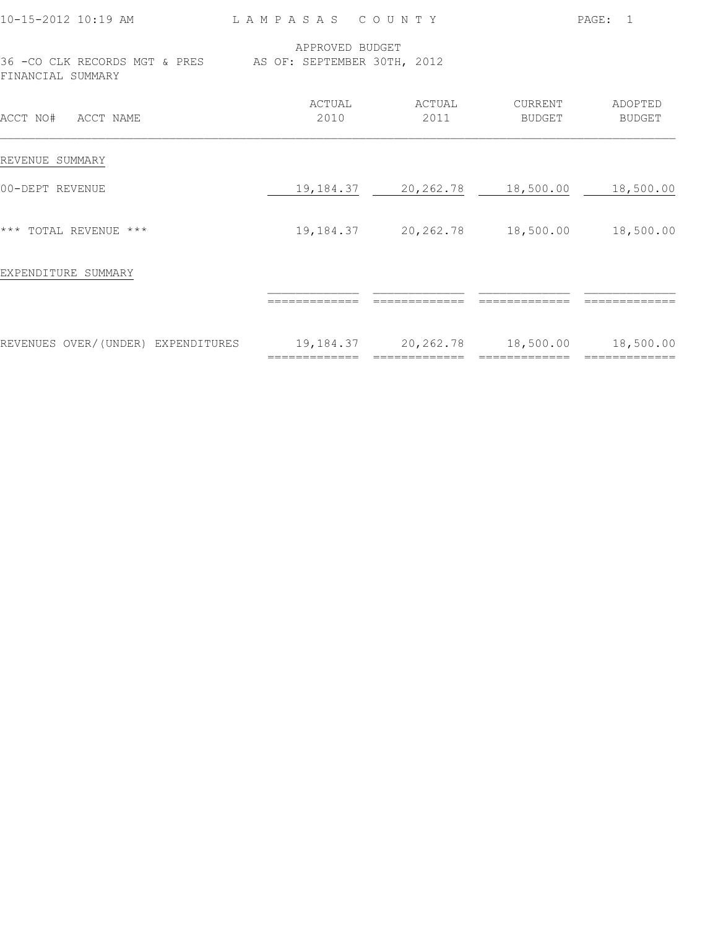| 10-15-2012 10:19 AM                                                             | LAMPASAS COUNTY            |                                  |                            | PAGE: 1                  |
|---------------------------------------------------------------------------------|----------------------------|----------------------------------|----------------------------|--------------------------|
| 36 - CO CLK RECORDS MGT & PRES AS OF: SEPTEMBER 30TH, 2012<br>FINANCIAL SUMMARY | APPROVED BUDGET            |                                  |                            |                          |
| ACCT NO# ACCT NAME                                                              | ACTUAL<br>2010             | ACTUAL<br>2011                   | CURRENT<br><b>BUDGET</b>   | ADOPTED<br><b>BUDGET</b> |
| REVENUE SUMMARY                                                                 |                            |                                  |                            |                          |
| 00-DEPT REVENUE                                                                 |                            | 19, 184.37 20, 262.78 18, 500.00 |                            | 18,500.00                |
| *** TOTAL REVENUE ***                                                           | 19, 184.37                 | 20,262.78                        | 18,500.00                  | 18,500.00                |
| EXPENDITURE SUMMARY                                                             |                            |                                  |                            |                          |
|                                                                                 |                            |                                  |                            |                          |
| REVENUES OVER/(UNDER) EXPENDITURES                                              | 19,184.37<br>============= | 20,262.78<br>$=$ =============   | 18,500.00<br>============= | 18,500.00                |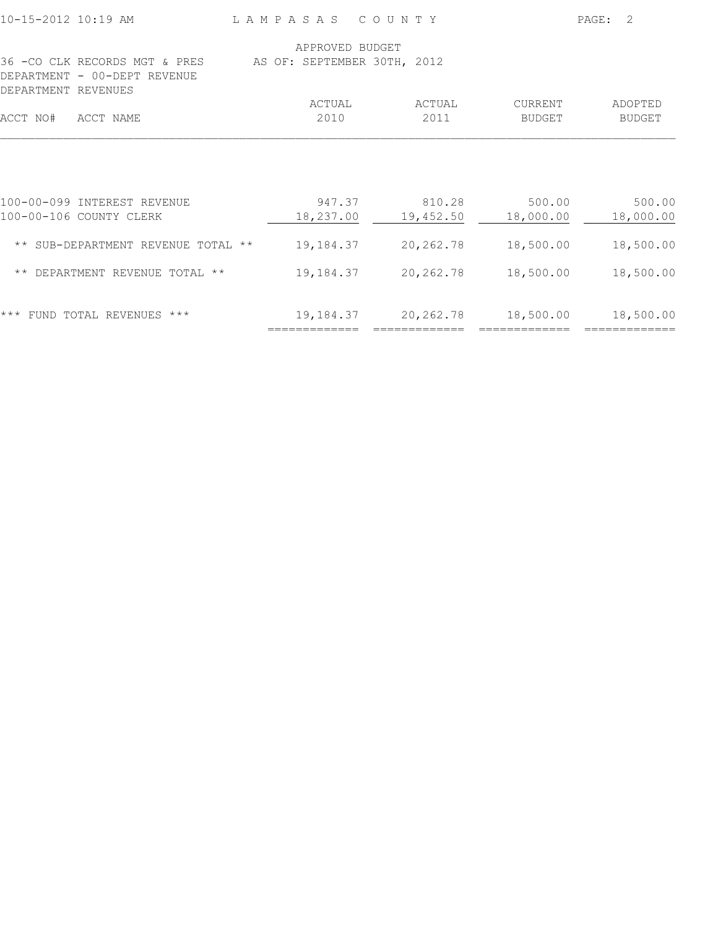| 10-15-2012 10:19 AM                                                                          | LAMPASAS COUNTY                                |                                  |                                  | PAGE:<br>2                       |
|----------------------------------------------------------------------------------------------|------------------------------------------------|----------------------------------|----------------------------------|----------------------------------|
| 36 - CO CLK RECORDS MGT & PRES<br>DEPARTMENT - 00-DEPT REVENUE                               | APPROVED BUDGET<br>AS OF: SEPTEMBER 30TH, 2012 |                                  |                                  |                                  |
| DEPARTMENT REVENUES                                                                          | ACTUAL                                         | ACTUAL                           | CURRENT                          | ADOPTED                          |
| ACCT NAME<br>ACCT NO#                                                                        | 2010                                           | 2011                             | <b>BUDGET</b>                    | <b>BUDGET</b>                    |
| 100-00-099 INTEREST REVENUE<br>100-00-106 COUNTY CLERK<br>** SUB-DEPARTMENT REVENUE TOTAL ** | 947.37<br>18,237.00<br>19,184.37               | 810.28<br>19,452.50<br>20,262.78 | 500.00<br>18,000.00<br>18,500.00 | 500.00<br>18,000.00<br>18,500.00 |
| ** DEPARTMENT REVENUE TOTAL **                                                               | 19,184.37                                      | 20, 262.78                       | 18,500.00                        | 18,500.00                        |
| $***$<br>FUND TOTAL REVENUES ***                                                             | 19,184.37                                      | 20,262.78                        | 18,500.00                        | 18,500.00                        |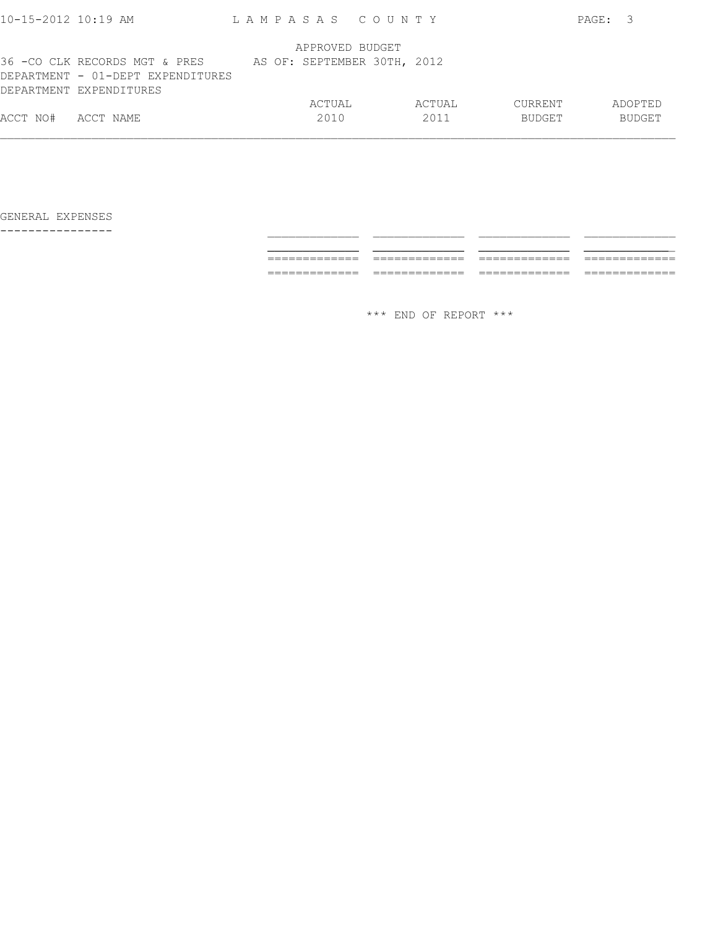| $10 - 15 - 2012$ 10:19 AM |                                                                                               | LAMPASAS COUNTY             |        |               | PAGE: | - 3           |
|---------------------------|-----------------------------------------------------------------------------------------------|-----------------------------|--------|---------------|-------|---------------|
|                           |                                                                                               | APPROVED BUDGET             |        |               |       |               |
|                           | 36 -CO CLK RECORDS MGT & PRES<br>DEPARTMENT - 01-DEPT EXPENDITURES<br>DEPARTMENT EXPENDITURES | AS OF: SEPTEMBER 30TH, 2012 |        |               |       |               |
|                           |                                                                                               | ACTUAL                      | ACTUAL | CURRENT       |       | ADOPTED       |
| ACCT NO#                  | ACCT NAME                                                                                     | 2010                        | 2011   | <b>BUDGET</b> |       | <b>BUDGET</b> |
|                           |                                                                                               |                             |        |               |       |               |

---------------- \_\_\_\_\_\_\_\_\_\_\_\_\_ \_\_\_\_\_\_\_\_\_\_\_\_\_ \_\_\_\_\_\_\_\_\_\_\_\_\_ \_\_\_\_\_\_\_\_\_\_\_\_\_ \_\_\_\_\_\_\_\_\_\_\_\_\_ \_\_\_\_\_\_\_\_\_\_\_\_\_ \_\_\_\_\_\_\_\_\_\_\_\_\_ \_\_\_\_\_\_\_\_\_\_\_\_\_ ============= ============= ============= ============= ============= ============= ============= =============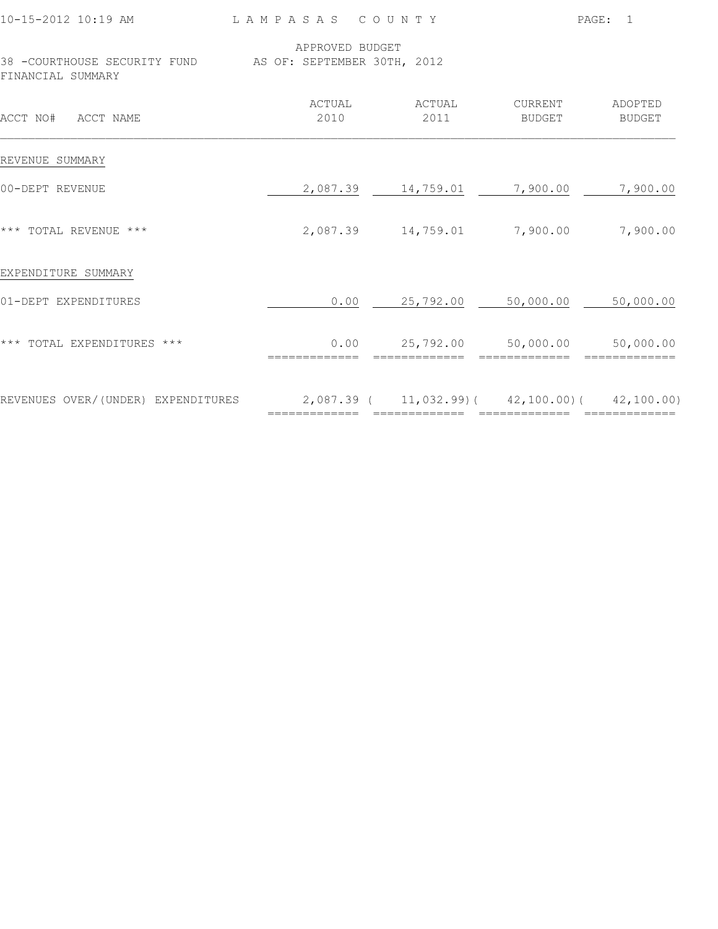| 110-15-2012 10:19 AM |                              |  |  |  |  | TAMPASAS COU          |  |  |
|----------------------|------------------------------|--|--|--|--|-----------------------|--|--|
|                      |                              |  |  |  |  | APPROVED BUDGET       |  |  |
|                      | 38 -COURTHOUSE SECURITY FUND |  |  |  |  | AS OF: SEPTEMBER 30TH |  |  |

FINANCIAL SUMMARY

M P A S A S C O U N T Y PAGE: 1

|  | APPROVED BUDGET             |  |
|--|-----------------------------|--|
|  | AS OF: SEPTEMBER 30TH, 2012 |  |

| ACCT NO#<br>ACCT NAME              | ACTUAL<br>2010 | ACTUAL<br>2011 | CURRENT<br>BUDGET                         | ADOPTED<br><b>BUDGET</b> |
|------------------------------------|----------------|----------------|-------------------------------------------|--------------------------|
| REVENUE SUMMARY                    |                |                |                                           |                          |
| 00-DEPT REVENUE                    | 2,087.39       | 14,759.01      | 7,900.00                                  | 7,900.00                 |
| *** TOTAL REVENUE ***              | 2,087.39       | 14,759.01      | 7,900.00                                  | 7,900.00                 |
| EXPENDITURE SUMMARY                |                |                |                                           |                          |
| 01-DEPT EXPENDITURES               | 0.00           | 25,792.00      | 50,000.00                                 | 50,000.00                |
| *** TOTAL EXPENDITURES ***         | 0.00           | 25,792.00      | 50,000.00                                 | 50,000.00                |
| REVENUES OVER/(UNDER) EXPENDITURES | $2,087.39$ (   |                | $11,032.99$ ( $42,100.00$ ( $42,100.00$ ) |                          |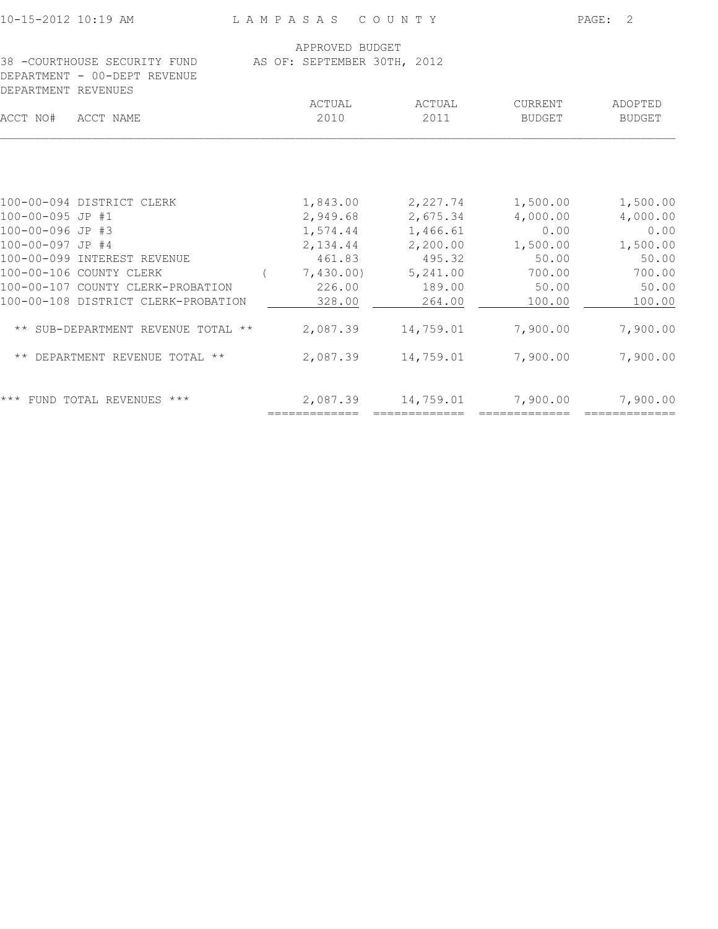| LAMPASAS COUNTY |                                                                                                                                                                                  |                         | PAGE: 2                                                                                                                            |                                                                               |  |
|-----------------|----------------------------------------------------------------------------------------------------------------------------------------------------------------------------------|-------------------------|------------------------------------------------------------------------------------------------------------------------------------|-------------------------------------------------------------------------------|--|
|                 |                                                                                                                                                                                  |                         |                                                                                                                                    |                                                                               |  |
|                 |                                                                                                                                                                                  |                         |                                                                                                                                    |                                                                               |  |
|                 |                                                                                                                                                                                  |                         |                                                                                                                                    | ADOPTED                                                                       |  |
|                 | 2010                                                                                                                                                                             | 2011                    | <b>BUDGET</b>                                                                                                                      | <b>BUDGET</b>                                                                 |  |
|                 |                                                                                                                                                                                  |                         |                                                                                                                                    |                                                                               |  |
|                 |                                                                                                                                                                                  |                         |                                                                                                                                    | 1,500.00                                                                      |  |
|                 |                                                                                                                                                                                  |                         |                                                                                                                                    | 4,000.00                                                                      |  |
|                 |                                                                                                                                                                                  |                         | 0.00                                                                                                                               | 0.00                                                                          |  |
|                 | 2,134.44                                                                                                                                                                         |                         | 1,500.00                                                                                                                           | 1,500.00                                                                      |  |
|                 | 461.83                                                                                                                                                                           | 495.32                  | 50.00                                                                                                                              | 50.00                                                                         |  |
|                 | 7,430.00)                                                                                                                                                                        | 5,241.00                | 700.00                                                                                                                             | 700.00                                                                        |  |
|                 | 226.00                                                                                                                                                                           | 189.00                  | 50.00                                                                                                                              | 50.00                                                                         |  |
|                 | 328.00                                                                                                                                                                           | 264.00                  | 100.00                                                                                                                             | 100.00                                                                        |  |
|                 | 2,087.39                                                                                                                                                                         | 14,759.01               | 7,900.00                                                                                                                           | 7,900.00                                                                      |  |
|                 |                                                                                                                                                                                  |                         | 7,900.00                                                                                                                           | 7,900.00                                                                      |  |
|                 | 2,087.39                                                                                                                                                                         | 14,759.01               | 7,900.00                                                                                                                           | 7,900.00                                                                      |  |
|                 | 38 -COURTHOUSE SECURITY FUND<br>100-00-107 COUNTY CLERK-PROBATION<br>100-00-108 DISTRICT CLERK-PROBATION<br>** SUB-DEPARTMENT REVENUE TOTAL **<br>** DEPARTMENT REVENUE TOTAL ** | ACTUAL<br>============= | APPROVED BUDGET<br>AS OF: SEPTEMBER 30TH, 2012<br>ACTUAL<br>2,949.68<br>1,574.44 1,466.61<br>2,200.00<br>2,087.39<br>============= | CURRENT<br>$1,843.00$ $2,227.74$ $1,500.00$<br>2,675.34 4,000.00<br>14,759.01 |  |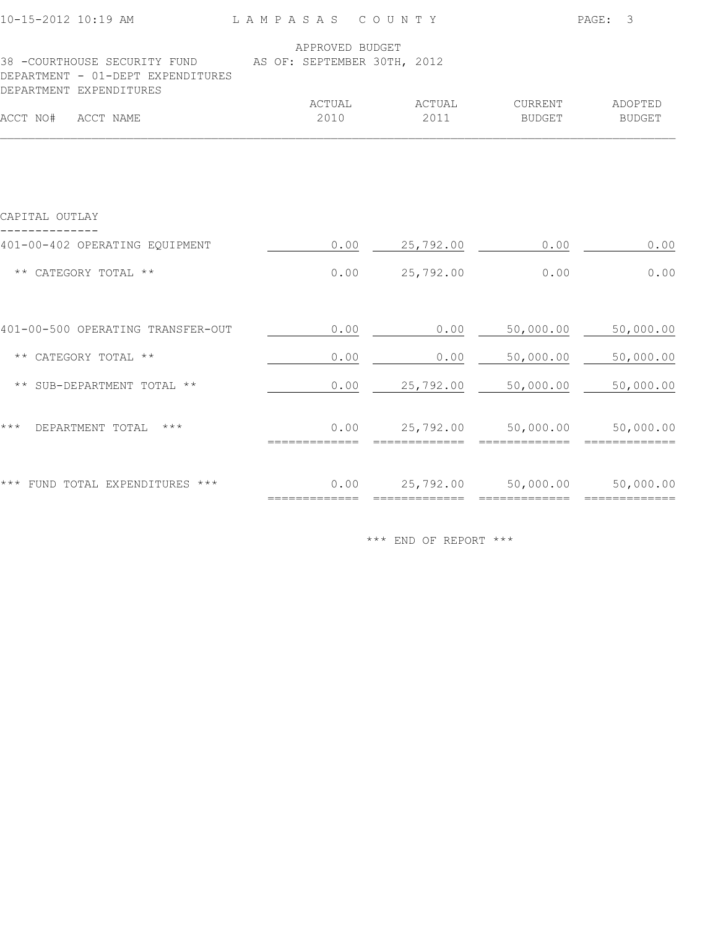| 10-15-2012 10:19 AM                                                                            | LAMPASAS COUNTY |                |                             | PAGE:<br>3               |  |
|------------------------------------------------------------------------------------------------|-----------------|----------------|-----------------------------|--------------------------|--|
| 38 - COURTHOUSE SECURITY FUND AS OF: SEPTEMBER 30TH, 2012<br>DEPARTMENT - 01-DEPT EXPENDITURES | APPROVED BUDGET |                |                             |                          |  |
| DEPARTMENT EXPENDITURES<br>ACCT NO# ACCT NAME                                                  | ACTUAL<br>2010  | ACTUAL<br>2011 | CURRENT<br><b>BUDGET</b>    | ADOPTED<br><b>BUDGET</b> |  |
|                                                                                                |                 |                |                             |                          |  |
| CAPITAL OUTLAY                                                                                 |                 |                |                             |                          |  |
| 401-00-402 OPERATING EQUIPMENT                                                                 | 0.00            | 25,792.00      | 0.00                        | 0.00                     |  |
| ** CATEGORY TOTAL **                                                                           | 0.00            | 25,792.00      | 0.00                        | 0.00                     |  |
| 401-00-500 OPERATING TRANSFER-OUT                                                              | 0.00            | 0.00           | 50,000.00                   | 50,000.00                |  |
| ** CATEGORY TOTAL **                                                                           | 0.00            | 0.00           | 50,000.00                   | 50,000.00                |  |
| ** SUB-DEPARTMENT TOTAL **                                                                     | 0.00            | 25,792.00      | 50,000.00                   | 50,000.00                |  |
| $\star\star\star$<br>DEPARTMENT TOTAL ***                                                      | 0.00            | 25,792.00      | 50,000.00<br>-------------- | 50,000.00                |  |
| *** FUND TOTAL EXPENDITURES ***                                                                | 0.00            | 25,792.00      | 50,000.00                   | 50,000.00                |  |
|                                                                                                |                 |                |                             |                          |  |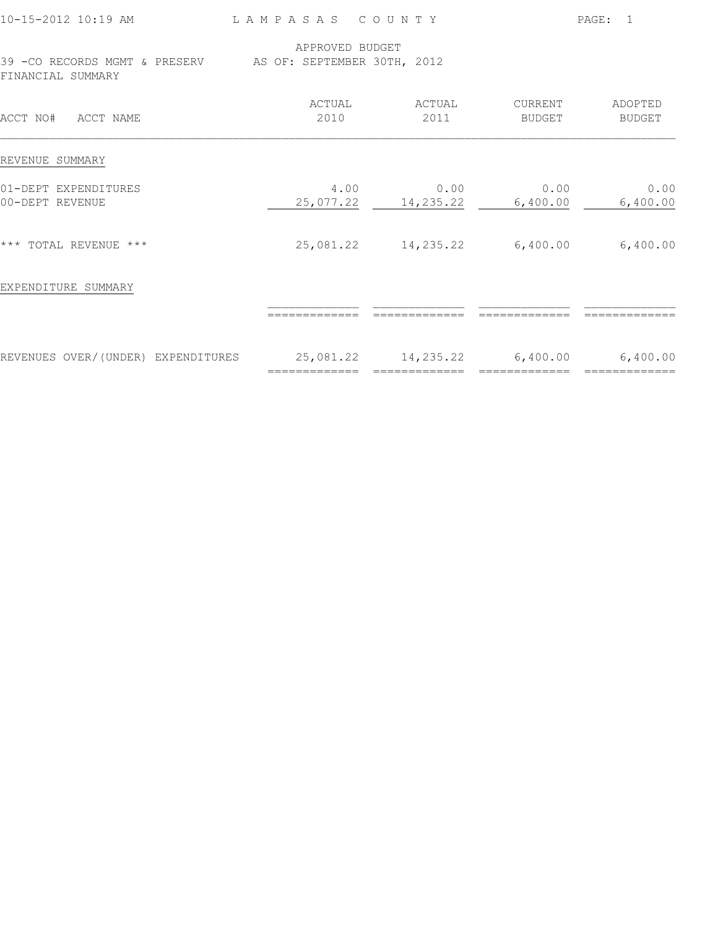| 10-15-2012 10:19 AM                                                             | LAMPASAS COUNTY            |                                      |                            | PAGE: 1           |
|---------------------------------------------------------------------------------|----------------------------|--------------------------------------|----------------------------|-------------------|
| 39 - CO RECORDS MGMT & PRESERV AS OF: SEPTEMBER 30TH, 2012<br>FINANCIAL SUMMARY | APPROVED BUDGET            |                                      |                            |                   |
| ACCT NO# ACCT NAME                                                              | ACTUAL<br>2010             | ACTUAL<br>2011                       | CURRENT<br>BUDGET          | ADOPTED<br>BUDGET |
| REVENUE SUMMARY                                                                 |                            |                                      |                            |                   |
| 01-DEPT EXPENDITURES<br>00-DEPT REVENUE                                         | 4.00                       | 0.00<br>25,077.22 14,235.22 6,400.00 | 0.00                       | 0.00<br>6,400.00  |
| *** TOTAL REVENUE ***                                                           | 25,081.22                  | 14,235.22                            | 6,400.00                   | 6,400.00          |
| EXPENDITURE SUMMARY                                                             |                            |                                      |                            |                   |
|                                                                                 |                            |                                      |                            |                   |
| REVENUES OVER/(UNDER) EXPENDITURES                                              | 25,081.22<br>============= | 14,235.22<br>$=$ =============       | 6,400.00<br>============== | 6,400.00          |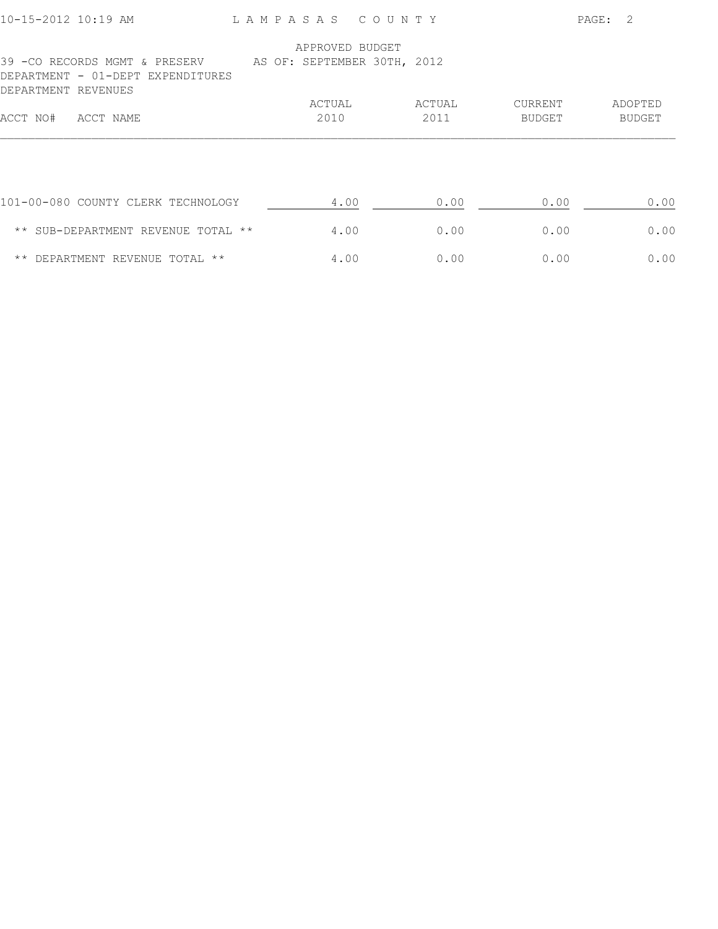| 10-15-2012 10:19 AM |                                                                                                | LAMPASAS COUNTY |        |               | PAGE: 2       |
|---------------------|------------------------------------------------------------------------------------------------|-----------------|--------|---------------|---------------|
|                     |                                                                                                | APPROVED BUDGET |        |               |               |
| DEPARTMENT REVENUES | 39 -CO RECORDS MGMT & PRESERV AS OF: SEPTEMBER 30TH, 2012<br>DEPARTMENT - 01-DEPT EXPENDITURES |                 |        |               |               |
|                     |                                                                                                | ACTUAL          | ACTUAL | CURRENT       | ADOPTED       |
| ACCT NO#            | ACCT NAME                                                                                      | 2010            | 2011   | <b>BUDGET</b> | <b>BUDGET</b> |
|                     |                                                                                                |                 |        |               |               |
|                     | 101-00-080 COUNTY CLERK TECHNOLOGY                                                             | 4.00            | 0.00   | 0.00          | 0.00          |
|                     | ** SUB-DEPARTMENT REVENUE TOTAL **                                                             | 4.00            | 0.00   | 0.00          | 0.00          |
|                     | ** DEPARTMENT REVENUE TOTAL **                                                                 | 4.00            | 0.00   | 0.00          | 0.00          |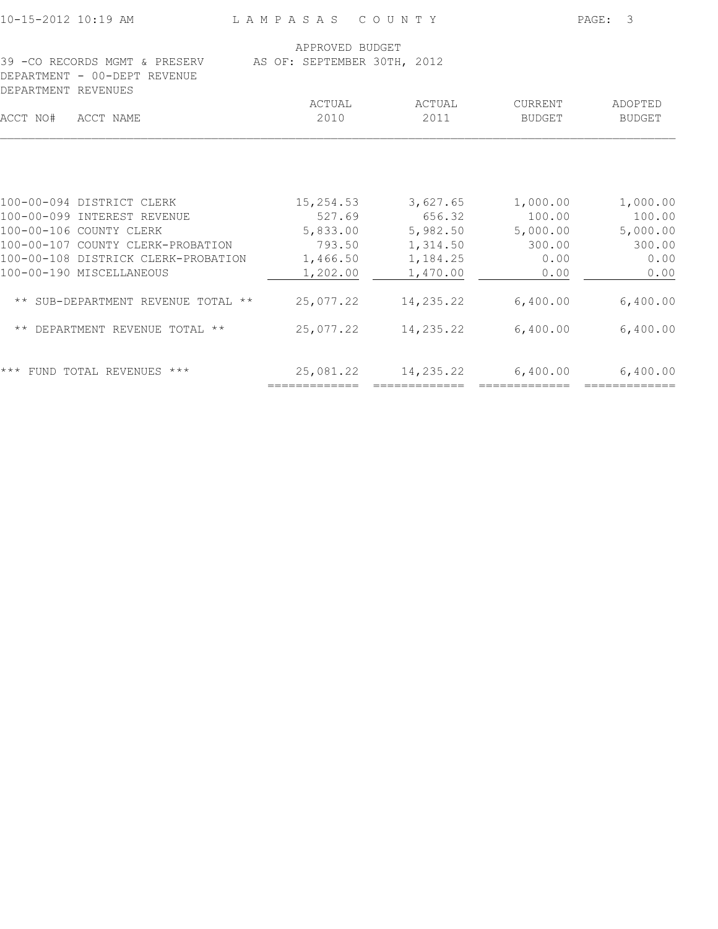| 10-15-2012 10:19 AM                                                                                                      | LAMPASAS COUNTY                                |                                            |                                          | PAGE: 3                                  |
|--------------------------------------------------------------------------------------------------------------------------|------------------------------------------------|--------------------------------------------|------------------------------------------|------------------------------------------|
| 39 - CO RECORDS MGMT & PRESERV<br>DEPARTMENT - 00-DEPT REVENUE                                                           | APPROVED BUDGET<br>AS OF: SEPTEMBER 30TH, 2012 |                                            |                                          |                                          |
| DEPARTMENT REVENUES                                                                                                      |                                                |                                            |                                          |                                          |
| ACCT NO#<br>ACCT NAME                                                                                                    | ACTUAL<br>2010                                 | ACTUAL<br>2011                             | CURRENT<br>BUDGET                        | ADOPTED<br><b>BUDGET</b>                 |
| 100-00-094 DISTRICT CLERK<br>100-00-099 INTEREST REVENUE<br>100-00-106 COUNTY CLERK<br>100-00-107 COUNTY CLERK-PROBATION | 15,254.53<br>527.69<br>5,833.00<br>793.50      | 3,627.65<br>656.32<br>5,982.50<br>1,314.50 | 1,000.00<br>100.00<br>5,000.00<br>300.00 | 1,000.00<br>100.00<br>5,000.00<br>300.00 |
| 100-00-108 DISTRICK CLERK-PROBATION                                                                                      | 1,466.50                                       | 1,184.25                                   | 0.00                                     | 0.00                                     |
| 100-00-190 MISCELLANEOUS                                                                                                 | 1,202.00                                       | 1,470.00                                   | 0.00                                     | 0.00                                     |
| ** SUB-DEPARTMENT REVENUE TOTAL **                                                                                       | 25,077.22                                      | 14,235.22                                  | 6,400.00                                 | 6,400.00                                 |
| ** DEPARTMENT REVENUE TOTAL **                                                                                           | 25,077.22                                      | 14,235.22                                  | 6,400.00                                 | 6,400.00                                 |
| *** FUND TOTAL REVENUES ***                                                                                              | 25,081.22<br>=============                     | 14,235.22 6,400.00                         |                                          | 6,400.00<br>==============               |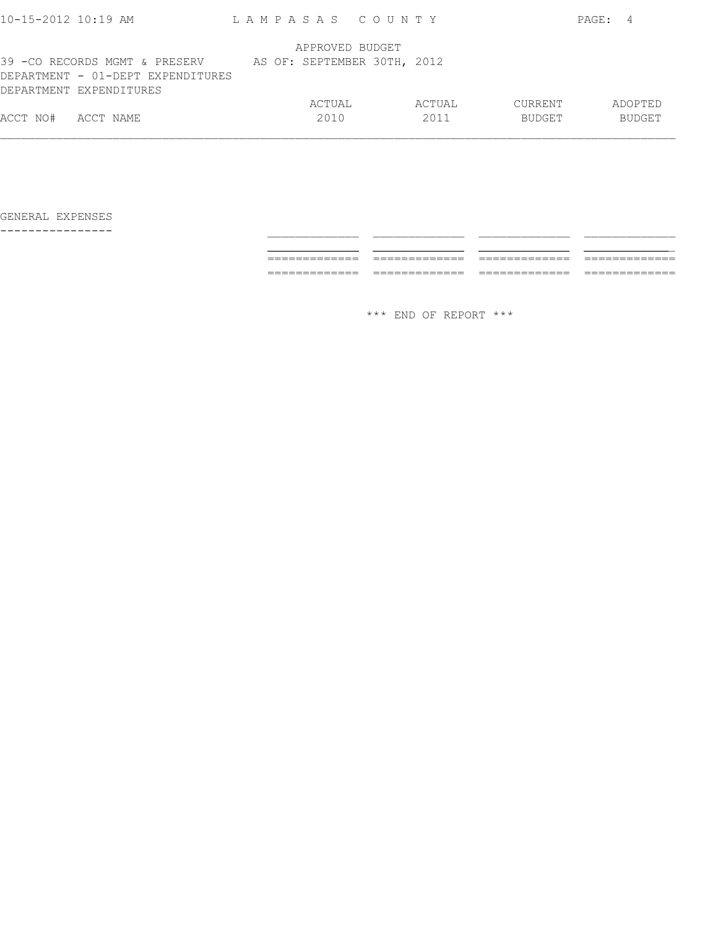| $10 - 15 - 2012$ $10:19$ AM       | LAMPASAS COUNTY             |        |         | PAGE:<br>4    |
|-----------------------------------|-----------------------------|--------|---------|---------------|
|                                   |                             |        |         |               |
|                                   | APPROVED BUDGET             |        |         |               |
| 39 -CO RECORDS MGMT & PRESERV     | AS OF: SEPTEMBER 30TH, 2012 |        |         |               |
| DEPARTMENT - 01-DEPT EXPENDITURES |                             |        |         |               |
| DEPARTMENT EXPENDITURES           |                             |        |         |               |
|                                   | ACTUAL                      | ACTUAL | CURRENT | ADOPTED       |
| ACCT NO#<br>ACCT NAME             | 2010                        | 2011   | BUDGET  | <b>BUDGET</b> |
|                                   |                             |        |         |               |
|                                   |                             |        |         |               |

---------------- \_\_\_\_\_\_\_\_\_\_\_\_\_ \_\_\_\_\_\_\_\_\_\_\_\_\_ \_\_\_\_\_\_\_\_\_\_\_\_\_ \_\_\_\_\_\_\_\_\_\_\_\_\_ \_\_\_\_\_\_\_\_\_\_\_\_\_ \_\_\_\_\_\_\_\_\_\_\_\_\_ \_\_\_\_\_\_\_\_\_\_\_\_\_ \_\_\_\_\_\_\_\_\_\_\_\_\_ ============= ============= ============= ============= ============= ============= ============= =============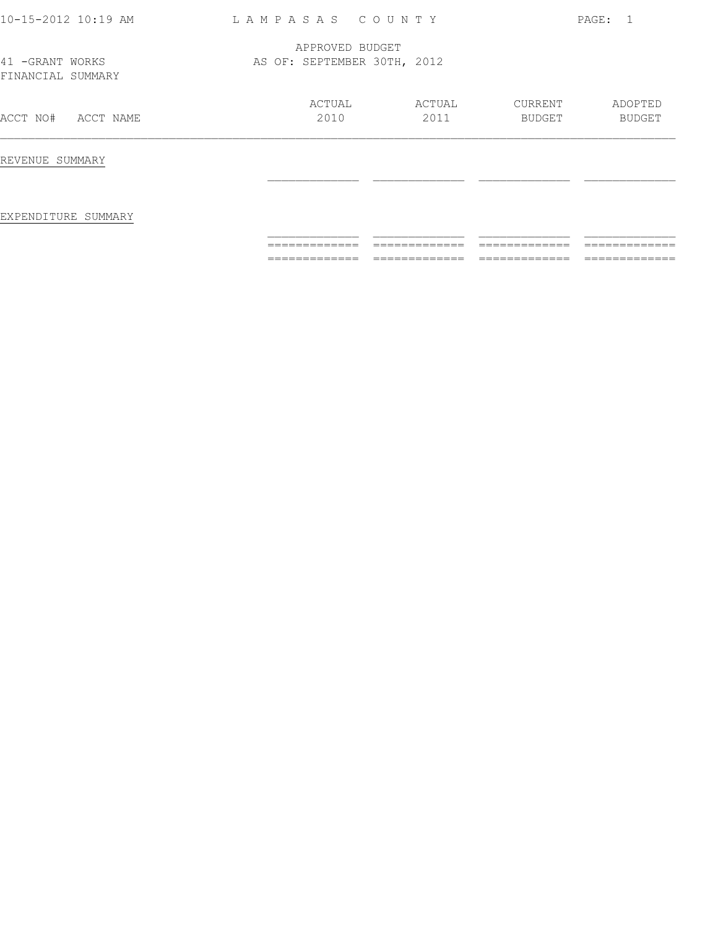| 10-15-2012 10:19 AM                   | LAMPASAS COUNTY                                |                |                          | PAGE: 1           |
|---------------------------------------|------------------------------------------------|----------------|--------------------------|-------------------|
| 41 - GRANT WORKS<br>FINANCIAL SUMMARY | APPROVED BUDGET<br>AS OF: SEPTEMBER 30TH, 2012 |                |                          |                   |
| ACCT NO#<br>ACCT NAME                 | ACTUAL<br>2010                                 | ACTUAL<br>2011 | CURRENT<br><b>BUDGET</b> | ADOPTED<br>BUDGET |
| REVENUE SUMMARY                       |                                                |                |                          |                   |
| EXPENDITURE SUMMARY                   |                                                |                |                          |                   |
|                                       |                                                |                |                          |                   |
|                                       |                                                |                |                          |                   |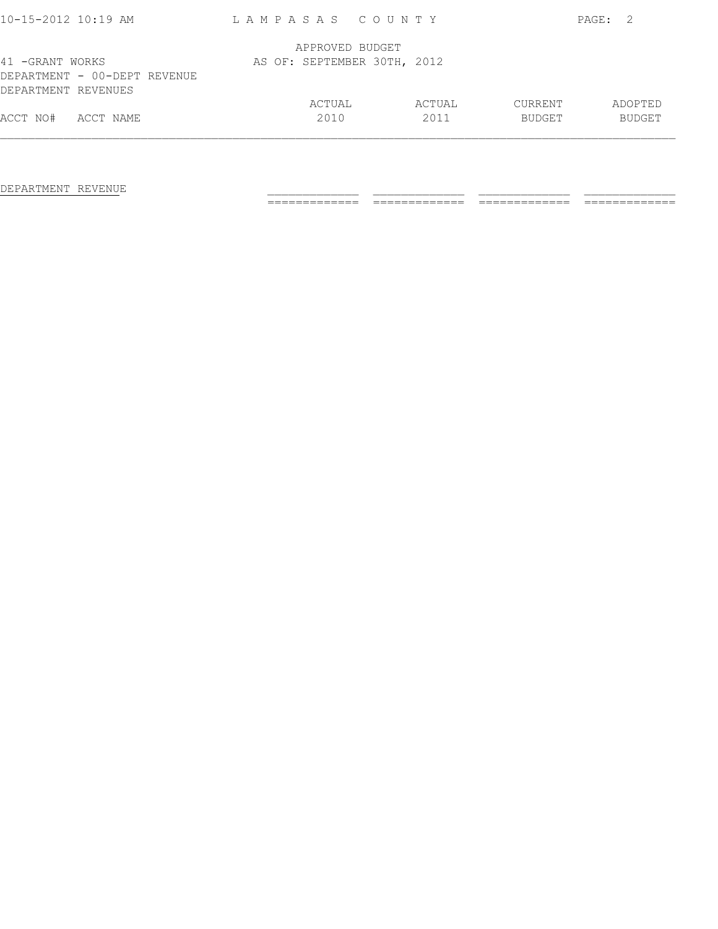| 10-15-2012 10:19 AM                                                    | LAMPASAS COUNTY             |                |                          | PAGE:<br>- 2.            |
|------------------------------------------------------------------------|-----------------------------|----------------|--------------------------|--------------------------|
|                                                                        | APPROVED BUDGET             |                |                          |                          |
| 41 -GRANT WORKS<br>DEPARTMENT - 00-DEPT REVENUE<br>DEPARTMENT REVENUES | AS OF: SEPTEMBER 30TH, 2012 |                |                          |                          |
| ACCT NO#<br>ACCT NAME                                                  | ACTUAL<br>2010              | ACTUAL<br>2011 | CURRENT<br><b>BUDGET</b> | ADOPTED<br><b>BUDGET</b> |

DEPARTMENT REVENUE \_\_\_\_\_\_\_\_\_\_\_\_\_ \_\_\_\_\_\_\_\_\_\_\_\_\_ \_\_\_\_\_\_\_\_\_\_\_\_\_ \_\_\_\_\_\_\_\_\_\_\_\_\_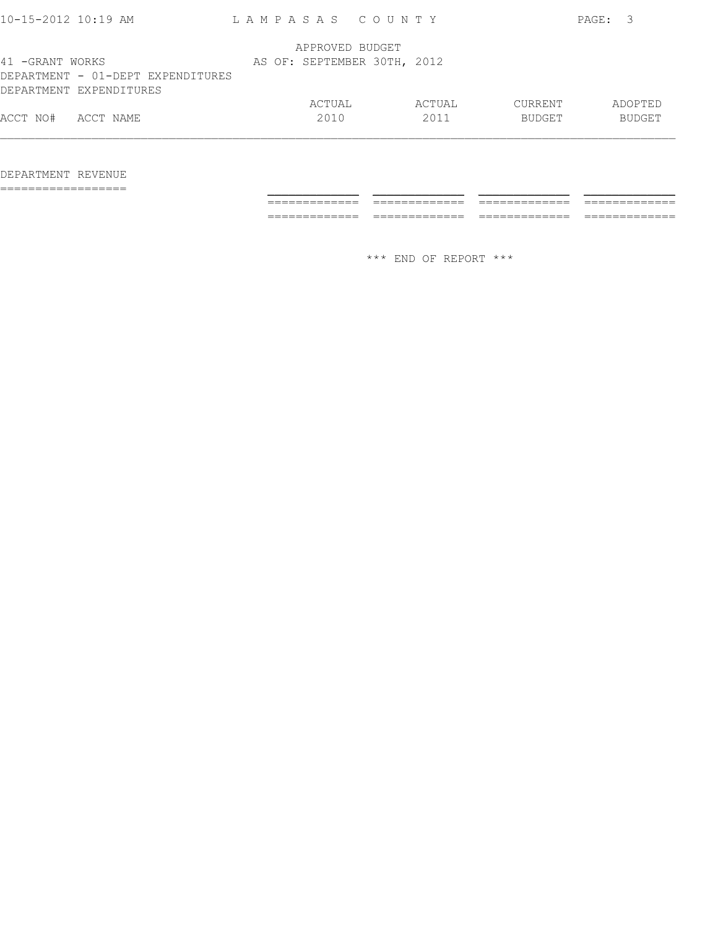| $10 - 15 - 2012$ $10:19$ AM                                                     | LAMPASAS COUNTY |                             |                |                          | PAGE: 3 |                          |
|---------------------------------------------------------------------------------|-----------------|-----------------------------|----------------|--------------------------|---------|--------------------------|
|                                                                                 |                 | APPROVED BUDGET             |                |                          |         |                          |
| 41 -GRANT WORKS<br>DEPARTMENT - 01-DEPT EXPENDITURES<br>DEPARTMENT EXPENDITURES |                 | AS OF: SEPTEMBER 30TH, 2012 |                |                          |         |                          |
| ACCT NO#<br>ACCT NAME                                                           |                 | ACTUAL<br>2010              | ACTUAL<br>2011 | CURRENT<br><b>BUDGET</b> |         | ADOPTED<br><b>BUDGET</b> |
|                                                                                 |                 |                             |                |                          |         |                          |

## DEPARTMENT REVENUE

================== \_\_\_\_\_\_\_\_\_\_\_\_\_ \_\_\_\_\_\_\_\_\_\_\_\_\_ \_\_\_\_\_\_\_\_\_\_\_\_\_ \_\_\_\_\_\_\_\_\_\_\_\_\_

 ============= ============= ============= ============= ============= ============= ============= =============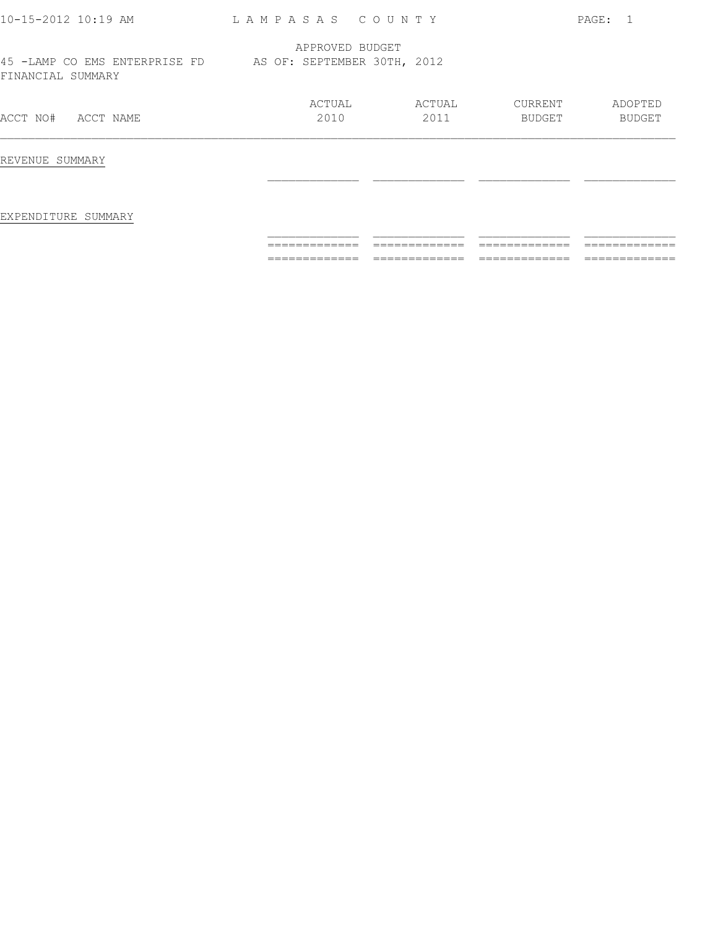| 10-15-2012 10:19 AM                                                            | LAMPASAS COUNTY |        |         | PAGE: 1 |
|--------------------------------------------------------------------------------|-----------------|--------|---------|---------|
|                                                                                | APPROVED BUDGET |        |         |         |
| 45 -LAMP CO EMS ENTERPRISE FD AS OF: SEPTEMBER 30TH, 2012<br>FINANCIAL SUMMARY |                 |        |         |         |
|                                                                                | ACTUAL          | ACTUAL | CURRENT | ADOPTED |
| ACCT NO#<br>ACCT NAME                                                          | 2010            | 2011   | BUDGET  | BUDGET  |
| REVENUE SUMMARY                                                                |                 |        |         |         |
|                                                                                |                 |        |         |         |
| EXPENDITURE SUMMARY                                                            |                 |        |         |         |
|                                                                                |                 |        |         |         |
|                                                                                |                 |        |         |         |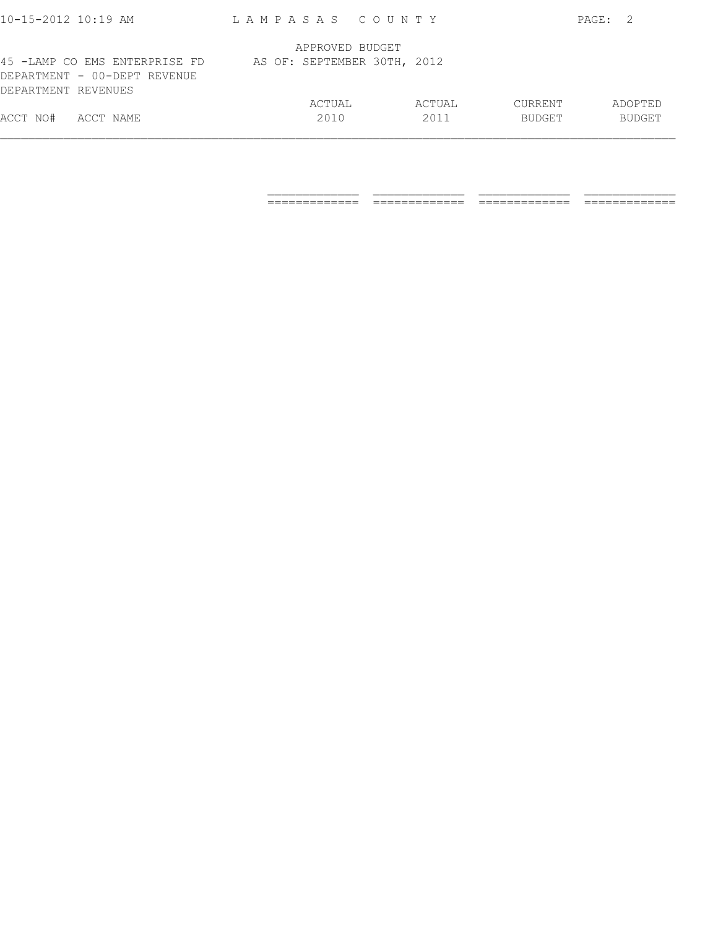| ACCT NO#<br>ACCT NAME         | 2010                        | 2011   | <b>BUDGET</b>  | <b>BUDGET</b> |
|-------------------------------|-----------------------------|--------|----------------|---------------|
|                               | ACTUAL                      | ACTUAL | <b>CURRENT</b> | ADOPTED       |
| DEPARTMENT REVENUES           |                             |        |                |               |
| DEPARTMENT - 00-DEPT REVENUE  |                             |        |                |               |
| 45 -LAMP CO EMS ENTERPRISE FD | AS OF: SEPTEMBER 30TH, 2012 |        |                |               |
|                               | APPROVED BUDGET             |        |                |               |
|                               |                             |        |                |               |
| $10 - 15 - 2012$ $10:19$ AM   | LAMPASAS COUNTY             |        |                | PAGE:         |

 $\frac{1}{2}$  , and the set of the set of the set of the set of the set of the set of the set of the set of the set of the set of the set of the set of the set of the set of the set of the set of the set of the set of the set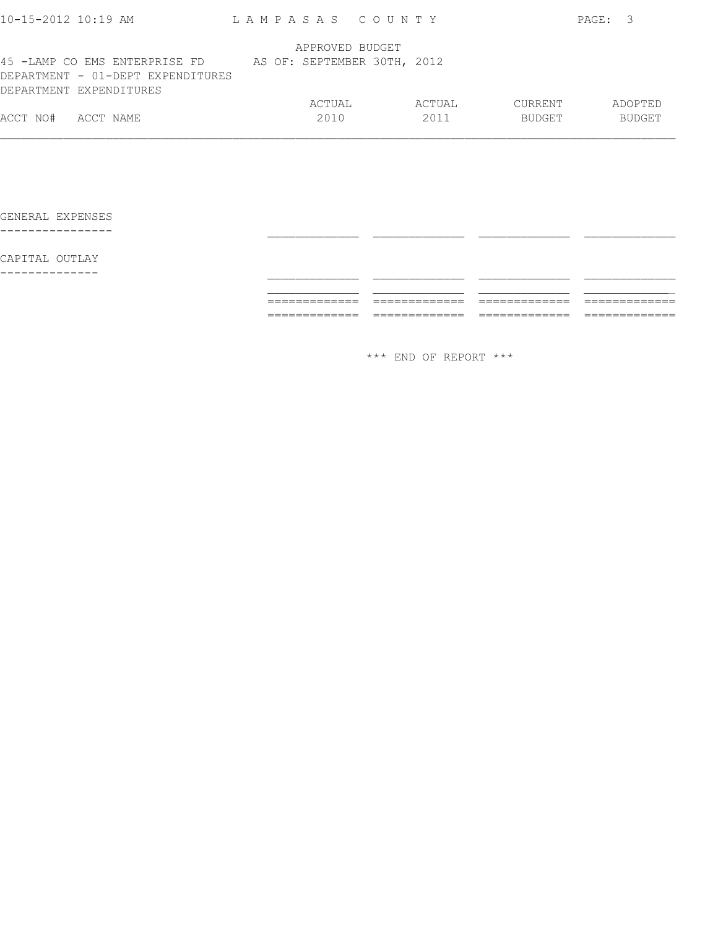|                                                              |                               | APPROVED BUDGET             |        |               |               |
|--------------------------------------------------------------|-------------------------------|-----------------------------|--------|---------------|---------------|
| DEPARTMENT - 01-DEPT EXPENDITURES<br>DEPARTMENT EXPENDITURES | 45 -LAMP CO EMS ENTERPRISE FD | AS OF: SEPTEMBER 30TH, 2012 |        |               |               |
|                                                              |                               | ACTUAL                      | ACTUAL | CURRENT       | ADOPTED       |
| ACCT NO#<br>ACCT NAME                                        |                               | 2010                        | 2011   | <b>BUDGET</b> | <b>BUDGET</b> |

 \_\_\_\_\_\_\_\_\_\_\_\_\_ \_\_\_\_\_\_\_\_\_\_\_\_\_ \_\_\_\_\_\_\_\_\_\_\_\_\_ \_\_\_\_\_\_\_\_\_\_\_\_\_ ============= ============= ============= =============

GENERAL EXPENSES ---------------- \_\_\_\_\_\_\_\_\_\_\_\_\_ \_\_\_\_\_\_\_\_\_\_\_\_\_ \_\_\_\_\_\_\_\_\_\_\_\_\_ \_\_\_\_\_\_\_\_\_\_\_\_\_

CAPITAL OUTLAY

-------------- \_\_\_\_\_\_\_\_\_\_\_\_\_ \_\_\_\_\_\_\_\_\_\_\_\_\_ \_\_\_\_\_\_\_\_\_\_\_\_\_ \_\_\_\_\_\_\_\_\_\_\_\_\_

\*\*\* END OF REPORT \*\*\*

============= ============= ============= =============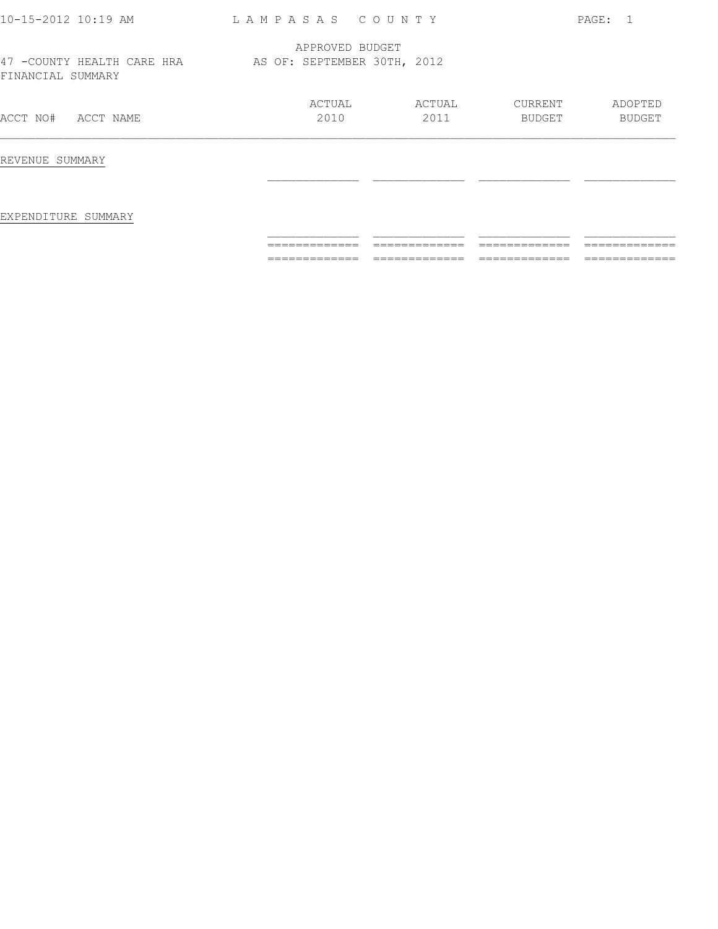| 10-15-2012 10:19 AM                              | LAMPASAS COUNTY                                |                |                          | PAGE: 1                  |
|--------------------------------------------------|------------------------------------------------|----------------|--------------------------|--------------------------|
| 47 - COUNTY HEALTH CARE HRA<br>FINANCIAL SUMMARY | APPROVED BUDGET<br>AS OF: SEPTEMBER 30TH, 2012 |                |                          |                          |
| ACCT NAME<br>ACCT NO#                            | ACTUAL<br>2010                                 | ACTUAL<br>2011 | CURRENT<br><b>BUDGET</b> | ADOPTED<br><b>BUDGET</b> |
| REVENUE SUMMARY                                  |                                                |                |                          |                          |
| EXPENDITURE SUMMARY                              |                                                |                |                          |                          |
|                                                  | =============                                  | =============  | =============            | =============            |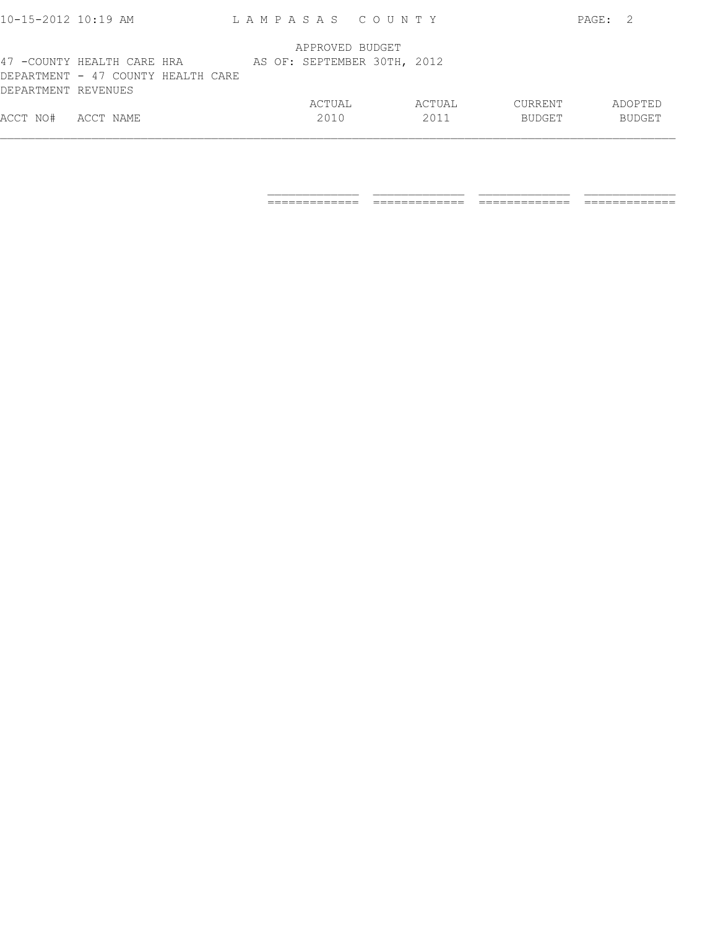| $10 - 15 - 2012$ $10:19$ AM |                                    | LAMPASAS COUNTY             |        |         | PAGE: | - 2           |
|-----------------------------|------------------------------------|-----------------------------|--------|---------|-------|---------------|
|                             |                                    | APPROVED BUDGET             |        |         |       |               |
|                             | 47 -COUNTY HEALTH CARE HRA         | AS OF: SEPTEMBER 30TH, 2012 |        |         |       |               |
|                             | DEPARTMENT - 47 COUNTY HEALTH CARE |                             |        |         |       |               |
| DEPARTMENT REVENUES         |                                    |                             |        |         |       |               |
|                             |                                    | ACTUAL                      | ACTUAL | CURRENT |       | ADOPTED       |
| ACCT NO#                    | ACCT NAME                          | 2010                        | 2011   | BUDGET  |       | <b>BUDGET</b> |
|                             |                                    |                             |        |         |       |               |

 $\frac{1}{2}$  ,  $\frac{1}{2}$  ,  $\frac{1}{2}$  ,  $\frac{1}{2}$  ,  $\frac{1}{2}$  ,  $\frac{1}{2}$  ,  $\frac{1}{2}$  ,  $\frac{1}{2}$  ,  $\frac{1}{2}$  ,  $\frac{1}{2}$  ,  $\frac{1}{2}$  ,  $\frac{1}{2}$  ,  $\frac{1}{2}$  ,  $\frac{1}{2}$  ,  $\frac{1}{2}$  ,  $\frac{1}{2}$  ,  $\frac{1}{2}$  ,  $\frac{1}{2}$  ,  $\frac{1$ 

============= ============= ============= =============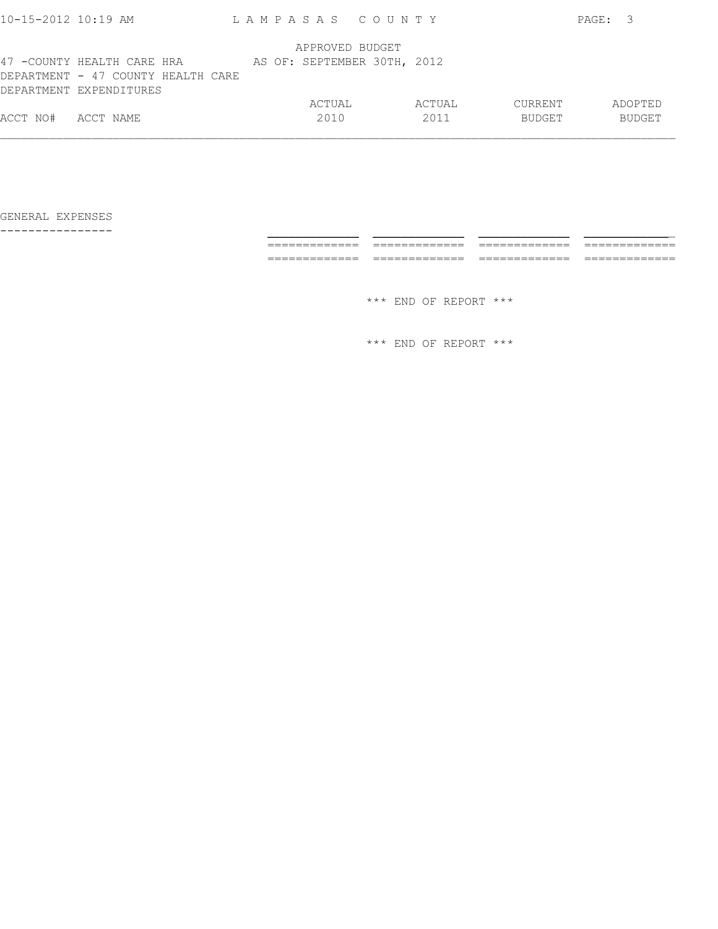| ACCT NO#                  | ACCT NAME                                                     | ACTUAL<br>2010              | ACTUAL<br>2011 | CURRENT<br>BUDGET |         | ADOPTED<br><b>BUDGET</b> |
|---------------------------|---------------------------------------------------------------|-----------------------------|----------------|-------------------|---------|--------------------------|
|                           | DEPARTMENT - 47 COUNTY HEALTH CARE<br>DEPARTMENT EXPENDITURES |                             |                |                   |         |                          |
|                           | 47 -COUNTY HEALTH CARE HRA                                    | AS OF: SEPTEMBER 30TH, 2012 |                |                   |         |                          |
|                           |                                                               | APPROVED BUDGET             |                |                   |         |                          |
| $10 - 15 - 2012$ 10:19 AM |                                                               | LAMPASAS COUNTY             |                |                   | PAGE: 3 |                          |

GENERAL EXPENSES ---------------

| ---------------- |                                    |                           |                        |               |
|------------------|------------------------------------|---------------------------|------------------------|---------------|
|                  |                                    |                           |                        |               |
|                  | _____<br>________<br>_____________ | $- -$<br>________________ | _____<br>_____________ | ____________  |
|                  | ————————————                       | _____________             | _____________          | _____________ |
|                  |                                    |                           |                        |               |
|                  |                                    | *** END OF REPORT ***     |                        |               |
|                  |                                    |                           |                        |               |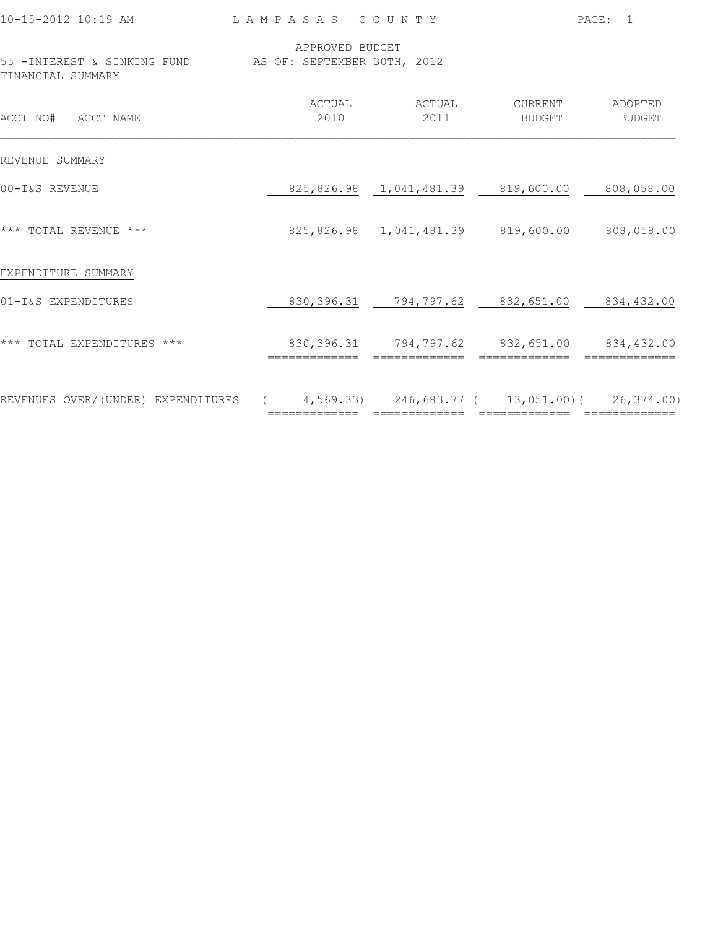| 10-15-2012 10:19 AM                                                             | LAMPASAS COUNTY |                                                                                 |                           | PAGE: 1 |
|---------------------------------------------------------------------------------|-----------------|---------------------------------------------------------------------------------|---------------------------|---------|
| 55 - INTEREST & SINKING FUND AS OF: SEPTEMBER 30TH, 2012<br>FINANCIAL SUMMARY   | APPROVED BUDGET |                                                                                 |                           |         |
| ACCT NO# ACCT NAME                                                              | ACTUAL<br>2010  | ACTUAL<br>2011                                                                  | CURRENT ADOPTED<br>BUDGET | BUDGET  |
| REVENUE SUMMARY                                                                 |                 |                                                                                 |                           |         |
| 00-I&S REVENUE                                                                  |                 | 825,826.98  1,041,481.39  819,600.00  808,058.00                                |                           |         |
| *** TOTAL REVENUE ***                                                           |                 | 825,826.98 1,041,481.39 819,600.00 808,058.00                                   |                           |         |
| EXPENDITURE SUMMARY                                                             |                 |                                                                                 |                           |         |
| 01-I&S EXPENDITURES                                                             |                 | 830, 396.31 794, 797.62 832, 651.00 834, 432.00                                 |                           |         |
| *** TOTAL EXPENDITURES ***                                                      |                 | 830, 396.31 794, 797.62 832, 651.00 834, 432.00<br>============================ |                           |         |
| REVENUES OVER/(UNDER) EXPENDITURES (4,569.33) 246,683.77 (13,051.00)(26,374.00) |                 |                                                                                 |                           |         |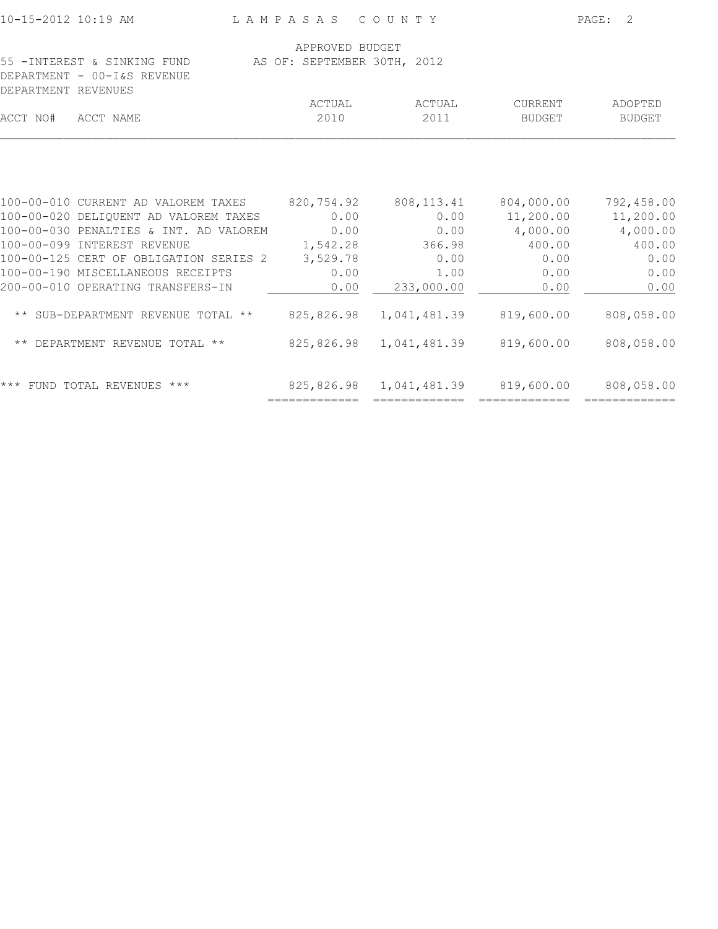|                |                                                                                                                                                                                                        |                                                                                                                           | 2<br>PAGE:                                                                                                                   |
|----------------|--------------------------------------------------------------------------------------------------------------------------------------------------------------------------------------------------------|---------------------------------------------------------------------------------------------------------------------------|------------------------------------------------------------------------------------------------------------------------------|
|                |                                                                                                                                                                                                        |                                                                                                                           |                                                                                                                              |
|                |                                                                                                                                                                                                        |                                                                                                                           |                                                                                                                              |
|                |                                                                                                                                                                                                        |                                                                                                                           |                                                                                                                              |
| ACTUAL         | ACTUAL                                                                                                                                                                                                 | CURRENT                                                                                                                   | ADOPTED                                                                                                                      |
| 2010           | 2011                                                                                                                                                                                                   | BUDGET                                                                                                                    | BUDGET                                                                                                                       |
|                |                                                                                                                                                                                                        |                                                                                                                           |                                                                                                                              |
|                |                                                                                                                                                                                                        |                                                                                                                           | 792,458.00                                                                                                                   |
| 0.00           | 0.00                                                                                                                                                                                                   | 11,200.00                                                                                                                 | 11,200.00                                                                                                                    |
| 0.00           | 0.00                                                                                                                                                                                                   | 4,000.00                                                                                                                  | 4,000.00                                                                                                                     |
| 1,542.28       | 366.98                                                                                                                                                                                                 | 400.00                                                                                                                    | 400.00                                                                                                                       |
| 3,529.78       | 0.00                                                                                                                                                                                                   | 0.00                                                                                                                      | 0.00                                                                                                                         |
| 0.00           | 1.00                                                                                                                                                                                                   | 0.00                                                                                                                      | 0.00                                                                                                                         |
| 0.00           | 233,000.00                                                                                                                                                                                             | 0.00                                                                                                                      | 0.00                                                                                                                         |
|                |                                                                                                                                                                                                        | 819,600.00                                                                                                                | 808,058.00                                                                                                                   |
|                |                                                                                                                                                                                                        |                                                                                                                           | 808,058.00                                                                                                                   |
| ============== | =============                                                                                                                                                                                          |                                                                                                                           |                                                                                                                              |
|                | 100-00-010 CURRENT AD VALOREM TAXES<br>100-00-020 DELIQUENT AD VALOREM TAXES<br>100-00-030 PENALTIES & INT. AD VALOREM<br>100-00-125 CERT OF OBLIGATION SERIES 2<br>** SUB-DEPARTMENT REVENUE TOTAL ** | LAMPASAS COUNTY<br>APPROVED BUDGET<br>AS OF: SEPTEMBER 30TH, 2012<br>820,754.92<br>825,826.98<br>825,826.98<br>825,826.98 | 808, 113.41 804, 000.00<br>1,041,481.39<br>819,600.00<br>1,041,481.39<br>1,041,481.39 819,600.00 808,058.00<br>============= |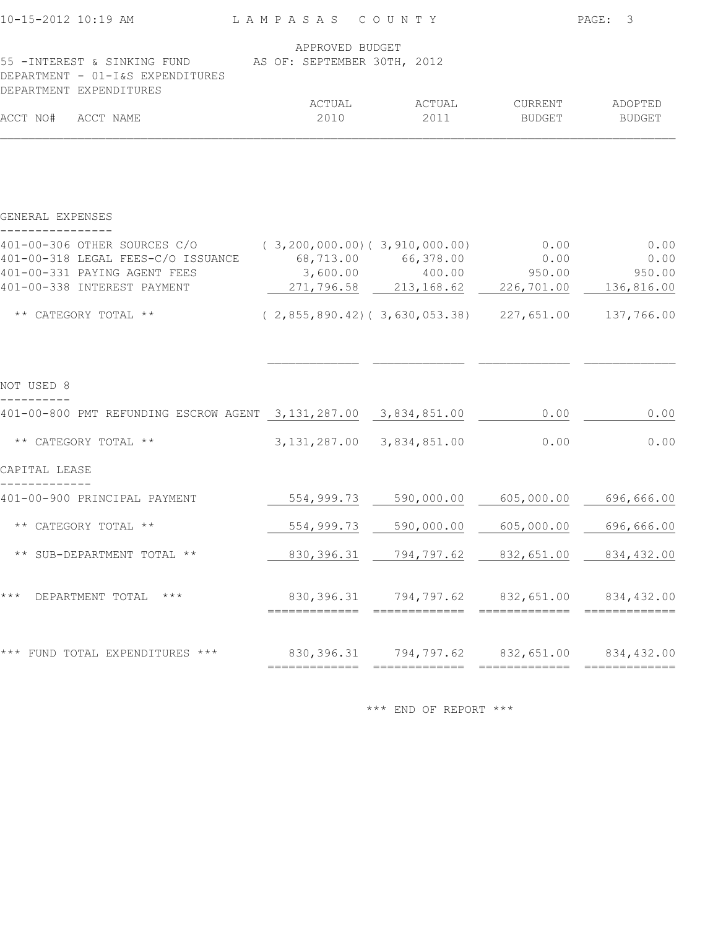| 10-15-2012 10:19 AM                                             | LAMPASAS COUNTY             |        |               | PAGE: 3       |
|-----------------------------------------------------------------|-----------------------------|--------|---------------|---------------|
|                                                                 | APPROVED BUDGET             |        |               |               |
| 55 -INTEREST & SINKING FUND<br>DEPARTMENT - 01-I&S EXPENDITURES | AS OF: SEPTEMBER 30TH, 2012 |        |               |               |
| DEPARTMENT EXPENDITURES                                         |                             |        |               |               |
|                                                                 | ACTUAL                      | ACTUAL | CURRENT       | ADOPTED       |
| ACCT NO#<br>ACCT NAME                                           | 2010                        | 2011   | <b>BUDGET</b> | <b>BUDGET</b> |

GENERAL EXPENSES

| 401-00-306 OTHER SOURCES C/O<br>401-00-318 LEGAL FEES-C/O ISSUANCE<br>401-00-331 PAYING AGENT FEES<br>401-00-338 INTEREST PAYMENT | (3, 200, 000.00) (3, 910, 000.00)<br>68,713.00 66,378.00<br>271,796.58 213,168.62 | $3,600.00$ $400.00$ | 0.00<br>0.00<br>950.00<br>226,701.00                             | 0.00<br>0.00<br>950.00<br>136,816.00 |
|-----------------------------------------------------------------------------------------------------------------------------------|-----------------------------------------------------------------------------------|---------------------|------------------------------------------------------------------|--------------------------------------|
| ** CATEGORY TOTAL **                                                                                                              | $(2, 855, 890.42) (3, 630, 053.38)$ 227, 651.00                                   |                     |                                                                  | 137,766.00                           |
|                                                                                                                                   |                                                                                   |                     |                                                                  |                                      |
| NOT USED 8                                                                                                                        |                                                                                   |                     |                                                                  |                                      |
| 401-00-800 PMT REFUNDING ESCROW AGENT 3,131,287.00 3,834,851.00                                                                   |                                                                                   |                     | 0.00                                                             | 0.00                                 |
| ** CATEGORY TOTAL **                                                                                                              | 3, 131, 287.00 3, 834, 851.00                                                     |                     | 0.00                                                             | 0.00                                 |
| CAPITAL LEASE                                                                                                                     |                                                                                   |                     |                                                                  |                                      |
| 401-00-900 PRINCIPAL PAYMENT                                                                                                      | 554,999.73                                                                        | 590,000.00          | 605,000.00                                                       | 696,666.00                           |
| ** CATEGORY TOTAL **                                                                                                              | 554,999.73                                                                        | 590,000.00          | 605,000.00                                                       | 696,666.00                           |
| ** SUB-DEPARTMENT TOTAL **                                                                                                        | 830, 396.31                                                                       | 794,797.62          | 832,651.00                                                       | 834,432.00                           |
| $***$<br>$\star\star\star$<br>DEPARTMENT TOTAL                                                                                    |                                                                                   |                     | 830,396.31 794,797.62 832,651.00 834,432.00                      |                                      |
| *** FUND TOTAL EXPENDITURES ***                                                                                                   | =============                                                                     | =============       | 830, 396.31 794, 797.62 832, 651.00 834, 432.00<br>============= | =============                        |
|                                                                                                                                   |                                                                                   |                     |                                                                  |                                      |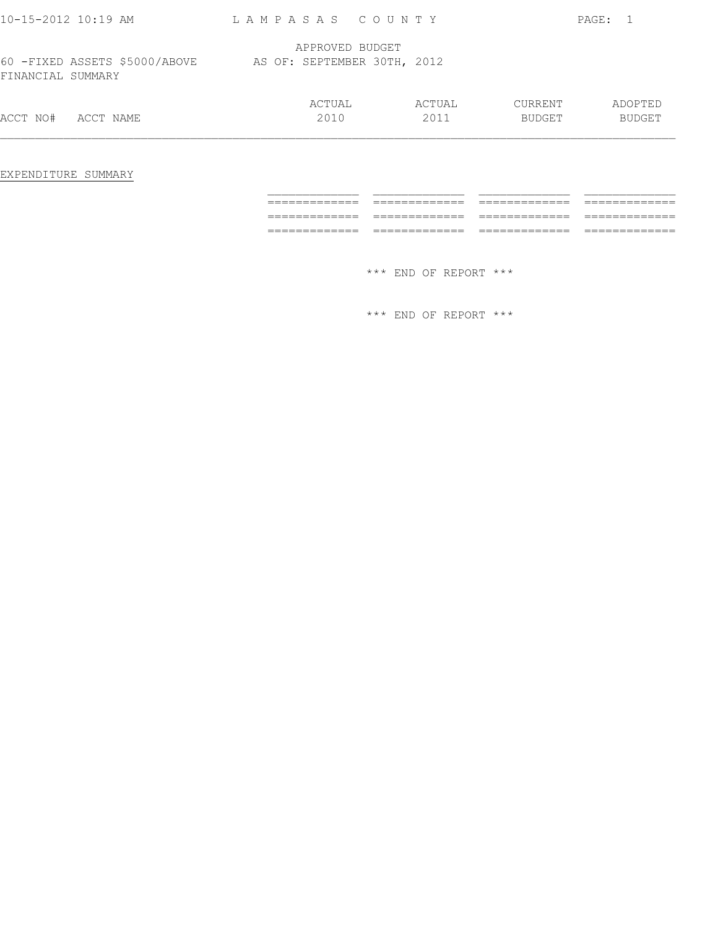| $10 - 15 - 2012$ $10:19$ AM                         | LAMPASAS COUNTY             |        |               | PAGE:         |
|-----------------------------------------------------|-----------------------------|--------|---------------|---------------|
|                                                     | APPROVED BUDGET             |        |               |               |
| 60 - FIXED ASSETS \$5000/ABOVE<br>FINANCIAL SUMMARY | AS OF: SEPTEMBER 30TH, 2012 |        |               |               |
|                                                     | ACTUAL                      | ACTUAL | CURRENT       | ADOPTED       |
| ACCT NO#<br>ACCT NAME                               | 2010                        | 2011   | <b>BUDGET</b> | <b>BUDGET</b> |
|                                                     |                             |        |               |               |

EXPENDITURE SUMMARY

| ______________<br>_____________ | ______________<br>_____________  | ______________<br>_____________ | ______________<br>_____________ |
|---------------------------------|----------------------------------|---------------------------------|---------------------------------|
|                                 |                                  |                                 |                                 |
| ______________<br>_____________ | _______________<br>_____________ | ______________<br>_____________ | _____________<br>_____________  |
|                                 |                                  |                                 |                                 |
| ______________<br>_____________ | ______________<br>_____________  | ______________<br>_____________ | _____________<br>_____________  |
|                                 |                                  |                                 |                                 |
|                                 |                                  |                                 |                                 |
|                                 |                                  |                                 |                                 |

\*\*\* END OF REPORT \*\*\*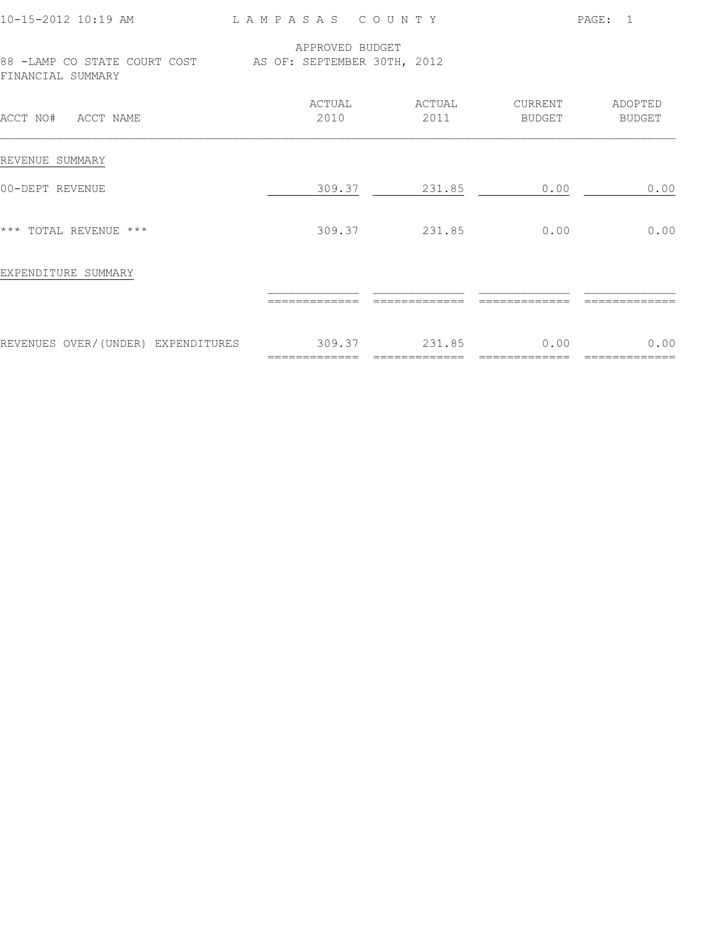| $10 - 15 - 2012$ 10:19 AM                                                     | LAMPASAS COUNTY |                |                       | PAGE: 1           |
|-------------------------------------------------------------------------------|-----------------|----------------|-----------------------|-------------------|
| 88 -LAMP CO STATE COURT COST AS OF: SEPTEMBER 30TH, 2012<br>FINANCIAL SUMMARY | APPROVED BUDGET |                |                       |                   |
| ACCT NO# ACCT NAME                                                            | ACTUAL<br>2010  | ACTUAL<br>2011 | CURRENT<br>BUDGET     | ADOPTED<br>BUDGET |
| REVENUE SUMMARY                                                               |                 |                |                       |                   |
| 00-DEPT REVENUE                                                               |                 | 309.37 231.85  | 0.00                  | 0.00              |
| *** TOTAL REVENUE ***                                                         |                 | 309.37 231.85  | 0.00                  | 0.00              |
| EXPENDITURE SUMMARY                                                           |                 |                |                       |                   |
|                                                                               |                 |                |                       |                   |
| REVENUES OVER/(UNDER) EXPENDITURES 309.37 231.85                              |                 | =============  | 0.00<br>============= | 0.00              |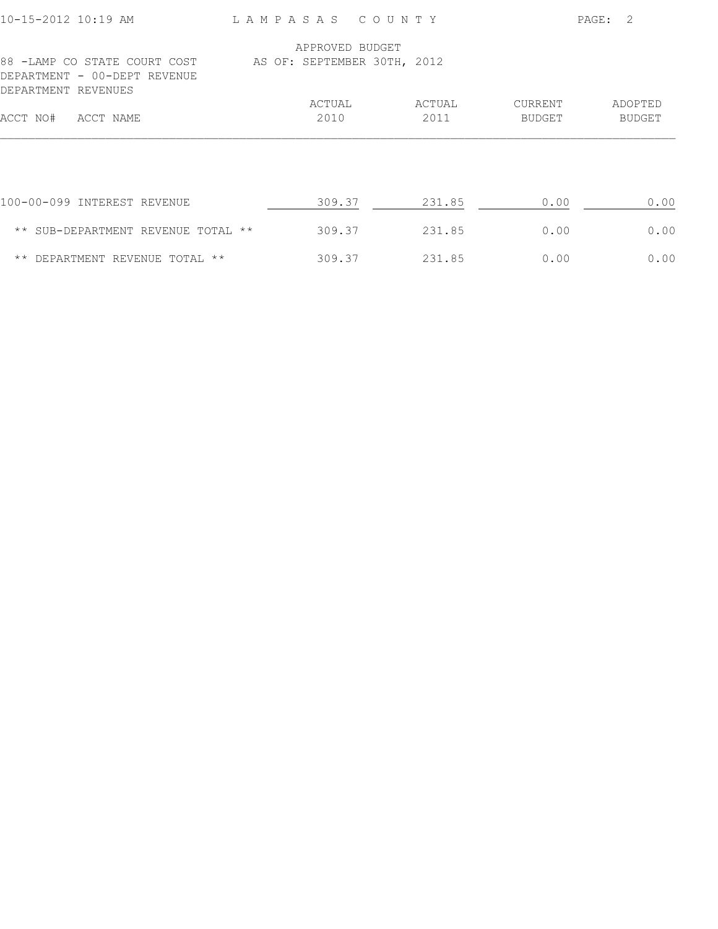| 10-15-2012 10:19 AM                                                                 | LAMPASAS COUNTY             |        |         | PAGE:<br>- 2  |
|-------------------------------------------------------------------------------------|-----------------------------|--------|---------|---------------|
|                                                                                     | APPROVED BUDGET             |        |         |               |
| 88 -LAMP CO STATE COURT COST<br>DEPARTMENT - 00-DEPT REVENUE<br>DEPARTMENT REVENUES | AS OF: SEPTEMBER 30TH, 2012 |        |         |               |
|                                                                                     | ACTUAL                      | ACTUAL | CURRENT | ADOPTED       |
| ACCT NO#<br>ACCT NAME                                                               | 2010                        | 2011   | BUDGET  | <b>BUDGET</b> |
|                                                                                     |                             |        |         |               |
| 100-00-099 INTEREST REVENUE                                                         | 309.37                      | 231.85 | 0.00    | 0.00          |
| ** SUB-DEPARTMENT REVENUE TOTAL **                                                  | 309.37                      | 231.85 | 0.00    | 0.00          |
| ** DEPARTMENT REVENUE TOTAL **                                                      | 309.37                      | 231.85 | 0.00    | 0.00          |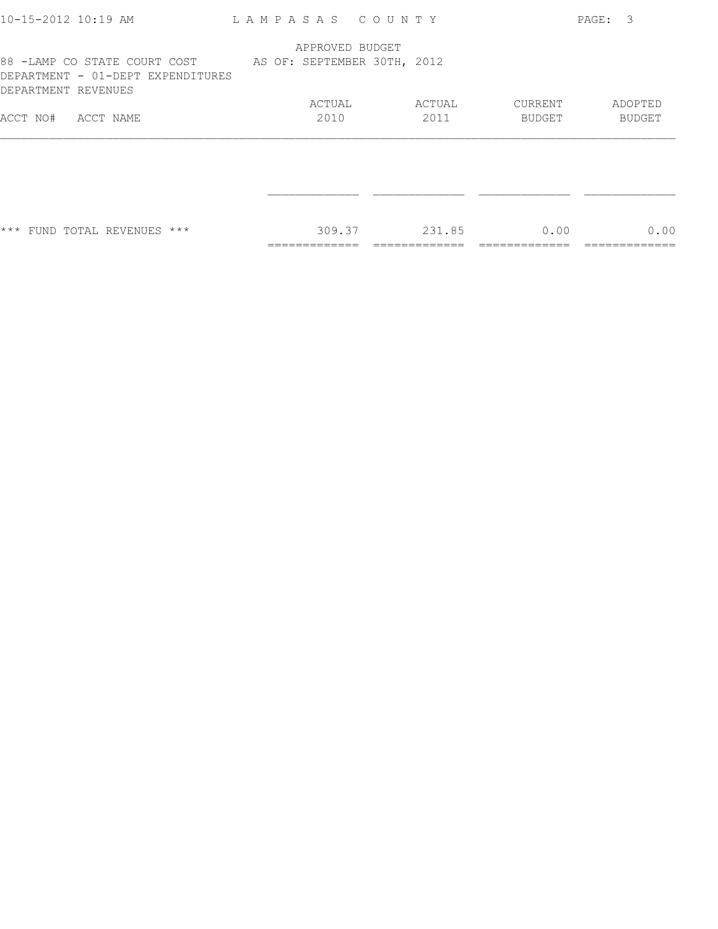|                                   |      |                  |                 |                                                                             | PAGE: 3                          |
|-----------------------------------|------|------------------|-----------------|-----------------------------------------------------------------------------|----------------------------------|
|                                   |      |                  |                 |                                                                             |                                  |
|                                   |      |                  |                 |                                                                             |                                  |
|                                   |      |                  | ACTUAL          |                                                                             | ADOPTED                          |
|                                   | 2010 |                  | 2011            |                                                                             | BUDGET                           |
|                                   |      |                  |                 |                                                                             |                                  |
|                                   |      |                  |                 |                                                                             |                                  |
|                                   |      |                  | 231.85          |                                                                             | 0.00                             |
| DEPARTMENT - 01-DEPT EXPENDITURES |      | ACTUAL<br>309.37 | APPROVED BUDGET | LAMPASAS COUNTY<br>88 -LAMP CO STATE COURT COST AS OF: SEPTEMBER 30TH, 2012 | CURRENT<br><b>BUDGET</b><br>0.00 |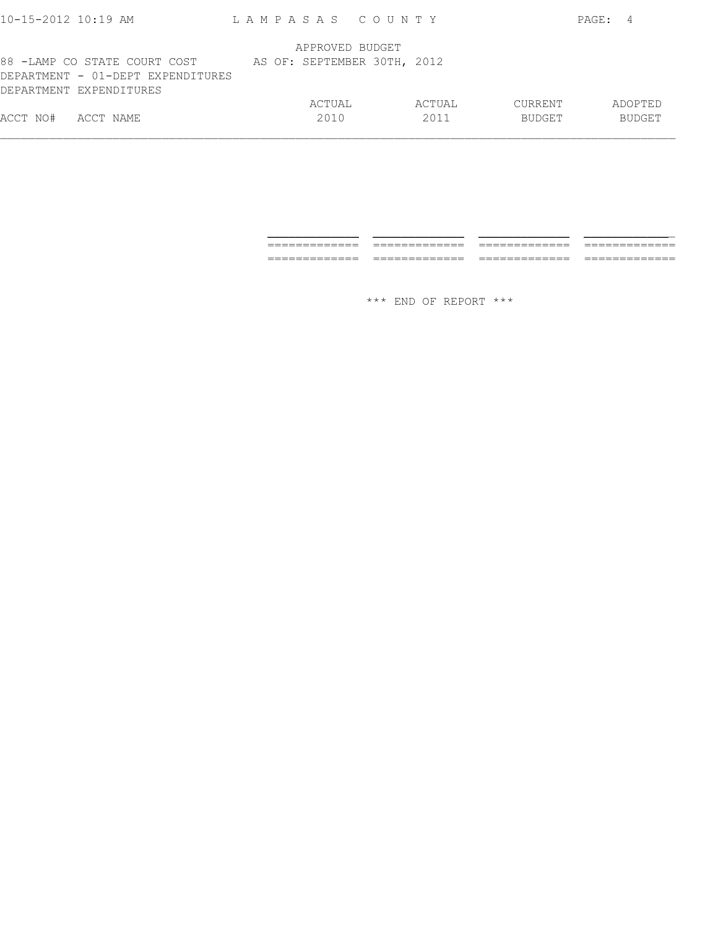| APPROVED BUDGET<br>AS OF: SEPTEMBER 30TH, 2012<br>ACTUAL<br>ACTUAL<br><b>CURRENT</b><br>ADOPTED<br>2010<br>2011<br><b>BUDGET</b><br><b>BUDGET</b><br>ACCT NAME | $10 - 15 - 2012$ $10:19$ AM | LAMPASAS COUNTY |  |  | PAGE: 4 |  |
|----------------------------------------------------------------------------------------------------------------------------------------------------------------|-----------------------------|-----------------|--|--|---------|--|
| 88 -LAMP CO STATE COURT COST<br>DEPARTMENT - 01-DEPT EXPENDITURES<br>DEPARTMENT EXPENDITURES<br>ACCT NO#                                                       |                             |                 |  |  |         |  |
|                                                                                                                                                                |                             |                 |  |  |         |  |
|                                                                                                                                                                |                             |                 |  |  |         |  |

| _______________<br>_____________ | _______________<br>_____________ | ______________<br>_____________ | ___<br>__________   |
|----------------------------------|----------------------------------|---------------------------------|---------------------|
|                                  |                                  |                                 |                     |
| _____________<br>______________  | ____________<br>_____________    | _____________<br>_____________  | ___<br>------<br>__ |
|                                  |                                  |                                 |                     |
|                                  |                                  |                                 |                     |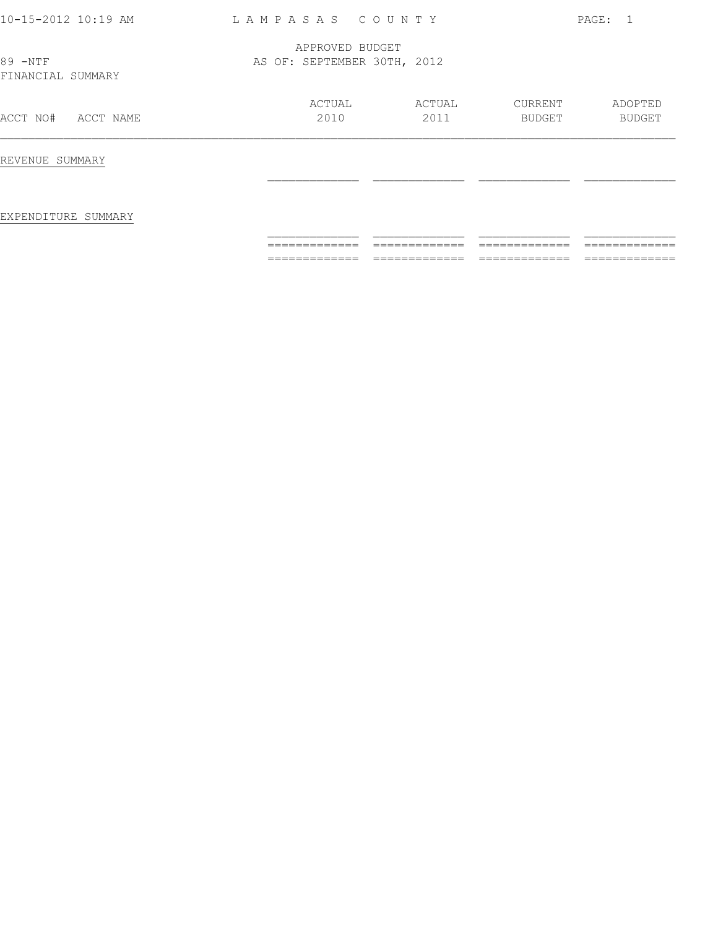| 10-15-2012 10:19 AM          | LAMPASAS COUNTY                                |                |                   | PAGE: 1           |
|------------------------------|------------------------------------------------|----------------|-------------------|-------------------|
| 89 -NTF<br>FINANCIAL SUMMARY | APPROVED BUDGET<br>AS OF: SEPTEMBER 30TH, 2012 |                |                   |                   |
| ACCT NO#<br>ACCT NAME        | ACTUAL<br>2010                                 | ACTUAL<br>2011 | CURRENT<br>BUDGET | ADOPTED<br>BUDGET |
| REVENUE SUMMARY              |                                                |                |                   |                   |
| EXPENDITURE SUMMARY          |                                                |                |                   |                   |
|                              |                                                |                |                   |                   |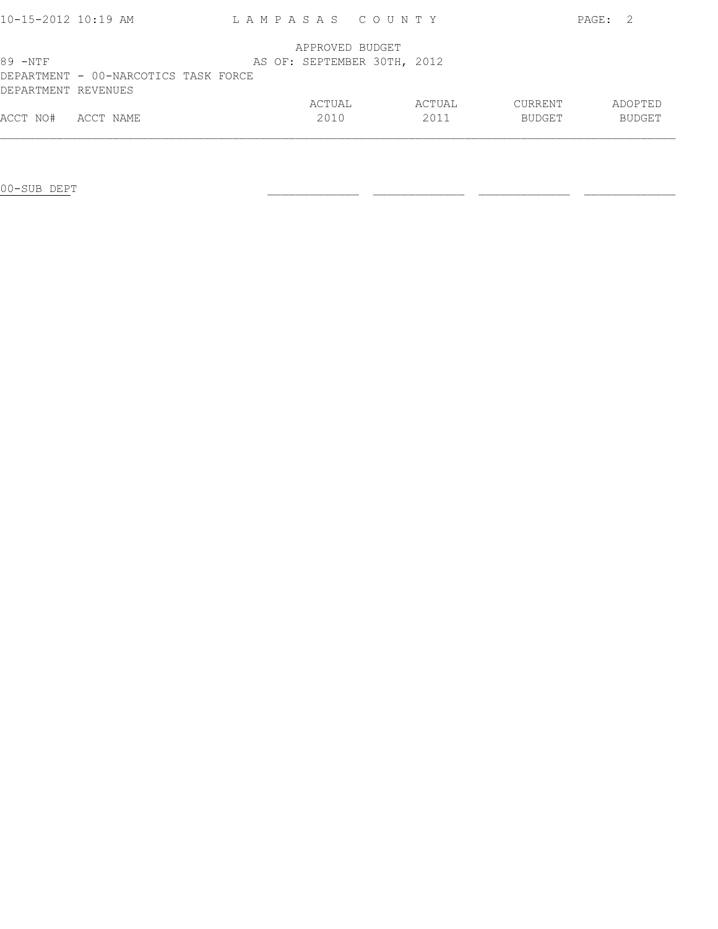| $10 - 15 - 2012$ 10:19 AM |                                      | LAMPASAS COUNTY             |        |         | PAGE: | - 2.          |
|---------------------------|--------------------------------------|-----------------------------|--------|---------|-------|---------------|
|                           |                                      | APPROVED BUDGET             |        |         |       |               |
| $89 - NTF$                |                                      | AS OF: SEPTEMBER 30TH, 2012 |        |         |       |               |
|                           | DEPARTMENT - 00-NARCOTICS TASK FORCE |                             |        |         |       |               |
| DEPARTMENT REVENUES       |                                      |                             |        |         |       |               |
|                           |                                      | ACTUAL                      | ACTUAL | CURRENT |       | ADOPTED       |
| ACCT NO#                  | ACCT NAME                            | 2010                        | 2011   | BUDGET  |       | <b>BUDGET</b> |
|                           |                                      |                             |        |         |       |               |

00-SUB DEPT \_\_\_\_\_\_\_\_\_\_\_\_\_ \_\_\_\_\_\_\_\_\_\_\_\_\_ \_\_\_\_\_\_\_\_\_\_\_\_\_ \_\_\_\_\_\_\_\_\_\_\_\_\_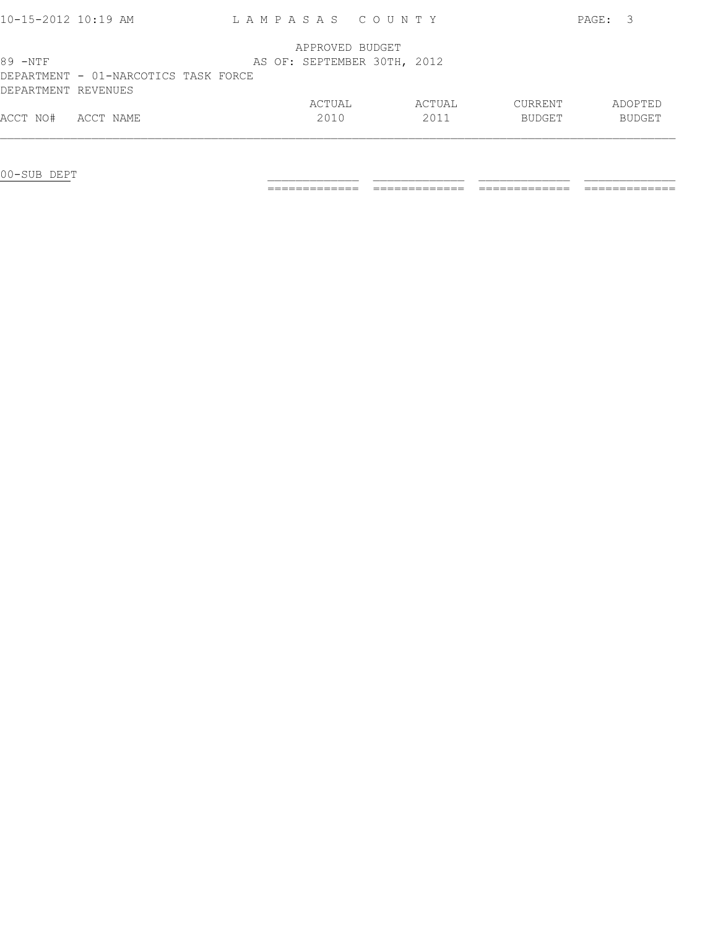| 10-15-2012 10:19 AM |                                      | LAMPASAS COUNTY             |        |         | PAGE: 3 |               |
|---------------------|--------------------------------------|-----------------------------|--------|---------|---------|---------------|
|                     |                                      | APPROVED BUDGET             |        |         |         |               |
| $89 - NTF$          |                                      | AS OF: SEPTEMBER 30TH, 2012 |        |         |         |               |
|                     | DEPARTMENT - 01-NARCOTICS TASK FORCE |                             |        |         |         |               |
| DEPARTMENT REVENUES |                                      |                             |        |         |         |               |
|                     |                                      | ACTUAL                      | ACTUAL | CURRENT |         | ADOPTED       |
| ACCT NO#            | ACCT NAME                            | 2010                        | 2011   | BUDGET  |         | <b>BUDGET</b> |
|                     |                                      |                             |        |         |         |               |

00-SUB DEPT \_\_\_\_\_\_\_\_\_\_\_\_\_ \_\_\_\_\_\_\_\_\_\_\_\_\_ \_\_\_\_\_\_\_\_\_\_\_\_\_ \_\_\_\_\_\_\_\_\_\_\_\_\_

============= ============= ============= =============